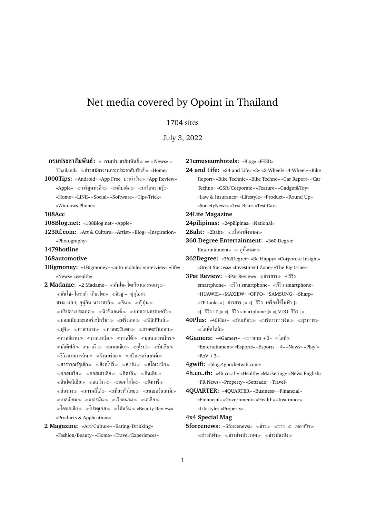# Net media covered by Opoint in Thailand

### 1704 sites

July 3, 2022

**กรมประชาสัมพันธ์:** กรมประชาสัมพันธ์ «» « News» «  $\text{Thailand} \gg \ll \text{N}$ าสมัครงานกรมประชาสัมพันธ์ $\gg \ll$ Home» **1000Tips:** «Android» «App Free ประจำวัน ≫ «App Review» «Apple» «การ์ตูนทะลึ่ง≫ «คลิปเด็ด≫ «เกร็ดความรู้≫ «Home» «LINE» «Social» «Software» «Tips-Trick» «Windows Phone» **108Acc 108Blog.net:** «108Blog.net» «Apple» **123Rf.com:** «Art & Culture» «Artist» «Blog» «Inspiration» «Photography» **1479hotline 168automotive 1Bigmoney:** «1Bigmoney» «auto-mobile» «interview» «life» «News» «wealth» **2 Madame:** «2 Madame» คันโต- โตเกียวและรอบๆ  $\ll$ คันไซ- โอซาก้า เกียวโต $\gg\ll$ คิวช $-$  ฟกโอกะ ซางะ เปปป ยฟอิน นางาซากิ $\gg$   $\ll$ จีน $\gg$   $\ll$ ญี่ปุ่น $\gg$  $\ll$ ทริปต่างประเทศ $\gg \ll$ นิวซีแลนด์ $\gg \ll$ บทความครอบครัว $\gg$  $\ll$ บอสเนียและเฮอร์เซโกวีน่า $\gg\ll$ ฝรั่งเศส $\gg\ll$ ฟิลิปปินส์ $\gg$  $\ll$ ฟูจิ $\gg$   $\ll$ ภาคกลาง $\gg$   $\ll$ ภาคตะวันตก $\gg$   $\ll$ ภาคตะวันออก $\gg$  $\ll$ ภาคอีสาน $\gg\ll$ ภาคเหนือ $\gg\ll$ ภาคใต้ $\gg\ll$ มอนเตรเนโกร $\gg$  $\ll$ มัลดีฟส์ $\gg\ll$ มาเก๊า $\gg\ll$ มาเลเชีย $\gg\ll$ ยุโรป $\gg\ll$ รัสเซีย $\gg$  $\ll$ รีวิวสายการบิน $\gg \ll$ ร้านอร่อย $\gg \ll$ สวิสเซอร์แลนด์ $\gg$  $\ll$ สาธารณรัฐเช็ก $\gg\ll$ สิงคโปร์ $\gg\ll$ สเปน $\gg\ll$ สโลเวเนีย $\gg$  $\ll$ ออสเตรีย $\gg$   $\ll$ ออสเตรเลีย $\gg$   $\ll$ อิตาลี $\gg$   $\ll$ อินเดีย $\gg$  $\epsilon$ อินโดนีเซีย $\gg$   $\epsilon$ อเมริกา $\gg$   $\epsilon$ ฮอกไกโด $\gg$   $\epsilon$ ฮังการี $\gg$  $\ll$ ฮ่องกง≫  $\ll$ เกาหลีใต้≫  $\ll$ เที่ยวทั่วไทย≫  $\ll$ เนเธอร์แลนด์≫  $\ll$ เบลเยี่ยม $\gg\ll$ เยอรมัน $\gg\ll$ เวียดนาม $\gg\ll$ เอเชีย $\gg$  $\ll$ โครเอเชีย $\gg \ll$ โปรตุเกส $\gg \ll$ ไต้หวัน $\gg$  «Beauty Review» «Products & Applications»

**2 Magazine:** «Art/Culture» «Eating/Drinking» «Fashion/Beauty» «Home» «Travel/Experiences» **24 and Life:** «24 and Life» «2» «2-Wheel» «4-Wheel» «Bike Report» «Bike Technic» «Bike Techno» «Car Report» «Car Techno» «CSR/Corporate» «Feature» «Gadget&Toy» «Law & Insurance» «Lifestyle» «Product» «Round Up» «SocietyNews» «Test Bike» «Test Car»

**24Life Magazine**

**24pilipinas:** «24pilipinas» «National»

**21cmuseumhotels:** «Blog» «FEED»

**2Baht:** «2Baht» ≪เนื้อหาทั้งหมด≫

- **360 Degree Entertainment:** «360 Degree Entertainment» ดูทั้งหมด
- **362Degree:** «362Degree» «Be Happy» «Corporate Insight» «Great Success» «Investment Zone» «The Big Issue»

**3Pat Review: «3Pat Review» «ข่าวสาร» «รีวิว** smartphone» รีวิว smartphone» รีวิว smartphone» «HUAWEI» «MAXIEW» «OPPO» «SAMSUNG» «Sharp» «TP-Link» «[ ข่าวสาร ]» «[ รีวิว เครื่องใช้ไฟฟ้า ]» «[ รีวิว IT ]» «[ รีวิว smartphone ]» «[ VDO รีวิว ]»

**40Plus:** «40Plus» «กินเที่ยว» «บริหารการเงิน» «สุขภาพ» ไลฟ์สไตล์

**4Gamers:** «4Gamers» «ข่าวเกม +3» «ไอที» «Entertainment» «Esports» «Esports +4» «News» «Play!» « $ROV + 3$ »

**4gwifi:** «blog.4gpocketwifi.com»

**4h.co..th:** «4h.co..th» «Health» «Marketing» «News English» «PR News» «Property» «Settrade» «Travel»

**4QUARTER:** «4QUARTER» «Business» «Financial» «Financial» «Government» «Health» «Insurance» «Lifestyle» «Property»

**4x4 Special Mag**

**5forcenews:** «5forcenews» ≪ข่าว ≫ ๔ เหล่าทัพ ≫  $\ll$ ข่าวกีฬา $\gg$   $\ll$ ข่าวต่างประเทศ $\gg$   $\ll$ ข่าวบันเทิง $\gg$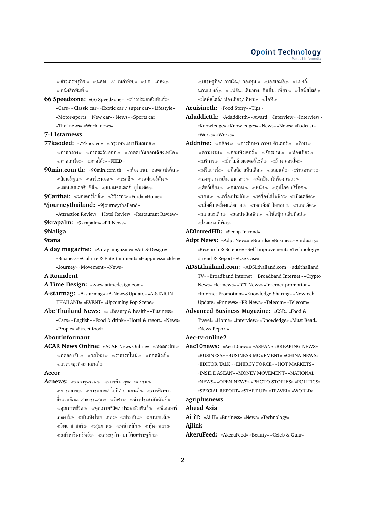$\ll$ ข่าวเศรษฐกิจ $\gg$   $\ll$ นสพ. ๕ เหล่าทัพ $\gg$   $\ll$ บก. แถลง $\gg$  $\ll$ หนังสือพิมพ์ $\gg$ 

**66 Speedzone:** «66 Speedzone» ข่าวประชาสัมพันธ์ «Cars» «Classic car» «Exotic car / super car» «Lifestyle» «Motor-sports» «New car» «News» «Sports car» «Thai news» «World news»

**7-11starnews**

**77kaoded:** «77kaoded» ≪กรงเทพและปริมณฑล≫

 $\ll$ ภาคกลาง $\gg\ll$ ภาคตะวันออก $\gg\ll$ ภาคตะวันออกเฉียงเหนือ $\gg$  $\ll$ ภาคเหนือ $\gg \ll$ ภาคใต้ $\gg$  «FEED»

**90min.com th: «90min.com th» ≪ท็อตแนม ฮอตสเปอร์ส≫**  $\ll$ ลิเวอร์พูล $\gg$   $\ll$ อาร์เซนอล $\gg$   $\ll$ เชลซี $\gg$   $\ll$ เอฟเวอร์ตัน $\gg$  $\ll$ แมนเชสเตอร์ ซิตี้ $\gg\ll$ แมนเชสเตอร์ ยูไนเต็ด $\gg$ 

**9Carthai:** «มอเตอร์ไซค์» «รีวิวรถ» «Ford» «Home»

**9journeythailand:** «9journeythailand»

«Attraction Review» «Hotel Review» «Restaurant Review» **9krapalm:** «9krapalm» «PR News»

**9Naliga**

#### **9tana**

**A day magazine:** «A day magazine» «Art & Design» «Business» «Culture & Entertainment» «Happiness» «Idea» «Journey» «Movement» «News»

**A Roundent**

**A Time Design:** «www.atimedesign.com»

- **A-starmag:** «A-starmag» «A-News&Update» «A-STAR IN THAILAND» «EVENT» «Upcoming Pop Scene»
- **Abc Thailand News:** «» «Beauty & health» «Business» «Cars» «English» «Food & drink» «Hotel & resort» «News» «People» «Street food»

#### **Aboutinformant**

**ACAR News Online: «ACAR News Online» «ทดลองขับ»**  $\ll$ ทดลองขับ $\gg$   $\ll$ รถใหม่ $\gg$   $\ll$ ราคารถใหม่ $\gg$   $\ll$ ฮอตนิวส์ $\gg$ แวดวงธุรกิจยานยนต์

### **Accor**

**Acnews:** «กองทุนรวม» «การค้า- อุตสาหกรรม»  $\ll$ การตลาด $\gg$   $\ll$ การตลาด/ ไอที/ ยานยนต์ $\gg$   $\ll$ การศึกษา-สิ่งแวดล้อม- สาธารณสุข $\gg$   $\ll$ กีฬา $\gg$   $\ll$ ข่าวประชาสัมพัมธ์ $\gg$  $\ll$ คุณภาพชีวิต $\gg \ll$ คุณภาพชีวิต/ ประชาสัมพันธ์ $\gg \ll$ ชีเอสอาร์-เอชอาร์≫ «บันเทิงไทย- เทศ≫ «ประกัน≫ «ยานยนต์»  $\ll$ วิทยาศาสตร์ $\gg$   $\ll$ สุขภาพ $\gg$   $\ll$ หน้าหลัก $\gg$   $\ll$ หุ้น- ทอง $\gg$  $\ll$ อสังหาริมทรัพย์ $\gg\ll$ เศรษฐกิจ- บทวิจัยเศรษฐกิจ $\gg$ 

 $\ll$ เศรษฐกิจ/ การเงิน/ กองทน $\gg$   $\ll$ เอสเอ็มอื $\gg$   $\ll$ แบงก์-นอนแบงก์ $\gg$  «แฟชั่น- เดินทาง- กินดื่ม- เที่ยว $\gg$  «ไลฟ์สไตล์ $\gg$  $\ll$ ไลฟ์สไตล์/ ท่องเที่ยว/ กีฬา $\gg \ll$ ไอที $\gg$ 

**Acuisineth:** «Food Story» «Tips»

**Adaddictth:** «Adaddictth» «Award» «Interview» «Interview» «Knowledge» «Knowledges» «News» «News» «Podcast» «Works» «Works»

**Addnine:** «กล้อง» «การศึกษา ภาษา ติวเตอร์» «กีฬา»  $\ll$ ความงาม $\gg$   $\ll$ คอมพิวเตอร์ $\gg$   $\ll$ จักรยาน $\gg$   $\ll$ ท่องเที่ยว $\gg$  $\ll$ บริการ $\gg \ll$ บิ๊กไบค์ มอเตอร์ไซค์ $\gg \ll$ บ้าน คอนโด $\gg$  $\ll$ ฟรีแลนช์ $\gg$   $\ll$ มือถือ แท็บเล็ต $\gg$   $\ll$ รถยนต์ $\gg$   $\ll$ ร้านอาหาร $\gg$  $\ll$ ลงทุน การเงิน ธนาคาร $\gg\ll$ ศิลปิน นักร้อง เพลง $\gg$  $\ll$ สัตว์เลี้ยง $\gg\ll$ สุขภาพ $\gg\ll$ หนัง $\gg\ll$ อุปโภค บริโภค $\gg$  $\ll$ เกม $\gg\ll$ เครื่องประดับ $\gg\ll$ เครื่องใช้ไฟฟ้า $\gg\ll$ เบ็ดเตล็ด $\gg$  $\ll$ เสื้อผ้า เครื่องแต่งกาย $\gg\ll$ เอสเอ็มอี โอทอป $\gg\ll$ แกดเจ็ต $\gg$  $\ll$ แม่และเด็ก $\gg \ll$ แอปพลิเคชัน $\gg \ll$ โน้ตบุ๊ก แล็ปท็อป $\gg$ โรงแรม ที่พัก

**ADIntredHD:** «Scoop Intrend»

- **Adpt News:** «Adpt News» «Brands» «Business» «Industry» «Research & Science» «Self Improvement» «Technology» «Trend & Report» «Use Case»
- **ADSLthailand.com:** «ADSLthailand.com» «adslthailand TV» «Broadband internet» «Broadband Internet» «Crypto News» «Ict news» «ICT News» «Internet promotion» «Internet Promotion» «Knowledge Sharing» «Newtech Update» «Pr news» «PR News» «Telecom» «Telecom»
- **Advanced Business Magazine:** «CSR» «Food & Travel» «Home» «Interview» «Knowledge» «Must Read» «News Report»

**Aec-tv-online2**

**Aec10news:** «Aec10news» «ASEAN» «BREAKING NEWS» «BUSINESS» «BUSINESS MOVEMENT» «CHINA NEWS» «EDITOR TALK» «ENERGY FORCE» «HOT MARKETS» «INSIDE ASEAN» «MONEY MOVEMENT» «NATIONAL» «NEWS» «OPEN NEWS» «PHOTO STORIES» «POLITICS» «SPECIAL REPORT» «START UP» «TRAVEL» «WORLD»

# **agriplusnews**

# **Ahead Asia**

**Ai iT:** «Ai iT» «Business» «News» «Technology» **Ajlink**

**AkeruFeed:** «AkeruFeed» «Beauty» «Celeb & Gulu»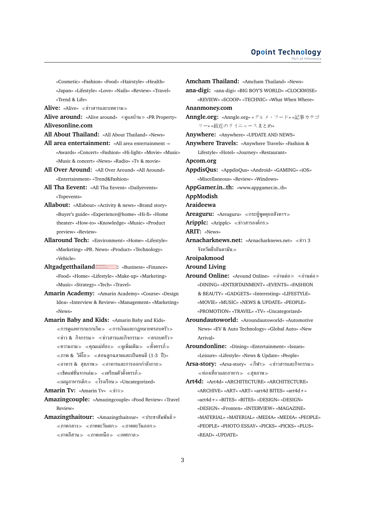«Cosmetic» «Fashion» «Food» «Hairstyle» «Health» «Japan» «Lifestyle» «Love» «Nails» «Review» «Travel» «Trend & Life»

**Alive:** «Alive» ข่าวสารและบทความ

- **Alive around:** «Alive around» «ดูแลบ้าน» «PR Property» **Alivesonline.com**
- **All About Thailand:** «All About Thailand» «News»
- **All area entertainment:** «All area entertainment -» «Awards» «Concert» «Fashion» «Hi-light» «Movie» «Music» «Music & concert» «News» «Radio» «Tv & movie»
- **All Over Around:** «All Over Around» «All Around» «Entertainment» «Trend&Fashion»
- **All Tha Eevent:** «All Tha Eevent» «Dailyevents» «Topevents»
- **Allabout:** «Allabout» «Activity & news» «Brand story» «Buyer's guide» «Experience@home» «Hi-fi» «Home theater» «How-to» «Knowledge» «Music» «Product preview» «Review»
- **Allaround Tech:** «Environment» «Home» «Lifestyle» «Marketing» «PR. News» «Product» «Technology» «Vehicle»
- Altgadgetthailand : «Business» «Finance» «Food» «Home» «Lifestyle» «Make-up» «Marketing» «Music» «Strategy» «Tech» «Travel»
- **Amarin Academy:** «Amarin Academy» «Course» «Design Idea» «Interview & Review» «Management» «Marketing» «News»
- **Amarin Baby and Kids:** «Amarin Baby and Kids»  $\ll$ การดูแลทารกแรกเกิด $\gg\ll$ การเงินและกฎหมายครอบครัว $\gg$  $\ll$ ข่าว & กิจกรรม $\gg$   $\ll$ ข่าวสารและกิจกรรม $\gg$   $\ll$ ครอบครัว $\gg$  $\ll$ ความงาม $\gg \ll$ คุณแม่ท้อง $\gg \ll$ ดูเพิ่มเติม $\gg \ll$ ตั้งครรภ์ $\gg$  $\ll$ ภาพ & วิดีโอ $\gg\ll$ สอนลูกฉลาดและเป็นคนดี (1-3 ปี)»  $\ll$ อาหาร & สุขภาพ $\gg \ll$ อาหารและการออกกำลังกาย $\gg$  $\ll$ เซ็ตแฟชั่นจากเล่ม≫ ≪เตรียมตัวตั้งครรภ์≫

 $\ll$ เมนอาหารเด็ก $\gg \ll$ โรงเรียน $\gg$  «Uncategorized»

**Amarin Tv: «Amarin Tv» «ข่าว»** 

- **Amazingcouple:** «Amazingcouple» «Food Review» «Travel Review»
- **Amazingthaitour:** «Amazingthaitour» ประชาสัมพันธ์  $\langle$ ภาคกลาง $\rangle$   $\langle$ ภาคตะวันตก $\rangle$   $\langle$ ภาคตะวันออก $\rangle$  $\ll$ ภาคอีสาน $\gg$   $\ll$ ภาคเหนือ $\gg$   $\ll$ เทศกาล $\gg$

**Amcham Thailand:** «Amcham Thailand» «News» **ana-digi:** «ana-digi» «BIG BOY'S WORLD» «CLOCKWISE» «REVIEW» «SCOOP» «TECHNIC» «What When Where» **Ananmoney.com Anngle.org:** «Anngle.org» «グルメ・フード» «記事カテゴ リー» «最近のタイニュースまとめ» **Anywhere:** «Anywhere» «UPDATE AND NEWS» **Anywhere Travels:** «Anywhere Travels» «Fashion & Lifestyle» «Hotel» «Journey» «Restaurant» **Apcom.org AppdisQus:** «AppdisQus» «Android» «GAMING» «iOS» «Miscellaneous» «Review» «Windows» **AppGamer.in..th:** «www.appgamer.in..th» **AppModish Araideewa** Areaguru: «Areaguru» «กระทัพดคยอสังหาฯ» **Aripplc:** «Aripplc» ข่าวสารองค์กร **ARIT:** «News» **Arnacharknews.net:** «Arnacharknews.net» ข่าว 3 จังหวัดฝั่งอันดามัน **Aroipakmood Around Living Around Online: «Around Online» «อ่านต่อ > «อ่านต่อ >** «DINING» «ENTERTAINMENT» «EVENTS» «FASHION & BEAUTY» «GADGETS» «Interesting» «LIFESTYLE» «MOVIE» «MUSIC» «NEWS & UPDATE» «PEOPLE» «PROMOTION» «TRAVEL» «TV» «Uncategorized» **Aroundautoworld:** «Aroundautoworld» «Automotive News» «EV & Auto Technology» «Global Auto» «New Arrival» **Aroundonline:** «Dining» «Entertainment» «Issues» «Leisure» «Lifestyle» «News & Update» «People» Arsa-story: «Arsa-story» «กีฬา» «ข่าวสารและกิจกรรม»  $\ll$ ท่องเที่ยวและอาหาร $\gg$   $\ll$ สุขภาพ $\gg$ **Art4d:** «Art4d» «ARCHITECTURE» «ARCHITECTURE» «ARCHIVE» «ART» «ART» «art4d BITES» «art4d+» «art4d+» «BITES» «BITES» «DESIGN» «DESIGN» «DESIGN» «Fronten» «INTERVIEW» «MAGAZINE» «MATERIAL» «MATERIAL» «MEDIA» «MEDIA» «PEOPLE» «PEOPLE» «PHOTO ESSAY» «PICKS» «PICKS» «PLUS»

«READ» «UPDATE»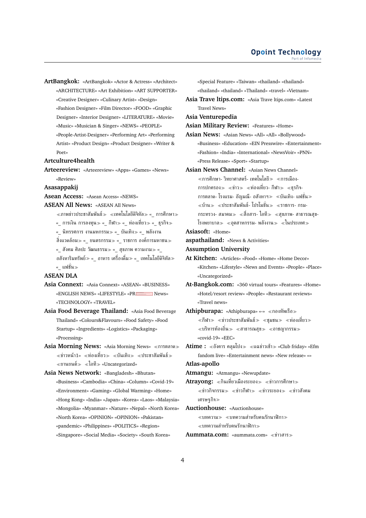**ArtBangkok:** «ArtBangkok» «Actor & Actress» «Architect» «ARCHITECTURE» «Art Exhibition» «ART SUPPORTER» «Creative Designer» «Culinary Artist» «Design» «Fashion Designer» «Film Director» «FOOD» «Graphic Designer» «Interior Designer» «LITERATURE» «Movie» «Music» «Musician & Singer» «NEWS» «PEOPLE» «People-Artist-Designer» «Performing Art» «Performing Artist» «Product Design» «Product Designer» «Writer & Poet»

### **Artculture4health**

**Arteereview:** «Arteereview» «Apps» «Games» «News» «Review»

#### **Asasappakij**

**Asean Access:** «Asean Access» «NEWS»

**ASEAN All News:** «ASEAN All News»

 $\ll$ ภาพข่าวประชาสัมพันธ์ $\gg\ll$ เทคโนโลยีดิจิทัล $\gg\ll\;$  การศึกษา $\gg$ «\_ การเงิน การลงทุน≫ «\_ กีฬา≫ «\_ ท่องเที่ยว≫ «\_ ธุรกิจ≫ « นิทรรศการ งานมหกรรม» «\_ บันเทิง» «\_ พลังงาน ้สิ่งแวดล้อม≫ «\_ ยนตรกรรม≫ «\_ ราชการ องค์การมหาชน≫ «\_ สังคม ศิลปะ วัฒนธรรม≫ «\_ สุขภาพ ความงาม≫ «\_

ื่อสังหาริมทรัพย์≫ «\_ อาหาร เครื่องดื่ม≫ «\_ เทคโนโลยีดิจิทัล≫ «\_ แฟชั่น

#### **ASEAN DLA**

- **Asia Connext:** «Asia Connext» «ASEAN» «BUSINESS» «ENGLISH NEWS» «LIFESTYLE» «PRINGELISH News» «TECHNOLOGY» «TRAVEL»
- **Asia Food Beverage Thailand:** «Asia Food Beverage Thailand» «Colours&Flavours» «Food Safety» «Food Startup» «Ingredients» «Logistics» «Packaging» «Processing»
- **Asia Morning News: «Asia Morning News» «การตลาด»**  $\ll$ ข่าวหน้า1»  $\ll$ ท่องเที่ยว $\gg$   $\ll$ บันเทิง $\gg$   $\ll$ ประชาสัมพันธ์ $\gg$  $\ll$ ยานยนต์ $\gg \ll$ ไอที $\gg$  «Uncategorized»

**Asia News Network:** «Bangladesh» «Bhutan» «Business» «Cambodia» «China» «Column» «Covid-19» «Environment» «Gaming» «Global Warming» «Home» «Hong Kong» «India» «Japan» «Korea» «Laos» «Malaysia» «Mongolia» «Myanmar» «Nature» «Nepal» «North Korea» «North Korea» «OPINION» «OPINION» «Pakistan» «pandemic» «Philippines» «POLITICS» «Region» «Singapore» «Social Media» «Society» «South Korea»

«Special Feature» «Taiwan» «thailand» «thailand» «thailand» «thailand» «Thailand» «travel» «Vietnam»

**Asia Trave ltips.com:** «Asia Trave ltips.com» «Latest Travel News»

**Asia Venturepedia**

**Asian Military Review:** «Features» «Home»

- **Asian News:** «Asian News» «All» «All» «Bollywood» «Business» «Education» «EIN Presswire» «Entertainment» «Fashion» «India» «International» «NewsVoir» «PNN» «Press Release» «Sport» «Startup»
- **Asian News Channel:** «Asian News Channel»  $\ll$ การศึกษา- วิทยาศาสตร์- เทคโนโลยี $\gg\ll$ การเมือง-การปกครอง $\gg$   $\ll$ ข่าว $\gg$   $\ll$ ท่องเที่ยว- กีฬา $\gg$   $\ll$ ธฺรกิจ-การตลาด- โรงแรม- อัญมณี- อสังหาฯ $\gg$   $\ll$ บันเทิง- แฟชั่น $\gg$  $\ll$ บ้าน $\gg$   $\ll$ ประชาสัมพันธ์- โปรโมขั่น $\gg$   $\ll$ ราชการ- กรม-กระทรวง- สมาคม $\gg$  «สื่อสาร- ไอที $\gg$  «สขภาพ- สาธารณสข-โรงพยาบาล $\gg$  «อตสาหกรรม- พลังงาน $\gg$  «ในประเทศ $\gg$
- **Asiasoft:** «Home»
- **aspathailand:** «News & Activities»
- **Assumption University**

**At Kitchen:** «Articles» «Food» «Home» «Home Decor» «Kitchen» «Lifestyle» «News and Events» «People» «Place» «Uncategorized»

**At-Bangkok.com:** «360 virtual tours» «Features» «Home» «Hotel/resort review» «People» «Restaurant reviews» «Travel news»

**Athipburapa:** «Athipburapa» «-» «กองทัพเรือ»  $\ll$ กีฬา $\gg$   $\ll$ ข่าวประชาสัมพันธ์ $\gg$   $\ll$ ชุมชน $\gg$   $\ll$ ท่องเที่ยว $\gg$  $\ll$ บริหารท้องถิ่น $\gg\ll$ สาธารณสุข $\gg\ll$ อาชญากรรม $\gg$ «covid-19» «EEC»

**Atime :** อังคาร คลุมโปง แฉข่าวเช้า «Club friday» «Efm fandom live» «Entertainment news» «New release» «»

### **Atlas-apollo**

**Atmangu:** «Atmangu» «Newupdate»

**Atravong:** «กินเที่ยวเมืองระยอง» «ข่าวการศึกษา»  $\ll$ ข่าวกิจกรรม $\gg$   $\ll$ ข่าวกีฬา $\gg$   $\ll$ ข่าวระยอง $\gg$   $\ll$ ข่าวสังคม เศรษฐกิจ

**Auctionhouse:** «Auctionhouse»

บทความ บทความสำหรับคนรักนาฬิกา บทความสำหรับคนรักนาฬิกา

**Aummata.com:** «aummata.com» ข่าวสาร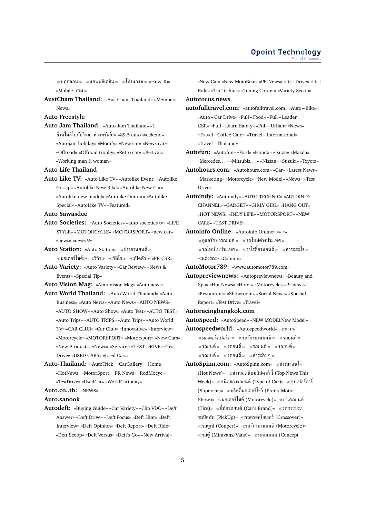ี ≪บทกลอน ≫ ≪แอพพลิเคชั่น ≫ «โปรแกรม ≫ «How To» «Mobile เกม

**AustCham Thailand:** «AustCham Thailand» «Members News»

### **Auto Freestyle**

**Auto Jam Thailand:** «Auto Jam Thailand» «1 ล้านไมล์ไปกับจิรายุ ห่วงทรัพย์ $\gg$  «89.5 auto weekend» «Autojam holiday» «Modify» «New car» «News car» «Offroad» «Offroad trophy» «Retro car» «Test car» «Working man & woman»

#### **Auto Life Thailand**

**Auto Like TV:** «Auto Like TV» «Autolike Event» «Autolike Gossip» «Autolike New Bike» «Autolike New Car» «Autolike new model» «Autolike Ontour» «Autolike Special» «AutoLike TV» «Featured»

### **Auto Sawasdee**

**Auto Societies:** «Auto Societies» «auto societies tv» «LIFE STYLE» «MOTORCYCLE» «MOTORSPORT» «new car» «news» «news 9»

**Auto Station: «Auto Station» «ข่าวยานยนต์»**  $\ll$ มอเตอร์ไซค์ $\gg \ll$ รีวิว $\gg \ll$ วิดีโอ $\gg \ll$ เปิดตัว $\gg$  «PR-CSR»

**Auto Variety:** «Auto Variety» «Car Review» «News & Events» «Special Tip»

**Auto Vision Mag:** «Auto Vision Mag» «Auto news»

**Auto World Thailand:** «Auto World Thailand» «Auto Business» «Auto News» «Auto News» «AUTO NEWS» «AUTO SHOW» «Auto Show» «Auto Test» «AUTO TEST» «Auto Trips» «AUTO TRIPS» «Auto Trips» «Auto World TV» «CAR CLUB» «Car Club» «Innovative» «Interview» «Motorcycle» «MOTORSPORT» «Motorsport» «New Cars» «New Products» «News» «Service» «TEST DRIVE» «Test Drive» «USED CARS» «Used Cars»

**Auto-Thailand:** «AutoTrick» «CarGallery» «Home» «HotNews» «MotorSport» «PR News» «RodMocyc» «TestDrive» «UsedCar» «WorldCartoday»

**Auto.co..th:** «NEWS»

**Auto.sanook**

**Autodeft:** «Buying Guide» «Car Variety» «Clip VDO» «Deft Answer» «Deft Drive» «Deft Focus» «Deft Hint» «Deft Interview» «Deft Opinion» «Deft Report» «Deft Ride» «Deft Scoop» «Deft Versus» «Deft's Go» «New Arrival»

«New Car» «New MotoBike» «PR News» «Test Drive» «Test Ride» «Tip Technic» «Tuning Corner» «Variety Scoop»

**Autofocus.news**

**autofulltravel.com:** «autofulltravel.com» «Auto – Bike» «Auto – Car Drive» «Full – Food» «Full – Leader CSR» «Full – Learn Safety» «Full – Urban» «News» «Travel – Coffee Cafe'» «Travel – International» «Travel – Thailand»

**Autofun:** «Autofun» «Ford» «Honda» «Isuzu» «Mazda» «Mercedes. . . » «Mitsubis. . . » «Nissan» «Suzuki» «Toyota»

- **Autohours.com:** «Autohours.com» «Car» «Latest News» «Marketing» «Motorcycle» «New Model» «News» «Test Drive»
- **Autoindy:** «Autoindy» «AUTO TECHNIC» «AUTOINDY CHANNEL» «GADGET» «GIRLY GIRL» «HANG OUT» «HOT NEWS» «INDY LIFE» «MOTORSPORT» «NEW CARS» «TEST DRIVE»
- **Autoinfo Online:** «Autoinfo Online» «» «»  $\ll$ ดูแลรักษารถยนต์ $\gg\ll$ รถใหม่ต่างประเทศ $\gg$  $\ll$ รถใหม่ในประเทศ $\gg\ll$ วาไรตี้ยานยนต์ $\gg\ll$ สาระสะใจ $\gg$ แต่งรถ «Column»

**AutoMotor789:** «www.automotor789.com»

- **Autopreviewnews:** «Autopreviewnews» «Beauty and Spa» «Hot News» «Hotel» «Motorcycle» «Pr news» «Restaurant» «Showroom» «Social News» «Special Report» «Test Drive» «Travel»
- **Autoracingbangkok.com**

**AutoSpeed:** «AutoSpeed» «NEW MODELNew Model»

- **Autospeedworld:** «Autospeedworld» «ข่าว»  $\ll$ มอเตอร์สปอร์ต $\gg \ll$ รถจักรยานยนต์ $\gg \ll$ รถยนต์ $\gg$  $\ll$ รถยนต์ $\gg$   $\ll$ รถยนต์ $\gg$   $\ll$ รถยนต์ $\gg$ รถยนต์ รถยนต์ สาระอื่นๆ
- **AutoSpinn.com:** «AutoSpinn.com» ข่าวน่าสนใจ (Hot News)» ข่าวยอดนิยมสัปดาห์นี้(Top News This Week)» ชนิดของรถยนต์(Type of Car)» ซุปเปอร์คาร์ (Supercar)» พริตตี้มอเตอร์โชว์(Pretty Motor Show)» มอเตอร์ไซค์(Motorcycle)» ยางรถยนต์ (Tire)» «ยี่ห้อรถยนต์ (Car's Brand)» «รถกระบะ/ รถปิคอัพ (PickUp)» รถครอสโอเวอร์(Crossover)»  $\ll$ รถคูเป้ (Coupes)»  $\ll$ รถจักรยานยนต์ (Motorcycle)» รถตู้(Minivans/Vans)» รถต้นแบบ (Concept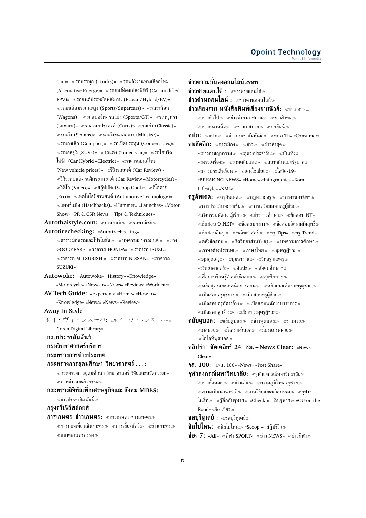Car)» รถบรรทุก (Trucks)» รถพลังงานทางเลือกใหม่ (Alternative Energy)» รถยนต์ดัดแปลงพีพีวี(Car modified PPV)» รถยนต์ประหยัดพลังงาน (Ecocar/Hybrid/EV)»  $\ll$ รถยนต์สมรรถนะสูง (Sports/Supercars)»  $\ll$ รถวาก้อน (Wagons)» รถสปอร์ท- รถแข่ง (Sports/GT)» รถหรูหรา (Luxury)» รถอเนกประสงค์(Carts)» รถเก่า (Classic)»  $\ll$ รถเก๋ง (Sedans)»  $\ll$ รถเก๋งขนาดกลาง (Midsize)»  $\ll$ รถเก๋งเล็ก (Compact)»  $\ll$ รถเปิดประทุน (Convertibles)»  $\ll$ รถเอสยูวี (SUVs)»  $\ll$ รถแต่ง (Tuned Car)»  $\ll$ รถไฮบริด-ไฟฟ้า (Car Hybrid – Electric)» ราคารถยนต์ใหม่ (New vehicle prices)» รีวิวรถยนต์(Car Review)»  $\ll$ รีวิวรถยนต์- รถจักรยานยนต์ (Car Review–Motorcycles)»  $\ll$ วิดีโอ (Video)»  $\ll$ สกู๊ปเด็ด (Scoop Cool)»  $\ll$ อีโคคาร์ (Eco)» เทคโนโลยียานยนต์(Automotive Technology)» แฮทช์แบ็ค (Hatchbacks)» «Hummer» «Launches» «Motor Show» «PR & CSR News» «Tips & Techniques» Autothaistyle.com: «ยานยนต์» «รถพาณิชย์»

**Autotirechecking:** «Autotirechecking»

 $\ll$ ตารางผ่อนรถและโปรโมชั่น $\gg\ll$ บทความยางรถยนต์ $\gg\ll$ ยาง GOODYEAR» ราคารถ HONDA» ราคารถ ISUZU»  $\ll$ ราคารถ MITSUBISHI»  $\ll$ ราคารถ NISSAN»  $\ll$ ราคารถ SUZUKI»

**Autowoke:** «Autowoke» «History» «Knowledge» «Motorcycle» «Newcar» «News» «Review» «Worldcar»

**AV Tech Guide:** «Experient» «Home» «How to» «Knowledge» «News» «News» «Review»

**Away In Style**

ルイ・ヴィトンスーパ**:** «ルイ・ヴィトンスーパ» « Green Digital Library»

**กรมประชาสัมพันธ์**

- **กรมวิทยาศาสตร์บริการ**
- **กระทรวงการต่างประเทศ**

### **กระทรวงการอุดมศึกษา วิทยาศาสตร์. . . :**

 $\ll$ กระทรวงการอุดมศึกษา วิทยาศาสตร์ วิจัยและนวัตกรรม $\gg$ ภาพข่าวและกิจกรรม

# **กระทรวงดิจิทัลเพื่อเศรษฐกิจและสังคม MDES:**

 $\ll$ ข่าวประชาสัมพันธ์ $\gg$ 

**กรุงศรีเฟิร์สช้อยส์**

**การเกษตร ข่าวเกษตร**: «การเกษตร ข่าวเกษตร»  $\ll$ การท่องเที่ยวเชิงเกษตร $\gg\ll$ การเลี้ยงสัตว์ $\gg\ll$ ข่าวเกษตร $\gg$  $\ll$ ตลาดเกษตรกรรม $\gg$ 

**ข่าวความมั่นคงออนไลน์.com ข่าวชายแดนใต้:** ข่าวชายแดนใต้ **ข่าวด่วนออนไลน์ :** ≪ข่าวด่วนออนไลน์≫ **ข่าวเชียงราย หนังสือพิมพ์เชียงรายนิวส์:** ข่าว อบจ.»  $\ll$ ข่าวทั่วไป $\gg \ll$ ข่าวท่าอากาศยาน $\gg \ll$ ข่าวสังคม $\gg$  $\ll$ ข่าวหน้าหนึ่ง $\gg$   $\ll$ ข่าวเทศบาล $\gg$   $\ll$ คอลัมน์ $\gg$ **คปภ:** «คปภ» «ข่าวประชาสัมพันธ์» «คปภ Th» «Consumer» **คมชัดลึก:** «การเมือง» «ข่าว» «ข่าวล่าสุด»  $\ll$ ข่าวอาชญากรรม $\gg \ll$ ดูดวงประจำวัน $\gg \ll$ บันเทิง $\gg$  $\ll$ พระเครื่อง $\gg \ll$ รวมคลิปเด่น $\gg \ll$ สลากกินแบ่งรัฐบาล $\gg$  $\ll$ เจาะประเด็นร้อน $\gg \ll$ เด่นโซเชียล $\gg \ll$ โควิด-19» «BREAKING NEWS» «Home» «Infographic» «Kom Lifestyle» «XML» **ครูอัพเดต:** ≪ครูอัพเดต≫ ≪กฎหมายครู≫ ≪การงานอาชีพฯ≫  $\ll$ การประเมินอย่างเข้ม $\gg \ll$ การเตรียมสอบครผู้ช่วย $\gg$  $\ll$ กิจกรรมพัฒนาผู้เรียน $\gg \ll$ ข่าวการศึกษา $\gg \ll$ ข้อสอบ NT»  $\ll$ ข้อสอบ O-NET»  $\ll$ ข้อสอบกลาง $\gg$   $\ll$ ข้อสอบวัดผลสัมฤทธิ์ $\gg$  $\ll$ ข้อสอบอื่นๆ $\gg$   $\ll$ คณิตศาสตร์ $\gg$   $\ll$ ครู Tips»  $\ll$ ครู Trend»  $\ll$ คลังข้อสอบ $\gg$   $\ll$ จิตวิทยาสำหรับครู $\gg$   $\ll$ บทความการศึกษา $\gg$  $\ll$ ภาษาต่างประเทศ $\gg \ll$ ภาษาไทย $\gg \ll$ มุมครูผู้ช่วย $\gg$  $\ll$ มุมคุณครู $\gg$   $\ll$ มุมหางาน $\gg$   $\ll$ วิทยฐานะครู $\gg$  $\ll$ วิทยาศาสตร์ $\gg$   $\ll$ ศิลปะ $\gg$   $\ll$ สังคมศึกษาฯ $\gg$  $\ll$ สื่อการเรียนรู้/ คลังข้อสอบ $\gg$   $\ll$ สุขศึกษาฯ $\gg$  $\ll$ หลักสูตรและเทคนิคการสอน $\gg$   $\ll$ หลักเกณฑ์สอบครูผู้ช่วย $\gg$  $\ll$ เปิดสอบครูธุรการ $\gg\ll$ เปิดสอบครูผู้ช่วย $\gg$  $\ll$ เปิดสอบครูอัตราจ้าง $\gg\ll$ เปิดสอบพนักงานราชการ $\gg$  $\ll$ เปิดสอบลูกจ้าง $\gg \ll$ เรียกบรรจุครูผู้ช่วย $\gg$ **คลับดูบอล:** «คลับดูบอล» «ข่าวฟุตบอล» «ข่าวมวย»  $\ll$ ผลมวย $\gg \ll$ โมคราะห์บอล $\gg \ll$ โปรแกรมมวย $\gg$ 

ไฮไลท์ฟุตบอล

**คลิปข่าว ชัดเคลียร์24 ชม. – News Clear:** «News Clear»

**จส. 100:** จส. 100» «News» «Post Share»

- **จุฬาลงกรณ์มหาวิทยาลัย:** จุฬาลงกรณ์มหาวิทยาลัย  $\ll$ ข่าวทั้งหมด $\gg$   $\ll$ ข่าวเด่น $\gg$   $\ll$ ความภูมิใจของจุฬาฯ $\gg$  $\ll$ ความเป็นนานาชาติ $\gg\ll$ งานวิจัยและนวัตกรรม $\gg\ll$ จุฬาฯ ในสื่อ $\gg\;$   $\ll$ รู้ลึกกับจุฬาฯ $\gg$  «Check-in ถิ่นจุฬาฯ $\gg$  «CU on the Road» «So เชี่ยว
- **ชลบรีทเดย์ :** ≪ชลบรีทเดย์≫

**ชิลไปไหน:** «ชิลไปไหน» «Scoop – สกู๊ปรีวิว»

**ช่อง 7:** «All» ≪กีฬา SPORT» ≪ข่าว NEWS» ≪ข่าวกีฬา≫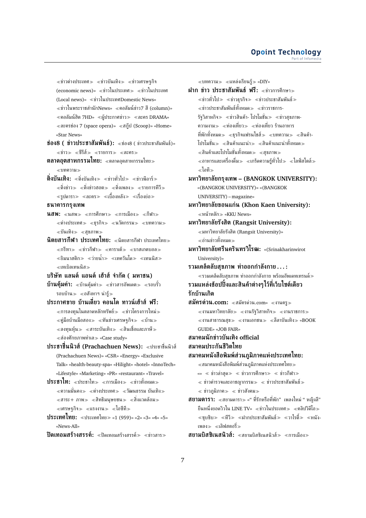$\ll$ ข่าวต่างประเทศ $\gg \ll$ ข่าวบันเทิง $\gg \ll$ ข่าวเศรษฐกิจ (economic news)»  $\ll$ ข่าวในประเทศ $\gg$   $\ll$ ข่าวในประเทศ (Local news)» ข่าวในประเทศDomestic News»  $\ll$ ข่าวในพระราชสำนักNews»  $\ll$ คอลัมน์ข่าว7 สี (column)»  $\ll$ คอลัมน์ฮิต 7HD»  $\ll$ ผู้ประกาศข่าว $\gg \ll$ ละคร DRAMA»  $\ll$ ละครช่อง 7 (space opera)»  $\ll$ สกุ๊ป (Scoop)» «Home» «Star News»

**ช่อง8 ( ข่าวประชาสัมพันธ์):** ช่อง8 ( ข่าวประชาสัมพันธ์)»  $\ll$ ข่าว $\gg$   $\ll$ ชีรีส์ $\gg$   $\ll$ รายการ $\gg$   $\ll$ ละคร $\gg$ 

**ตลาดอุตสาหกรรมไทย:** ตลาดอุตสาหกรรมไทย บทความ

**ติ่งบันเทิง:** «ติ่งบันเทิง» «ข่าวทั่วไป» «ข่าวพีอาร์»  $\ll$ ติ่งข่าว $\gg \ll$ ติ่งข่าวฮอต $\gg \ll$ ติ่งเพลง $\gg \ll$ รายการทีวี $\gg$  $\ll$ รูปดารา $\gg$   $\ll$ ละคร $\gg$   $\ll$ เบื้องหลัง $\gg$   $\ll$ เรื่องย่อ $\gg$ 

# **ธนาคารกรุงเทพ**

**นสพ:** «นสพ» «การศึกษา» «การเมือง» «กีฬา»  $\ll$ ต่างประเทศ $\gg$   $\ll$ ธรกิจ $\gg$   $\ll$ นวัตกรรม $\gg$   $\ll$ บทความ $\gg$ บันเทิง สุขภาพ

**นิตยสารกีฬา ประเทศไทย:** นิตยสารกีฬา ประเทศไทย  $\ll$ กรีฑา $\gg$   $\ll$ ท่าวกีฬา $\gg$   $\ll$ คาราเต้ $\gg$   $\ll$ บาสเกตบอล $\gg$ ่ «ยิมนาสติก» «ว่ายน้ำ» «เทควันโด» «เทนนิส» เทเบิลเทนนิส

**บริษัท แลนด์ แอนด์ เฮ้าส์ จำกัด ( มหาชน)**

**บ้านคุ้มค่า:** «บ้านคุ้มค่า» «ข่าวสารอัพเดต» «รอบรั้ว รอบบ้าน $\gg$   $\ll$ อสังหาฯ น่าร้ $\gg$ 

**ประกาศขาย บ้านเดี่ยว คอนโด ทาวน์เฮ้าส์ ฟรี:**  $\ll$ การลงทุนในตลาดหลักทรัพย์ $\gg$   $\ll$ ข่าวโครงการใหม่ $\gg$  $\ll$ คู่มือบ้านมือสอง $\gg$   $\ll$ ทันข่าวเศรษฐกิจ $\gg$   $\ll$ บ้าน $\gg$  $\ll$ ลงทุนหุ้น $\gg\ll$ สาระบันเทิง $\gg\ll$ สินเชื่อและภาษี $\gg$  $\ll$ ส่องศักยภาพทำเล $\gg$  «Case study»

**ประชาชื่นนิวส์(Prachachuen News):** ประชาชื่นนิวส์ (Prachachuen News)» «CSR» «Energy» «Exclusive Talk» «health-beauty-spa» «Hilight» «hotel» «InnoTech» «Lifestyle» «Marketing» «PR» «restaurant» «Travel»

**ประชาไท:** «ประชาไท≫ «การเมือง≫ «ข่าวทั้งหมด≫ ความมั่นคง ต่างประเทศ วัฒนธรรม บันเทิง  $\ll$ สาระ $+$  ภาพ $\gg$   $\ll$ สิทธิมนุษยชน $\gg$   $\ll$ สิ่งแวดล้อม $\gg$  $\ll$ เศรษฐกิจ $\gg$   $\ll$ แรงงาน $\gg$   $\ll$ ไอซีที $\gg$ 

**ประเทศไทย:** ประเทศไทย «1 (959)» «2» «3» «4» «5» «News-All»

**ปิดเทอมสร้างสรรค์:** «ปิดเทอมสร้างสรรค์» «ข่าวสาร»

 $\ll$ บทความ $\gg$   $\ll$ แหล่งเรียนร้ $\gg$  «DIY»

**ฝาก ข่าว ประชาสัมพันธ์ ฟรี: «ข่าวการศึกษา»**  $\ll$ ข่าวทั่วไป $\gg$   $\ll$ ข่าวธุรกิจ $\gg$   $\ll$ ข่าวประชาสัมพันธ์ $\gg$  $\ll$ ข่าวประชาสัมพันธ์ทั้งหมด $\gg$   $\ll$ ข่าวราชการ-รัฐวิสาหกิจ≫ ≪ข่าวสินค้า- โปรโมชั่น≫ ≪ข่าวสุขภาพ-ความงาม ท่องเที่ยว ท่องเที่ยว ร้านอาหาร ที่พักทั้งหมด≫ ≪ธรกิจแฟรนไชส์≫ ≪บทความ≫ ≪สินค้า-โปรโมชั่น≫ ≪สินค้าแนะนำ≫ ≪สินค้าแนะนำทั้งหมด≫ สินค้าและโปรโมชั่นทั้งหมด สุขภาพ  $\alpha \ll$ อาหารและเครื่องดื่ม $\gg \alpha \ll$ เกร็ดความรู้ทั่วไป $\gg \alpha \ll 1$ ลฟ์สไตล์ $\gg$ ไอที **มหาวิทยาลัยกรุงเทพ – (BANGKOK UNIVERSITY):** «(BANGKOK UNIVERSITY)» «(BANGKOK UNIVERSITY) – magazine» **มหาวิทยาลัยขอนแก่น (Khon Kaen University):** หน้าหลัก «KKU News» **มหาวิทยาลัยรังสิต (Rangsit University):**  $\ll$ มหาวิทยาลัยรังสิต (Rangsit University)» อ่านข่าวทั้งหมด **มหาวิทยาลัยศรีนครินทรวิโรฒ:** «(Srinakharinwirot University)» **รวมเคล็ดลับสุขภาพ ท่าออกกำลังกาย . . . :**  $\ll$ รวมเคล็ดลับสุขภาพ ท่าออกกำลังกาย พร้อมอัพเดทเทรนด์ $\gg$ **รวมแหล่งช้อปปิ้งและสินค้าต่างๆไว้ที่เว็บไซต์เดียว รักบ้านเกิด สมัครด่วน.com:** สมัครด่วน.com» งานครู  $\ll$ งานมหาวิทยาลัย $\gg\ll$ งานรัฐวิสาหกิจ $\gg\ll$ งานราชการ $\gg$  $\ll$ งานสาธารณสุข $\gg\ll$ งานเอกชน $\gg\ll$ ลีลาบันเทิง $\gg$  «BOOK GUIDE» «JOB FAIR» **สมาคมนักข่าวบันเทิง official สมาคมประกันชีวิตไทย สมาคมหนังสือพิมพ์ส่วนภูมิภาคแห่งประเทศไทย:**  $\ll$ สมาคมหนังสือพิมพ์ส่วนภมิภาคแห่งประเทศไทย $\gg$  $\ll \ll i$ าวล่าสด $\gg \ll i$ าวการศึกษา $\gg \ll i$ าวกีฬา $\gg$  $\alpha \ll 2$ ข่าวตำรวจและอาชญากรรม $\gg \alpha \ll 2$ ข่าวประชาสัมพันธ์ $\gg$  $\langle \rangle$ ข่าวภูมิภาค $\rangle \rangle \langle \rangle$  ข่าวสังคม $\rangle \rangle$ **สยามดารา:** ≪สยามดารา≫ «" ที่รักหรือที่พัก" เพลงใหม่ " หญิงลี" ยืนหนึ่งยอดวิวใน LINE TV»  $\ll$ ข่าวในประเทศ $\gg \ll$ คลิปวิดีโอ $\gg$  $\ll$ ซบซิบ $\gg$   $\ll$ ทีวี $\gg$   $\ll$ ฝากประชาสัมพันธ์ $\gg$   $\ll$ วาไรตี้ $\gg$   $\ll$ หนัง-

**สยามบิสซิเนสนิวส์:** «สยามบิสซิเนสนิวส์» «การเมือง»

เพลง≫ ≪เลิฟสตอรี่≫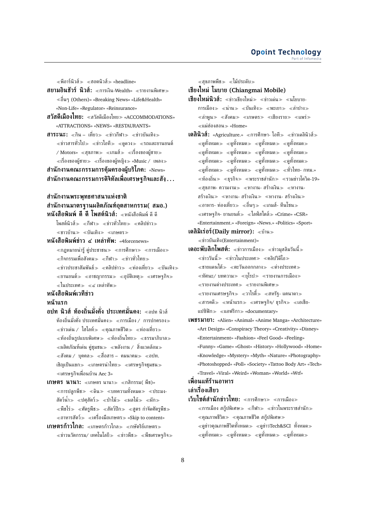$\ll$ ฟือาร์นิวส์ $\gg$   $\ll$ ศอตนิวส์ $\gg$  «headline»

**สยามอินชัวร์ นิวส์:** «การเงิน-Wealth» «รายงานพิเศษ» อื่นๆ (Others)» «Breaking News» «Life&Health» «Non-Life» «Regulator» «Reinsurance»

- **สวัสดีเมืองไทย:** สวัสดีเมืองไทย «ACCOMMODATIONS» «ATTRACTIONS» «NEWS» «RESTAURANTS»
- **สาระนะ:** «กิน เที่ยว» «ข่าวกีฬา» «ข่าวบันเทิง»  $\ll$ ข่าวสารทั่วไป $\gg$   $\ll$ ข่าวไอที $\gg$   $\ll$ ดดวง $\gg$   $\ll$ รถและยานยนต์  $\,$  / Motors»  $\,\,\ll$ สุขภาพ $\,\gg\,\ll$ เกมส์ $\,\gg\,\,\ll$ เรื่องของผู้ชาย $\,\gg\,$ ่ «เรื่องของผู้ชาย≫ «เรื่องของผู้หญิง≫ «Music / เพลง≫ **สำนักงานคณะกรรมการคุ้มครองผู้บริโภค:** «News» **สำนักงานคณะกรรมการดิจิทัลเพื่อเศรษฐกิจและสังฺ. . .**

## **สำนักงานพระพุทธศาสนาแห่งชาติ สำนักงานมาตรฐานผลิตภัณฑ์อุตสาหกรรม( สมอ.) หนังสือพิมพ์ ดี ดี โพสต์นิวส์:** หนังสือพิมพ์ ดี ดี

- โพสต์นิวส์≫ ≪กีฬา≫ ≪ข่าวทั่วไทย≫ ≪คลิปข่าว≫ ≼ชาวบ้าน≫ ≪บันเทิง≫ ≪เกษตร≫
- **หนังสือพิมพ์ข่าว ๔ เหล่าทัพ:** «4forcenews»  $\ll$ กฎหมายน่ารู้ คู่ประชาชน $\gg$   $\ll$ การศึกษา $\gg$   $\ll$ การเมือง $\gg$  $\ll$ กิจกรรมเพื่อสังคม $\gg \ll$ กีฬา $\gg \ll$ ข่าวทั่วไทย $\gg$  $\ll$ ข่าวประชาสัมพันธ์ $\gg$   $\ll$ คลิปข่าว $\gg$   $\ll$ ท่องเที่ยว $\gg$   $\ll$ บันเทิง $\gg$  $\ll$ ยานยนต์ $\gg$   $\ll$ อาชญากรรม $\gg$   $\ll$ อบัติเหต $\gg$   $\ll$ เศรษฐกิจ $\gg$  $\ll$ ในประเทศ≫ ≪๔ เหล่าทัพ≫

# **หนังสือพิมพ์เวทีข่าว**

### **หน้าแรก**

- **อปท นิวส์ ท้องถิ่นมั่งคั่ง ประเทศมั่นคง:** อปท นิวส์ ท้องถิ่นมั่งคั่ง ประเทศมั่นคง $\gg$  «การเมือง / การปกครอง $\gg$  $\ll$ ข่าวเด่น / ไฮไลท์ $\gg$   $\ll$ คณภาพชีวิต $\gg$   $\ll$ ท่องเที่ยว $\gg$  $\ll$ ท้องถิ่นรูปแบบพิเศษ $\gg\ll$ ท้องถิ่นไทย $\gg\ll$ ธรรมาภิบาล $\gg$  $\ll$ ผลิตภัณฑ์เด่น คู่ชุมชน $\gg$   $\ll$ พลังงาน / สิ่งแวดล้อม $\gg$  $\ll$ สังคม / บุคคล $\gg$   $\ll$ สื่อสาร – คมนาคม $\gg$   $\ll$ อปท. เชิญเป็นแขก $\gg$  «เกษตรนำไทย $\gg$  «เศรษฐกิจชุมชน $\gg$ เศรษฐกิจเพื่อนบ้าน Aec 3»
- **เกษตร นานา:** «เกษตร นานา» «กสิกรรม( พืช)» ี่ ≪การปลูกพืช ≫ ≪ดิน ≫ ≪บทความทั้งหมด ≫ ≪ประมง-สัตว์น้ำ $\gg$  ≪ปศุสัตว์ $\gg$  ≪ป่าไม้ $\gg$  ≪ผลไม้ $\gg$  ≪ผัก $\gg$  $\ll$ พืชไร่ $\gg$   $\ll$ ศัตรพืช $\gg$   $\ll$ สัตว์ปีก $\gg$   $\ll$ สตร กำจัดศัตรพืช $\gg$  $\ll$ อาหารสัตว์ $\gg\ll$ เครื่องมือเกษตร $\gg$  «Skip to content» **เกษตรก้าวไกล:** «เกษตรก้าวไกล≫ «กษัตริย์เกษตร≫
- $\ll$ ข่าวนวัตกรรม/ เทคโนโลยี $\gg$   $\ll$ ข่าวพืช $\gg$   $\ll$ พืชเศรษฐกิจ $\gg$

สุขภาพพืช ไม้ประดับ

**เชียงใหม่ โมบาย (Chiangmai Mobile)**

- **เชียงใหม่นิวส์:** «ข่าวเชียงใหม่» «ข่าวเด่น» «นโยบาย-การเมือง $\gg$  «น่าน $\gg$  «บันเทิง $\gg$  «พะเยา $\gg$  «ลำปาง $\gg$  $\ll$ ลำพูน $\gg$   $\ll$ สังคม $\gg$   $\ll$ เกษตร $\gg$   $\ll$ เชียงราย $\gg$   $\ll$ แพร่ $\gg$  $\ll$ แม่ฮ่องสอน $\gg$  «Home»
- **เดลินิวส์:** «Agriculture.» «การศึกษา- ไอที» «ข่าวเดลินิวส์»  $\ll$ ดูทั้งหมด $\gg \ll$ ดูทั้งหมด $\gg \ll$ ดูทั้งห $\gg \ll$ ดูทั้งหมด $\gg$  $\ll$ ดูทั้งหมด $\gg \ll$ ดูทั้งหมด $\gg \ll$ ดูทั้งหมด $\gg$  $\ll$ ดทั้งหมด $\gg$   $\ll$ ดทั้งหมด $\gg$   $\ll$ ดทั้งชาต $\gg$  $\ll$ ดูทั้งหมด $\gg \ll$ ดูทั้งหมด $\gg \ll$ ดูทั้งหมด $\gg \ll$ ทั่วไทย- กทม.»  $\ll$ ท้องถิ่น $\gg$   $\ll$ กุรกิจ $\gg$   $\ll$ ทระราชสำนัก $\gg$   $\ll$ รวมข่าวโควิด-19»  $\ll$ สขภาพ- ความงาม $\gg$   $\ll$ หางาน- สร้างเงิน $\gg$   $\ll$ หางาน-สร้างเงิน $\gg$  «หางาน- สร้างเงิน $\gg$  «หางาน- สร้างเงิน $\gg$ อาหาร- ท่องเที่ยว อื่นๆ เกมส์- ทีนโซน  $\ll$ เศรษฐกิจ- ยานยนต์ $\gg \ll$ ไลฟ์สไตล์ $\gg$  «Crime» «CSR» «Entertainment.» «Foreign» «News.» «Politics» «Sport»
- **เดลิมิเร่อร์(Daily mirror):** บ้าน

ข่าวบันเทิง(Entertainment)»

- **เดอะพับลิกโพสต์:** «ข่าวการเมือง» «ข่าวมุสลิมวันนี้»  $\ll$ ข่าววันนี้ $\gg$   $\ll$ ข่าวในประเทศ $\gg$   $\ll$ คลิปวิดีโอ $\gg$  $\ll$ ชายแดนใต้ $\gg$   $\ll$ ตะวันออกกลาง $\gg$   $\ll$ ต่างประเทศ $\gg$  $\ll$ ทัศนะ/ บทความ $\gg \ll$ ยุโรป $\gg \ll$ รายงานการเมือง $\gg$  $\ll$ รายงานต่างประเทศ $\gg\ll$ รายงานพิเศษ $\gg$ ึ่ ≪รายงานเศรษฐกิจ≫ ่ ≪วาไรตื้ ≫ ≪สหรัฐ- แคนาดา≫  $\ll$ สารคดี $\gg$   $\ll$ หน้าแรก $\gg$   $\ll$ เศรษฐกิจ $/$  ธุรกิจ $\gg$   $\ll$ เอเชีย-แปซิฟิก $\gg$  «แอฟริกา $\gg$  «documentary»
- **เพชรมายา:** «Alien» «Animal» «Anime Manga» «Architecture» «Art Design» «Conspiracy Theory» «Creativity» «Disney» «Entertainment» «Fashion» «Feel Good» «Feeling» «Funny» «Game» «Ghost» «History» «Hollywood» «Home» «Knowledge» «Mystery» «Myth» «Nature» «Photography» «Photoshopped» «Poll» «Society» «Tattoo Body Art» «Tech» «Travel» «Viral» «Weird» «Woman» «World» «Wtf»

# **เพื่อนแท้ร้านอาหาร**

# **เล่าเรื่องเสียว**

**เว็บไซต์สำนักข่าวไทย:** ≪การศึกษา≫ ≪การเมือง≫  $\ll$ การเมือง สก็ปพิเศษ $\gg \ll$ กีฬา $\gg \ll$ ข่าวในพระราชสำนัก $\gg$  $\ll$ คุณภาพชีวิต $\gg \ll$ คุณภาพชีวิต สกู๊ปพิเศษ $\gg$  $\ll$ ดูข่าวคุณภาพชีวิตทั้งหมด $\gg \ll$ ดูข่าวTech&SCI ทั้งหมด $\gg$  $\ll$ ดูทั้งหมด $\gg \ll$ ดูทั้งหมด $\gg \ll$ ดูทั้งห $\gg \ll$ ดูทั้งหมด $\gg$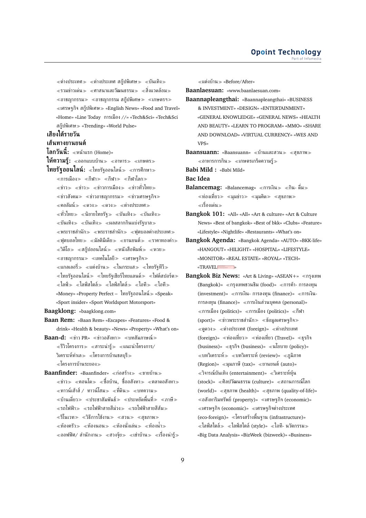$\ll$ ต่างประเทศ $\gg \ll$ ต่างประเทศ สก๊ปพิเศษ $\gg \ll$ บันเทิง $\gg$  $\ll$ รวมข่าวเด่น $\gg$   $\ll$ ศาสนาและวัฒนธรรม $\gg$   $\ll$ สิ่งแวดล้อม $\gg$  $\ll$ อาชญากรรม $\gg$   $\ll$ อาชญากรรม สกู๊ปพิเศษ $\gg$   $\ll$ เกษตรฯ $\gg$ เศรษฐกิจ สกู๊ปพิเศษ «English News» «Food and Travel» «Home» «Line Today การเมือง //» «Tech&Sci» «Tech&Sci สกู๊ปพิเศษ «Trending» «World Pulse»

# **เสียงใต้รายวัน**

### **เส้นทางยานยนต์**

**โลกวันนี้:** หน้าแรก (Home)»

**ให้ความร้:** «ออกแบบบ้าน» «อาหาร» «เกษตร» **ไทยรัฐออนไลน์:** «ไทยรัฐออนไลน์» «การศึกษา»

 $\ll$ การเมือง $\gg$   $\ll$ กีฬา $\gg$   $\ll$ กีฬา $\sim$  $\ll$ ข่าว $\gg$   $\ll$ ข่าว $\gg$   $\ll$ ข่าวการเมือง $\gg$   $\ll$ ข่าวทั่วไทย $\gg$  $\ll$ ข่าวสังคม $\gg \ll$ ข่าวอาชญากรรม $\gg \ll$ ข่าวเศรษฐกิจ $\gg$  $\ll$ คอลัมน์ $\gg$   $\ll$ ดวง $\gg$   $\ll$ ดวง $\gg$   $\ll$ ต่างประเทศ $\gg$  $\ll$ ทั่วไทย≫ ≪นิยายไทยรัฐ≫ ≪บันเทิง≫  $\ll$ บันเทิง $\gg \ll$ บันเทิง $\gg \ll$ ผลสลากกินแบ่งรัฐบาล $\gg$  $\ll$ พระราชสำนัก $\gg \ll$ พระราชสำนัก $\gg \ll$ ฟุตบอลต่างประเทศ $\gg$  $\ll$ ฟตบอลไทย $\gg \ll$ มัลติมีเดีย $\gg \ll$ ยานยนต์ $\gg \ll$ ราคาทองคำ $\gg$  $\ll$ วิดีโอ $\gg\ll$ สกู๊ปออนไลน์ $\gg\ll$ หนังสือพิมพ์ $\gg\ll$ หวย $\gg$  $\ll$ อาชญากรรม $\gg \ll$ เทคโนโลยี $\gg \ll$ เศรษฐกิจ $\gg$  $\ll$ แกลเลอรี่ $\gg\ll$ แต่งบ้าน $\gg\ll$ ในกระแส $\gg\ll$ ไทยรัฐทีวี $\gg$  $\ll$ ไทยรัฐออนไลน์ $\gg\ll$ ไทยรัฐเชียร์ไทยแลนด์ $\gg\ll$ ไฟต์สปอร์ต $\gg$  $\alpha<\lambda<\lambda<\lambda<\lambda<\lambda<\lambda<\lambda<\lambda<\lambda<\lambda<\lambda<\lambda>\lambda>$ «Money» «Property Perfect – ไทยรัฐออนไลน์ «Speak» «Sport insider» «Sport Worldsport Motorsport»

**Baagklong:** «baagklong.com»

**Baan Rem:** «Baan Rem» «Escapes» «Features» «Food & drink» «Health & beauty» «News» «Property» «What's on»

**Baan-d:** «ข่าว PR» «ข่าวอสังหา» «บทสัมภาษณ์»  $\ll$ รีวิวโครงการ $\gg$   $\ll$ สาระน่ารู้ $\gg$   $\ll$ แนะนำโครงการ/ วิเคราะห์ทำเล $\gg$   $\ll$ โครงการบ้านชลบรี $\gg$ โครงการบ้านระยอง

**Baanfinder:** «Baanfinder» «ก่อสร้าง» «ขายบ้าน»  $\ll$ ข่าว $\gg$   $\ll$ คอนโด $\gg$   $\ll$ ชื้อบ้าน, ซื้ออสังหา $\gg$   $\ll$ ตลาดอสังหา $\gg$ ≪ทาวน์เฮ้าส์ ⁄ ทาวน์โฮม≫ ≪ที่ดิน≫ ≪บทความ≫  $\ll$ บ้านเดี่ยว $\gg$   $\ll$ ประชาสัมพันธ์ $\gg$   $\ll$ ประหยัดพื้นที่ $\gg$   $\ll$ ภาษี $\gg$ รถไฟฟ้า รถไฟฟ้าสายสีม่วง รถไฟฟ้าสายสีส้ม  $\ll$ รีโนเวท $\gg$   $\ll$ วิธีการใช้งาน $\gg$   $\ll$ สวน $\gg$   $\ll$ สขภาพ $\gg$  $\ll$ ห้องครัว $\gg$   $\ll$ ห้องนอน $\gg$   $\ll$ ห้องนั่ง $\gg$   $\ll$ ห้องน้ำ $\gg$  $\ll$ ออฟฟิศ/ สำนักงาน $\gg\ll$ ฮวงจุ้ย $\gg\ll$ เช่าบ้าน $\gg\ll$ เรื่องน่ารู้ $\gg$  แต่งบ้าน «Before/After»

**Baanlaesuan:** «www.baanlaesuan.com»

**Baannapleangthai:** «Baannapleangthai» «BUSINESS & INVESTMENT» «DESIGN» «ENTERTAINMENT» «GENERAL KNOWLEDGE» «GENERAL NEWS» «HEALTH AND BEAUTY» «LEARN TO PROGRAM» «MMO» «SHARE AND DOWNLOAD» «VIRTUAL CURRENCY» «WES AND VPS»

**Baansuann:** «Baansuann» «บ้านและสวน» «สุขภาพ»  $\ll$ อาหารการกิน $\gg$   $\ll$ เกษตรเกร็ดความรั $\gg$ 

**Babi Mild :** «Babi Mild»

**Bac Idea**

- **Balancemag:** «Balancemag» ≪การเงิน ≫ ≪กิน- ดื่ม ≫  $\ll$ ท่องเที่ยว $\gg$   $\ll$ มุมข่าว $\gg$   $\ll$ มุมคิด $\gg$   $\ll$ สุขภาพ $\gg$ เรื่องเด่น
- **Bangkok 101:** «All» «All» «Art & culture» «Art & Culture News» «Best of bangkok» «Best of bkk» «Clubs» «Feature» «Lifestyle» «Nightlife» «Restaurants» «What's on»
- **Bangkok Agenda:** «Bangkok Agenda» «AUTO» «BKK-life» «HANGOUT» «HILIGHT» «HOSPITAL» «LIFESTYLE» «MONITOR» «REAL ESTATE» «ROYAL» «TECH» «TRAVELERED»
- **Bangkok Biz News:** «Art & Living» «ASEAN+» กรุงเทพ  $(Bangkok)$ » «กรุงเทพชวนชิม (food)» «การค้า- การลงทุน  $(investment)$ » «การเงิน- การลงทุน (finance)» «การเงิน-การลงทุน (finance)» การเงินส่วนบุคคล (personal)»  $\ll$ การเมือง (politics)»  $\ll$ การเมือง (politics)»  $\ll$ กีฬา  $(sport)$ » «ข่าวพระราชสำนัก» «ข้อมูลเศรษฐกิจ»  $\ll$ ดูดวง $\gg$   $\ll$ ต่างประเทศ (foreign)»  $\ll$ ต่างประเทศ (foreign)» «ท่องเที่ยว» «ท่องเที่ยว (Travel)» «ธุรกิจ (business)» ธุรกิจ (business)» นโยบาย (policy)»  $\ll$ บทวิเคราะห์ $\gg \ll$ บทวิเคราะห์ (review)»  $\ll$ ภูมิภาค (Region)» «มุมภาษี (tax)» «ยานยนต์ (auto)»  $\ll$ วิจารณ์บันเทิง (entertainment)»  $\ll$ วิเคราะห์หุ้น (stock)» ศิลปวัฒนธรรม (culture)» สถานการณ์โลก (world)» สุขภาพ (health)» สุขภาพ (quality-of-life)»  $\ll$ อสังหาริมทรัพย์ (property)»  $\ll$ เศรษฐกิจ (economic)»  $\ll$ เศรษฐกิจ (economic)»  $\ll$ เศรษฐกิจต่างประเทศ (eco-foreign)» โครงสร้างพื้นฐาน (infrastructure)»  $\ll$ ไลฟ์สไตล์ $\gg\ll$ ไลฟ์สไตล์ (style)»  $\ll$ ไอที- นวัตกรรม $\gg$ «Big Data Analysis» «BizWeek (bizweek)» «Business»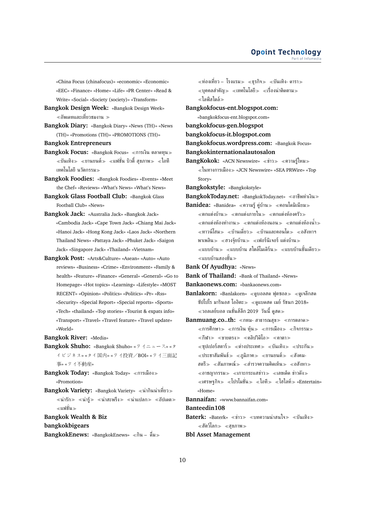«China Focus (chinafocus)» «economic» «Economic» «EEC» «Finance» «Home» «Life» «PR Center» «Read & Write» «Social» «Society (society)» «Transform»

- **Bangkok Design Week:** «Bangkok Design Week»  $\ll$ อัพเดทและเที่ยวชมงาน  $\gg$
- **Bangkok Diary:** «Bangkok Diary» «News (TH)» «News (TH)» «Promotions (TH)» «PROMOTIONS (TH)»

**Bangkok Entrepreneurs**

- **Bangkok Focus:** «Bangkok Focus» «การเงิน ตลาดทุน»  $\ll$ บันเทิง $\gg\ll$ ยานยนต์ $\gg\ll$ แฟชั่น บิวตี้ สุขภาพ $\gg\ll$ ไอที เทคโนโลยี นวัตกรรม
- **Bangkok Foodies:** «Bangkok Foodies» «Events» «Meet the Chef» «Reviews» «What's News» «What's News»
- **Bangkok Glass Football Club:** «Bangkok Glass Football Club» «News»
- **Bangkok Jack:** «Australia Jack» «Bangkok Jack» «Cambodia Jack» «Cape Town Jack» «Chiang Mai Jack» «Hanoi Jack» «Hong Kong Jack» «Laos Jack» «Northern Thailand News» «Pattaya Jack» «Phuket Jack» «Saigon Jack» «Singapore Jack» «Thailand» «Vietnam»
- **Bangkok Post:** «Arts&Culture» «Asean» «Auto» «Auto reviews» «Business» «Crime» «Environment» «Family & health» «Feature» «Finance» «General» «General» «Go to Homepage» «Hot topics» «Learning» «Lifestyle» «MOST RECENT» «Opinion» «Politics» «Politics» «Pr» «Rss» «Security» «Special Report» «Special reports» «Sports» «Tech» «thailand» «Top stories» «Tourist & expats info» «Transport» «Travel» «Travel feature» «Travel update» «World»

**Bangkok River:** «Media»

**Bangkok Shuho:** «Bangkok Shuho» «タイニュース» «タ イビジネス» «タイ国内» «タイ投資/BOI» «タイ三面記 事» «タイ不動産»

**Bangkok Today:** «Bangkok Today» «การเมือง» «Promotion»

Bangkok Variety: «Bangkok Variety» «น่ากินน่าเที่ยว»  $\ll$ น่ารัก $\gg$   $\ll$ น่าสะพรึง $\gg$   $\ll$ น่าแปลก $\gg$   $\ll$ อัปเดต $\gg$ แฟชั่น

**Bangkok Wealth & Biz**

**bangkokbigears**

**BangkokEnews:** «BangkokEnews» «กิน – ดื่ม»

 $\ll$ ท่องเที่ยว – โรงแรม $\gg$   $\ll$ ธรกิจ $\gg$   $\ll$ บันเทิง- ดารา $\gg$  $\ll$ บคคลสำคัญ $\gg \ll$ เทคโนโลยี $\gg \ll$ เรื่องน่าติดตาม $\gg$ ไลฟ์สไตล์

**Bangkokfocus-ent.blogspot.com:**

- «bangkokfocus-ent.blogspot.com»
- **bangkokfocus-gen.blogspot**
- **bangkokfocus-it.blogspot.com**
- **Bangkokfocus.wordpress.com:** «Bangkok Focus»
- **Bangkokinternationalautosalon**
- **BangKokok:** «ACN Newswire» «ข่าว» «ความร์ใหม» ในทางการเมือง «JCN Newswire» «SEA PRWire» «Top Story»

**Bangkokstyle:** «Bangkokstyle»

**BangkokToday.net:** «BangkokToday.net» อาชีพทำเงิน

Banidea: «Banidea» «ความรู้ คู่บ้าน» «คอนโดมิเนียม»  $\ll$ ตกแต่งบ้าน $\gg$   $\ll$ ตกแต่งภายใน $\gg$   $\ll$ ตกแต่งห้องครัว $\gg$  $\ll$ ตกแต่งห้องทำงาน $\gg \ll$ ตกแต่งห้องนอน $\gg \ll$ ตกแต่งห้องน้ำ $\gg$ ทาวน์โฮม บ้านเดี่ยว บ้านและคอนโด อสังหาฯ พาเพลิน $\gg$  «ฮวงจุ้ยบ้าน $\gg$  «เฟอร์นิเจอร์ แต่งบ้าน $\gg$  $\ll$ แบบบ้าน $\gg \ll$ แบบบ้าน สไตล์โมเดิร์น $\gg \ll$ แบบบ้านชั้นเดียว $\gg$ แบบบ้านสองชั้น

**Bank Of Ayudhya:** «News»

- **Bank of Thailand:** «Bank of Thailand» «News»
- **Bankaonews.com:** «bankaonews.com»
- **Banlakorn:** «Banlakorn» «ดบอลสด ฟุตซอล» «ดูเจลีกสด ซัปโปโร มารินอส โออิตะ $\gg$  «ดูแบดสด เมย์ รัชนก 2018» วอลเลย์บอล เนชั่นส์ลีก 2019 วันนี้ ดูสด
- **Banmuang.co..th:** «กทม- สาธารณสุข» «การตลาด»  $\ll$ การศึกษา $\gg$   $\ll$ การเงิน ห้น $\gg$   $\ll$ การเมือง $\gg$   $\ll$ กิจกรรม $\gg$  $\ll$ กีฬา $\gg$   $\ll$ ขายตรง $\gg$   $\ll$ คลิปวิดิโอ $\gg$   $\ll$ คาตา $\gg$  $\ll$ ซุปเปอร์สตาร์ $\gg$   $\ll$ ต่างประเทศ $\gg$   $\ll$ บันเทิง $\gg$   $\ll$ ประกัน $\gg$ ่ ≪ประชาสัมพันธ์≫ ≪ภมิภาค≫ ≪ยานยนต์≫ ≪สังคม-
	- สตรี $\gg$  «สัมภาษณ์ $\gg$  «สำรวจความคิดเห็น $\gg$  «อสังหา $\gg$
	- $\ll$ อาชญากรรม $\gg\ll$ เกาะกระแสข่าว $\gg\ll$ เลขเด็ด ข่าวดัง $\gg$
	- $\ll$ เศรษฐกิจ $\gg \ll 1$ ปรโมชั่น $\gg \ll 1$ อที $\gg \ll 1$ ฮไลท์ $\gg \ll$ Entertain» «Home»

**Bannaifan:** «www.bannaifan.com»

#### **Banteedin108**

**Baterk:** «Baterk» «ข่าว» «บทความน่าสนใจ» «บันเทิง»  $\ll$ สัตว์โลก $\gg$   $\ll$ สุขภาพ $\gg$ 

### **Bbl Asset Management**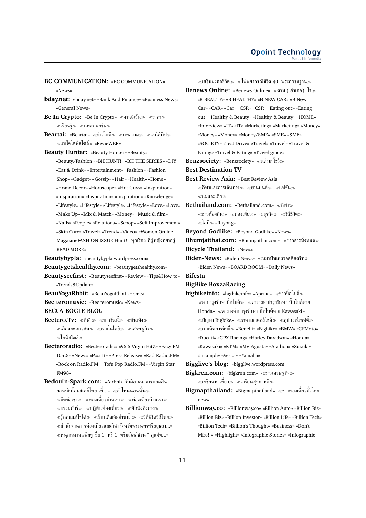**BC COMMUNICATION:** «BC COMMUNICATION» «News»

- **bday.net:** «bday.net» «Bank And Finance» «Business News» «General News»
- **Be In Crypto:** «Be In Crypto» «งานอีเว้น» «ราคา»  $\ll$ เรียนร้ $\gg$   $\ll$ แพลตฟอร์ม $\gg$
- Beartai: «Beartai» «ข่าวไอที» «บทความ» «แบไต๋ทิป»  $\ll$ แบไต๋ไลฟ์สไตล์ $\gg$  «RevieWER»
- **Beauty Hunter:** «Beauty Hunter» «Beauty» «Beauty/Fashion» «BH HUNT!» «BH THE SERIES» «DIY» «Eat & Drink» «Entertainment» «Fashion» «Fashion Shop» «Gadget» «Gossip» «Hair» «Health» «Home» «Home Decor» «Horoscope» «Hot Guys» «Inspiration» «Inspiration» «Inspiration» «Inspiration» «Knowledge» «Lifestyle» «Lifestyle» «Lifestyle» «Lifestyle» «Love» «Love» «Make Up» «Mix & Match» «Money» «Music & film» «Nails» «People» «Relations» «Scoop» «Self Improvement» «Skin Care» «Travel» «Trend» «Video» «Women Online MagazineFASHION ISSUE Hunt! ทุกเรื่อง ที่ผู้หญิงอยากรู้ READ MORE»
- **Beautybypla:** «beautybypla.wordpress.com»
- **Beautygetshealthy.com:** «beautygetshealthy.com»

**Beautyseefirst:** «Beautyseefirst» «Review» «Tips&How to» «Trends&Update»

- **BeauYogaRbbit:** «BeauYogaRbbit -Home»
- **Bec teromusic:** «Bec teromusic» «News»
- **BECCA BOGLE BLOG**
- **Bectero.Tv:** «กีฬา» «ข่าววันนี้» «บันเทิง»  $\ll$ เด็กและเยาวชน≫ ≪เทคโนโลยี≫ ≪เศรษฐกิจ≫ ไลฟ์สไตล์
- **Becteroradio:** «Becteroradio» «95.5 Virgin HitZ» «Eazy FM 105.5» «News» «Post It» «Press Release» «Rad Radio.FM» «Rock on Radio.FM» «Tofu Pop Radio.FM» «Virgin Star FM98»

**Bedouin-Spark.com:** «Airbnb จับมือ ธนาคารออมสิน ยกระดับโฮมสเตย์ไทย เพิ่...» ค่ำไหนนอนนั่น  $\ell \ll$ ติดต่อเรา $\gg \ell \ll 1$ องเที่ยวบ้านเขา $\gg \ell \ll 1$ องเที่ยวบ้านเรา $\gg 1$  $\ll$ ธรรมทัวร์ $\gg$   $\ll$ ปภิทินท่องเที่ยว $\gg$   $\ll$ พักพิงอิงทาง $\gg$  $\ll$ ร้ก่อนแก้ไขได้ $\gg \ll$ ร้านเด็ดเจ็ดย่านน้ำ $\gg \ll$ วิถีชีวิตวิถีไทย $\gg$ สำนักงานการท่องเที่ยวและกีฬาจังหวัดพระนครศรีอยุธยา...» หนุกหนานแพ็คคู่ ซื้อ 1 ฟรี1 ดรีมเวิลด์ชวน " คู่แฝด...»

 $\ll$ เสริมมงคลชีวิต $\gg\ll$ ไพ่พยากรณ์ชีวิต 40 พระกรรมฐาน $\gg$ **Benews Online:** «Benews Online» ตาม ( อำเภอ) ใจ «B BEAUTY» «B HEALTHY» «B-NEW CAR» «B-New Car» «CAR» «Car» «CSR» «CSR» «Eating out» «Eating out» «Healthy & Beauty» «Healthy & Beauty» «HOME» «Interview» «IT» «IT» «Marketing» «Marketing» «Money» «Money» «Money» «Money/SME» «SME» «SME» «SOCIETY» «Test Drive» «Travel» «Travel» «Travel & Eating» «Travel & Eating» «Travel guide» **Benzsociety:** «Benzsociety» แต่งมาโชว์ **Best Destination TV Best Review Asia:** «Best Review Asia»  $\ll$ กีฬาและการเดินทาง $\gg$   $\ll$ ยานยนต์ $\gg$   $\ll$ แฟชั่น $\gg$ แม่และเด็ก **Bethailand.com: «Bethailand.com» «กีฬา»**  $\ll$ ข่าวท้องถิ่น $\gg$   $\ll$ ท่องเที่ยว $\gg$   $\ll$ ธรกิจ $\gg$   $\ll$ วิถีชีวิต $\gg$ ไอที «Rayong» **Beyond Godlike:** «Beyond Godlike» «News» **Bhumjaithai.com:** «Bhumjaithai.com» ข่าวสารทั้งหมด **Bicycle Thailand:** «News» **Biden-News:** «Biden-News» หมาป่าแห่งวอลล์สตรีท «Biden News» «BOARD ROOM» «Daily News» **Bifesta BigBike BoxzaRacing bigbikeinfo:** «bigbikeinfo» «Aprilia» «ข่าวบิ๊กไบค์» ่ ≪ค่าบำรุงรักษาบิ๊กไบค์≫ ≪ตารางค่าบำรุงรักษา บิ๊กไบค์ค่าย Honda» ตารางค่าบำรุงรักษา บิ๊กไบค์ค่าย Kawasaki»  $\ll$ ปัญหา Bigbike»  $\ll$ ราคามอเตอร์ไซค์ $\gg \ll$ อุปกรณ์เซฟตี้ $\gg$  $\ll$ เทคนิคการขับขี่ $\gg$  «Benelli» «Bigbike» «BMW» «CFMoto» «Ducati» «GPX Racing» «Harley Davidson» «Honda» «Kawasaki» «KTM» «MV Agusta» «Stallion» «Suzuki» «Triumph» «Vespa» «Yamaha» **Bigglive's blog:** «bigglive.wordpress.com» **Bigkren.com:** «bigkren.com» ข่าวเศรษฐกิจ เกรียนพาเที่ยว เกรียนสุขภาพดี **Bigmapthailand:** «Bigmapthailand» ข่าวท่องเที่ยวทั่วไทย new»

**Billionway.co:** «Billionway.co» «Billion Auto» «Billion Biz» «Billion Biz» «Billion Investor» «Billion Life» «Billion Tech» «Billion Tech» «Billion's Thought» «Business» «Don't Miss!!» «Highlight» «Infographic Stories» «Infographic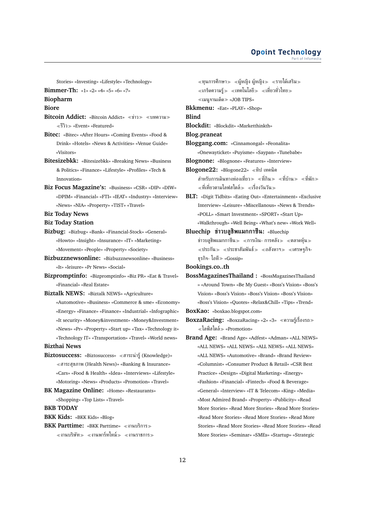Stories» «Investing» «Lifestyle» «Technology»

```
Bimmer-Th: «1» «2» «4» «5» «6» «7»
```
#### **Biopharm**

**Biore**

- **Bitcoin Addict:** «Bitcoin Addict» «ข่าว» «บทความ» รีวิว «Event» «Featured»
- **Bitec:** «Bitec» «After Hours» «Coming Events» «Food & Drink» «Hotels» «News & Activities» «Venue Guide» «Visitors»
- **Bitesizebkk:** «Bitesizebkk» «Breaking News» «Business & Politics» «Finance» «Lifestyle» «Profiles» «Tech & Innovation»
- **Biz Focus Magazine's:** «Business» «CSR» «DIP» «DIW» «DPIM» «Financial» «FTI» «IEAT» «Industry» «Interview» «News» «NIA» «Property» «TIST» «Travel»
- **Biz Today News**
- **Biz Today Station**
- **Bizbug:** «Bizbug» «Bank» «Financial-Stock» «General» «Howto» «Insight» «Insurance» «IT» «Marketing» «Movement» «People» «Property» «Society»
- **Bizbuzznewsonline:** «Bizbuzznewsonline» «Business» «It» «leisure» «Pr News» «Social»
- **Bizpromptinfo:** «Bizpromptinfo» «Biz PR» «Eat & Travel» «Financial» «Real Estate»
- **Biztalk NEWS:** «Biztalk NEWS» «Agriculture»
	- «Automotive» «Business» «Commerce & sme» «Economy» «Energy» «Finance» «Finance» «Industrial» «Infographic» «It security» «Money&investment» «Money&Investment» «News» «Pr» «Property» «Start up» «Tax» «Technology it» «Technology IT» «Transportation» «Travel» «World news»

**Bizthai News**

- **Biztosuccess:** «Biztosuccess» สาระน่ารู้(Knowledge)» สาระสุขภาพ (Health News)» «Banking & Insurance» «Cars» «Food & Health» «Idea» «Interviews» «Lifestyle» «Motoring» «News» «Products» «Promotion» «Travel»
- **BK Magazine Online:** «Home» «Restaurants» «Shopping» «Top Lists» «Travel» **BKB TODAY**
- 
- **BKK Kids:** «BKK Kids» «Blog»
- **BKK Parttime:** «BKK Parttime» «งานบริการ»  $\ll$ งานบริษัท $\gg\ll$ งานพาร์ทไทม์ $\gg\ll$ งานราชการ $\gg$
- $\ll$ ทุนการศึกษา $\gg\ll$ ผู้หญิง ผู้หญิง $\gg\ll$ รายได้เสริม $\gg$  $\ll$ เกร็ดความรู้ $\gg\ll$ เทคโนโลยี $\gg\ll$ เที่ยวทั่วไทย $\gg$  $\ll$ เมนจานเด็ด $\gg$  «JOB TIPS»
- **Bkkmenu:** «Eat» «PLAY» «Shop»

**Blind**

**Blockdit:** «Blockdit» «Marketthinkth»

**Blog.praneat**

- **Bloggang.com:** «Cinnamongal» «Feonalita» «Onewayticket» «Puyisme» «Saypan» «Tunebabe»
- **Blognone:** «Blognone» «Features» «Interview» **Blogone22:** «Blogone22» ทิป เทคนิค สำหรับการเดินทางท่องเที่ยว $\gg$  «ที่กิน $\gg$  «ที่บ้าน $\gg$  «ที่พัก $\gg$  $\ll$ ที่เที่ยวตามไลฟสไตล์ $\gg\ll$ เรื่องวันวัน $\gg$
- **BLT:** «Digit Tidbits» «Eating Out» «Entertainment» «Exclusive Interview» «Leisure» «Miscellanous» «News & Trends» «POLL» «Smart Investment» «SPORT» «Start Up» «Walkthrough» «Well Being» «What's new» «Work Well»
- **Bluechip ข่าวบลูชิพแมกกาซีน:** «Bluechip ข่าวบลูชิพแมกกาซีน $\gg$   $\ll$ การเงิน- การคลัง $\gg$   $\ll$ ตลาดหุ้น $\gg$  $\ll$ ประกัน $\gg\ll$ ประชาสัมพันธ์ $\gg\ll$ อสังหาฯ $\gg\ll$ เศรษฐกิจ-ธุรกิจ- ไอที «Gossip»

**Bookings.co..th**

- **BossMagazinesThailand :** «BossMagazinesThailand » «Around Town» «Be My Guest» «Boss's Vision» «Boss's Vision» «Boss's Vision» «Boss's Vision» «Boss's Vision» «Boss's Vision» «Quotes» «Relax&Chill» «Tips» «Trend»
- **BoxKao:** «boxkao.blogspot.com»
- **BoxzaRacing:** «BoxzaRacing» «2» «3» ความรู้เรื่องรถ  $\ll$ ไลฟ์สไตล์ $\gg$  «Promotion»
- **Brand Age:** «Brand Age» «Adfest» «Adman» «ALL NEWS» «ALL NEWS» «ALL NEWS» «ALL NEWS» «ALL NEWS» «ALL NEWS» «Automotive» «Brand» «Brand Review» «Columnist» «Consumer Product & Retail» «CSR Best Practice» «Design» «Digital Marketing» «Energy» «Fashion» «Financial» «Fintech» «Food & Beverage» «General» «Interview» «IT & Telecom» «King» «Media» «Most Admired Brand» «Property» «Publicity» «Read More Stories» «Read More Stories» «Read More Stories» «Read More Stories» «Read More Stories» «Read More Stories» «Read More Stories» «Read More Stories» «Read More Stories» «Seminar» «SMEs» «Startup» «Strategic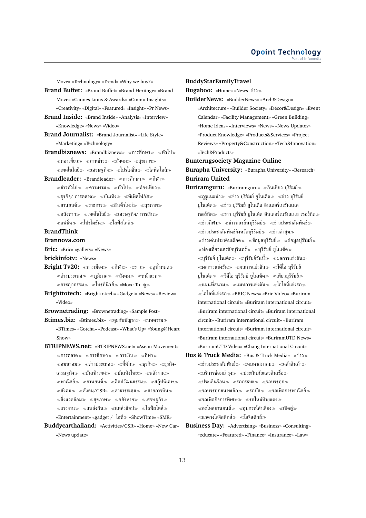Move» «Technology» «Trend» «Why we buy?»

**Brand Buffet:** «Brand Buffet» «Brand Heritage» «Brand Move» «Cannes Lions & Awards» «Cmmu Insights» «Creativity» «Digital» «Featured» «Insight» «Pr News»

- **Brand Inside:** «Brand Inside» «Analysis» «Interview» «Knowledge» «News» «Video»
- **Brand Journalist:** «Brand Journalist» «Life Style» «Marketing» «Technology»
- **Brandbiznews:** «Brandbiznews» «การศึกษา» «ทั่วไป» ี้ ≪ท่องเที่่ยว ≫ ≪ภาพข่าว ≫ ≪สังคม ≫ ≪สขภาพ ≫  $\ll$ เทคโนโลยี $\gg\ll$ เศรษฐกิจ $\gg\ll$ โปรโมชั่น $\gg\ll$ ไลฟ์สไตล์ $\gg$
- **Brandleader:** «Brandleader» «การศึกษา» «กีฬา»  $\ll$ ข่าวทั่วไป $\gg$   $\ll$ ความงาม $\gg$   $\ll$ ทั่วไป $\gg$   $\ll$ ท่องเที่ยว $\gg$  $\ll$ ธรกิจ/ การตลาด $\gg\ll$ บันเทิง $\gg\ll$ พีเพิลโฟกัส $\gg$  $\ll$ ยานยนต์ $\gg$   $\ll$ ราชการ $\gg$   $\ll$ สินค้าใหม่ $\gg$   $\ll$ สุขภาพ $\gg$  $\ll$ อสังหาฯ $\gg \ll$ เทคโนโลยี $\gg \ll$ เศรษฐกิจ/ การเงิน $\gg$ ี «แฟชั่น » «โปรโมชัน » «ไลฟ์สไตล์ »

### **BrandThink**

### **Brannova.com**

**Bric:** «Bric» «gallery» «News»

- **brickinfotv:** «News»
- **Bright Tv20:** «การเมือง» «กีฬา» «ข่าว» «ดทั้งหมด»  $\ll$ ต่างประเทศ $\gg\ll$ ภูมิภาค $\gg\ll$ สังคม $\gg\ll$ หน้าแรก $\gg$  $\alpha \ll 1$ บรท์นิวส์ $\gg \alpha$ Move To ดู $\gg$
- **Brighttotech:** «Brighttotech» «Gadget» «News» «Review» «Video»
- **Brownetrading:** «Brownetrading» «Sample Post»
- **Btimes.biz:** «Btimes.biz» ≪คุยกับบัญชา≫ ≪บทความ≫ «BTimes» «Gotcha» «Podcast» «What's Up» «Young@Heart Show»
- **BTRIPNEWS.net:** «BTRIPNEWS.net» «Asean Movement»  $\ll$ การตลาด $\gg$   $\ll$ การศึกษา $\gg$   $\ll$ การเงิน $\gg$   $\ll$ กีฬา $\gg$  $\ll$ คมนาคม $\gg$   $\ll$ ต่างประเทศ $\gg$   $\ll$ ที่พัก $\gg$   $\ll$ ฐรกิจ-เศรษฐกิจ≫ «บันเทิงเทศ≫ «บันเทิงไทย≫ «พลังงาน≫  $\ll$ พาณิชย์ $\gg\ll$ ยานยนต์ $\gg\ll$ ศิลปวัฒนธรรม $\gg\ll$ สกู๊ปพิเศษ $\gg$  $\ll$ สังคม $\gg$   $\ll$ สังคม/CSR»  $\ll$ สาธารณสุข $\gg$   $\ll$ สายการบิน $\gg$  $\ll$ สิ่งแวดล้อม $\gg$   $\ll$ สุขภาพ $\gg$   $\ll$ อสังหาฯ $\gg$   $\ll$ เศรษฐกิจ $\gg$  $\ll$ แรงงาน $\gg\ll$ แหล่งกิน $\gg\ll$ แหล่งช้อป $\gg\ll$ ไลฟ์สไตล์ $\gg$ «Entertainment» «gadget / ไอที «ShowTime» «SME»
- **Buddycarthailand:** «Activities/CSR» «Home» «New Car» «News update»

#### **BuddyStarFamilyTravel**

**Bugaboo:** «Home» «News ข่าว

- **BuilderNews:** «BuilderNews» «Arch&Design»
	- «Architecture» «Builder Society» «Décor&Design» «Event Calendar» «Facility Management» «Green Building» «Home Ideas» «Interviews» «News» «News Updates» «Product Knowledge» «Products&Services» «Project Reviews» «Property&Construction» «Tech&Innovation» «Tech&Products»

**Bunterngsociety Magazine Online Burapha University:** «Burapha University» «Research» **Buriram United**

- Buriramguru: «Buriramguru» «กินเที่ยว บุรีรัมย์»  $\ll$ กูรูแนะนำ $\gg$   $\ll$ ข่าว บุรีรัมย์ ยูไนเต็ด $\gg$   $\ll$ ข่าว บุรีรัมย์ ยูไนเต็ด ข่าว บุรีรัมย์ ยูไนเต็ด อินเตอร์เนชั่นแนล เซอร์กิต $\gg\;$  «ข่าว บรีรัมย์ ยไนเต็ด อินเตอร์เนชั่นแนล เซอร์กิต $\gg$  $\ll$ ข่าวกีฬา $\gg$   $\ll$ ข่าวท้องถิ่นบรีรัมย์ $\gg$   $\ll$ ข่าวประชาสัมพันธ์ $\gg$  $\ll$ ข่าวประชาสัมพันธ์จังหวัดบุรีรัมย์ $\gg\ll$ ข่าวล่าสุด $\gg$  $\ll$ ข่าวเด่นประเด็นเดือด $\gg\ll$ ข้อมูลบุรีรัมย์ $\gg\ll$ ข้อมูลบุรีรัมย์ $\gg$  $\ll$ ท่องเที่ยวนครชัยบุรินทร์ $\gg\ <$ บุรีรัมย์ ยูไนเต็ด $\gg$  $\ll$ บุรีรัมย์ ยูไนเต็ด $\gg\ll$ บุรีรัมย์วันนี้ $\gg\ll$ ผลการแข่งขัน $\gg$  $\ll$ ผลการแข่งขัน $\gg \ll$ ผลการแข่งขัน $\gg \ll$ วีดีโอ บรีรัมย์ ยูไนเต็ด $\gg\;$   $\!imes$ วีดีโอ บุรีรัมย์ ยูไนเต็ด $\gg\;$   $\!imes$ เทียวบุรีรัมย์ $\gg$  $\ll$ แผนที่สนาม $\gg\ll$ แมทการแข่งขัน $\gg\ll$ ไฮไลท์แข่งรถ $\gg$ ไฮไลท์แข่งรถ «BRIC News» «Bric Video» «Buriram international circuit» «Buriram international circuit» «Buriram international circuit» «Buriram international circuit» «Buriram international circuit» «Buriram international circuit» «Buriram international circuit» «Buriram international circuit» «BuriramUTD News» «BuriramUTD Video» «Chang International Circuit»
- **Bus & Truck Media:** «Bus & Truck Media» «ข่าว»  $\ll$ ข่าวประชาสัมพันธ์ $\gg$   $\ll$ คบหาสมาคม $\gg$   $\ll$ คลังสินค้า $\gg$  $\ll$ บริการซ่อมบำรุง $\gg \ll$ ประกันภัยและสินเชื่อ $\gg$  $\ll$ ประเด็นร้อน $\gg$   $\ll$ รถกระบะ $\gg$   $\ll$ รถบรรทุก $\gg$  $\ll$ รถบรรทุกขนาดเล็ก $\gg\ll$ รถบัส $\gg\ll$ รถเพื่อการพาณิชย์ $\gg$  $\ll$ รถเพื่อกิจการพิเศษ $\gg\ll$ รถใหม่ป้ายแดง $\gg$  $\ell \ll$ อะไหล่ยานยนต์ $\gg \ell \ll$ อปกรณ์ลำเลียง $\gg \ell \ll$ เปิดอ่ $\gg$  $\ll$ แวดวงโลจิสติกส์ $\gg \ll$ โลจิสติกส์ $\gg$
- **Business Day:** «Advertising» «Business» «Consulting» «educate» «Featured» «Finance» «Insurance» «Law»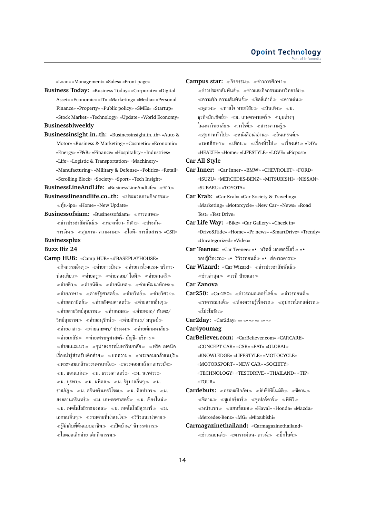«Loan» «Management» «Sales» «Front page»

**Business Today:** «Business Today» «Corporate» «Digital Asset» «Economic» «IT» «Marketing» «Media» «Personal Finance» «Property» «Public policy» «SMEs» «Startup» «Stock Market» «Technology» «Update» «World Economy» **Businessbiweekly**

**Businessinsight.in..th:** «Businessinsight.in..th» «Auto & Motor» «Business & Marketing» «Cosmetic» «Economic» «Energy» «F&B» «Finance» «Hospitality» «Industries» «Life» «Logistic & Transportation» «Machinery» «Manufacturing» «Military & Defense» «Politics» «Retail» «Scrolling Block» «Society» «Sport» «Tech Insight»

**BusinessLineAndLife:** «BusinessLineAndLife» ข่าว

- **Businesslineandlife.co..th:** ประมวลภาพกิจกรรม หุ้น-ipo» «Home» «New Update»
- **Businessofsiam: «Businessofsiam» «การตลาด»** ่ «ข่าวประชาสัมพันธ์» «ท่องเที่ยว- กีฬา» «ประกัน-การเงิน $\gg$  «สุขภาพ- ความงาม $\gg$  «ไอที- การสื่อสาร $\gg$  «CSR»

# **Businessplus**

### **Buzz Biz 24**

**Camp HUB:** «Camp HUB» «#BASEPLAYHOUSE»  $\ll$ กิจกรรมอื่นๆ $\gg$   $\ll$ ค่ายการบิน $\gg$   $\ll$ ค่ายการโรงแรม- บริการ-ท่องเที่ยว $\gg$  «ค่ายครู $\gg$  «ค่ายคอม/ ไอที $\gg$  «ค่ายดนตรี $\gg$  $\ll$ ค่ายติว $\gg$   $\ll$ ค่ายนิติ $\gg$   $\ll$ ค่ายนิเทศ $\gg$   $\ll$ ค่ายพัฒนาทักษะ $\gg$  $\ll$ ค่ายภาษา $\gg$   $\ll$ ค่ายรัฐศาสตร์ $\gg$   $\ll$ ค่ายวิศว $\gg$  $\ll$ ค่ายสถาปัตย์ $\gg \ll$ ค่ายสังคมศาสตร์ $\gg \ll$ ค่ายสาขาอื่นๆ $\gg$  $\ll$ ค่ายสายวิทย์สุขภาพ $\gg$   $\ll$ ค่ายหมอ $\gg$   $\ll$ ค่ายหมอ/ ทันตะ/ วิทย์สุขภาพ $\gg$  «ค่ายอนุรักษ์ $\gg$  «ค่ายอักษร/ มนุษย์ $\gg$  $\ll$ ค่ายอาสา $\gg$   $\ll$ ค่ายเกษตร/ ประมง $\gg$   $\ll$ ค่ายเด็กมหาลัย $\gg$  $\ll$ ค่ายเภสัช $\gg \ll$ ค่ายเศรษฐศาสตร์- บัญชี- บริหาร $\gg$  $\ll$ ค่ายแนะแนว $\gg\ll$ จุฬาลงกรณ์มหาวิทยาลัย $\gg\ll$ ทริค เทคนิค เรื่องน่ารัสำหรับเด็กค่าย $\gg$  «บทความ $\gg$  «พระจอมเกล้าธนบรี $\gg$  $\ll$ พระจอมเกล้าพระนครเหนือ $\gg \ll$ พระจอมเกล้าลาดกระบัง $\gg$  $\ll$ ม. ขอนแก่น $\gg\ll$ ม. ธรรมศาสตร์ $\gg\ll$ ม. นเรศวร $\gg$  $\ll$ ม. บูรพา $\gg\ll$ ม. มหิดล $\gg\ll$ ม. รัฐบาลอื่นๆ $\gg\ll$ ม. ราชภัฎ $\gg\,$  «ม. ศรีนครินทรวิโรฒ $\gg\,$  «ม. ศิลปากร $\gg\,$  «ม. สงขลานครินทร์ $\gg$  «ม. เกษตรศาสตร์ $\gg$  «ม. เชียงใหม่ $\gg$  $\ll$ ม. เทคโนโลยีราชมงคล $\gg\ll$ ม. เทคโนโลยีสุรนารี $\gg\ll$ ม. เอกชนอื่นๆ รวมค่ายที่น่าสนใจ รีวิวแนะนำค่าย  $\ll$ รู้จักกับพี่ต้นแบบอาชีพ $\gg\ll$ เปิดบ้าน/ นิทรรศการ $\gg$ ไอดอลเด็กค่าย เด็กกิจกรรม

Campus star: «กิจกรรม» «ข่าวการศึกษา»  $\ll$ ข่าวประชาสัมพันธ์ $\gg\;$   $\ll$ ข่าวและกิจกรรมมหาวิทยาลัย $\gg$  $\ll$ ความรัก ความสัมพันธ์ $\gg \ll$ ชิลล์เอ้าท์ $\gg \ll$ ดาวเด่น $\gg$  $\ll$ ดูดวง $\gg$   $\ll$ ทายใจ ทายนิสัย $\gg$   $\ll$ บันเทิง $\gg$   $\ll$ ม. ธุรกิจบัณฑิตย์ $\gg\;$  «ม. เกษตรศาสตร์ $\;\gg\;$  «มุมต่างๆ ในมหาวิทยาลัย≫ ≪วาไรตี้≫ ≪สาระความรั≫  $\ll$ สขภาพทั่วไป $\gg\ll$ หนังสือน่าอ่าน $\gg\ll$ อินเทรนด์ $\gg$  $\ll$ เพศศึกษา $\gg\ll$ เพื่อน $\gg\ll$ เรื่องทั่วไป $\gg\ll$ เรื่องเล่า $\gg$  «DIY» «HEALTH» «Home» «LIFESTYLE» «LOVE» «Picpost»

**Car All Style**

**Car Inner:** «Car Inner» «BMW» «CHEVROLET» «FORD» «ISUZU» «MERCEDES-BENZ» «MITSUBISHI» «NISSAN» «SUBARU» «TOYOTA»

**Car Krab:** «Car Krab» «Car Society & Traveling» «Marketing» «Motorcycle» «New Car» «News» «Road Test» «Test Drive»

- **Car Life Way:** «Bike» «Car Gallery» «Check in» «Drive&Ride» «Home» «Pr news» «SmartDrive» «Trendy» «Uncategorized» «Video»
- **Car Teenee:** «Car Teenee» «• พริตตี้ มอเตอร์โชว์ «• รอบร้เรื่องรถ≫ «• รีวิวรถยนต์≫ «• ส่องรถดารา≫
- **Car Wizard:** «Car Wizard» ข่าวประชาสัมพันธ์  $\ll$ ข่าวล่าสุด $\gg$   $\ll$ เวที ป้ายแดง $\gg$
- **Car Zanova**
- **Car250:** «Car250» «ข่าวรถมอเตอร์ไซค์» «ข่าวรถยนต์»  $\ll$ ราคารถยนต์ $\gg\ll$ ห้องความรู้เรื่องรถ $\gg\ll$ อุปกรณ์ตกแต่งรถ $\gg$ โปรโมชั่น

**Car2day:** «Car2day» «» «» «» «» «» «»

**Car4youmag**

- **CarBeliever.com:** «CarBeliever.com» «CARCARE» «CONCEPT CAR» «CSR» «EAT» «GLOBAL» «KNOWLEDGE» «LIFESTYLE» «MOTOCYCLE» «MOTORSPORT» «NEW CAR» «SOCIETY» «TECHNOLOGY» «TESTDRIVE» «THAILAND» «TIP» «TOUR»
- **Cardebuts:** «กระบะปิกอัพ» «ขับขี่อัติโนมัติ» «ชีดาน»  $\ll$ ชีดาน $\gg$   $\ll$ ชูเปอร์คาร์ $\gg$   $\ll$ ชูเปอร์คาร์ $\gg$   $\ll$ พีพีวี $\gg$ หน้าแรก แฮทช์แบค «Haval» «Honda» «Mazda» «Mercedes-Benz» «MG» «Mitsubishi»
- **Carmagazinethailand:** «Carmagazinethailand»  $\ll$ ข่าวรถยนต์ $\gg$   $\ll$ ตารางผ่อน- ดาวน์ $\gg$   $\ll$ บิ๊กไบค์ $\gg$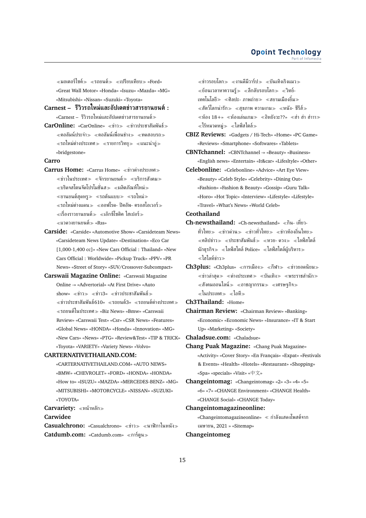$\ll$ มอเตอร์ไซค์ $\gg$   $\ll$ รถยนต์ $\gg$   $\ll$ เปรียบเทียบ $\gg$  «Ford» «Great Wall Motor» «Honda» «Isuzu» «Mazda» «MG» «Mitsubishi» «Nissan» «Suzuki» «Toyota»

- **Carnest – รีวิวรถใหม่และอัปเดตข่าวสารยานยนต์:** «Carnest – รีวิวรถใหม่และอัปเดตข่าวสารยานยนต์
- **CarOnline:** «CarOnline» «ข่าว» «ข่าวประชาสัมพันธ์»  $\ll$ คอลัมน์ประจำ $\gg$   $\ll$ คอลัมน์เพื่อนช่าง $\gg$   $\ll$ ทดสอบรถ $\gg$  $\ll$ รถใหม่ต่างประเทศ $\gg\ll$ รายการวิทย $\gg\ll$ แนะนำอ่ $\gg$ «bridgestone»

### **Carro**

- **Carrus Home:** «Carrus Home» «ข่าวต่างประเทศ»  $\ll$ ข่าวในประเทศ $\gg\ll$ จักรยานยนต์ $\gg\ll$ บริการสังคม $\gg$  $\ll$ บริดจสโตนจัดโปรโมชั่นส $\gg \ll$ ผลิตภัณฑ์ใหม่ $\gg$  $\ll$ ยานยนต์สุดหรู $\gg$   $\ll$ รถต้นแบบ $\gg$   $\ll$ รถใหม่ $\gg$  $\ll$ รถใหม่ต่างแดน $\gg\ll$ ออฟโรด- ปิคอัพ- ครอสโอเวอร์ $\gg$ เรื่องราวยานยนต์ เอ๊กซ์โซติค ไฮเปอร์ แวดวงยานยนต์ «Rss»
- **Carside:** «Carside» «Automotive Show» «Carsideteam News» «Carsideteam News Update» «Destination» «Eco Car [1,000-1,400 cc]» «New Cars Official : Thailand» «New Cars Official : Worldwide» «Pickup Truck» «PPV» «PR News» «Street of Story» «SUV/Crossover-Subcompact»
- **Carswaii Magazine Online:** «Carswaii Magazine Online -» «Advertorial» «At First Drive» «Auto  $\text{show}$ » «ข่าว $\gg$  «ข่าว $3$ » «ข่าวประชาสัมพันธ์ $\gg$  $\ll$ ข่าวประชาสัมพันธ์610»  $\ll$ รถยนต์3»  $\ll$ รถยนต์ต่างประเทศ $\gg$ รถยนต์ในประเทศ «Biz News» «Bmw» «Carswaii Review» «Carswaii Test» «Csr» «CSR News» «Features» «Global News» «HONDA» «Honda» «Innovation» «MG» «New Cars» «News» «PTG» «Review&Test» «TIP & TRICK» «Toyota» «VARIETY» «Variety News» «Volvo»

#### **CARTERNATIVETHAILAND.COM:**

- «CARTERNATIVETHAILAND.COM» «AUTO NEWS» «BMW» «CHEVROLET» «FORD» «HONDA» «HONDA» «How to» «ISUZU» «MAZDA» «MERCEDES-BENZ» «MG» «MITSUBISHI» «MOTORCYCLE» «NISSAN» «SUZUKI» «TOYOTA»
- **Carvariety:** หน้าหลัก

#### **Carwidee**

Casualchrono: «Casualchrono» «ข่าว» «นาฬิกาในหนัง» **Catdumb.com:** «Catdumb.com» การ์ตูน

 $\ll$ ข่าวรอบโลก $\gg \ll$ งานดีมีวาร์ป $\gg \ll$ บันเทิงเริงแมว $\gg$  $\ll$ ย้อนเวลาหาความร้ $\gg \ll$ ลึกลับรอบโลก $\gg \ll$ วิทย์-ี่ เทคโนโลยีิ≫ ≪ศิลปะ- ภาพถ่าย≫ ≪สยามเมืองยิ้ม≫  $\ll$ สัตว์โลกน่ารัก $\gg\ll$ สุขภาพ ความงาม $\gg\ll$ หนัง- ซีรีส์ $\gg$  $\ll$ ห้อง 18+»  $\ll$ ห้องเล่นเกม $\gg$   $\ll$ อิหยังวะ??»  $\ll$ ฮ่า ฮ่าาา $\gg$  $\ll$ ไร้หมวดหม่ $\gg \ll$ ไลฟ์สไตล์ $\gg$ 

**CBIZ Reviews:** «Gadgets / Hi-Tech» «Home» «PC Game» «Reviews» «Smartphone» «Softwares» «Tablets»

**CBNTchannel:** «CBNTchannel -» «Beauty» «Business» «English news» «Entertain» «It&car» «Lifesltyle» «Other»

**Celebonline:** «Celebonline» «Advice» «Art Eye View» «Beauty» «Celeb Style» «Celebrity» «Dining Out» «Fashion» «Fashion & Beauty» «Gossip» «Guru Talk» «Horo» «Hot Topic» «Interview» «Lifestyle» «Lifestyle» «Travel» «What's News» «World Celeb»

# **Ceothailand**

- **Ch-newsthailand:** «Ch-newsthailand» «กิน- เที่ยว-ทั่วไทย » «ข่าวด่วน » «ข่าวทั่วไทย » «ข่าวท้องถิ่นไทย » คลิปข่าว ประชาสัมพันธ์ หวย- ดวง ไลฟ์สไตล์ นักธุรกิจ $\gg$   $\ll$ ไลฟ์สไตล์ Police»  $\ll$ ไลฟ์สไตล์ผู้บริหาร $\gg$ ไฮไลท์ข่าว
- **Ch3plus:** «Ch3plus» «การเมือง» «กีฬา» «ข่าวยอดนิยม»  $\ll$ ข่าวล่าสุด $\gg \ll$ ต่างประเทศ $\gg \ll$ บันเทิง $\gg \ll$ พระราชสำนัก $\gg$  $\ll$ สังคมออนไลน์ $\gg$   $\ll$ อาชญากรรม $\gg$   $\ll$ เศรษฐกิจ $\gg$  $\ll$ ในประเทศ $\gg \ll$ ไอที $\gg$
- **Ch3Thailand:** «Home»

**Chairman Review:** «Chairman Review» «Banking» «Economic» «Economic News» «Insurance» «IT & Start Up» «Marketing» «Society»

**Chaladsue.com:** «Chaladsue»

**Chang Puak Magazine:** «Chang Puak Magazine» «Activity» «Cover Story» «En Français» «Expat» «Festivals & Events» «Health» «Hotels» «Restaurant» «Shopping» «Spa» «specials» «Visit» «中文»

**Changeintomag:** «Changeintomag» «2» «3» «4» «5» «6» «7» «CHANGE Environment» «CHANGE Health» «CHANGE Social» «CHANGE Today»

**Changeintomagazineonline:**

«Changeintomagazineonline» กำลังแสดงโพสต์จาก เมษายน, 2021 » «Sitemap»

#### **Changeintomeg**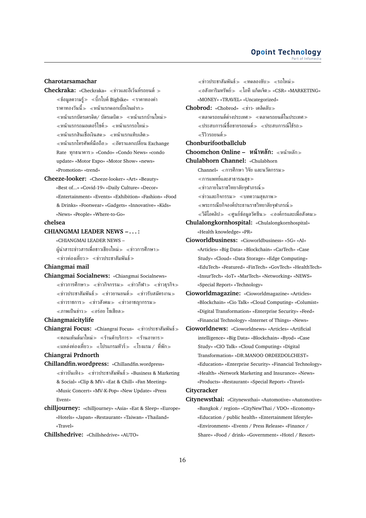#### **Opoint Technology** Part of Infome

### **Charotarsamachar**

- **Checkraka:** «Checkraka» «ข่าวและอีเว้นท์รถยนต์ »  $\ll$ ข้อมลความร้ $\gg \ll$ บิ๊กไบค์ Bigbike»  $\ll$ ราคาทองคำ ราคาทองวันนี้≫ ≪หน้าแรกดอกเบี้ยเงินฝาก≫  $\ll$ หน้าแรกบัตรเครดิต/ บัตรเดบิต $\gg\ll$ หน้าแรกบ้านใหม่ $\gg$  $\ll$ หน้าแรกรถมอเตอร์ไซค์ $\gg$   $\ll$ หน้าแรกรถใหม่ $\gg$ หน้าแรกสินเชื่อเงินสด หน้าแรกแท็บเล็ต  $\ll$ หน้าแรกโทรศัพท์มือถือ $\gg\ll$ อัตราแลกเปลี่ยน Exchange Rate ทุกธนาคาร «Condo» «Condo News» «condo update» «Motor Expo» «Motor Show» «news» «Promotion» «trend»
- **Cheeze-looker:** «Cheeze-looker» «Art» «Beauty» «Best of...» «Covid-19» «Daily Culture» «Decor» «Entertainment» «Events» «Exhibition» «Fashion» «Food & Drinks» «Footwear» «Gadgets» «Innovative» «Kids» «News» «People» «Where-to-Go»

#### **chelsea**

### **CHIANGMAI LEADER NEWS – . . . :**

«CHIANGMAI LEADER NEWS –

ผู้นำสาระข่าวสารเพื่อชาวเชียงใหม่ $\gg$   $\ll$ ข่าวการศึกษา $\gg$  $\ll$ ข่าวท่องเที่ยว $\gg \ll$ ข่าวประชาสัมพันธ์ $\gg$ 

### **Chiangmai mail**

**Chiangmai Socialnews:** «Chiangmai Socialnews»  $\ll$ ข่าวการศึกษา $\gg$   $\ll$ ข่าวกิจกรรม $\gg$   $\ll$ ข่าว $\frac{1}{2}$ ที่จ $\gg$  $\ll$ ข่าวประชาสัมพันธ์ $\gg$   $\ll$ ข่าวยานยนต์ $\gg$   $\ll$ ข่าวรับสมัครงาน $\gg$  $\ll$ ข่าวราชการ $\gg$   $\ll$ ข่าวสังคม $\gg$   $\ll$ ข่าวอาชญากรรม $\gg$  $\ll$ ภาพเป็นข่าว $\gg$   $\ll$ อร่อย โซเชียล $\gg$ 

#### **Chiangmaicitylife**

**Chiangrai Focus:** «Chiangrai Focus» «ข่าวประชาสัมพันธ์» ์ ≪คอนเท้นต์มาใหม่≫ ≪ร้านค้าบริการ≫ ≪ร้านอาหาร≫  $\ll$ แหล่งท่องเที่ยว $\gg \ll$ โปรแกรมทัวร์ $\gg \ll$ โรงแรม / ที่พัก $\gg$ 

### **Chiangrai Prdnorth**

- **Chillandfin.wordpress:** «Chillandfin.wordpress»  $\ll$ ข่าวบันเทิง $\gg \ll$ ข่าวประชาสัมพันธ์ $\gg$  «Business & Marketing & Social» «Clip & MV» «Eat & Chill» «Fan Meeting» «Music Concert» «MV-K-Pop» «New Update» «Press Event»
- **chilljourney:** «chilljourney» «Asia» «Eat & Sleep» «Europe» «Hotels» «Japan» «Restaurant» «Taiwan» «Thailand» «Travel»
- **Chillshedrive:** «Chillshedrive» «AUTO»

 $\ll$ ข่าวประชาสัมพันธ์ $\gg$   $\ll$ ทดลองขับ $\gg$   $\ll$ รถใหม่ $\gg$  $\epsilon \ll 1$ อสังหาริมทรัพย์ $\epsilon \gg 1$ อที แก็ดเจ็ต $\epsilon \gg 1$  «CSR» «MARKETING» «MONEY» «TRAVEL» «Uncategorized»

- **Chobrod:** «Chobrod» ≪ข่าว- เคล็ดลับ≫  $\ll$ ตลาดรถยนต์ต่างประเทศ $\gg\ll$ ตลาดรถยนต์ในประเทศ $\gg$ 
	- ประสบการณ์ซื้อขายรถยนต์ ประสบการณ์ใช้รถ
	- รีวิวรถยนต์
- **Chonburifootballclub**
- **Choomchon Online – หน้าหลัก:** หน้าหลัก
- **Chulabhorn Channel:** «Chulabhorn
	- $Channel_» \ll n$ ารศึกษา วิจัย และนวัตกรรม $\gg$
	- $<$ การแพทย์และสาธารณสุข $\gg$
	- ข่าวภายในราชวิทยาลัยจุฬาภรณ์
	- $\ll$ ข่าวและกิจกรรม $\gg$   $\ll$ บทความสุขภาพ $\gg$
	- $\ll$ พระกรณียกิจองค์ประธานราชวิทยาลัยจุฬาภรณ์ $\gg$
	- $\ll$ วีดีโอคลิป $\gg \ll$ ศนย์ข้อมลวัคซีน $\gg \ll$ องค์กรและเพื่อสังคม $\gg$
- **Chulalongkornhospital:** «Chulalongkornhospital» «Health knowledge» «PR»
- **Cioworldbusiness:** «Cioworldbusiness» «5G» «AI» «Articles» «Big Data» «Blockchain» «CarTech» «Case Study» «Cloud» «Data Storage» «Edge Computing» «EduTech» «Featured» «FinTech» «GovTech» «HealthTech» «InsurTech» «IoT» «MarTech» «Networking» «NEWS» «Special Report» «Technology»
- **Cioworldmagazine:** «Cioworldmagazine» «Articles» «Blockchain» «Cio Talk» «Cloud Computing» «Columist» «Digital Transformation» «Enterprise Security» «Feed» «Financial Technology» «Internet of Things» «News»
- **Cioworldnews:** «Cioworldnews» «Articles» «Artificial intelligence» «Big Data» «Blockchain» «Byod» «Case Study» «CIO Talk» «Cloud Computing» «Digital Transformation» «DR.MANOO ORDEEDOLCHEST» «Education» «Enterprise Security» «Financial Technology» «Health» «Network Marketing and Insurance» «News» «Products» «Restaurant» «Special Report» «Travel» **Citycracker**

**Citynewsthai:** «Citynewsthai» «Automotive» «Automotive» «Bangkok / region» «CityNewThai / VDO» «Economy» «Education / public health» «Entertainment lifestyle» «Environment» «Events / Press Release» «Finance / Share» «Food / drink» «Government» «Hotel / Resort»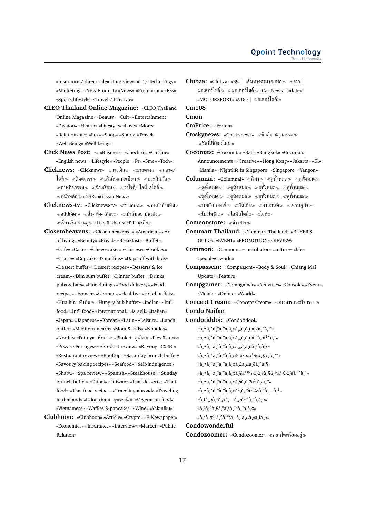«Insurance / direct sale» «Interview» «IT / Technology» «Marketing» «New Product» «News» «Promotion» «Rss» «Sports lifestyle» «Travel / Lifestyle»

- **CLEO Thailand Online Magazine:** «CLEO Thailand Online Magazine» «Beauty» «Cult» «Entertainment» «Fashion» «Health» «Lifestyle» «Love» «More» «Relationship» «Sex» «Shop» «Sport» «Travel» «Well-Being» «Well-being»
- **Click News Post:** «» «Business» «Check-in» «Cuisine» «English news» «Lifestyle» «People» «Pr» «Sme» «Tech»
- **Clicknews: «Clicknews» «การเงิน > «ขายตรง > «ตลาด/** ไอที $\gg$  «ติดต่อเรา $\gg$  «บริษัทจดทะเบียน $\gg$  «ประกันภัย $\gg$  $\ll$ ภาพกิจกรรม $\gg \ll$ ร้องเรียน $\gg \ll$ วาไรตี้/ ไลฟ์ สไตล์ $\gg$ หน้าหลัก «CSR» «Gossip News»
- **Clicknews-tv:** «Clicknews-tv» «ข่าวฮอต» «คนดังข้ามคืน»  $\ll$ คลิปเด็ด $\gg \ll$ อึ้ง- ทึ่ง- เสียว $\gg \ll$ เม้าส์มอย บันเทิง $\gg$  $\ll$ เรื่องจริง ผ่านก $\gg$  «Like & share» «PR- ธรกิจ $\gg$
- **Closetoheavens:** «Closetoheavens -» «American» «Art of living» «Beauty» «Bread» «Breakfast» «Buffet» «Cafe» «Cakes» «Cheesecakes» «Chinese» «Cookies» «Cruise» «Cupcakes & muffins» «Days off with kids» «Dessert buffet» «Dessert recipes» «Desserts & ice cream» «Dim sum buffet» «Dinner buffet» «Drinks, pubs & bars» «Fine dining» «Food delivery» «Food recipes» «French» «German» «Healthy» «Hotel buffets» «Hua hin หัวหิน» «Hungry hub buffet» «Indian» «Int'l food» «Int'l food» «International» «Israeli» «Italian» «Japan» «Japanese» «Korean» «Latin» «Leisure» «Lunch buffet» «Mediterranearn» «Mom & kids» «Noodles» «Nordic» «Pattaya พัทยา» «Phuket ภูเก็ต» «Pies & tarts» «Pizza» «Portugese» «Product review» «Rayong ระยอง «Restuarant review» «Rooftop» «Saturday brunch buffet» «Savoury baking recipes» «Seafood» «Self-indulgence» «Shabu» «Spa review» «Spanish» «Steakhouse» «Sunday brunch buffet» «Taipei» «Taiwan» «Thai desserts» «Thai food» «Thai food recipes» «Traveling abroad» «Traveling in thailand» «Udon thani อุดรธานี «Vegetarian food» «Vietnamese» «Waffles & pancakes» «Wine» «Yakiniku»
- **Clubhoon:** «Clubhoon» «Article» «Crypto» «E-Newspaper» «Economies» «Insurance» «Interview» «Market» «Public Relation»

 $\text{Clubza: }$  «Clubza» «39 | เส้นทางตามรอยพ่อ» «ข่าว | มอเตอร์ไซค์ $\gg$  «มอเตอร์ไซค์ $\gg$  «Car News Update» «MOTORSPORT» «VDO | มอเตอร์ไซค์

### **Cm108**

#### **Cmon**

- **CmPrice:** «Forum»
- **Cmskynews:** «Cmskynews» นิวส์อาชญากรรม วันนี้ที่เชียงใหม่
- **Coconuts:** «Coconuts» «Bali» «Bangkok» «Coconuts Announcements» «Creative» «Hong Kong» «Jakarta» «Kl» «Manila» «Nightlife in Singapore» «Singapore» «Yangon»
- **Columnai:** «Columnai» «กีฬา» «ดูทั้งหมด» «ดูทั้งหมด»  $\ll$ ดูทั้งหมด $\gg \ll$ ดูทั้งหมด $\gg \ll$ ดูทั้งห $\gg \ll$ ดูทั้งหมด $\gg$  $\ll$ ดูทั้งหมด $\gg \ll$ ดูทั้งหมด $\gg \ll$ ดูทั้ง $\approx \ll$ ดูทั้งหมด $\gg$  $\ll$ บทสัมภาษณ์ $\gg\ll$ บันเทิง $\gg\ll$ ยานยนต์ $\gg\ll$ เศรษฐกิจ $\gg$  $\ll$ โปรโมชัน $\gg \ll$ ไลฟ์สไตล์ $\gg \ll$ ไอที $\gg$
- **Comeonstore:** ข่าวสาร
- **Commart Thailand:** «Commart Thailand» «BUYER'S GUIDE» «EVENT» «PROMOTION» «REVIEW»
- **Common:** «Common» «contributor» «culture» «life» «people» «world»
- **Compasscm:** «Compasscm» «Body & Soul» «Chiang Mai Update» «Feature»
- **Compgamer:** «Compgamer» «Activities» «Console» «Event» «Mobile» «Online» «World»

**Concept Cream:** «Concept Cream» ข่าวสารและกิจกรรม **Condo Naifan**

**Condotiddoi:** «Condotiddoi»

«à¸•ิà¸"à¸"à¸à¸¢à¸"à¸à¸¢à¸?ภ´à¸™»

«à¸•ิดดà¸à¸¢à¸,,à¸à¸¢à¸"ืà<sup>1</sup>^à¸i»

- «à,•à,´à,"à,"à,à,¢à,"à,à,¢à,šà,à,?»
- «à¸•ิà,"à,"à,à,¢ὰ,iὰ,μὰ<sup>1</sup>€ὰ,‡ὰ,՜ὰ,™»
- $\alpha$ à $\cdot$ à $\alpha$ ,  $\alpha$  $\alpha$ ,  $\alpha$ à,  $\alpha$  $\beta$ ,  $\alpha$ ,  $\alpha$ ,  $\alpha$ ,  $\beta$ ,  $\alpha$ ,  $\beta$ ,  $\alpha$ ,  $\beta$
- «à¸•ิดดà¸à¸¢à¸¥à½‰ὰ¸ὰ¸ίὰ¸§ὰ¸‡ὰ½∈ὰ¸¥à½ϡ2»
- $\langle \hat{\mathbf{a}}, \hat{\mathbf{a}}, \hat{\mathbf{a}}, \hat{\mathbf{a}}, \hat{\mathbf{a}}, \hat{\mathbf{a}}, \hat{\mathbf{a}}, \hat{\mathbf{a}}, \hat{\mathbf{a}}, \hat{\mathbf{a}}, \hat{\mathbf{a}}, \hat{\mathbf{a}}, \hat{\mathbf{a}} \rangle$ sà  $\langle \hat{E}^{\mathrm{w}} \rangle$
- $\langle \dot{\mathbf{a}}, \dot{\mathbf{a}}, \dot{\mathbf{a}}, \ddot{\mathbf{a}}, \ddot{\mathbf{a}}, \dot{\mathbf{a}}, \dot{\mathbf{a}}, \dot{\mathbf{a}} \rangle$ a, fa $\mathbf{a}$ , fa $\mathbf{a}$ ,  $\mathbf{a}$ ,  $\mathbf{a}$ ,  $\mathbf{a}$ ,  $\mathbf{a}$ ,  $\mathbf{a}$ ,  $\mathbf{a}$ ,  $\mathbf{a}$ ,  $\mathbf{a}$ ,  $\mathbf{a}$ ,  $\mathbf{a}$ ,  $\mathbf{a}$ ,  $\mathbf{a}$ ,  $\$
- $\alpha$ , ià  $\mu$ à $\alpha$ ,  $\alpha$ à,  $\mu$ à,  $\alpha$ ,  $\mu$ à,  $\alpha$ ,  $\mu$ à,  $\mu$
- «à¸ªà¸<sup>2</sup>ระบนดà¸à¸¢»
- «à šà<sup>1</sup>‰à<sup>2</sup>à ™à «à ià µà «à ià µ»

#### **Condowonderful**

**Condozoomer:** «Condozoomer» คอนโดพร้อมอยู่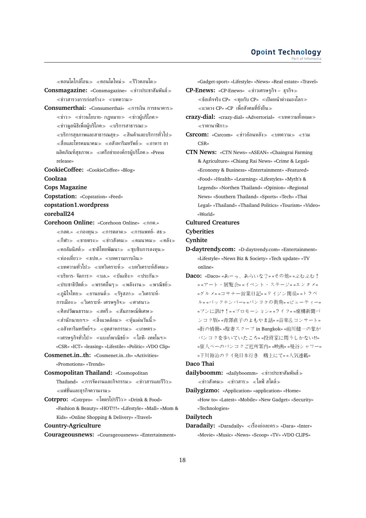คอนโดใกล้โอน คอนโดใหม่ รีวิวคอนโด

- **Consmagazine:** «Consmagazine» ข่าวประชาสัมพันธ์  $\ll$ ข่าวสารวงการก่อสร้าง $\gg$   $\ll$ บทความ $\gg$
- Consumerthai: «Consumerthai» «การเงิน การธนาคาร»  $\ll$ ข่าว $\gg$   $\ll$ ข่าวนโยบาย- กฎหมาย $\gg$   $\ll$ ข่าวผู้บริโภค $\gg$  $\ll$ ข่าวมลนิธิเพื่อผ้บริโภค $\gg$   $\ll$ บริการสาธารณะ $\gg$  $\ll$ บริการสุขภาพและสาธารณสุข $\gg \ll$ สินค้าและบริการทั่วไป $\gg$  $\ll$ สื่อและโทรคมนาคม $\gg\ll$ อสังหาริมทรัพย์ $\gg\ll$ อาหาร ยา ผลิตภัณฑ์สุขภาพ $\gg$  «เครือข่ายองค์กรผู้บริโภค $\gg$  «Press release»
- **CookieCoffee:** «CookieCoffee» «Blog»
- **Coolzaa**
- **Cops Magazine**
- **Copstation:** «Copstation» «Feed»

## **copstation1.wordpress coreball24**

- **Corehoon Online:** «Corehoon Online» กกต.»  $\ll$ กลต.»  $\ll$ กองทน $\gg$   $\ll$ การตลาด $\gg$   $\ll$ การแพทย์- สธ $\gg$  $\ll$ กีฬา $\gg$   $\ll$ ขายตรง $\gg$   $\ll$ ท่าวสังคม $\gg$   $\ll$ คมนาคม $\gg$   $\ll$ คลัง $\gg$  $\ll$ คอลัมนิสต์ $\gg\ll$ ชาติไทยพัฒนา $\gg\ll$ ซุบซิบการลงทุน $\gg$ ่ ≪ท่องเที่ยว≫ ≪ธปท.» ≪บทความการเงิน≫ บทความทั่วไป บทวิเคราะห์ บทวิเคราะห์สังคม  $\ll$ บริหาร- จัดการ $\gg$   $\ll$ บล.»  $\ll$ บันเทิง $\gg$   $\ll$ ประกัน $\gg$  $\ll$ ประชาธิปัตต์ $\gg \ll$ พรรคอื่นๆ $\gg \ll$ พลังงาน $\gg \ll$ พาณิชย์ $\gg$  $\langle \langle \langle \rangle \rangle \langle \rangle$  งานยนต์ >  $\langle \rangle \langle \rangle \langle \rangle$  งานยนต์ >  $\langle \rangle$ โคราะห์-การเมือง $\gg$   $\ll$ วิเคราะห์- เศรษฐกิจ $\gg$   $\ll$ ศาสนา $\gg$  $\ll$ ศิลปวัฒนธรรม $\gg \ll$ สตรี $\gg \ll$ สัมภาษณ์พิเศษ $\gg$  $\ll$ สำนักนายกฯ $\gg \ll$ สิ่งแวดล้อม $\gg \ll$ หุ้นเด่นวันนี้ $\gg$  $\alpha \ll$ อสังหาริมทรัพย์ฯ $\gg \alpha \ll 1$ กษตร $\gg$  $\ll$ เศรษฐกิจทั่วไป $\gg\ll$ แบงก์พาณิชย์ $\gg\ll$ ไอที- เทคโนฯ $\gg$ «CSR» «ICT» «leasing» «Lifestile» «Politic» «VDO Clip»
- **Cosmenet.in..th:** «Cosmenet.in..th» «Activities» «Promotions» «Trends»
- **Cosmopolitan Thailand:** «Cosmopolitan  $\text{Thailand} \approx \text{\textcirc} \gamma$ การจัดงานและกิจกรรม $\gg \text{\textcirc} \gamma$ ท่าวสารและรีวิว $\gg$ แฟชั่นและธุรกิจความงาม
- **Cotrpro:** «Cotrpro» โคตรโปรรีวิว «Drink & Food» «Fashion & Beauty» «HOT!!!» «Lifestyle» «Mall» «Mom & Kids» «Online Shopping & Delivery» «Travel»

#### **Country-Agriculture**

**Courageousnews:** «Courageousnews» «Entertainment»

«Gadget-sport» «Lifestyle» «News» «Real estate» «Travel»

- **CP-Enews:** «CP-Enews» ข่าวเศรษฐกิจ ธุรกิจ  $\ll$ ข้อเท็จจริง CP»  $\ll$ คยกับ CP»  $\ll$ เปิดหน้าต่างมองโลก $\gg$ แวดวง CP» «CP เพื่อสังคมที่ยั่งยืน
- **crazy-dial:** «crazy-dial» «Advertorial» บทความทั้งหมด ราคานาฬิกา
- $Csroom:$  «Csrcom» «ข่าวย้อนหลัง» «บทความ» «รวม CSR»
- **CTN News:** «CTN News» «ASEAN» «Chaingrai Farming & Agriculture» «Chiang Rai News» «Crime & Legal» «Economy & Business» «Entertainment» «Featured» «Food» «Health» «Learning» «Lifestyles» «Myth's & Legends» «Northen Thailand» «Opinion» «Regional News» «Southern Thailand» «Sports» «Tech» «Thai Legal» «Thailand» «Thailand Politics» «Tourism» «Video» «World»

#### **Cultured Creatures**

### **Cyberities**

### **Cynhite**

- **D-daytrendy.com:** «D-daytrendy.com» «Entertainment» «Lifestyle» «News Biz & Society» «Tech update» «TV online»
- **Daco:** «Daco» «あーっ、あらいな?» «その他» «ぶむぶむ! » «アート・展覧会» «イベント・ステージ» «エンタメ» «グルメ» «コサナー営業日記» «タイジン関係» «トラベ ル» «バックナンバー» «バンコクの街角» «ビューティー» «ブンに訊け!» «プロモーション» «ライフ» «虚構新聞バ ンコク版» «青澤直子のよもやま話» «音楽&コンサート» «街の情報» «駐妻スクープ in Bangkok» «前川健一の象が バンコクを歩いていたころ» «投資家に問うしかない!!» «旅人ペーのバンコクご近所案内» «映画» «曼谷シャワー» «下川裕治のタイ発日本行き 機上にて» «人気連載»

### **Daco Thai**

- dailyboomm: «dailyboomm» «ข่าวประชาสัมพันธ์»  $\ll$ ข่าวสังคม $\gg \ll$ ข่าวสาร $\gg \ll$ ไลฟ์ สไตล์ $\gg$
- **Dailygizmo:** «Application» «application» «Home» «How to» «Latest» «Mobile» «New Gadget» «Security» «Technologies»

### **Dailytech**

**Daradaily:** «Daradaily» «เรื่องย่อละคร» «Dara» «Inter» «Movie» «Music» «News» «Scoop» «TV» «VDO CLIPS»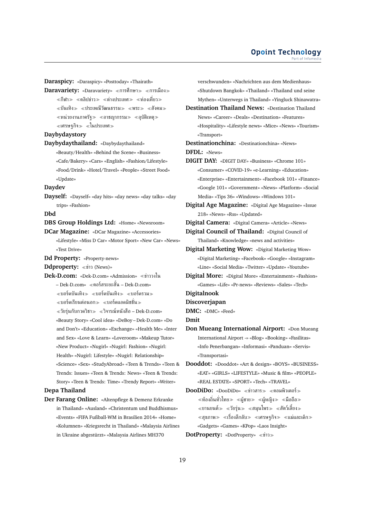**Daraspicy:** «Daraspicy» «Posttoday» «Thairath»

**Daravariety:** «Daravariety» «การศึกษา» «การเมือง»  $\ll$ กีฬา $\gg$   $\ll$ ดลิปข่าว $\gg$   $\ll$ ต่างประเทศ $\gg$   $\ll$ ท่องเที่ยว $\gg$  $\ll$ บันเทิง $\gg \ll$ ประเพณีวัฒนธรรม $\gg \ll$ พระ $\gg \ll$ สังคม $\gg$  $\ll$ หน่วยงานภาครัฐ $\gg \ll$ อาชญากรรม $\gg \ll$ อุบัติเหตุ $\gg$  $\ll$ เศรษรกิจ $\gg \ll$ ในประเทศ $\gg$ 

**Daybydaystory**

**Daybydaythailand:** «Daybydaythailand» «Beauty/Health» «Behind the Scene» «Business» «Cafe/Bakery» «Cars» «English» «Fashion/Lifestyle» «Food/Drink» «Hotel/Travel» «People» «Street Food» «Update»

#### **Daydev**

**Dayself:** «Dayself» «day hits» «day news» «day talks» «day trips» «Fashion»

**Dbd**

**DBS Group Holdings Ltd:** «Home» «Newsroom»

**DCar Magazine:** «DCar Magazine» «Accessories»

«Lifestyle» «Miss D Car» «Motor Sport» «New Car» «News» «Test Drive»

**Dd Property:** «Property-news»

**Ddproperty:** «ข่าว (News)»

**Dek-D.com:** «Dek-D.com» «Admission» ข่าววงใน – Dek-D.com» คอร์สระยะสั้น – Dek-D.com»  $\ll$ บอร์ดบันเทิง $\gg$   $\ll$ บอร์ดบันเทิง $\gg$   $\ll$ บอร์ดรวม $\gg$  $\ll$ บอร์ดเรียนต่อนอก $\gg \ll$ บอร์ดแอดมิชชั่น $\gg$  $\ll$ วัยรุ่นกับกวดวิชา $\gg\ll$ วิจารณ์หนังสือ – Dek-D.com» «Beauty Story» «Cool idea» «DeBoy – Dek-D.com» «Do and Don't» «Education» «Exchange» «Health Me» «Inter and Sex» «Love & Learn» «Loveroom» «Makeup Tutor» «New Product» «Nugirl» «Nugirl: Fashion» «Nugirl:

Health» «Nugirl: Lifestyle» «Nugirl: Relationship» «Science» «Sex» «StudyAbroad» «Teen & Trends» «Teen & Trends: Issues» «Teen & Trends: News» «Teen & Trends: Story» «Teen & Trends: Time» «Trendy Report» «Writer»

### **Depa Thailand**

**Der Farang Online:** «Altenpflege & Demenz Erkranke in Thailand» «Ausland» «Christentum und Buddhismus» «Events» «FIFA Fußball-WM in Brasilien 2014» «Home» «Kolumnen» «Kriegsrecht in Thailand» «Malaysia Airlines in Ukraine abgestürzt» «Malaysia Airlines MH370

verschwunden» «Nachrichten aus dem Medienhaus» «Shutdown Bangkok» «Thailand» «Thailand und seine Mythen» «Unterwegs in Thailand» «Yingluck Shinawatra»

**Destination Thailand News:** «Destination Thailand News» «Career» «Deals» «Destination» «Features» «Hospitality» «Lifestyle news» «Mice» «News» «Tourism» «Transport»

**Destinationchina:** «Destinationchina» «News» **DFDL:** «News»

**DIGIT DAY:** «DIGIT DAY» «Business» «Chrome 101» «Consumer» «COVID-19» «e-Learning» «Education» «Enterprise» «Entertainment» «Facebook 101» «Finance» «Google 101» «Government» «News» «Platform» «Social Media» «Tips 36» «Windows» «Windows 101»

**Digital Age Magazine:** «Digital Age Magazine» «Issue 218» «News» «Rss» «Updated»

**Digital Camera:** «Digital Camera» «Article» «News»

**Digital Council of Thailand:** «Digital Council of Thailand» «Knowledge» «news and activities»

**Digital Marketing Wow:** «Digital Marketing Wow» «Digital Marketing» «Facebook» «Google» «Instagram» «Line» «Social Media» «Twitter» «Update» «Youtube»

**Digital More:** «Digital More» «Entertainment» «Fashion» «Games» «Life» «Pr-news» «Reviews» «Sales» «Tech»

**Digitalnook**

**Dmit**

**Discoverjapan**

**DMC:** «DMC» «Feed»

**Don Mueang International Airport:** «Don Mueang International Airport -» «Blog» «Booking» «Fasilitas» «Info Penerbangan» «Informasi» «Panduan» «Servis» «Transportasi»

**Dooddot:** «Dooddot» «Art & design» «BOYS» «BUSINESS» «EAT» «GIRLS» «LIFESTYLE» «Music & film» «PEOPLE» «REAL ESTATE» «SPORT» «Tech» «TRAVEL»

**DooDiDo:** «DooDiDo» «ข่าวสาร» «คอมพิวเตอร์»  $\ll$ ท้องถิ่นทั่วไทย $\gg \ll$ ผู้ชาย $\gg \ll$ ผู้หญิง $\gg \ll$ มือถือ $\gg$  $\ll$ ยานยนต์ $\gg$   $\ll$ วัยรุ่น $\gg$   $\ll$ สมุนไพร $\gg$   $\ll$ สัตว์เลี้ยง $\gg$  $\ll$ สุขภาพ $\gg\ll$ เรื่องลึกลับ $\gg\ll$ เศรษฐกิจ $\gg\ll$ แม่และเด็ก $\gg$ «Gadgets» «Games» «KPop» «Laos Insight»

**DotProperty:** «DotProperty» «ข่าว»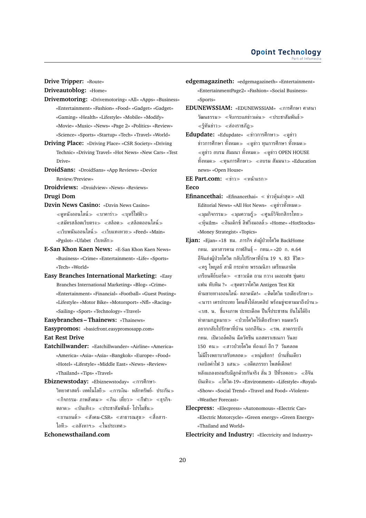**Drive Tripper:** «Route»

**Driveautoblog:** «Home»

- **Drivemotoring:** «Drivemotoring» «All» «Apps» «Business» «Entertainment» «Fashion» «Food» «Gadget» «Gadget» «Gaming» «Health» «Lifestyle» «Mobile» «Modify» «Movie» «Music» «News» «Page 2» «Politics» «Review» «Science» «Sports» «Startup» «Tech» «Travel» «World»
- **Driving Place:** «Driving Place» «CSR Society» «Driving Technic» «Driving Travel» «Hot News» «New Cars» «Test Drive»
- **DroidSans:** «DroidSans» «App Reviews» «Device Review/Preview»
- **Droidviews:** «Droidview» «News» «Reviews»

**Drugi Dom**

- **Dzvin News Casino:** «Dzvin News Casino»  $\ll$ ดหนังออนไลน์≫ ≪บาคาร่า≫ ≪บหรี่ไฟฟ้า≫  $\ll$ สมัครสล็อตเว็บตรง $\gg$   $\ll$ สล็อต $\gg$   $\ll$ สล็อตออนไลน์ $\gg$ เว็บพนันออนไลน์ เว็บแทงหวย «Feed» «Main» «Pgslot» «Ufabet เว็บหลัก
- **E-San Khon Kaen News:** «E-San Khon Kaen News» «Business» «Crime» «Entertainment» «Life» «Sports» «Tech» «World»
- **Easy Branches International Marketing:** «Easy Branches International Marketing» «Blog» «Crime» «Entertainment» «Financial» «Football» «Guest Posting» «Lifestyle» «Motor Bike» «Motorsport» «Nfl» «Racing» «Sailing» «Sport» «Technology» «Travel»
- **Easybranches Thainews:** «Thainews»
- **Easypromos:** «basicfront.easypromosapp.com» **Eat Rest Drive**
- **Eatchillwander:** «Eatchillwander» «Airline» «America» «America» «Asia» «Asia» «Bangkok» «Europe» «Food» «Hotel» «Lifestyle» «Middle East» «News» «Review» «Thailand» «Tips» «Travel»
- **Ebiznewstoday:** «Ebiznewstoday» การศึกษา-วิทยาศาสตร์- เทคโนโลยี $\gg$   $\ll$ การเงิน- หลักทรัพย์- ประกัน $\gg$  $\ll$ กิจกรรม- ภาพสังคม $\gg \ll$ กิน- เที่ยว $\gg \ll$ กีฬา $\gg \ll$ ธรกิจ-ตลาด $\gg$   $\ll$ บันเทิง $\gg$   $\ll$ ประชาสัมพันธ์- โปรโมชั่น $\gg$  $\ll$ ยานยนต์ $\gg$   $\ll$ สังคม-CSR»  $\ll$ สาธารณสุข $\gg$   $\ll$ สื่อสาร-ไอที่≫ «อสังหาฯ» «ในประเทศ»

### **Echonewsthailand.com**

- **edgemagazineth:** «edgemagazineth» «Entertainment» «EntertainmentPage2» «Fashion» «Social Business» «Sports»
- **EDUNEWSSIAM:** «EDUNEWSSIAM» ≪การศึกษา ศาสนา วัฒนธรรม $\gg$   $\ll$ จับกระแสข่าวเด่น $\gg$   $\ll$ ประชาสัมพันธ์ $\gg$  $\ll$ ร้ทันข่าว $\gg$   $\ll$ ส่องราชภัฏ $\gg$
- Edupdate: «Edupdate» «ข่าวการศึกษา» «ดูข่าว ข่าวการศึกษา ทั้งหมด≫ ≪ดูข่าว ทุนการศึกษา ทั้งหมด≫  $\ll$ ดูข่าว อบรม สัมมนา ทั้งหมด $\gg\ll$ ดูข่าว OPEN HOUSE ทั้งหมด $\gg$  «ทนการศึกษา $\gg$  «อบรม สัมมนา $\gg$  «Education news» «Open House»

**EE Part.com:** «ข่าว» «หน้าแรก» **Eeco**

- **Efinancethai:** «Efinancethai» ข่าวหุ้นล่าสุด «All Editorial News» «All Hot News» ดูข่าวทั้งหมด  $\ll$ มมกิจกรรม $\gg \ll$ มมความรั $\gg \ll$ ศูนย์วิจัยกสิกรไทย $\gg$  $\ll$ หุ้นilm»  $\ll$ อินเด็กซ์ ลิฟวิ่งมอลล์ $\gg$  «Home» «HotStocks» «Money Strategist» «Topics»
- **Ejan:** «Ejan» «18 ชม. ภารกิจ ส่งผู้ป่วยโควิด BackHome กทม. มหาสารคาม กาฬสินธุ์– กทม.» «20 ก. ค.64 อีจันส่งผู้ป่วยโควิด กลับไปรักษาที่บ้าน 19 จ. 83 ชีวิต ครู ไพบูลย์ สามี กระต่าย พรรณนิภา เตรียมเอาผิด เกรียนคีย์บอร์ด $\gg$  «ชาวเน็ต ถาม กวาง เดอะเฟซ ซุ่มคบ แฟน ทับทิม ?» ชุดตรวจโควิด Antigen Test Kit ห้ามขายทางออนไลน์- ตลาดนัด!» «ติดโควิด รอเตียงรักษา» ่ ≪นารา เครปกะเทย โดนสั่งให้ลบคลิป พร้อมข่จะตามมาถึงบ้าน≫ บช. น. ชี้แจงภาพ ปะทะเดือด ปืนจี้ประชาชน ยันไม่ได้ยิง ทำตามกฎหมาย ป่วยโควิดไร้เตียงรักษา หมดหวัง อยากกลับไปรักษาที่บ้าน บอกอีจัน รพ. ลาดกระบัง กทม. เปิดวอล์คอิน ฉีดวัคซีน แอสตราเซเนกา วันละ 150 คน $\gg$   $\ll$ สาวป่วยโควิด ท้องแก่ อีก 7 วันคลอด ไม่มีโรงพยาบาลรับคลอด≫ ≪หน่มช็อก! บ้านชั้นเดียว เจอบิลค่าไฟ 3 แสน≫ ≪อดีตภรรยา โพสต์เดือด! หลังแถลงยอมรับมีลูกด้วยกันจริง ลั่น 3 ปีที่รอคอย $\gg\ll$ อีจัน บันเทิง โควิด-19» «Environment» «Lifestyle» «Royal» «Show» «Social Trend» «Travel and Food» «Violent» «Weather Forecast»
- **Elecpress:** «Elecpress» «Autonomous» «Electric Car» «Electric Motorcycle» «Green energy» «Green Energy» «Thailand and World»

**Electricity and Industry:** «Electricity and Industry»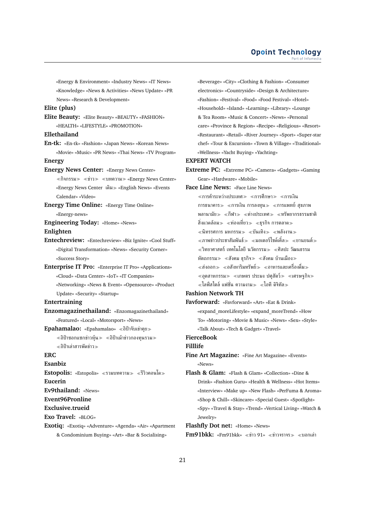«Energy & Environment» «Industry News» «IT News» «Knowledge» «News & Activities» «News Update» «PR News» «Research & Development»

#### **Elite (plus)**

**Elite Beauty:** «Elite Beauty» «BEAUTY» «FASHION» «HEALTH» «LIFESTYLE» «PROMOTION»

#### **Ellethailand**

**En-tk:** «En-tk» «Fashion» «Japan News» «Korean News» «Movie» «Music» «PR News» «Thai News» «TV Program»

### **Energy**

**Energy News Center:** «Energy News Center»

 $\langle \hat{n} \rangle \$   $\langle \hat{n} \rangle$   $\langle \hat{n} \rangle$   $\langle \hat{n} \rangle$   $\langle \hat{n} \rangle$   $\langle \hat{n} \rangle$   $\langle \hat{n} \rangle$   $\langle \hat{n} \rangle$   $\langle \hat{n} \rangle$   $\langle \hat{n} \rangle$   $\langle \hat{n} \rangle$   $\langle \hat{n} \rangle$   $\langle \hat{n} \rangle$   $\langle \hat{n} \rangle$   $\langle \hat{n} \rangle$   $\langle \hat{n} \rangle$   $\langle \hat{n} \rangle$   $\langle \hat{n} \rangle$   $\langle \hat{n} \rangle$   $\langle \hat{n} \rangle$ «Energy News Center เดิม» «English News» «Events Calendar» «Video»

**Energy Time Online:** «Energy Time Online»

«Energy-news»

### **Engineering Today:** «Home» «News» **Enlighten**

**Entechreview:** «Entechreview» «Biz Ignite» «Cool Stuff» «Digital Transformation» «News» «Security Corner» «Success Story»

**Enterprise IT Pro:** «Enterprise IT Pro» «Applications» «Cloud» «Data Center» «IoT» «IT Companies» «Networking» «News & Event» «Opensource» «Product Update» «Security» «Startup»

#### **Entertraining**

**Enzomagazinethailand:** «Enzomagazinethailand» «Featured» «Local» «Motorsport» «News»

**Epahamalao:** «Epahamalao» อิป้าจับเข่าคุย

 $\ll$ อิป้าซอกแซกข่าวหุ้น $\gg\ll$ อิป้าเม้าข่าวกองทุนรวม $\gg$ อิป้าเล่าสารพัดข่าว

### **ERC**

**Esanbiz**

**Estopolis:** «Estopolis» ≪รวมบทความ≫ ≪รีวิวคอนโด≫ **Eucerin**

**Ev9thailand:** «News»

**Event96Pronline**

**Exclusive.trueid**

**Exo Travel:** «BLOG»

### **Exotiq:** «Exotiq» «Adventure» «Agenda» «Air» «Apartment & Condominium Buying» «Art» «Bar & Socialising»

«Beverage» «City» «Clothing & Fashion» «Consumer electronics» «Countryside» «Design & Architecture» «Fashion» «Festival» «Food» «Food Festival» «Hotel» «Household» «Island» «Learning» «Library» «Lounge & Tea Room» «Music & Concert» «News» «Personal care» «Province & Region» «Recipe» «Religious» «Resort» «Restaurant» «Retail» «River Journey» «Sport» «Super-star chef» «Tour & Excursion» «Town & Village» «Traditional» «Wellness» «Yacht Buying» «Yachting»

### **EXPERT WATCH**

**Extreme PC:** «Extreme PC» «Camera» «Gadgets» «Gaming Gear» «Hardware» «Mobile»

**Face Line News:** «Face Line News»

 $\ll$ การค้าระหว่างประเทศ $\gg\ll$ การศึกษา $\gg\ll$ การเงิน การธนาคาร≫ ≪การเงิน การลงทุน≫ ≪การแพทย์ สุขภาพ พลานามัย $\gg$  «กีฬา $\gg$  «ต่างประเทศ $\gg$  «ทรัพยากรธรรมชาติ สิ่งแวดล้อม≫ ≪ท่องเที่ยว≫ ≪ธรกิจ การตลาด≫  $\ll$ นิทรรศการ มหกรรม $\gg$   $\ll$ บันเทิง $\gg$   $\ll$ พลังงาน $\gg$  $\ll$ ภาพข่าวประชาสัมพันธ์ $\gg\ll$ มอเตอร์ไซด์เคิ้ล $\gg\ll$ ยานยนต์ $\gg$  $\ll$ วิทยาศาสตร์ เทคโนโลยี นวัตกรรม $\gg \ll$ ศิลปะ วัฒนธรรม หัตถกรรม $\gg$   $\ll$ สังคม ธุรกิจ $\gg$   $\ll$ สังคม บ้านเมือง $\gg$  $\ll$ ส่งออก $\gg \ll$ อสังหาริมทรัพย์ $\gg \ll$ อาหารและเครื่องดื่ม $\gg$  $\ll$ อุตสาหกรรม $\gg\ll$ เกษตร ประมง ปศุสัตว์ $\gg\ll$ เศรษฐกิจ $\gg$  $\ll$ ไลฟ์สไตล์ แฟชั่น ความงาม $\gg \ll$ ไอที ดิจิทัล $\gg$ 

### **Fashion Network TH**

**Favforward:** «Favforward» «Art» «Eat & Drink» «expand\_moreLifestyle» «expand\_moreTrend» «How To» «Motoring» «Movie & Music» «News» «Sex» «Style» «Talk About» «Tech & Gadget» «Travel»

**FierceBook**

### **Filllife**

- **Fine Art Magazine:** «Fine Art Magazine» «Events» «News»
- **Flash & Glam:** «Flash & Glam» «Collection» «Dine & Drink» «Fashion Guru» «Health & Wellness» «Hot Items» «Interview» «Make up» «New Flash» «PerFuma & Aroma» «Shop & Chill» «Skincare» «Special Guest» «Spotlight» «Spy» «Travel & Stay» «Trend» «Vertical Living» «Watch & Jewelry»

**Flashfly Dot net:** «Home» «News»

**Fm91bkk:** «Fm91bkk» «ข่าว 91» «ข่าวจราจร» «บอกเล่า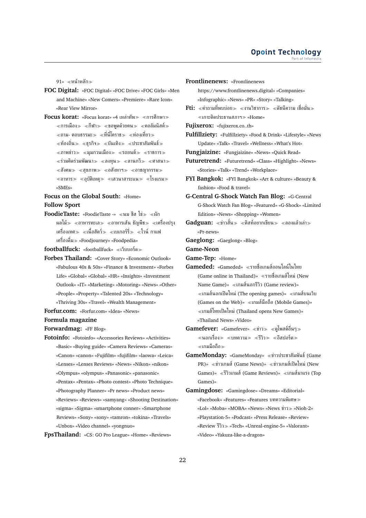91» ≪หน้าหลัก≫

- **FOC Digital:** «FOC Digital» «FOC Drive» «FOC Girls» «Men and Machine» «New Comers» «Premiere» «Rare Icon» «Rear View Mirror»
- **Focus korat:** «Focus korat» «4 เหล่าทัพ≫ «การศึกษา≫  $\ll$ การเมือง $\gg \ll$ กีฬา $\gg \ll$ ขอพดด้วยคน $\gg \ll$ คอลัมนิสต์ $\gg$  $\ll$ ถาม- ตอบธรรมะ $\gg \ll$ ที่นี่โคราช $\gg \ll$ ท่องเที่ยว $\gg$  $\ll$ ท้องถิ่น $\gg\ll$ ธรกิจ $\gg\ll$ บันเทิง $\gg\ll$ ประชาสัมพันธ์ $\gg$  $\ll$ ภาพข่าว $\gg$   $\ll$ มุมกวนเมือง $\gg$   $\ll$ รถยนต์ $\gg$   $\ll$ ราชการ $\gg$  $\ll$ ร่วมคิดร่วมพัฒนา≫ ≪ลงทน≫ ≪ลานกวี≫ ≪ศาสนา≫  $\ll$ สังคม $\gg$   $\ll$ สุขภาพ $\gg$   $\ll$ อสังหาฯ $\gg$   $\ll$ อาชญากรรม $\gg$  $\ll$ อาหาร $\gg$   $\ll$ อุบัติเหตุ $\gg$   $\ll$ เสวนาสาระแน $\gg$   $\ll$ โรงแรม $\gg$ «SMEs»

### **Focus on the Global South:** «Home» **Follow Sport**

**FoodieTaste:** «FoodieTaste -» «นม ชีส ไข่» «ผัก ผลไม้≫ «อาหารทะเล≫ «อาหารเส้น ธัญพืช≫ «เครื่องปรง เครื่องเทศ≫ ≪เนื้อสัตว์≫ ≪เบเกอร์รี่≫ ≪ไวน์ กาแฟ เครื่องดื่ม «Foodjourney» «Foodpedia»

**footballfuck:** «footballfuck» «เว็บบอร์ด»

- **Forbes Thailand:** «Cover Story» «Economic Outlook» «Fabulous 40s & 50s» «Finance & Investment» «Forbes Life» «Global» «Global» «HR» «Insights» «Investment Outlook» «IT» «Marketing» «Motoring» «News» «Other» «People» «Property» «Talented 20s» «Technology» «Thriving 30s» «Travel» «Wealth Management»
- **Forfur.com:** «Forfur.com» «Idea» «News»

#### **Formula magazine**

**Forwardmag:** «FF Blog»

- **Fotoinfo:** «Fotoinfo» «Accessories Reviews» «Activities» «Basic» «Buying guide» «Camera Reviews» «Cameras» «Canon» «canon» «Fujifilm» «fujifilm» «laowa» «Leica» «Lenses» «Lenses Reviews» «News» «Nikon» «nikon» «Olympus» «olympus» «Panasonic» «panasonic» «Pentax» «Pentax» «Photo contest» «Photo Technique» «Photography Planner» «Pr news» «Product news» «Reviews» «Reviews» «samyang» «Shooting Destination»
	- «sigma» «Sigma» «smartphone conner» «Smartphone Reviews» «Sony» «sony» «tamron» «tokina» «Travels» «Unbox» «Video channel» «yongnuo»

**FpsThailand:** «CS: GO Pro League» «Home» «Reviews»

- **Futuretrend:** «Futuretrend» «Class» «Highlight» «News» «Stories» «Talk» «Trend» «Workplace»
- **FYI Bangkok:** «FYI Bangkok» «Art & culture» «Beauty & fashion» «Food & travel»
- **G-Central G-Shock Watch Fan Blog:** «G-Central G-Shock Watch Fan Blog» «Featured» «G-Shock» «Limited Edition» «News» «Shopping» «Women»
- $\mathbf{Gadguan:} \iff \mathbb{R}^n \times \mathbb{R}^n$ สท์อยากเขียน $\gg \iff \mathbb{R}$ ลองแล้วเล่า $\gg$ «Pr-news»
- **Gaeglong:** «Gaeglong» «Blog»

**Game-Neon**

- **Game-Tep:** «Home»
- **Gameded:** «Gameded» รายชื่อเกมส์ออนไลน์ในไทย (Game online in Thailand)» รายชื่อเกมส์ใหม่ (New Name Game)» เกมส์นอกรีวิว (Game review)»  $\ll$ เกมส์นอกเปิดใหม่ (The opening games)»  $\ll$ เกมส์บนเว็บ (Games on the Web)» เกมส์มือถือ (Mobile Games)» เกมส์ไทยเปิดใหม่ (Thailand opens New Games)» «Thailand News» «Video»
- **Gamefever:** «Gamefever» «ข่าว» «ดูโพสต์อื่นๆ»  $\ll$ นอกเรื่อง $\gg$   $\ll$ บทความ $\gg$   $\ll$ รีวิว $\gg$   $\ll$ อีสปอร์ต $\gg$ เกมมือถือ
- GameMonday: «GameMonday» «ข่าวประชาสัมพันธ์ (Game PR)»  $\ll$ ข่าวเกมส์ (Game News)»  $\ll$ ข่าวเกมส์เปิดใหม่ (New Games)» «รีวิวเกมส์ (Game Reviews)» «เกมส์มาแรง (Top Games)»
- **Gamingdose:** «Gamingdose» «Dreams» «Editorial» «Facebook» «Features» «Features บทความพิเศษ «Lol» «Moba» «MOBA» «News» «News ข่าว «Nioh-2» «Playstation-5» «Podcast» «Press Release» «Review» «Review รีวิว «Tech» «Unreal-engine-5» «Valorant» «Video» «Yakuza-like-a-dragon»

**Frontlinenews:** «Frontlinenews https://www.frontlinenews.digital» «Companies» «Infographic» «News» «PR» «Story» «Talking»  $\textbf{Fti:}$   $\ll$ คำถามที่พบบ่อย $\gg$   $\ll$ งานวิชาการ $\gg$   $\ll$ ดัชนีความ เชื่อมั่น $\gg$  $\ll$ เกาะติดประธานสภาฯ $\gg$  «Home» **Fujixerox:** «fujixerox.co..th» **Fulfillziety:** «Fulfillziety» «Food & Drink» «Lifestyle» «News Update» «Talk» «Travel» «Wellness» «What's Hot» **Fungjaizine:** «Fungjaizine» «News» «Quick Read»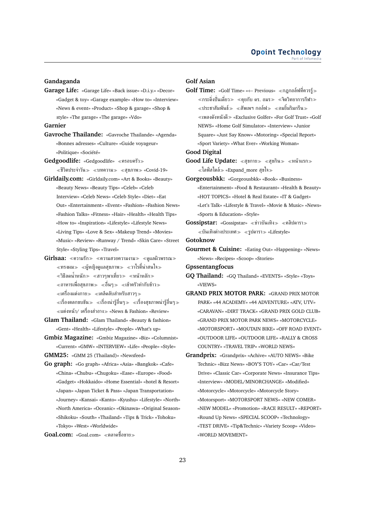### **Gandaganda**

**Garage Life:** «Garage Life» «Back issue» «D.i.y.» «Decor» «Gadget & toy» «Garage example» «How to» «Interview» «News & event» «Product» «Shop & garage» «Shop & style» «The garage» «The garage» «Vdo»

#### **Garnier**

- **Gavroche Thailande:** «Gavroche Thailande» «Agenda» «Bonnes adresses» «Culture» «Guide voyageur» «Politique» «Société»
- **Gedgoodlife:** «Gedgoodlife» ครอบครัว  $\ll$ ชีวิตประจำวัน $\gg$   $\ll$ บทความ $\gg$   $\ll$ สุขภาพ $\gg$  «Covid-19»
- **Girldaily.com:** «Girldaily.com» «Art & Books» «Beauty» «Beauty News» «Beauty Tips» «Celeb» «Celeb Interview» «Celeb News» «Celeb Style» «Diet» «Eat Out» «Entertainment» «Event» «Fashion» «Fashion News» «Fashion Talks» «Fitness» «Hair» «Health» «Health Tips» «How to» «Inspiration» «Lifestyle» «Lifestyle News» «Living Tips» «Love & Sex» «Makeup Trend» «Movies» «Music» «Review» «Runway / Trend» «Skin Care» «Street Style» «Styling Tips» «Travel»
- **Girlsaa:** «ความรัก» «ความสวยความงาม» «ดูแลผิวพรรณ»  $\ll$ ทรงผม $\gg\ll$ ผ้หญิงดูแลสุขภาพ $\gg\ll$ วาไรตี้น่าสนใจ $\gg$  $\ll$ วิธีลดน้ำหนัก≫ ≪สาวๆพาเที่ยว≫ ≪หน้าหลัก≫  $\ll$ อาหารเพื่อสุขภาพ $\gg \ll$ อื่นๆ $\gg \ll$ เข้าครัวทำกับข้าว $\gg$ เครื่องแต่งกาย เคล็ดลับสำหรับสาวๆ  $\ll$ เรื่องตลกขบขัน $\gg\ll$ เรื่องน่ารู้อื่นๆ $\gg\ll$ เรื่องสุขภาพน่ารู้อื่นๆ $\gg$ แต่งหน้า/ เครื่องสำอาง «News & Fashion» «Review»
- **Glam Thailand:** «Glam Thailand» «Beauty & fashion» «Gent» «Health» «Lifestyle» «People» «What's up»
- **Gmbiz Magazine:** «Gmbiz Magazine» «Biz» «Columnist» «Current» «GMW» «INTERVIEW» «Life» «People» «Style»
- **GMM25:** «GMM 25 (Thailand)» «Newsfeed»
- **Go graph:** «Go graph» «Africa» «Asia» «Bangkok» «Cafe» «China» «Chubu» «Chugoku» «Ease» «Europe» «Food» «Gadget» «Hokkaido» «Home Essential» «hotel & Resort» «Japan» «Japan Ticket & Pass» «Japan Transportation» «Journey» «Kansai» «Kanto» «Kyushu» «Lifestyle» «North» «North America» «Oceanic» «Okinawa» «Original Season» «Shikoku» «South» «Thailand» «Tips & Trick» «Tohoku» «Tokyo» «West» «Worldwide»
- **Goal.com:** «Goal.com» ตลาดซื้อขาย

### **Golf Asian**

**Golf Time:** «Golf Time» «← Previous» กฎกอล์ฟที่ควรรู้  $\ll$ กระดิ่งปั่นเดี่ยว $\gg \ll$ คยกับ ดร. อมร $\gg \ll$ จิตวิทยาการกีฬา $\gg$  $\ll$ ประชาสัมพันธ์ $\gg\;$   $\ll$ สัพเพฯ กอล์ฟ $\gg\;$   $\ll$ อมยิ้มริมกรีน $\gg$ เพลงดังหนังดี «Exclusive Golfer» «For Golf Trust» «Golf NEWS» «Home Golf Simulator» «Interview» «Junior Square» «Just Say Know» «Motoring» «Special Report» «Sport Variety» «What Ever» «Working Woman»

### **Good Digital**

- **Good Life Update:** «สุขกาย» «สุขกิน» «หน้าแรก»  $\ll$ ไลฟ์สไตล์ $\gg$  «Expand more สุขใจ $\gg$
- **Gorgeousbkk:** «Gorgeousbkk» «Book» «Business» «Entertainment» «Food & Restaurant» «Health & Beauty» «HOT TOPICS» «Hotel & Real Estate» «IT & Gadget» «Let's Talk» «Lifestyle & Travel» «Movie & Music» «News» «Sports & Education» «Style»
- **Gossipstar:** «Gossipstar» «ข่าวบันเทิง» «คลิปดารา»  $\ll$ บันเทิงต่างประเทศ $\gg \ll$ รูปดารา $\gg$  «Lifestyle»

**Gotoknow**

- **Gourmet & Cuisine:** «Eating Out» «Happening» «News» «News» «Recipes» «Scoop» «Stories»
- **Gpssentangfocus**
- **GQ Thailand:** «GQ Thailand» «EVENTS» «Style» «Toys» «VIEWS»
- **GRAND PRIX MOTOR PARK:** «GRAND PRIX MOTOR PARK» «44 ACADEMY» «44 ADVENTURE» «ATV, UTV» «CARAVAN» «DIRT TRACK» «GRAND PRIX GOLD CLUB» «GRAND PRIX MOTOR PARK NEWS» «MOTORCYCLE» «MOTORSPORT» «MOUTAIN BIKE» «OFF ROAD EVENT» «OUTDOOR LIFE» «OUTDOOR LIFE» «RALLY & CROSS COUNTRY» «TRAVEL TRIP» «WORLD NEWS»
- **Grandprix:** «Grandprix» «Achive» «AUTO NEWS» «Bike Technic» «Bizz News» «BOY'S TOY» «Car» «Car/Test Drive» «Classic Car» «Corporate News» «Insurance Tips» «Interview» «MODEL/MINORCHANGE» «Modified» «Motorcycle» «Motorcycle» «Motorcycle Story» «Motorsport» «MOTORSPORT NEWS» «NEW COMER» «NEW MODEL» «Promotion» «RACE RESULT» «REPORT» «Round Up News» «SPECIAL SCOOP» «Technology» «TEST DRIVE» «Tip&Technic» «Variety Scoop» «Video» «WORLD MOVEMENT»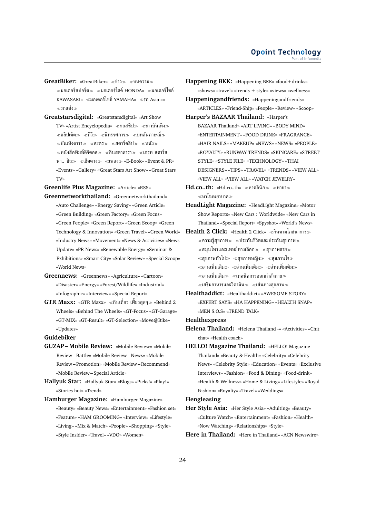- **GreatBiker:** «GreatBiker» ≪ข่าว≫ ≪บทความ≫  $\ll$ มอเตอร์สปอร์ต $\gg \ll$ มอเตอร์ไซค์ HONDA»  $\ll$ มอเตอร์ไซค์ KAWASAKI» มอเตอร์ไซค์YAMAHA» รถ Asia »» รถแต่ง
- **Greatstarsdigital:** «Greatstarsdigital» «Art Show  $\text{TV}\text{D}$  «Artist Encyclopedia» «กอสซิป $\text{D}$  «ข่าวบันเทิง»  $\ll$ คลิปเด็ด $\gg \ll$ ทีวี $\gg \ll$ นิทรรศการ $\gg \ll$ บทสัมภาษณ์ $\gg$  $\ll$ บันเทิงดารา $\gg$   $\ll$ ละคร $\gg$   $\ll$ สตาร์คลิป $\gg$   $\ll$ หนัง $\gg$  $\ll$ หนังสือพิมพ์ดิจิตอล $\gg \ll$ อินสตาดารา $\gg \ll$ เกรท สตาร์ส พา.. ชิล ≫ «เช็คดวง » «แพลง » «E-Book» «Event & PR» «Events» «Gallery» «Great Stars Art Show» «Great Stars TV»

**Greenlife Plus Magazine:** «Article» «RSS»

- **Greennetworkthailand:** «Greennetworkthailand» «Auto Challenge» «Energy Saving» «Green Article» «Green Building» «Green Factory» «Green Focus» «Green People» «Green Report» «Green Scoop» «Green Technology & Innovation» «Green Travel» «Green World» «Industry News» «Movement» «News & Activities» «News Update» «PR News» «Renewable Energy» «Seminar & Exhibitions» «Smart City» «Solar Review» «Special Scoop» «World News»
- **Greennews:** «Greennews» «Agriculture» «Cartoon» «Disaster» «Energy» «Forest/Wildlife» «Industrial» «Infographic» «Interview» «Special Report»
- **GTR Maxx:** «GTR Maxx» กินเที่ยว เฟี๊ยวสุดๆ «Behind 2 Wheels» «Behind The Wheels» «GT-Focus» «GT-Garage» «GT-MIX» «GT-Result» «GT-Selection» «Move@Bike» «Updates»

### **Guidebiker**

- **GUZAP Mobile Review:** «Mobile Review» «Mobile Review – Battle» «Mobile Review – News» «Mobile Review – Promotion» «Mobile Review – Recommend» «Mobile Review – Special Article»
- **Hallyuk Star:** «Hallyuk Star» «Blogs» «Picks!» «Play!» «Stories hot» «Trend»
- **Hamburger Magazine:** «Hamburger Magazine» «Beauty» «Beauty News» «Entertainment» «Fashion set» «Feature» «HAM GROOMING» «Interview» «Lifestyle» «Living» «Mix & Match» «People» «Shopping» «Style» «Style Insider» «Travel» «VDO» «Women»
- **Happening BKK:** «Happening BKK» «food+drinks» «shows» «travel» «trends + style» «views» «wellness» **Happeningandfriends:** «Happeningandfriends»
- «ARTICLES» «Friend-Ship» «People» «Review» «Scoop» **Harper's BAZAAR Thailand:** «Harper's
- BAZAAR Thailand» «ART LIVING» «BODY MIND» «ENTERTAINMENT» «FOOD DRINK» «FRAGRANCE» «HAIR NAILS» «MAKEUP» «NEWS» «NEWS» «PEOPLE» «ROYALTY» «RUNWAY TRENDS» «SKINCARE» «STREET STYLE» «STYLE FILE» «TECHNOLOGY» «THAI DESIGNERS» «TIPS» «TRAVEL» «TRENDS» «VIEW ALL» «VIEW ALL» «VIEW ALL» «WATCH JEWELRY»
- **Hd.co..th:** «Hd.co..th» ≪หาคลินิก≫ ≪หายา≫ หาโรงพยาบาล
- **HeadLight Magazine:** «HeadLight Magazine» «Motor Show Reports» «New Cars : Worldwide» «New Cars in Thailand» «Special Report» «Spyshot» «World's News»
- **Health 2 Click:** «Health 2 Click» ≪กินตามโภชนาการ≫  $\ll$ ความรู้สุขภาพ $\gg \ll$ ประกันชีวิตและประกันสุขภาพ $\gg$  $\alpha \ll$ สมุนไพรและแพทย์ทางเลือก $\gg \alpha \ll$ สุขภาพชาย $\gg$  $\ll$ สุขภาพทั่วไป≫ ≪สุขภาพหญิง≫ ≪สุขภาพใจ≫  $\ll$ อ่านเพิ่มเติม $\gg \ll$ อ่านเพิ่มเติม $\gg \ll$ อ่านเพิ่มเติม $\gg$  $\ll$ อ่านเพิ่มเติม $\gg\ll$ เทคนิคการออกกำลังกาย $\gg$  $\ll$ เสริมอาหารและวิตามิน $\gg\ll$ เส้นทางสุขภาพ $\gg$
- **Healthaddict:** «Healthaddict» «AWESOME STORY» «EXPERT SAYS» «HA HAPPENING» «HEALTH SNAP» «MEN S.O.S» «TREND TALK»

**Healthexpress**

- **Helena Thailand:** «Helena Thailand -» «Activities» «Chit chat» «Health coach»
- **HELLO! Magazine Thailand:** «HELLO! Magazine Thailand» «Beauty & Health» «Celebrity» «Celebrity News» «Celebrity Style» «Education» «Events» «Exclusive Interviews» «Fashion» «Food & Dining» «Food-drink» «Health & Wellness» «Home & Living» «Lifestyle» «Royal Fashion» «Royalty» «Travel» «Weddings»

### **Hengleasing**

- **Her Style Asia:** «Her Style Asia» «Adulting» «Beauty» «Culture Watch» «Entertainment» «Fashion» «Health» «Now Watching» «Relationships» «Style»
- **Here in Thailand:** «Here in Thailand» «ACN Newswire»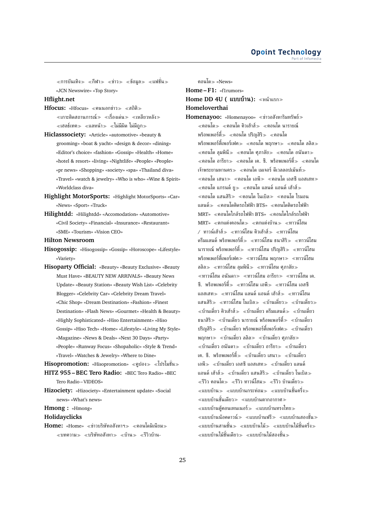$\ll$ การบันเทิง $\gg \ll$ กีฬา $\gg \ll$ ข่าว $\gg \ll$ ข้อมล $\gg \ll$ แฟชั่น $\gg$ «JCN Newswire» «Top Story»

### **Hflight.net**

- **Hfocus:** «Hfocus» ≪คนนอกข่าว≫ ≪สถิติ≫  $\ll$ เกาะติดสถานการณ์ $\gg\ll$ เรื่องเด่น $\gg\ll$ เหลียวหลัง $\gg$  $\ll$ เฮลธ์เทค $\gg\ll$ แลหน้า $\gg\ll$ ไม่มีผิด ไม่มีถูก $\gg$
- **Hiclasssociety:** «Article» «automotive» «beauty & grooming» «boat & yacht» «design & decor» «dining» «Editor's choice» «fashion» «Gossip» «Health» «Home» «hotel & resort» «living» «Nightlife» «People» «People» «pr news» «Shopping» «society» «spa» «Thailand diva» «Travel» «watch & jewelry» «Who is who» «Wine & Spirit» «Worldclass diva»
- **Highlight MotorSports:** «Highlight MotorSports» «Car» «News» «Sport» «Truck»
- **Hilightdd:** «Hilightdd» «Accomodation» «Automotive» «Civil Society» «Financial» «Insurance» «Restaurant» «SME» «Tourism» «Vision CEO»

**Hilton Newsroom**

- **Hisogossip:** «Hisogossip» «Gossip» «Horoscope» «Lifestyle» «Variety»
- **Hisoparty Official:** «Beauty» «Beauty Exclusive» «Beauty Must Have» «BEAUTY NEW ARRIVALS» «Beauty News Update» «Beauty Station» «Beauty Wish List» «Celebrity Blogger» «Celebrity Car» «Celebrity Dream Travel» «Chic Shop» «Dream Destination» «Fashion» «Finest Destination» «Flash News» «Gourmet» «Health & Beauty» «Highly Sophisticated» «Hiso Entertainment» «Hiso Gossip» «Hiso Tech» «Home» «Lifestyle» «Living My Style» «Magazine» «News & Deals» «Next 30 Days» «Party» «People» «Runway Focus» «Shopaholic» «Style & Trend» «Travel» «Watches & Jewelry» «Where to Dine»

Hisopromotion: «Hisopromotion» «ดูปอง» «โปรโมชั่น» **HITZ 955 – BEC Tero Radio:** «BEC Tero Radio» «BEC Tero Radio – VIDEOS»

**Hizociety:** «Hizociety» «Entertainment update» «Social news» «What's news»

**Hmong :** «Hmong»

**Holidayclicks**

**Home:** «Home» «ข่าวบริษัทอสังหาฯ» «คอนโดมิเนียม»  $\ll$ บทความ $\gg$   $\ll$ บริษัทอสังหา $\gg$   $\ll$ บ้าน $\gg$   $\ll$ รีวิวบ้าน-

คอนโด «News»

**Home – F1:** «f1rumors» **Home DD 4U ( แบบบ้าน):** หน้าแรก **Homeloverthai**

**Homenayoo:** «Homenayoo» ข่าวอสังหาริมทรัพย์ คอนโด คอนโด คิวเฮ้าส์ คอนโด นารายณ์ พร็อพเพอร์ตื้≫ ≪คอนโด ปริญสิริ≫ ≪คอนโด พร็อพเพอร์ตี้เพอร์เฟค≫ «คอนโด พฤกษา≫ «คอนโด ลลิล≫  $\alpha \ll$ คอนโด ลุมพินี $\gg \alpha \ll$ คอนโด ศุภาลัย $\gg \alpha \ll$ คอนโด อนันดา $\gg$  $\ll$ คอนโด อารียา $\gg \ll$ คอนโด เค. ซี. พร็อพเพอร์ตื้ $\gg \ll$ คอนโด เจ้าพระยามหานคร $\gg$   $\ll$ คอนโด เมเจอร์ ดีเวลลอปเม้นท์ $\gg$  $\ll$ คอนโด เสนา $\gg \ll$ คอนโด เอพี $\gg \ll$ คอนโด เอสซี แอสเสท $\gg$  $\ll$ คอนโด แกรนด์ ยู $\gg\ll$ คอนโด แลนด์ แอนด์ เฮ้าส์ $\gg$  $\ll$ คอนโด แสนสิริ $\gg \ll$ คอนโด โนเบิล $\gg \ll$ คอนโด ไรมอน แลนด์ คอนโดติดรถไฟฟ้า BTS» คอนโดติดรถไฟฟ้า MRT» คอนโดใกล้รถไฟฟ้า BTS» คอนโดใกล้รถไฟฟ้า MRT» «ตกแต่งคอนโด» «ตกแต่งบ้าน» «ทาวน์โสม  $\ell$  ทาวน์เฮ้าส์ $\gg$  «ทาวน์โฮม คิวเฮ้าส์ $\gg$  «ทาวน์โฮม ดรีมแลนด์ พร็อพเพอร์ตี้≫ ≪ทาวน์โฮม ธนาสิริ≫ ≪ทาวน์โฮม นารายณ์ พร็อพเพอร์ตี้ $\gg$   $\ll$ ทาวน์โฮม ปริญสิริ $\gg$   $\ll$ ทาวน์โฮม พร็อพเพอร์ตี้เพอร์เฟค≫ ≪ทาวน์โฮม พฤกษา≫ ≪ทาวน์โฮม ลลิล≫ ≪ทาวน์โฮม ลมพินี≫ ≪ทาวน์โฮม ศุภาลัย≫ ่ «ทาวน์โฮม อนันดา» «ทาวน์โฮม อารียา» «ทาวน์โฮม เค. ซี. พร็อพเพอร์ตี้ $\gg$  «ทาวน์โฮม เอพี $\gg$  «ทาวน์โฮม เอสซี แอสเสท $\gg$   $\ll$ ทาวน์โฮม แลนด์ แอนด์ เฮ้าส์ $\gg$   $\ll$ ทาวน์โฮม แสนสิริ≫ ≪ทาวน์โฮม โนเบิล≫ ≪บ้านเดี่ยว≫ ≪บ้านเดี่ยว≫  $\ll$ บ้านเดี่ยว คิวเฮ้าส์ $\gg\ll$ บ้านเดี่ยว ดรีมแลนด์ $\gg\ll$ บ้านเดี่ยว ธนาสิริ $\gg$   $\ll$ บ้านเดี่ยว นารายณ์ พร็อพเพอร์ตี้ $\gg$   $\ll$ บ้านเดี่ยว ปริญสิริ $\gg$  «บ้านเดี่ยว พร็อพเพอร์ตี้เพอร์เฟค $\gg$  «บ้านเดี่ยว ่ พฤกษา≫ ≪บ้านเดี่ยว ลลิล≫ ≪บ้านเดี่ยว ศภาลัย≫  $\ll$ บ้านเดี่ยว อนันดา $\gg\ll$ บ้านเดี่ยว อารียา $\gg\ll$ บ้านเดี่ยว ี่ เค. ซี. พร็อพเพอร์ตี้≫ ≪บ้านเดี่ยว เสนา≫ ≪บ้านเดี่ยว เอพี $\gg\;$  «บ้านเดี่ยว เอสซี แอสเสท $\gg\;$  «บ้านเดี่ยว แลนด์ ี แอนด์ เฮ้าส์ $\gg\;$  ≪บ้านเดี่ยว แสนสิริ $\gg\;$  ≪บ้านเดี่ยว โนเบิล $\gg$  $\ll$ รีวิว คอนโด $\gg \ll$ รีวิว ทาวน์โฮม $\gg \ll$ รีวิว บ้านเดี่ยว $\gg$  $\ll$ แบบบ้าน $\gg\ll$ แบบบ้านกระท่อม $\gg\ll$ แบบบ้านชั้นครึ่ง $\gg$ ่ ≪แบบบ้านชั้นเดียว≫ ≪แบบบ้านตากอากาศ≫ แบบบ้านตู้คอนเทนเนอร์ แบบบ้านทรงไทย แบบบ้านน๊อคดาวน์ แบบบ้านฟรี แบบบ้านสองชั้น ่ ≪แบบบ้านสามชั้น≫ ≪แบบบ้านไม้≫ ≪แบบบ้านไม้ชั้นครึ่ง≫  $\ll$ แบบบ้านไม้ชั้นเดียว $\gg\ll$ แบบบ้านไม้สองชั้น $\gg$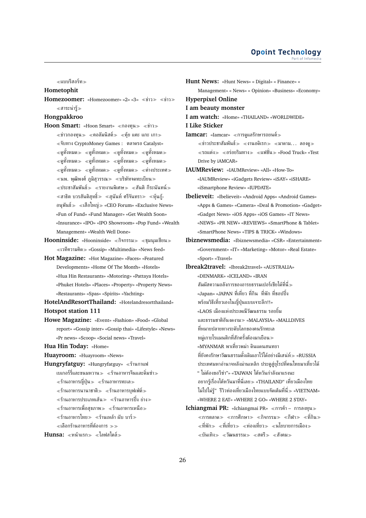แบบรีสอร์ท

### **Hometophit**

**Homezoomer:** «Homezoomer» «2» «3» «ข่าว» «ข่าว» สาระน่ารู้

### **Hongpakkroo**

- **Hoon Smart:** «Hoon Smart» «กองทน» «ข่าว»  $\ll$ ข่าวกองทน $\gg$   $\ll$ คอลัมนิสต์ $\gg$   $\ll$ ค้ย แคะ แกะ เกา $\gg$ จับทาง CryptoMoney Games : ตลาดรอ Catalyst»  $\ll$ ดูทั้งหมด $\gg \ll$ ดูทั้งหมด $\gg \ll$ ดูทั้งหมด $\gg$  $\ll$ ดูทั้งหมด $\gg \ll$ ดูทั้งหมด $\gg \ll$ ดูทั้งหมด $\gg$  $\ll$ ดูทั้งหมด $\gg \ll$ ดูทั้งหมด $\gg \ll$ ดูทั้งหมด $\gg \ll$ ต่างประเทศ $\gg$  $\ll$ นพ. พุฒิพงศ์ ภูมิสุวรรณ $\gg$   $\ll$ บริษัทจดทะเบียน $\gg$  $\ll$ ประชาสัมพันธ์ $\gg\ll$ รายงานพิเศษ $\gg\ll$ สันติ กีระนันทน์ $\gg$  $\ll$ สาธิต บวรสันติสุทธิ์ $\gg\;$   $\ll$ สุนันท์ ศรีจันทรา $\gg\;$   $\ll$ หุ้นกู้-อนุพันธ์ เสือใหญ่ «CEO Forum» «Exclusive News» «Fun of Fund» «Fund Manager» «Get Wealth Soon» «Insurance» «IPO» «IPO Showroom» «Pop Fund» «Wealth Management» «Wealth Well Done»
- Hooninside: «Hooninside» «กิจกรรม» «ชุมนุมเซียน»  $\ll$ เวที่ความคิด $\gg$  «Gossip» «Multimedia» «News feed»
- **Hot Magazine:** «Hot Magazine» «Faces» «Featured Developments» «Home Of The Month» «Hotels» «Hua Hin Restaurants» «Motoring» «Pattaya Hotels» «Phuket Hotels» «Places» «Property» «Property News» «Restaurants» «Spas» «Spirits» «Yachting»

**HotelAndResortThailand:** «Hotelandresortthailand» **Hotspot station 111**

**Howe Magazine:** «Event» «Fashion» «Food» «Global report» «Gossip inter» «Gossip thai» «Lifestyle» «News» «Pr news» «Scoop» «Social news» «Travel»

**Hua Hin Today:** «Home»

- **Huayroom:** «Huayroom» «News»
- **Hungryfatguy:** «Hungryfatguy» ร้านกาแฟ
	- เบเกอร์รื่และขนมหวาน $\gg$   $\ll$ ร้านอาหารจีนและดิ่มซำ $\gg$ ร้านอาหารญี่ปุ่น ร้านอาหารทะเล
		- $\ll$ ร้านอาหารนานาชาติ $\gg\ll$ ร้านอาหารบฟเฟ่ต์ $\gg$
		- $\ll$ ร้านอาหารประเภทเส้น $\gg\ll$ ร้านอาหารปิ้ง ย่าง $\gg$
	- ร้านอาหารเพื่อสุขภาพ ร้านอาหารเหนือ
	- ่ ≪ร้านอาหารไทย > ≪ร้านเหล้า ผับ บาร์ >
	- เลือกร้านอาหารที่ต้องการ

Hunsa: «หน้าแรก» «ไลฟสไตล์»

- **Hunt News:** «Hunt News» « Digital» « Finance» « Management» « News» « Opinion» «Business» «Economy» **Hyperpixel Online I am beauty monster I am watch:** «Home» «THAILAND» «WORLDWIDE» **I Like Sticker Iamcar:** «Iamcar» «การดูแลรักษารถยนต์»  $\ll$ ข่าวประชาสัมพันธ์ $\gg$   $\ll$ งานอดิเรก $\gg$   $\ll$ มาดาม... ลองด $\gg$  $\ll$ รถแต่ง $\gg$   $\ll$ อร่อยริมทาง $\gg$   $\ll$ แฟชั่น $\gg$  «Food Truck» «Test Drive by iAMCAR» **IAUMReview:** «IAUMReview» «All» «How-To» «IAUMReview» «iGadgets Review» «iSAY» «iSHARE» «iSmartphone Review» «IUPDATE» **Ibelieveit:** «Ibelieveit» «Android Apps» «Android Games» «Apps & Games» «Camera» «Deal & Promotion» «Gadget» «Gadget News» «iOS Apps» «iOS Games» «IT News» «NEWS» «PR NEW» «REVIEWS» «SmartPhone & Tablet» «SmartPhone News» «TIPS & TRICK» «Windows» **Ibiznewsmedia:** «Ibiznewsmedia» «CSR» «Entertainment» «Government» «IT» «Marketing» «Motor» «Real Estate» «Sport» «Travel» **Ibreak2travel:** «Ibreak2travel» «AUSTRALIA» «DENMARK» «ICELAND» «IRAN สัมผัสความอลังการของอารยธรรมเปอร์เซียได้ที่นี่ «Japan» «JAPAN ที่เที่ยว ที่กิน ที่พัก ที่ชอปปิ้ง พร้อมวิธีเที่ยวเองในญี่ปุ่นแบบเจาะลึก!!» «LAOS เมืองแห่งประเพณีวัฒนธรรม รอยยิ้ม และธรรมชาติอันงดงาม «MALAYSIA» «MALLDIVES ที่หมายปลายทางระดับโลกของคนรักทะเล หมู่เกาะโรแมนติกที่สักครั้งต้องมาเยือน «MYANMAR พาเที่ยวพม่า ดินแดนสนทยา
	- ที่ยังคงรักษาวัฒนธรรมดั้งเดิมเอาไว้ได้อย่างมีเสน่ห์ «RUSSIA ประเทศมหาอำนาจหลังม่านเหล็ก ประตูสู่ยุโรปที่คนไทยมาเที่ยวได้ " ไม่ต้องขอวีซ่า"» «TAIWAN ไต้หวันกำลังมาแรงนะ อยากรู้เรื่องไต้หวันมาที่นี่เลย «THAILAND" เที่ยวเมืองไทย ไม่ไปไม่รู้" รีวิวท่องเที่ยวเมืองไทยแบบจัดเต็มที่นี่ «VIETNAM» «WHERE 2 EAT» «WHERE 2 GO» «WHERE 2 STAY»
- **Ichiangmai PR: «Ichiangmai PR» «การค้า การลงทน»**  $\ll$ การตลาด $\gg$   $\ll$ การศึกษา $\gg$   $\ll$ กิจกรรม $\gg$   $\ll$ กีฬา $\gg$   $\ll$ ที่กิน $\gg$  $\ll$ ที่พัก $\gg$   $\ll$ ที่เที่ยว $\gg$   $\ll$ ท่องเที่ยว $\gg$   $\ll$ นโยบายการเมือง $\gg$  $\ll$ บันเทิง $\gg \ll$ วัฒนธรรม $\gg \ll$ สตรี $\gg \ll$ สังคม $\gg$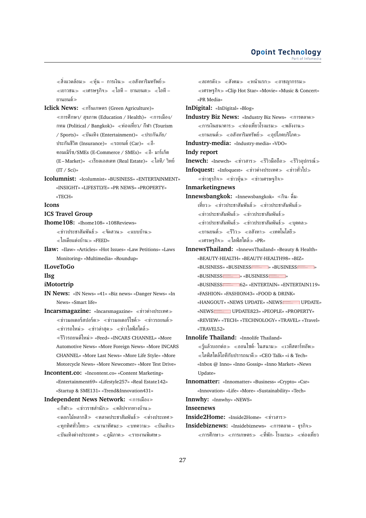$\ll$ สิ่งแวดล้อม $\gg\ll$ ห้น – การเงิน $\gg\ll$ อสังหาริมทรัพย์ $\gg$  $\ll$ เยาวชน $\gg$   $\ll$ เศรษฐกิจ $\gg$   $\ll$ ไอที – ยานยนต $\gg$   $\ll$ ไอที – ยานยนต์

**Iclick News:** กรีนเกษตร (Green Agriculture)»  $\ll$ การศึกษา/ สุขภาพ (Education / Health)»  $\ll$ การเมือง/ กทม (Political / Bangkok)» ท่องเที่ยว/ กีฬา (Tourism / Sports)» บันเทิง (Entertainment)» ประกันภัย/ ประกันชีวิต (Insurance)» «รถยนต์ (Car)» «อี-คอมเมิร์ซ/SMEs (E-Commerce / SMEs)»  $\ll$ อี- มาร์เก็ต (E-Market)» «เรียลเอสเตท (Real Estate)» «ไอที/ วิทย์ (IT / Sci)»

**Icolumnist:** «Icolumnist» «BUSINESS» «ENTERTAINMENT» «INSIGHT» «LIFESTLYE» «PR NEWS» «PROPERTY» «TECH»

#### **Icons**

#### **ICS Travel Group**

- **Ihome108:** «Ihome108» «108Reviews»  $\ll$ ข่าวประชาสัมพันธ์≫ ≪จัดสวน≫ ≪แบบบ้าน≫ ไอเดียแต่งบ้าน «FEED»
- **Ilaw:** «Ilaw» «Articles» «Hot Issues» «Law Petitions» «Laws Monitoring» «Multimedia» «Roundup»

#### **ILoveToGo**

#### **Ilsg**

- **iMotortrip**
- **IN News:** «IN News» «41» «Biz news» «Danger News» «In News» «Smart life»
- Incarsmagazine: «Incarsmagazine» «ข่าวต่างประเทศ»  $\ll$ ข่าวมอเตอร์สปอร์ต $\gg$   $\ll$ ข่าวมอเตอร์ไซค์ $\gg$   $\ll$ ข่าวรถยนต์ $\gg$  $\ll$ ข่าวรถใหม่ $\gg \ll$ ข่าวล่าสด $\gg \ll$ ข่าวไลฟ์สไตล์ $\gg$ 
	- รีวิวรถยนต์ใหม่ «Feed» «INCARS CHANNEL» «More Automotive News» «More Foreign News» «More INCARS CHANNEL» «More Last News» «More Life Style» «More Motorcycle News» «More Newcomer» «More Test Drive»
- **Incontent.co:** «Incontent.co» «Content Marketing» «Entertainment69» «Lifestyle257» «Real Estate142» «Startup & SME131» «Trend&Innovation431»
- **Independent News Network: «การเมือง»**  $\ll$ กีฬา $\gg$   $\ll$ ข่าวราชสำนัก $\gg$   $\ll$ คลิปจากทางบ้าน $\gg$  $\ll$ ดอกไม้หลากสี sextranalseหาสัมพันธ์ sextransfermes  $\ll$ ทุกทิศทั่วไทย $\gg\ll$ นานาทัศนะ $\gg\ll$ บทความ $\gg\ll$ บันเทิง $\gg$  $\ll$ บันเทิงต่างประเทศ $\gg\ll$ ภูมิภาค $\gg\ll$ รายงานพิเศษ $\gg$

 $\ll$ ละครดัง $\gg$   $\ll$ สังคม $\gg$   $\ll$ หน้าแรก $\gg$   $\ll$ อาชญากรรม $\gg$ เศรษฐกิจ «Clip Hot Star» «Movie» «Music & Concert» «PR Media» **InDigital:** «InDigital» «Blog» **Industry Biz News: «Industry Biz News» «การตลาด»** การเงินธนาคาร ท่องเที่ยวโรงแรม พลังงาน  $\ll$ ยานยนต์ $\gg \ll$ อสังหาริมทรัพย์ $\gg \ll$ อปโภคบริโภค $\gg$ **Industry-media:** «Industry-media» «VDO» **Indy report Inewch:** «Inewch» «ข่าวสาร» «รีวิวมือถือ» «รีวิวอุปกรณ์» **Infoquest:** «Infoquest» «ข่าวต่างประเทศ» «ข่าวทั่วไป»  $\ll$ ข่าวธุรกิจ $\gg$   $\ll$ ข่าวหุ้น $\gg$   $\ll$ ข่าวเศรษฐกิจ $\gg$ **Inmarketingnews Innewsbangkok:** «Innewsbangkok» «กิน- ดื่ม-เที่ยว ข่าวประชาสัมพันธ์ ข่าวประชาสัมพันธ์  $\ll$ ข่าวประชาสัมพันธ์ $\gg\ll$ ข่าวประชาสัมพันธ์ $\gg$  $\ll$ ข่าวประชาสัมพันธ์ $\gg$   $\ll$ ข่าวประชาสัมพันธ์ $\gg$   $\ll$ บคคล $\gg$  $\ll$ ยานยนต์ $\gg$   $\ll$ รีวิว $\gg$   $\ll$ อสังหา $\gg$   $\ll$ เทคโนโลยี $\gg$  $\ll$ เศรษฐกิจ $\gg \ll$ ไลฟ์สไตล์ $\gg$  «PR» **InnewsThailand:** «InnewsThailand» «Beauty & Health» «BEAUTY-HEALTH» «BEAUTY-HEALTH98» «BIZ» «BUSINESS» «BUSINESS **This page contains the following errors:** error on line 8 at column 7: Opening and ending tag mismatch: g line 7 and svg **Below is a renderingof the page up tothefirst error.** » «BUSINESS **This page contains the following errors:** error on line 8 at column 7: Opening and ending tag mismatch: g line 7 and svg **Below is a renderingof the page up to thefirsterror.** » «BUSINESS **This page contains the following errors:** error on line 8 at column 7: Opening and ending tag mismatch: g line 7 and svg **Below is a rendering of the page up tothefirsterror.** » «BUSINESS **This page contains the following errors:** error on line 8 at column 7: Opening and ending tag mismatch: g line 7 and svg **Below is a renderingof the page up tothefirst error.** » «BUSINESS 62» «ENTERTAIN» «ENTERTAIN119» «FASHION» «FASHION43» «FOOD & DRINK» «HANGOUT» «NEWS UPDATE» «NEWS UPDATE» «NEWSEREERING UPDATE823» «PEOPLE» «PROPERTY» «REVIEW» «TECH» «TECHNOLOGY» «TRAVEL» «Travel» «TRAVEL52» **Innolife Thailand:** «Innolife Thailand»  $\ll$ รู้แล้วบอกต่อ $\gg\ll$ ออนไซต์- ในสนาม $\gg\ll$ เวทีสตาร์ทอัพ $\gg$ ไลฟ์สไตล์ไอทีกับปรารถนาดี «CEO Talk» «i & Tech» «Inbox @ Inno» «Inno Gossip» «Inno Market» «News Update» **Innomatter:** «Innomatter» «Business» «Crypto» «Csr» «Innovation» «Life» «More» «Sustainability» «Tech»

**Innwhy:** «Innwhy» «NEWS»

**Inseenews**

**Inside2Home:** «Inside2Home» ข่าวสาร

**Insidebiznews:** «Insidebiznews» «การตลาด – ธุรกิจ»  $\ll$ การศึกษา $\gg\ll$ การเกษตร $\gg\ll$ ที่พัก- โรงแรม $\gg\ll$ ท่องเที่ยว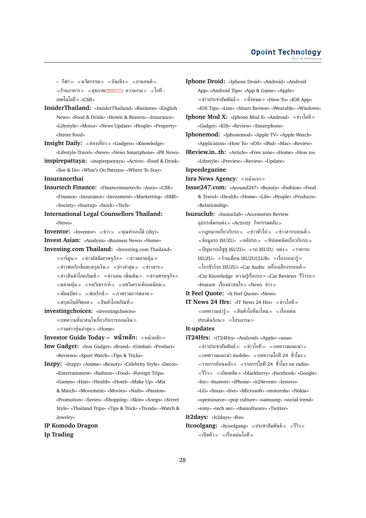– กีฬา≫ ≪นวัตกรรม≫ ≪บันเทิง≫ ≪ยานยนต์≫ ≪ร้านอาหาร≫ ≪สุขภาพ<del>. - </del>- ความงาม≫ ≪โอที -เทคโนโลยี่ «CSR»

- **InsiderThailand:** «InsiderThailand» «Business» «English News» «Food & Drink» «Hotels & Resorts» «Insurance» «Lifestyle» «Motor» «News Update» «People» «Property» «Street Food»
- **Insight Daily:** «ท่องเที่ยว» «Gadgets» «Knowledge» «Lifestyle-Travel» «News» «News Smartphone» «PR News»
- **inspirepattaya:** «inspirepattaya» «Active» «Food & Drink» «See & Do» «What's On Pattaya» «Where To Stay»
- **Insurancethai**
- **Insurtech Finance:** «Financeinsurtech» «Auto» «CSR» «Finance» «Insurance» «Invesment» «Marketting» «SME» «Society» «Startup» «Stock» «Tech»
- **International Legal Counsellors Thailand:** «News»
- **Inventor:** «Inventor» «ข่าว» «คุณทำเองได้ (div)»
- **Invest Asian:** «Analysis» «Business News» «Home»
- **Investing.com Thailand:** «Investing.com Thailand»  $\ll$ การ์ตูน $\gg$   $\ll$ ข่าวดัชนีเศรษฐกิจ $\gg$   $\ll$ ข่าวตลาดหุ้น $\gg$  $\ll$ ข่าวฟอเร็กซ์และสกุลเงิน $\gg$   $\ll$ ข่าวล่าสุด $\gg$   $\ll$ ข่าวสาร $\gg$  $\ll$ ข่าวสินค้าโภคภัณฑ์ $\gg$   $\ll$ ข่าวเด่น เพิ่มเติม $\gg$   $\ll$ ข่าวเศรษฐกิจ $\gg$  $\ll$ ตลาดหุ้น $\gg \ll$ บทวิเคราะห์ $\gg \ll$ บทวิเคราะห์ยอดนิยม $\gg$  $\ll$ พันธบัตร $\gg$   $\ll$ ฟอเร็กซ์ $\gg$   $\ll$ ภาพรวมการตลาด $\gg$  $\ll$ สกุลเงินดิจิตอล $\gg \ll$ สินค้าโภคภัณฑ์ $\gg$
- **investingchoices:** «investingchoices» บทความที่น่าสนใจเกี่ยวกับการออมเงิน  $\ll$ รวมข่าวห้นล่าสด $\gg$  «Home»
- **Investor Guide Today – หน้าหลัก:** หน้าหลัก
- **Inw Gadget:** «Inw Gadget» «Brand» «Gimbal» «Product» «Reviews» «Sport Watch» «Tips & Tricks»
- **Inzpy:** «Inzpy» «Anime» «Beauty» «Celebrity Style» «Decor» «Entertainment» «Fashion» «Food» «Foreign Trips» «Games» «Hair» «Health» «Hotel» «Make Up» «Mix & Match» «Movement» «Movies» «Nails» «Passion» «Promotion» «Series» «Shopping» «Skin» «Songs» «Street Style» «Thailand Trips» «Tips & Trick» «Trends» «Watch & Jewelry»
- **IP Komodo Dragon Ip Trading**
- **Iphone Droid:** «Iphone Droid» «Android» «Android App» «Android Tips» «App & Game» «Apple»  $\ll$ ข่าวประชาสัมพันธ์ $\gg\ll$ ทั้งหมด $\gg$  «How To» «IOS App» «IOS Tips» «Line» «Smart Review» «Wearable» «Windows» **Iphone Mod X:** «Iphone Mod X» «Android» «ข่าวไอที»
- «Gadget» «IOS» «Review» «Smartphone»
- **Iphonemod:** «Iphonemod» «Apple TV» «Apple Watch» «Application» «How To» «iOS» «iPad» «Mac» «Review»
- **IReview.in..th:** «Article» «Free zone» «Home» «How to» «Lifestyle» «Preview» «Review» «Update»
- **Ispeedegazine**
- **Isra News Agency:** หน้าแรก
- **Issue247.com:** «Around247» «Beauty» «Fashion» «Food & Travel» «Health» «Home» «Life» «People» «Products» «Relationship»
- **Isuzuclub:** «Isuzuclub» «Accessories Review ือปกรณ์ตกแต่ง≫ «Activity กิจกรรมคลับ≫  $\ll$ กภหมายเกี่ยวกับรถ $\gg \ll$ ข่าวทั่วไป $\gg \ll$ ข่าวสารรถยนต์ $\gg$  $\ll$ ข้อมูลรถ ISUZU»  $\ll$ คลิปรถ $\gg\ll$ ทิปเทคนิคเกี่ยวกับรถ $\gg$  $\ll$ ปัญหารถอีซูซุ ISUZU»  $\ll$ รถ ISUZU แต่ง $\gg \ll$ ราคารถ  $\texttt{ISUZU}$ » «ร้านเพื่อน  $\texttt{ISUZUCLUB}$ » «เรื่องรถน่าร้ $\gg$  $\ll$ โบรชัวร์รถ ISUZU» «Car Audio เครื่องเสียงรถยนต์ $\gg$ «Car Knowledge ความรู้เรื่องรถ≫ «Car Reviews รีวิวรถ≫ «Feature เรื่องน่าสนใจ≫ «News ข่าว≫
- **It Feel Quote:** «It Feel Quote» «News»
- **IT News 24 Hrs:** «IT News 24 Hrs» ข่าวไอที  $\ll$ บทความน่ารู้ $\gg\ll$ สินค้าไอทีมาใหม่ $\gg\ll$ เรื่องเด่น ประเด็นร้อน โปรแกรม
- **It-updates**
- **iT24Hrs:** «iT24Hrs» «Android» «Apple» «asus»  $\ll$ ข่าวประชาสัมพันธ์ $\gg$   $\ll$ ข่าวไอที $\gg$   $\ll$ บทความแนะนำ $\gg$  $\ll$ บทความแนะนำ mobile»  $\ll$ บทความไอที 24 ชั่วโมง $\gg$  $\ll$ รายการย้อนหลัง $\gg \ll$ รายการไอที 24 ชั่วโมง on radio» รีวิว เบ็ดเตล็ด «blackberry» «Facebook» «Google» «htc» «huawei» «iPhone» «it24event» «lenovo» «LG» «linux» «live» «Microsoft» «motorola» «Nokia» «opensource» «pop culture» «samsung» «social trend» «sony» «tech aec» «thaisoftware» «Twitter»
- **It2days:** «It2days» «Rss»
- **Itcoolgang:** «Itcoolgang» «ประชาสัมพันธ์» «รีวิว»  $\ll$ เปิดตัว $\gg$   $\ll$ เรื่องเด่นไอที $\gg$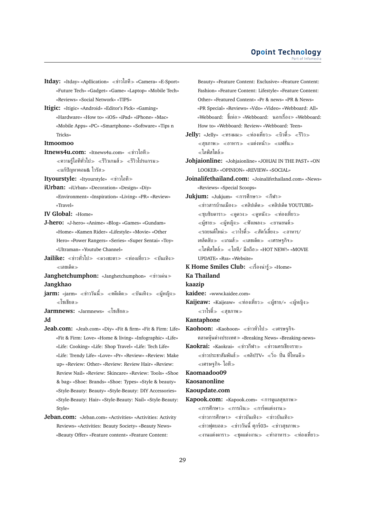- **Itday:** «Itday» «Apllication» ข่าวไอที «Camera» «E-Sport» «Future Tech» «Gadget» «Game» «Laptop» «Mobile Tech» «Reviews» «Social Network» «TIPS»
- **Itigic:** «Itigic» «Android» «Editor's Pick» «Gaming» «Hardware» «How to» «iOS» «iPad» «iPhone» «Mac» «Mobile Apps» «PC» «Smartphone» «Software» «Tips n Tricks»

**Itmoomoo**

**Itnews4u.com:** «Itnews4u.com» ≪ข่าวไอที≫  $\ll$ ความรู้ไอทีทั่วไป $\gg \ll$ รีวิวเกมส์ $\gg \ll$ รีวิวโปรแกรม $\gg$ แก้ปัญหาคอม& ไวรัส

**Ityourstyle:** «Ityourstyle» ข่าวไอที

- **iUrban:** «iUrban» «Decoration» «Design» «Diy» «Environment» «Inspiration» «Living» «PR» «Review» «Travel»
- **IV Global:** «Home»
- **J-hero:** «J-hero» «Anime» «Blog» «Games» «Gundam» «Home» «Kamen Rider» «Lifestyle» «Movie» «Other Hero» «Power Rangers» «Series» «Super Sentai» «Toy» «Ultraman» «Youtube Channel»
- Jailike: «ข่าวทั่วไป» «ดวงชะตา» «ท่องเที่ยว» «บันเทิง» เลขเด็ด
- **Janghetchumphon:** «Janghetchumphon» ข่าวเด่น **Jangkhao**
- **jarm:** «jarm» «ข่าววันนี้» «คดีเด็ด» «บันเทิง» «ผ้หญิง» โซเชียล
- **Jarmnews:** «Jarmnews» โซเชียล **Jd**

- **Jeab.com:** «Jeab.com» «Diy» «Fit & firm» «Fit & Firm: Life» «Fit & Firm: Love» «Home & living» «Infographic» «Life» «Life: Cooking» «Life: Shop Travel» «Life: Tech Life» «Life: Trendy Life» «Love» «Pr» «Review» «Review: Make up» «Review: Other» «Review: Review Hair» «Review: Review Nail» «Review: Skincare» «Review: Tools» «Shoe & bag» «Shoe: Brands» «Shoe: Types» «Style & beauty» «Style-Beauty: Beauty» «Style-Beauty: DIY Accessories» «Style-Beauty: Hair» «Style-Beauty: Nail» «Style-Beauty: Style»
- **Jeban.com:** «Jeban.com» «Activities» «Activities: Activity Reviews» «Activities: Beauty Society» «Beauty News» «Beauty Offer» «Feature content» «Feature Content:

Beauty» «Feature Content: Exclusive» «Feature Content: Fashion» «Feature Content: Lifestyle» «Feature Content: Other» «Featured Content» «Pr & news» «PR & News» «PR Special» «Reviews» «Vdo» «Video» «Webboard: All» «Webboard: ขี้เห่อ» «Webboard: นอกเรื่อง» «Webboard: How to» «Webboard: Review» «Webboard: Teen»

- $Jelly:$  «Jelly» «ทรงผม» «ท่องเที่ยว» «บิวตี้» «รีวิว»  $\ll$ สขภาพ≫ ≪อาหาร≫ ≪แต่งหน้า≫ ≪แฟชั่น≫  $\ll$ ไลฟ์สไตล์ $\gg$
- **Johjaionline:** «Johjaionline» «JOHJAI IN THE PAST» «ON LOOKER» «OPINION» «REVIEW» «SOCIAL»

**Joinalifethailand.com:** «Joinalifethailand.com» «News» «Reviews» «Special Scoops»

- **Jukjum:** «Jukjum» «การศึกษา≫ «กีฬา≫  $\ll$ ข่าวสารบ้านเมือง $\gg \ll$ คลิปเด็ด $\gg \ll$ คลิปเด็ด YOUTUBE»  $\ll$ ซบซิบดารา $\gg$   $\ll$ ดดวง $\gg$   $\ll$ ดหนัง $\gg$   $\ll$ ท่องเที่ยว $\gg$  $\ll$ ผู้ชาย $\gg$   $\ll$ ผู้หญิง $\gg$   $\ll$ ฟังเพลง $\gg$   $\ll$ ยานยนต์ $\gg$  $\ll$ รถยนต์ใหม่ $\gg \ll$ วาไรตี้ $\gg \ll$ สัตว์เลี้ยง $\gg \ll$ อาหาร/ เคล็ดลับ $\gg$  «เกมส์ $\gg$  «เลขเด็ด $\gg$  «เศรษฐกิจ $\gg$  $\alpha \ll 1$ ลฟ์สไตล์ $\gg \alpha \ll 1$ อที/ มือถือ $\gg \alpha$ HOT NEW!» «MOVIE UPDATE» «Rss» «Website»
- **K Home Smiles Club:** «เรื่องน่ารั» «Home» **Ka Thailand**

#### **kaazip**

- **kaidee:** «www.kaidee.com»
- **Kaijeaw:** «Kaijeaw» «ท่องเที่ยว» «ผู้ชาย/» «ผู้หญิง» วาไรตี้ สุขภาพ
- **Kantaphone**
- Kaohoon: «Kaohoon» «ข่าวทั่วไป» «เศรษฐกิจ-ตลาดหุ้นต่างประเทศ «Breaking News» «Breaking-news»

**Kaokrai:** «Kaokrai» «ข่าวกีฬา» «ข่าวนครเชียงราย»  $\ll$ ข่าวประชาสัมพันธ์ $\gg$   $\ll$ คลิปTV»  $\ll$ วิ่ง- ปั่น ที่ไหนดี $\gg$  $\ll$ เศรษฐกิจ- ไอที $\gg$ 

### **Kaomaadoo09**

**Kaosanonline**

#### **Kaoupdate.com**

**Kapook.com:** «Kapook.com» «การดูแลสุขภาพ≫

การศึกษา การเงิน การ์ดแต่งงาน

- $\ll$ ข่าวการศึกษา $\gg$   $\ll$ ข่าวบันเทิง $\gg$   $\ll$ ข่าวบันเทิง $\gg$
- $\ll$ ข่าวฟุตบอล $\gg \ll$ ข่าววันนี้ ศุกร์03»  $\ll$ ข่าวสุขภาพ $\gg$

 $\ll$ งานแต่งดารา $\gg$   $\ll$ ชุดแต่งงาน $\gg$   $\ll$ ทำอาหาร $\gg$   $\ll$ ท่องเที่ยว $\gg$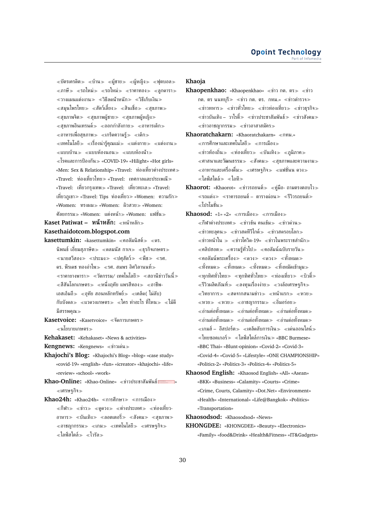$\ll$ บัตรเครดิต $\gg\ll$ บ้าน $\gg\ll$ ผู้ชาย $\gg\ll$ ผู้หญิง $\gg\ll$ ฟุตบอล $\gg$  $\ll$ ภาษี $\gg$   $\ll$ รถใหม่ $\gg$   $\ll$ รถใหม่ $\gg$   $\ll$ ราคาทอง $\gg$   $\ll$ ลกดารา $\gg$  $\ll$ วางแผนแต่งงาน $\gg \ll$ วิธีลดน้ำหนัก $\gg \ll$ วิธีเก็บเงิน $\gg$  $\ll$ สมุนไพรไทย $\gg\ll$ สัตว์เลี้ยง $\gg\ll$ สินเชื่อ $\gg\ll$ สุขภาพ $\gg$  $\ll$ สุขภาพจิต $\gg$   $\ll$ สุขภาพผู้ชาย $\gg$   $\ll$ สุขภาพผู้หญิง $\gg$  $\ll$ สขภาพอินเทรนด์ $\gg \ll$ ออกกำลังกาย $\gg \ll$ อาหารเด็ก $\gg$  $\ll$ อาหารเพื่อสุขภาพ $\gg\ll$ เกร็ดความรั $\gg\ll$ เด็ก $\gg$  $\ll$ เทคโนโลยี $\gg\ll$ เรื่องน่ารัคณแม่ $\gg\ll$ แต่งกาย $\gg\ll$ แต่งงาน $\gg$  $\ll$ แบบบ้าน $\gg$   $\ll$ แบบห้องนอน $\gg$   $\ll$ แบบห้องน้ำ $\gg$ โรคและการป้องกัน «COVID-19» «Hilight» «Hot girls» «Men: Sex & Relationship» «Travel: ท่องเที่ยวต่างประเทศ «Travel: ท่องเที่ยวไทย≫ «Travel: เทศกาลและประเพณี≫ «Travel: เที่ยวกรุงเทพ «Travel: เที่ยวทะเล «Travel: เที่ยวภูเขา≫ «Travel: Tips ท่องเที่ยว≫ «Women: ความรัก≫ «Women: ทรงผม≫ «Women: ผิวสวย≫ «Women: ศัลยกรรม≫ «Women: แต่งหน้า≫ «Women: แฟชั่น≫

**Kaset Patiwat – หน้าหลัก:** หน้าหลัก **Kasethaidotcom.blogspot.com**

- **kasettumkin:** «kasettumkin» «คอลัมนิสต์» «ดร. นิพนธ์ เอี่ยมสุภาษิต $\gg$   $\ll$ ดลมนัส กาเจ $\gg$   $\ll$ ธุรกิจเกษตร $\gg$  $\ll$ นายสวีสอง $\gg$   $\ll$ ประมง $\gg$   $\ll$ ปศุสัตว์ $\gg$   $\ll$ ทึช $\gg$   $\ll$ รศ. ดร. พีรเดช ทองอำไพ≫ ≪รศ. สมพร อิศวิลานนท์≫  $\ll$ ราคายางพารา $\gg\ll$ วัตกรรม/ เทคโนโลยี $\gg\ll$ สถานีข่าววันนี้ $\gg$  $\alpha \ll$ สีสันโลกเกษตร $\gg \alpha \ll 1$ นึ่งฤทัย แพรสีทอง $\gg \alpha \ll 1$ ชีพ-เอสเอ็มอี $\gg$  «อทัย สอนหลักทรัพย์ $\gg$  «เคล็ด( ไม่ลับ) กับบังดล $\gg$  «แวดวงเกษตร $\gg$  «ใคร ทำอะไร ที่ไหน $\gg$  «ไม้ดี มีสรรพคณ≫
- **Kasetvoice:** «Kasetvoice» จัดการเกษตร นโยบายเกษตร
- **Kehakaset:** «Kehakaset» «News & activities»
- **Kengnews:** «Kengnews» ข่าวเด่น
- **Khajochi's Blog:** «Khajochi's Blog» «blog» «case study» «covid-19» «english» «fun» «icreator» «khajochi» «life» «review» «school» «work»
- Khao-Online: «Khao-Online» «ข่าวประชาสัมพันธ์ » เศรษฐกิจ
- **Khao24h:** «Khao24h» «การศึกษา» «การเมือง»  $\ll$ กีฬา $\gg$   $\ll$ ท่าว $\gg$   $\ll$ ดดวง $\gg$   $\ll$ ท่างประเทศ $\gg$   $\ll$ ท่องเที่ยว-อาหาร $\gg$  «บันเทิง $\gg$  «ลอตเตอรี่ $\gg$  «สังคม $\gg$  «สุขภาพ $\gg$  $\ll$ อาชญากรรม $\gg\ll$ เกม $\gg\ll$ เทคโนโลยี $\gg\ll$ เศรษฐกิจ $\gg$  $\ll$ ไลฟ์สไตล์ $\gg \ll$ ไวรัล $\gg$

### **Khaoja**

- **Khaopenkhao:** «Khaopenkhao» «ข่าว กต. ตร» «ข่าว กต. ตร นนทบรี $\gg$  «ข่าว กต. ตร. กทม.» «ข่าวตำรวจ $\gg$  $\ll$ ข่าวทหาร $\gg$   $\ll$ ข่าวทั่วไทย $\gg$   $\ll$ ข่าวบ่องเที่ยว $\gg$   $\ll$ ข่าวธุรกิจ $\gg$  $\ll$ ข่าวบันเทิง – วาไรตี้ $\gg\ll$ ข่าวประชาสัมพันธ์ $\gg\ll$ ข่าวสังคม $\gg$  $\ll$ ข่าวอาชญากรรม $\gg$   $\ll$ ข่าวอาสาสมัคร $\gg$
- **Khaoratchakarn:** «Khaoratchakarn» «กทม.»  $\ll$ การศึกษาและเทคโนโลยี $\gg \ll$ การเมือง $\gg$  $\ll$ ข่าวท้องถิ่น $\gg \ll$ ท่องเที่ยว $\gg \ll$ บันเทิง $\gg \ll$ ภูมิภาค $\gg$  $\ll$ ศาสนาและวัฒนธรรม $\gg$   $\ll$ สังคม $\gg$   $\ll$ สขภาพและความงาม $\gg$ อาหารและเครื่องดื่ม เศรษฐกิจ แฟชั่นน ดวง  $\ll$ ไลฟ์สไตล์ $\gg \ll$ ไอที $\gg$
- **Khaorot:** «Khaorot» «ข่าวรถยนต์» «คู่มือ- ถามตรงตอบไว»  $\ll$ รถแต่ง $\gg$   $\ll$ ราคารถยนต์ – ตารางผ่อน $\gg$   $\ll$ รีวิวรถยนต์ $\gg$ โปรโมชั่น
- **Khaosod:** «1» «2» ≪การเมือง≫ ≪การเมือง≫  $\ll$ กีฬาต่างประเทศ $\gg$   $\ll$ ข่าวข้น คนเข้ม $\gg$   $\ll$ ข่าวด่วน $\gg$  $\ll$ ข่าวทะลุคน $\gg$   $\ll$ ข่าวสุดทีวีไกด์ $\gg$   $\ll$ ข่าวสุดรอบโลก $\gg$  $\ll$ ข่าวหน้าใน  $\gg$   $\ll$ ข่าวโควิด-19»  $\ll$ ข่าวในพระราชสำนัก $\gg$  $\ll$ คลิปฮอต $\gg \ll$ ความรู้ทั่วไป $\gg \ll$ คอลัมน์ฉบับรายวัน $\gg$  $\ll$ คอลัมน์พระเครื่อง $\gg \ll$ ดวง $\gg \ll$ ดวง $\gg \ll$ ทั้งหมด $\gg$  $\ll$ ทั้งหมด $\gg \ll$ ทั้งหมด $\gg \ll$ ทั้งหมัด $\gg \gg$  $\ll$ ทุกทิศทั่วไทย $\gg\ll$ ทุกทิศทั่วไทย $\gg\ll$ ท่องเที่ยว $\gg\ll$ บิวตี้ $\gg$  $\ll$ รีวิวผลิตภัณฑ์ $\gg$   $\ll$ ลงทุนเรื่องง่าย $\gg$   $\ll$ วงล้อเศรษฐกิจ $\gg$  $\langle \times$ วิทยาการ $\rangle \times \langle \times$ สดจากสนามข่าว $\rangle \times \langle \times \times \times \times \rangle$  $<$ หวย $>$   $<$ หวย $>$   $<$ อาชญากรรม $>$   $<$ อิ่มอร่อย $>$  $\ll$ อ่านต่อทั้งหมด $\gg \ll$ อ่านต่อทั้งหมด $\gg \ll$ อ่านต่อทั้งหมด $\gg$  $\ll$ อ่านต่อทั้งหมด $\gg \ll$ อ่านต่อทั้งหมด $\gg \ll$ อ่านต่อทั้งหมด $\gg$  $\ll$ เกมส์ – อีสปอร์ต $\gg \ll$ เคล็ดลับการเงิน $\gg \ll$ เด่นออนไลน์ $\gg$  $\ll$ ไทยซอคเกอร์ $\gg \ll$ ไลฟ์สไตล์การเงิน $\gg$  «BBC Burmese» «BBC Thai» «Blunt-opinion» «Covid-2» «Covid-3» «Covid-4» «Covid-5» «Lifestyle» «ONE CHAMPIONSHIP» «Politics-2» «Politics-3» «Politics-4» «Politics-5»
- **Khaosod English:** «Khaosod English» «All» «Asean» «BKK» «Business» «Calamity» «Courts» «Crime» «Crime, Courts, Calamity» «Dot.Net» «Environment» «Health» «International» «Life@Bangkok» «Politics» «Transportation»

**Khaosodsod:** «Khaosodsod» «News»

**KHONGDEE:** «KHONGDEE» «Beauty» «Electronics» «Family» «food&Drink» «Health&Fitness» «IT&Gadgets»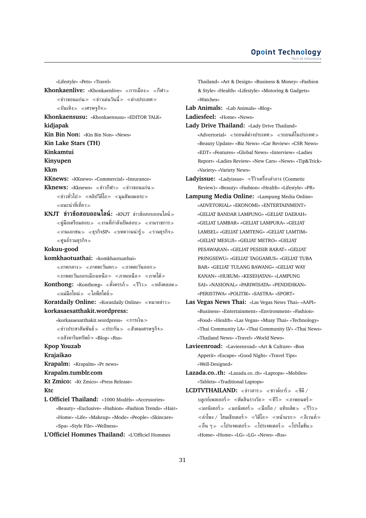«Lifestyle» «Pets» «Travel» **Khonkaenlive:** «Khonkaenlive» «การเมือง» «กีฬา»  $\ll$ ข่าวขอนแก่น $\gg$   $\ll$ ข่าวเด่นวันนี้ $\gg$   $\ll$ ต่างประเทศ $\gg$  $\ll$ บันเทิง $\gg$   $\ll$ เศรษฐกิจ $\gg$ **Khonkaensusu:** «Khonkaensusu» «EDITOR TALK» **kidjapak Kin Bin Non:** «Kin Bin Non» «News» **Kin Lake Stars (TH) Kinkamtui Kinyupen Kkm KKnews:** «KKnews» «Commercial» «Insurance» **Kknews:** «Kknews» «ข่าวกีฬา» «ข่าวขอนแก่น»  $\ll$ ข่าวทั่วไป $\gg$   $\ll$ คลิปวีดีโอ $\gg$   $\ll$ มุมสัพเพเหระ $\gg$ แนะนำที่เที่ยว **KNJT ข่าวข้อสอบออนไลน์:** «KNJT ข่าวข้อสอบออนไลน์  $\ll$ ค่มือเตรียมสอบ $\gg \ll$ งานที่กำลังเปิดสอบ $\gg \ll$ งานราชการ $\gg$  $\ll$ งานเอกชน $\gg\ll$ ธุรกิจ $\text{SP}_{^{_\mathcal{W}}}$   $\ll$ บทความน่ารู้ $\gg\ll$ รวมธุรกิจ $\gg$ ศูนย์รวมธุรกิจ **Kokuu-good komkhaotuathai:** «komkhaotuathai»  $\ll$ ภาคกลาง $\gg$   $\ll$ ภาคตะวันตก $\gg$   $\ll$ ภาคตะวันออก $\gg$  $\ll$ ภาคตะวันออกเฉียงเหนือ $\gg\ll$ ภาคเหนือ $\gg\ll$ ภาคใต้ $\gg$ **Konthong:** «Konthong» «ตั้งครรภ์» «รีวิว» «หลังคลอด»  $\ll$ แม่มือใหม่ $\gg \ll$ ไลฟ์สไตล์ $\gg$ **Koratdaily Online:** «Koratdaily Online» หมวดข่าว **korkasaesatthakit.wordpress:** «korkasaesatthakit.wordpress» การเงิน  $\ll$ ข่าวประชาสัมพันธ์ $\gg\ll$ ประกัน $\gg\ll$ สังคมเศรษฐกิจ $\gg$  $\ll$ อสังหาริมทรัพย์ $\gg$  «Blog» «Rss» **Kpop Youzab Krajaikao Krapalm:** «Krapalm» «Pr news» **Krapalm.tumblr.com Kt Zmico:** «Kt Zmico» «Press Release» **Ktc L Officiel Thailand:** «1000 Modèls» «Accessories» «Beauty» «Exclusive» «Fashion» «Fashion Trends» «Hair» «Home» «Life» «Makeup» «Mode» «People» «Skincare» «Spa» «Style File» «Wellness»

**L'Officiel Hommes Thailand:** «L'Officiel Hommes

Thailand» «Art & Design» «Business & Money» «Fashion & Style» «Health» «Lifestyle» «Motoring & Gadgets» «Watches»

**Lab Animals:** «Lab Animals» «Blog»

**Ladiesfeel:** «Home» «News»

**Lady Drive Thailand:** «Lady Drive Thailand» «Advertorial» «รถยนต์ต่างประเทศ» «รถยนต์ในประเทศ» «Beauty Update» «Biz News» «Car Review» «CSR News» «EDT» «Features» «Global News» «Interview» «Ladies Report» «Ladies Review» «New Cars» «News» «Tip&Trick» «Variety» «Variety News»

**Ladyissue:** «Ladyissue» รีวิวเครื่องสำอาง (Cosmetic Review)» «Beauty» «Fashion» «Health» «Lifestyle» «PR»

- **Lampung Media Online:** «Lampung Media Online» «ADVETORIAL» «EKONOMI» «ENTERTAINMENT» «GELIAT BANDAR LAMPUNG» «GELIAT DAERAH» «GELIAT LAMBAR» «GELIAT LAMPURA» «GELIAT LAMSEL» «GELIAT LAMTENG» «GELIAT LAMTIM» «GELIAT MESUJI» «GELIAT METRO» «GELIAT PESAWARAN» «GELIAT PESISIR BARAT» «GELIAT PRINGSEWU» «GELIAT TAGGAMUS» «GELIAT TUBA BAR» «GELIAT TULANG BAWANG» «GELIAT WAY KANAN» «HUKUM» «KESEHATAN» «LAMPUNG SAI» «NASIONAL» «PARIWISATA» «PENDIDIKAN» «PERISTIWA» «POLITIK» «SASTRA» «SPORT»
- **Las Vegas News Thai:** «Las Vegas News Thai» «AAPI» «Business» «Entertainment» «Environment» «Fashion» «Food» «Health» «Las Vegas» «Muay Thai» «Technology» «Thai Community LA» «Thai Community LV» «Thai News» «Thailand News» «Travel» «World News»
- **Lavieenroad:** «Lavieenroad» «Art & Culture» «Bon Appetit» «Escape» «Good Night» «Travel Tips» «Well-Designed»

**Lazada.co..th:** «Lazada.co..th» «Laptops» «Mobiles» «Tablets» «Traditional Laptops»

**LCDTVTHAILAND:** «ข่าวสาร» «ซาวด์บาร์» «ซีดี / บลูเรย์เพลเยอร์ $\gg$  «ตัดสินรางวัล $\gg$  «ทีวี $\gg$  «ภาพยนตร์ $\gg$  $\ll$ มอนิเตอร์ $\gg \ll$ มอนิเตอร์ $\gg \ll$ มือถือ / แท็บเล็ต $\gg \ll$ รีวิว $\gg$ ี้ ≪ลำโพง / โฮมเธียเตอร์ ≫ ≪วิดีโอ ≫ ≪หน้าแรก ≫ ≪อีเวนท์ ≫  $\ll$ อื่น ๆ $\gg\ll$ โปรเจคเตอร์ $\gg\ll$ โปรเจคเตอร์ $\gg\ll$ โปรโมชั่น $\gg$ «Home» «Home» «LG» «LG» «News» «Rss»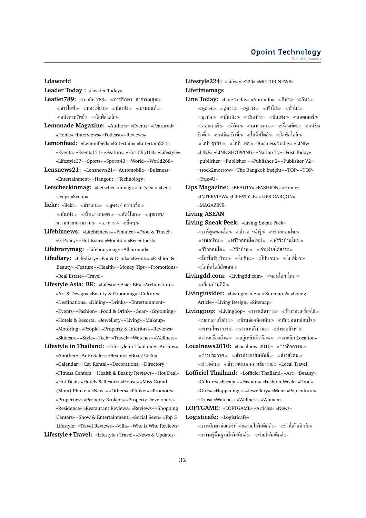### **Ldaworld**

- **Leader Today :** «Leader Today»
- **Leaflet789:** «Leaflet789» ≪การศึกษา- สาธารณสข≫  $\ll$ ข่าวไอที $\gg$   $\ll$ ท่องเที่ยว $\gg$   $\ll$ บันเทิง $\gg$   $\ll$ ยานยนต์ $\gg$  $\ll$ อสังหาทรัพย์ $\gg\;$ < $\ll$ ไลฟ์สไตล์ $\gg$
- **Lemonade Magazine:** «Authors» «Events» «Featured» «Home» «Interviews» «Podcast» «Reviews»
- **Lemonfeed:** «Lemonfeed» «Entertain» «Entertain251» «Events» «Events171» «Feature» «Hot Clip104» «Lifestyle» «Lifestyle37» «Sports» «Sports43» «World» «World268»
- **Lensnews21:** «Lensnews21» «Automobile» «Buisness» «Entertainment» «Hangout» «Technology»
- **Letscheckinmag:** «Letscheckinmag» «Let's eat» «Let's sleep» «Scoop»
- **liekr:** «liekr» «ข่าวเด่น» «ดูดวง/ ความเชื่อ»  $\ll$ บันเทิง $\gg\ll$ บ้าน/ เกษตร $\gg\ll$ สัตว์โลก $\gg\ll$ สขภาพ/ ความสวยความงาม≫ ≪อาหาร≫ ≪อื่นๆ≫
- **Lifebiznews:** «Lifebiznews» «Finance» «Food & Travel» «G-Policy» «Hot Issue» «Monitor» «Recentpost»

**Lifebrarymag:** «Lifebrarymag» «All around»

- **Lifediary:** «Lifediary» «Eat & Drink» «Events» «Fashion & Beauty» «Feature» «Health» «Money Tips» «Promotions» «Real Estate» «Travel»
- **Lifestyle Asia: BK:** «Lifestyle Asia: BK» «Architecture» «Art & Design» «Beauty & Grooming» «Culture» «Destinations» «Dining» «Drinks» «Entertainment» «Events» «Fashion» «Food & Drink» «Gear» «Grooming» «Hotels & Resorts» «Jewellery» «Living» «Makeup» «Motoring» «People» «Property & Interiors» «Reviews» «Skincare» «Style» «Tech» «Travel» «Watches» «Wellness»
- **Lifestyle in Thailand:** «Lifestyle in Thailand» «Airlines» «Another» «Auto Sales» «Beauty» «Boat/Yacht» «Calendar» «Car Rental» «Decorations» «Directory» «Fitness Centers» «Health & Beauty Reviews» «Hot Deal» «Hot Deal» «Hotels & Resort» «House» «Miss Grand (Mom) Phuket» «News» «Others» «Phuket» «Promote» «Properties» «Property Brokers» «Property Developers» «Residence» «Restaurant Reviews» «Reviews» «Shopping Centers» «Show & Entertainment» «Social Seen» «Top 5 Lifestyle» «Travel Reviews» «Villa» «Who is Who Reviews»

### **Lifestyle+Travel:** «Lifestyle+Travel» «News & Updates»

### **Lifestyle224:** «Lifestyle224» «MOTOR NEWS» **Lifetimemags**

- **Line Today:** «Line Today» «Autoinfo» «กีฬา≫ «กีฬา≫  $\ll$ ดูดวง $\gg$   $\ll$ ดูดวง $\gg$   $\ll$ ทั่วไป $\gg$   $\ll$ ทั่วไป $\gg$  $\ll$ ธุรกิจ $\gg$   $\ll$ บันเทิง $\gg$   $\ll$ บันเทิง $\gg$   $\ll$ ลอตเตอรี $\gg$  $\ll$ ลอตเตอรี่ $\gg \ll$ อีจัน $\gg \ll$ เฉพาะคณ $\gg \ll$ เรื่องเด็ด $\gg \ll$ แฟชั่น บิวตี้ $\gg\;$  «แฟชั่น บิวตี้ $\gg\;$  «ไลฟ์สไตล์ $\gg\;$  «ไลฟ์สไตล์ $\gg$  $\ll$ ไอที ธรกิจ $\gg \ll$ ไอที เทค $\gg$  «Business Today» «LINE» «LINE» «LINE SHOPPING» «Nation Tv» «Post Today» «publisher» «Publisher » «Publisher 2» «Publisher V2» «stock2morrow» «The Bangkok Insight» «TOP» «TOP» «True4U»
- **Lips Magazine:** «BEAUTY» «FASHION» «Home» «INTERVIEW» «LIFESTYLE» «LIPS GARÇON» «MAGAZINE»

### **Living ASEAN**

- **Living Sneak Peek:** «Living Sneak Peek»  $\ll$ การ์ตูนคอนโด $\gg$   $\ll$ ข่าวสารน่ารู้ $\gg$   $\ll$ ทำเลคอนโด $\gg$  $\ll$ ทำเลบ้าน $\gg\ll$ พรีวิวคอนโดใหม่ $\gg\ll$ พรีวิวบ้านใหม่ $\gg$  $\ll$ รีวิวคอนโด $\gg$   $\ll$ รีวิวบ้าน $\gg$   $\ll$ อ่านง่ายได้สาระ $\gg$ ี้ «โปรโมชั่นบ้าน » «ไปกิน » «ไปนอน » «ไปเที่ยว » ไลฟ์สไตล์อัพเดท
- **Livingdd.com:** «Livingdd.com» คอนโดฯ ใหม่ เยี่ยมบ้านดีดี
- **Livinginsider:** «Livinginsider» « Sitemap 2» «Living Article» «Living Design» «Sitemap»
- Livingpop: «Livingpop» «การเดินทาง» «ข้าวของเครื่องใช้»  $\ll$ บอกเล่าเก้าสิบ $\gg \ll$ บ้านช่องห้องหับ $\gg \ll$ พักผ่อนหย่อนใจ $\gg$  $\ll$ พาชมโครงการ $\gg \ll$ สวนหลังบ้าน $\gg \ll$ สาระอสังหา $\gg$

 $\ll$ สาระเรื่องบ้าน $\gg \ll$ อย่เหย้าเฝ้าเรือน $\gg \ll$ เจาะลึก Location»

- **Localnews2010:** «Localnews2010» ข่าวกิจกรรม  $\ll$ ข่าวประกาศ $\gg$   $\ll$ ข่าวประชาสัมพันธ์ $\gg$   $\ll$ ข่าวสังคม $\gg$  $\ll$ ข่าวเด่น $\gg \ll$ ข่าวเทศบาลนครเชียงราย $\gg$  «Local Travel»
- **Lofficiel Thailand:** «Lofficiel Thailand» «Art» «Beauty» «Culture» «Escape» «Fashion» «Fashion Week» «Food» «Girls» «Happenings» «Jewellery» «Men» «Pop culture» «Trips» «Watches» «Wellness» «Women»

**LOFTGAME:** «LOFTGAME» «Articles» «News»

**Logisticafe:** «Logisticafe»

 $\ll$ การศึกษาต่อและทำงานสายโลจิสติกส์ $\gg$   $\ll$ ข่าวโลจิสติกส์ $\gg$  $\ll$ ความรู้พื้นฐานโลจิสติกส์ $\gg$   $\ll$ ค่ายโลจิสติกส์ $\gg$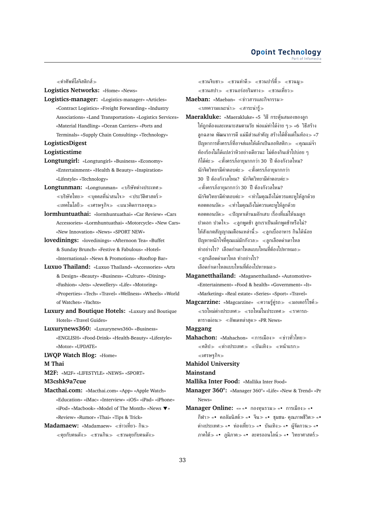$\ll$ คำศัพท์โลจิสติกส์ $\gg$ 

**Logistics Networks:** «Home» «News»

**Logistics-manager:** «Logistics-manager» «Articles» «Contract Logistics» «Freight Forwarding» «Industry Associations» «Land Transportation» «Logistics Services» «Material Handling» «Ocean Carriers» «Ports and Terminals» «Supply Chain Consulting» «Technology»

### **LogisticsDigest**

**Logisticstime**

- **Longtungirl:** «Longtungirl» «Business» «Economy» «Entertainment» «Health & Beauty» «Inspiration» «Lifestyle» «Technology»
- **Longtunman:** «Longtunman» บริษัทต่างประเทศ  $\ll$ บริษัทไทย $\gg$   $\ll$ บุคคลที่น่าสนใจ $\gg$   $\ll$ ประวัติศาสตร์ $\gg$  $\ll$ เทคโนโลยี $\gg\ll$ เศรษฐกิจ $\gg\ll$ แนวคิดการลงทุน $\gg$
- **lormhuntuathai:** «lormhuntuathai» «Car Review» «Cars Accessories» «Lormhuntuathai» «Motorcycle» «New Cars» «New Innovation» «News» «SPORT NEW»
- **lovedinings:** «lovedinings» «Afternoon Tea» «Buffet & Sunday Brunch» «Festive & Fabulous» «Hotel» «International» «News & Promotions» «Rooftop Bar»
- **Luxuo Thailand:** «Luxuo Thailand» «Accessories» «Arts & Design» «Beauty» «Business» «Culture» «Dining» «Fashion» «Jets» «Jewellery» «Life» «Motoring» «Properties» «Tech» «Travel» «Wellness» «Wheels» «World of Watches» «Yachts»
- **Luxury and Boutique Hotels:** «Luxury and Boutique Hotels» «Travel Guides»
- **Luxurynews360:** «Luxurynews360» «Business» «ENGLISH» «Food-Drink» «Health-Beauty» «Lifestyle» «Motor» «UPDATE»
- **LWQP Watch Blog:** «Home» **M Thai**

**M2F:** «M2F» «LIFESTYLE» «NEWS» «SPORT»

**M3cshk9a7cue**

- **Macthai.com:** «Macthai.com» «App» «Apple Watch» «Education» «iMac» «Interview» «iOS» «iPad» «iPhone» «iPod» «Macbook» «Model of The Month» «News » «Review» «Rumor» «Thai» «Tips & Trick»
- **Madamaew:** «Madamaew» «ข่าวเที่ยว- กิน»  $\ll$ คุยกับคนดัง $\gg\ll$ ชวนกิน $\gg\ll$ ชวนคุยกับคนดัง $\gg$

 $\ll$ ชวนจิบชา $\gg$   $\ll$ ชวนทำดี $\gg$   $\ll$ ชวน $\approx$ ชวนม $\gg$ ≪ชวนสปา≫ *≪*ชวนอร่อยริมทาง≫ *≪*ชวนเที่ยว≫ **Maeban:** «Maeban» ข่าวสารและกิจกรรม  $\ll$ บทความแนะนำ $\gg$   $\ll$ สาระน่ารู้ $\gg$ **Maerakluke:** «Maerakluke» «5 วิธี กระตุ้นสมองของลูก

- ให้ถูกต้องและเหมาะสมตามวัย พ่อแม่ทำได้ง่าย ๆ≫ «6 วิธีสร้าง ลูกฉลาด พัฒนาการดี แม่มีส่วนสำคัญ สร้างได้ตั้งแต่ในท้อง «7 ปัญหาการตั้งครรภ์ที่อาจส่ผลให้เด็กเป็นออทิสติก $\gg$  «คณแม่จ๋า ท้องร้องไม่ได้แปลว่าหิวอย่างเดียวนะ ไม่ต้องกินเข้าไปบ่อย ๆ ก็ได้ค่ะ ตั้งครรภ์อายุมากกว่า 30 ปี ต้องกังวลไหม? นักจิตวิทยามีคำตอบค่ะ ตั้งครรภ์อายุมากกว่า 30 ปี ต้องกังวลไหม? นักจิตวิทยามีคำตอบค่ะ ตั้งครรภ์อายุมากกว่า 30 ปี ต้องกังวลไหม? นักจิตวิทยามีคำตอบค่ะ ทำไมคุณถึงไม่ควรแคะหูให้ลูกด้วย คอตตอนบัด ทำไมคุณถึงไม่ควรแคะหูให้ลูกด้วย คอตตอนบัด ปัญหาเต้านมอักเสบ เรื่องที่แม่ให้นมลูก ปวดอก ปวดใจ≫ ≪ลกพูดช้า ลูกเราเป็นเด็กพูดช้าหรือไม่? ให้สังเกตสัญญาณเตือนเหล่านี้ ลูกเบื่ออาหาร กินได้น้อย ้ปัญหาหนักใจที่คุณแม่มักกังวล≫ ≪ลูกเลือดดำเดาไหล ทำอย่างไร? เลือดกำเดาไหลแบบไหนที่ต้องไปหาหมอ ลูกเลือดดำเดาไหล ทำอย่างไร? เลือดกำเดาไหลแบบไหนที่ต้องไปหาหมอ
- **Maganetthailand:** «Maganetthailand» «Automotive» «Entertainment» «Food & health» «Government» «It» «Marketing» «Real estate» «Series» «Sport» «Travel»
- **Magcarzine:** «Magcarzine» «ความรู้คู่รถ» «มอเตอร์ไซค์»  $\ll$ รถใหม่ต่างประเทศ $\gg\ll$ รถใหม่ในประเทศ $\gg\ll$ ราคารถ-ตารางผ่อน $\gg$  «อัพเดทล่าสุด $\gg$  «PR News»

**Maggang**

- **Mahachon:** «Mahachon» «การเมือง» «ข่าวทั่วไทย»  $\ll$ คลิป $\gg$   $\ll$ ต่างประเทศ $\gg$   $\ll$ ปันเทิง $\gg$   $\ll$ หน้าแรก $\gg$ เศรษฐกิจ
- **Mahidol University**

**Mainstand**

- **Mallika Inter Food:** «Mallika Inter Food»
- **Manager 360°:** «Manager 360°» «Life» «New & Trend» «Pr News»
- **Manager Online: «» «• กองทนรวม» «• การเมือง» «•** กีฬา≫ «• คอลัมนิสต์≫ «• จีน≫ «• ชุมชน- คุณภาพชีวิต≫ «• ต่างประเทศ≫ «• ท่องเที่ยว≫ «• บันเทิง≫ «• ผู้จัดกวน≫ «• ภาคใต้ «• ภูมิภาค «• ละครออนไลน์ «• วิทยาศาสตร์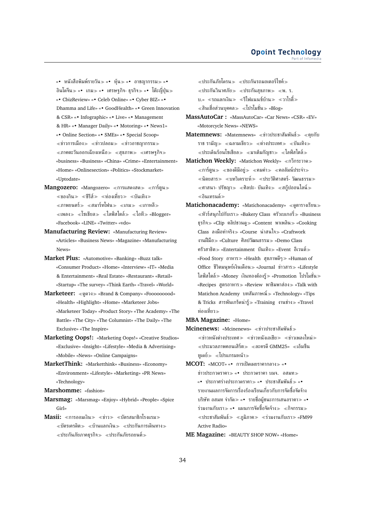«• หนังสือพิมพ์รายวัน «• หุ้น «• อาชญากรรม «• อินโดจีน $\gg$  «• เกม $\gg$  «• เศรษฐกิจ- ธุรกิจ $\gg$  «• โต๊ะญี่ปุ่น $\gg$ «• CbizReview» «• Celeb Online» «• Cyber BIZ» «• Dhamma and Life» «• GoodHealth» «• Green Innovation & CSR» «• Infographic» «• Live» «• Management & HR» «• Manager Daily» «• Motoring» «• News1» «• Online Section» «• SMEs» «• Special Scoop»  $\ll$ ข่าวการเมือง $\gg$   $\ll$ ข่าวปลอม $\gg$   $\ll$ ข่าวอาชญากรรม $\gg$  $\ll$ ภาคตะวันออกเฉียงเหนือ $\gg\ll$ สุขภาพ $\gg\ll$ เศรษฐกิจ $\gg$ «business» «Business» «China» «Crime» «Entertainment» «Home» «Onlinesection» «Politics» «Stockmarket» «Uptodate»

- Mangozero: «Mangozero» «การแสดงสด» «การ์ตูน»  $\ll$ ของกิน $\gg \ll$ ชีรีส์ $\gg \ll$ ท่องเที่ยว $\gg \ll$ บันเทิง $\gg$  $\ll$ ภาพยนตร์ $\gg$   $\ll$ สมาร์ทโฟน $\gg$   $\ll$ เกม $\gg$   $\ll$ เกาหลี $\gg$  $\ll$ เพลง $\gg \ll$ โซเชียล $\gg \ll$ ไลฟ์สไตล์ $\gg \ll$ ไอที $\gg \ll$ Blogger» «Facebook» «LINE» «Twitter» «vdo»
- **Manufacturing Review:** «Manufacturing Review» «Articles» «Business News» «Magazine» «Manufacturing News»
- **Market Plus:** «Automotive» «Banking» «Buzz talk» «Consumer Product» «Home» «Interview» «IT» «Media & Entertainment» «Real Estate» «Restaurant» «Retail» «Startup» «The survey» «Think Earth» «Travel» «World»
- **Marketeer:** ดูดวง «Brand & Company» «Fooooooood» «Health» «Highlight» «Home» «Marketeer Jobs» «Marketeer Today» «Product Story» «The Academy» «The Battle» «The City» «The Columnist» «The Daily» «The Exclusive» «The Inspire»
- **Marketing Oops!:** «Marketing Oops!» «Creative Studios» «Exclusive» «Insight» «Lifestyle» «Media & Advertising» «Mobile» «News» «Online Campaigns»
- **MarketThink:** «Marketthink» «Business» «Economy» «Environment» «Lifestyle» «Marketing» «PR News» «Technology»
- **Marshomme:** «fashion»
- **Marsmag:** «Marsmag» «Enjoy» «Hybrid» «People» «Spice Girl»
- **Masii:** «การออมเงิน» «ท่าว» «บัตรสมาชิกโรงแรม»  $\ll$ บัตรเครดิต $\gg \ll$ บ้านแลกเงิน $\gg \ll$ ประกันการเดินทาง $\gg$  $\ll$ ประกันภัยภาคธุรกิจ $\gg$   $\ll$ ประกันภัยรถยนต์ $\gg$

 $\ll$ ประกันภัยโดรน $\gg$   $\ll$ ประกันรถมอเตอร์ไซค์ $\gg$  $\ll$ ประกันวินาศภัย $\gg \ll$ ประกันสุขภาพ $\gg \ll$ พ. ร. บ.» ≪รถแลกเงิน≫ ≪รีไฟแนนช์บ้าน≫ ≪วาไรตี้≫  $\ll$ สินเชื่อส่วนบุคคล≫  $\ll$ โปรโมชั่น≫ «Blog»

- **MassAutoCar :** «MassAutoCar» «Car News» «CSR» «EV» «Motorcycle News» «NEWS»
- Matemnews: «Matemnews» «ข่าวประชาสัมพันธ์» «คยกับ ราช รามัญ $\gg$  «ฉลามเขียว $\gg$  «ต่างประเทศ $\gg$  «บันเทิง $\gg$  $\ll$ ประเด็นร้อนโซเชียล $\gg$   $\ll$ มาเต็มกัญชา $\gg$   $\ll$ ไลฟ์สไตล์ $\gg$
- **Matichon Weekly: «Matichon Weekly» «กวีกระวาด»**  $\ll$ การ์ตูน $\gg$   $\ll$ ของดีมีอยู่ $\gg$   $\ll$ คมคำ $\gg$   $\ll$ คอลัมน์ประจำ $\gg$  $\ll$ นิตยสาร $\gg$   $\ll$ บทวิเคราะห์ $\gg$   $\ll$ ประวัติศาสตร์- วัฒนธรรม $\gg$  $\ll$ ศาสนา- ปรัชญา $\gg \ll$ ศิลปะ- บันเทิง $\gg \ll$ สกู๊ปออนไลน์ $\gg$ อินเทรนด์
- Matichonacademy: «Matichonacademy» «ดูตารางเรียน»  $\ll$ ทัวร์สนุกไปกับเรา $\gg$  «Bakery Class) ครัวเบเกอรื่ $\gg$  «Business ธรกิจ $\gg$  «Clip คลิปชวนด $\gg$  «Content พาเพลิน $\gg$  «Cooking Class ลงมือทำจริง «Course น่าสนใจ «Craftwork งานฝืมือ «Culture ศิลปวัฒนธรรม «Demo Class ครัวสาธิต «Entertainment บันเทิง «Event อีเวนต์ «Food Story อาหาร «Health สุขภาพดีๆ «Human of Office ชีวิตมนุษย์เงินเดือน $\gg$  «Journal ข่าวสาร $\gg$  «Lifestyle ไลฟ์สไตล์ «Money เงินทองต้องรู้ «Promotion โปรโมชั่น «Recipes สูตรอาหาร» «Review พาชิมพาส่อง» «Talk with Matichon Academy บทสัมภาษณ์ «Technology» «Tips & Tricks สารพันเกร็ดน่ารู้ «Training งานช่าง «Travel ท่องเที่ยว

**MBA Magazine:** «Home»

- **Mcinenews:** «Mcinenews» ข่าวประชาสัมพันธ์  $\ll$ ข่าวหนังต่างประเทศ $\gg$   $\ll$ ข่าวหนังเอเชีย $\gg$   $\ll$ ข่าวเพลงใหม่ $\gg$  $\ll$ ประมวลภาพคอนเสิร์ต $\gg \ll$ ละครดี GMM25»  $\ll$ เอ็มซีน ทเดย์≫ «โปรแกรมหน้า≫
- **MCOT: «MCOT» «• การเปิดเผยราคากลาง≫ «•** 
	- ข่าวประกวดราคา» «• ประกวดราคา บมจ. อสมท» «• ประกาศร่างประกวดราคา «• ประชาสัมพันธ์ «• รายงานผลการจัดการเรื่องร้องเรียนเกี่ยวกับการจัดซื้อจัดจ้าง บริษัท อสมท จำกัด «• รายชื่อผู้ชนะการเสนอราคา «• ร่วมงานกับเรา $\gg$  «• แผนการจัดซื้อจัดจ้าง $\gg$   $\ll$ กิจกรรม $\gg$  $\ll$ ประชาสัมพันธ์ $\gg\ll$ ภูมิภาค $\gg\ll$ ร่วมงานกับเรา $\gg$  «FM99 Active Radio»
- **ME Magazine:** «BEAUTY SHOP NOW» «Home»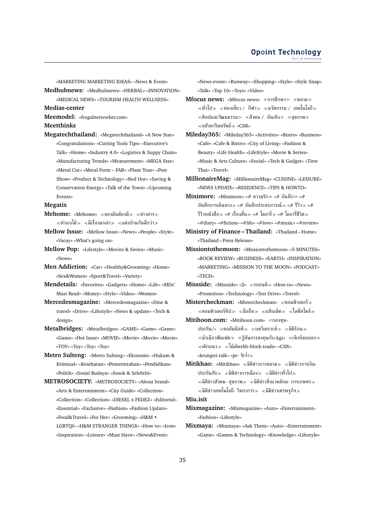«MARKETING MARKETING IDEAS» «News & Event»

**Medhubnews:** «Medhubnews» «HERBAL» «INNOVATION» «MEDICAL NEWS» «TOURISM HEALTH WELLNESS»

**Medias-center**

**Meemodel:** «frugalnetworker.com»

**Meetthinks**

**Megatechthailand:** «Megatechthailand» «A New Star» «Congratulations» «Cutting Tools Tips» «Executive's Talk» «Home» «Industry 4.0» «Logistics & Suppy Chain» «Manufacturing Trends» «Measurement» «MEGA Star» «Metal Cut» «Metal Form – FAB» «Plant Tour» «Post Show» «Product & Technology» «Red Hot» «Saving & Conservation Energy» «Talk of the Town» «Upcoming Events»

#### **Megatix**

- **Mehome:** «Mehome» «ของมันต้องมี» «ข่าวสาร» ่ ≪ทำเองได้≫ ≪มีเรื่องมาเล่า≫ ≪แต่งบ้านกันดีกว่า≫
- **Mellow Issue:** «Mellow Issue» «News» «People» «Style» «Vacay» «What's going on»
- **Mellow Pop:** «Lifestyle» «Movies & Series» «Music» «News»
- **Men Addiction:** «Car» «Healthy&Grooming» «Home» «Sex&Women» «Sport&Travel» «Variety»
- **Mendetails:** «Favorites» «Gadgets» «Home» «Life» «MDs' Must Read» «Money» «Style» «Video» «Women»
- **Mercedesmagazine:** «Mercedesmagazine» «Dine & travel» «Drive» «Lifestyle» «News & update» «Tech & design»
- **Metalbridges:** «Metalbridges» «GAME» «Game» «Game» «Game» «Hot Issue» «MOVIE» «Movie» «Movie» «Movie» «TOY» «Toy» «Toy» «Toy»
- **Metro Sulteng:** «Metro Sulteng» «Ekonomi» «Hukum & Kriminal» «Kesehatan» «Pemerintahan» «Pendidikan» «Politik» «Sosial Budaya» «Sosok & Selebriti»
- **METROSOCIETY:** «METROSOCIETY» «About brand» «Arts & Entertainment» «City Guide» «Collection» «Collection» «Collection» «DIESEL x FEDEZ» «Editorial» «Essential» «Exclusive» «Fashion» «Fashion Update» «Food&Travel» «For Her» «Grooming» «H&M • LGBTQI» «H&M STRANGER THINGS» «How to» «Icon» «Inspiration» «Leisure» «Must Have» «News&Event»

«News-event» «Runway» «Shopping» «Style» «Style Snap» «Talk» «Top 10» «Toys» «Video»

- **Mfocus news: «Mfocus news» «การศึกษา » «ตลาด »**  $\ll$ ทั่วไป $\gg$   $\ll$ ท่องเที่ยว / กีฬา $\gg$   $\ll$ นวัตกรรม / เทคโนโลยี $\gg$  $\ll$ ศิลปและวัฒนธรรม $\gg \ll$ สังคม / บันเทิง $\gg \ll$ สุขภาพ $\gg$  $\ll$ อสังหาริมทรัพย์ $\gg$  «CSR»
- **Mileday365:** «Mileday365» «Activities» «Bistro» «Business» «Cafe» «Cafe & Bistro» «City of Living» «Fashion & Beauty» «Life Health» «LifeStyle» «Movie & Series» «Music & Arts Culture» «Social» «Tech & Gadget» «Tiew Thai» «Travel»
- **MillionaireMag:** «MillionaireMag» «CUISINE» «LEISURE» «NEWS UPDATE» «RESIDENCE» «TIPS & HOWTO»
- **Minimore:** «Minimore» «# ความรัก≫ «# บันทึก≫ «# บันทึกการเดินทาง $\gg$  «# บันทึกประสบการณ์ $\gg$  «# รีวิว $\gg$  «# รีวิวหนังสือ≫ «# เรื่องสั้น≫ «# ไดอารี่≫ «# ไดอารี่ชีวิต≫ «#diary» «#fiction» «#life» «#love» «#music» «#review»
- **Ministry of Finance Thailand:** «Thailand Home» «Thailand – Press Release»
- **Missiontothemoon:** «Missiontothemoon» «5 MINUTES» «BOOK REVIEW» «BUSINESS» «EARTH» «INSPIRATION» «MARKETING» «MISSION TO THE MOON» «PODCAST» «TECH»
- **Missside:** «Missside» «2» «รถยนต์» «How-to» «News» «Promotion» «Technology» «Test Drive» «Travel»
- **Mistercheckman:** «Mistercheckman» คอมพิวเตอร์  $\ll$ คอมพิวเตอร์ทิป $\gg \ll$ มือถือ $\gg \ll$ แท็บเล็ต $\gg \ll$ ไลฟ์สไตล์ $\gg$
- **Mitihoon.com:** «Mitihoon.com» «กองทุน-ประกัน/» «คอลัมนิสต์» «บทวิเคราะห์» «มิติร้อน»  $\ll$ ม้าเฉียวฟันเฟค $\gg \ll$ รู้ทันการลงทุนกับ-kgi»  $\ll$ เจ๊เรย์ขอบอก $\gg$  $\ll$ เด็กแนว $\gg \ll$ ไม้เด็ดrhb-block-trade» «CSR» «krungsri-talk» «pr- จ๊ะจ๋า
- **Mitikhao:** «Mitikhao» «มิติข่าวการตลาด» «มิติข่าวการเงิน-ประกันภัย $\gg$   $\ll$ มิติข่าวการเมือง $\gg$   $\ll$ มิติข่าวทั่วไป $\gg$  $\alpha \ll 3$ ติข่าวสังคม- สุขภาพ $\gg \alpha \ll 3$ ติข่าวสิ่งแวดล้อม- การเกษตร $\gg 3$  $\ll$ มิติข่าวเทคโนโลยี- วิทยาการ $\gg \ll$ มิติข่าวเศรษฐกิจ $\gg$

### **Miu.isit**

- **Mixmagazine:** «Mixmagazine» «Auto» «Entertainment» «Fashion» «Lifestyle»
- **Mixmaya:** «Mixmaya» «Ask Them» «Auto» «Entertainment» «Game» «Games & Technology» «Knowledge» «Lifestyle»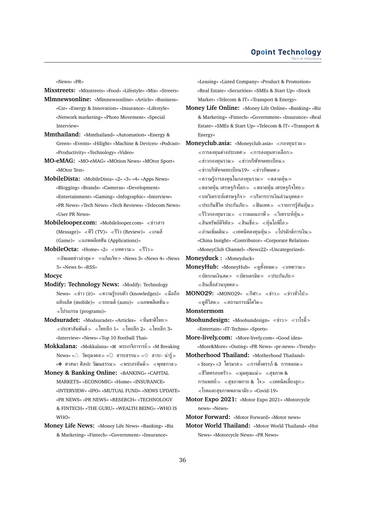«News» «PR»

**Mixstreets:** «Mixstreets» «Food» «Lifestyle» «Mix» «Streets» **Mlmnewsonline:** «Mlmnewsonline» «Article» «Business» «Csr» «Energy & Innovation» «Insurance» «Lifestyle» «Network marketing» «Photo Movement» «Special Interview»

- **Mmthailand:** «Mmthailand» «Automation» «Energy & Green» «Events» «Hilight» «Machine & Devices» «Podcast» «Productivity» «Technology» «Video»
- **MO-eMAG:** «MO-eMAG» «MOtion News» «MOtor Sport» «MOtor Test»
- **MobileDista:** «MobileDista» «2» «3» «4» «Apps News» «Blogging» «Brands» «Cameras» «Development» «Entertainment» «Gaming» «Infographic» «Interview» «PR News» «Tech News» «Tech Reviews» «Telecom News» «User PR News»
- **Mobilelooper.com:** «Mobilelooper.com» «ข่าวสาร (Message)» «ทีวี (TV)» «รีวิว (Review)» «เกมส์ (Game)» แอพพลิเคชัน (Applications)»
- **MobileOcta:** «Home» «2» «บทความ» «รีวิว»  $\ll$ อัพเดตข่าวล่าสุด $\gg \ll$ แก็ดเจ็ท $\gg$  «News 3» «News 4» «News 5» «News 6» «RSS»

#### **Mocyc**

- **Modify: Technology News:** «Modify: Technology  $\text{News}$ » «ข่าว (it)» «ความร้รอบตัว (knowledges)» «มือถือ แท็บเล็ต (mobile)»  $\ll$ รถยนต์ (auto)»  $\ll$ แอพพลิเคชั่น $\gg$ โปรแกรม (programs)»
- **Modsuradet:** «Modsuradet» «Articles» ทีมชาติไทย  $\ll$ ประชาสัมพันธ์ $\gg \ll$ ไทยลีก 1»  $\ll$ ไทยลีก 2»  $\ll$ ไทยลีก 3» «Interview» «News» «Top 10 Football Thai»
- **Mokkalana:** «Mokkalana» « พระเกจิอาจารย์ «M Breaking  $\mathsf{News}$ » « $\triangle$  วัตถุมงคล $\mathscr{D}$  « $\mathbb{O}$  สาระธรรม $\mathscr{D}$  « $\mathscr{\mathcal{A}}$  สาระ- $\mathsf{u}$ ่ารู้ $\mathscr{D}$ «❖ ศาสนา ศิลปะ วัฒนธรรม≫ «พระอรหันต์≫ «พุทธกาล≫
- **Money & Banking Online:** «BANKING» «CAPITAL MARKETS» «ECONOMIC» «Home» «INSURANCE» «INTERVIEW» «IPO» «MUTUAL FUND» «NEWS UPDATE» «PR NEWS» «PR NEWS» «RESERCH» «TECHNOLOGY & FINTECH» «THE GURU» «WEALTH BEING» «WHO IS WHO»
- **Money Life News:** «Money Life News» «Banking» «Biz & Marketing» «Fintech» «Government» «Insurance»

«Leasing» «Listed Company» «Product & Promotion» «Real Estate» «Securities» «SMEs & Start Up» «Stock Market» «Telecom & IT» «Transport & Energy»

- **Money Life Online:** «Money Life Online» «Banking» «Biz & Marketing» «Fintech» «Government» «Insurance» «Real Estate» «SMEs & Start Up» «Telecom & IT» «Transport & Energy»
- **Moneyclub.asia:** «Moneyclub.asia» «กองทุนรวม»  $\ll$ การลงทุนต่างประเทศ $\gg\ll$ การลงทุนทางเลือก $\gg$  $\ll$ ข่าวกองทนรวม $\gg$   $\ll$ ข่าวบริษัทจดทะเบียน $\gg$  $\ll$ ข่าวบริษัทจดทะเบียน19»  $\ll$ ข่าวอัพเดต $\gg$  $\ll$ ความรู้การลงทุนในกองทุนรวม≫ ≪ตลาดหุ้น≫  $\ll$ ตลาดหุ้น เศรษฐกิจโลก $\gg \ll$ ตลาดหุ้น เศรษฐกิจไทย $\gg$  $\ll$ บทวิเคราะห์เศรษฐกิจ $\gg\ll$ บริหารการเงินส่วนบุคคล $\gg$  $\ll$ ประกันชีวิต ประกันภัย $\gg\ll$ ฟินเทค $\gg\ll$ รายการรู้ทันหุ้น $\gg$  $\ll$ รีวิวกองทนรวม $\gg\ll$ วางแผนภาษี $\gg\ll$ วิเคราะห์ห้น $\gg$  $\ll$ สินทรัพย์ดิจิทัล $\gg \ll$ สินเชื่อ $\gg \ll$ ห้นไอพีโอ $\gg$  $\ll$ อ่านเพิ่มเติม $\gg\ll$ เทคนิคลงทุนหุ้น $\gg\ll$ โปรดักต์การเงิน $\gg$ «China Insight» «Contributor» «Corporate Relation» «MoneyClub Channel» «News22» «Uncategorized» **Moneyduck :** «Moneyduck»
- **MoneyHub:** «MoneyHub» «ดทั้งหมด» «บทความ»  $\ll$ บัตรกดเงินสด $\gg \ll$ บัตรเครดิต $\gg \ll$ ประกันภัย $\gg$ สินเชื่อส่วนบุคคล
- **MONO29:** «MONO29» «กีฬา» «ข่าว» «ข่าวทั่วไป»  $\ll$ ดทีวีสด $\gg$   $\ll$ สถานการณ์โควิด $\gg$
- **Monstermom**
- **Moohundesign:** «Moohundesign» «ข่าว» «วาไรตี้» «Entertain» «IT-Techno» «Sports»
- **More-lively.com:** «More-lively.com» «Good idea» «More&More» «Outing» «PR News» «pr-news» «Trendy»
- **Motherhood Thailand:** «Motherhood Thailand» « Story» «3 ไตรมาส≫ ≪การตั้งครรภ์ & การคลอด≫  $\ll$ ชีวิตครอบครัว $\gg$   $\ll$ มุมคุณแม่ $\gg$   $\ll$ สุขภาพ & การแพทย์ $\gg$   $\ll$ สุขภาพกาย & ใจ $\gg$   $\ll$ เทคนิคเลี้ยงลูก $\gg$  $\ll$ โรคและสุขภาพพลานามัย $\gg$  «Covid-19»
- **Motor Expo 2021:** «Motor Expo 2021» «Motorcycle news» «News»

**Motor Forward:** «Motor Forward» «Motor news»

**Motor World Thailand:** «Motor World Thailand» «Hot News» «Motorcycle News» «PR News»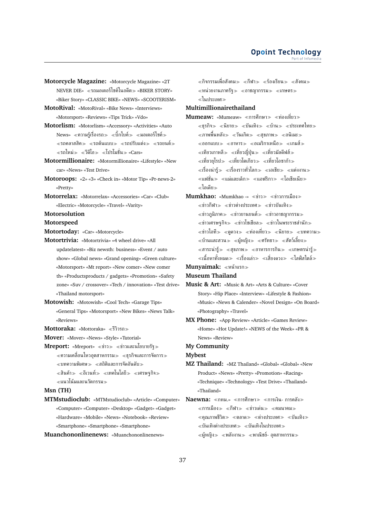- **Motorcycle Magazine:** «Motorcycle Magazine» «2T NEVER DIE» รถมอเตอร์ไซค์ในอดีต «BIKER STORY» «Biker Story» «CLASSIC BIKE» «NEWS» «SCOOTERISM»
- **MotoRival:** «MotoRival» «Bike News» «Interviews» «Motorsport» «Reviews» «Tips Trick» «Vdo» **Motorlism:** «Motorlism» «Accessory» «Activities» «Auto
- News» «ความร์เรื่องรถ» «บิ๊กไบค์» «มอเตอร์ไซค์»  $\ll$ รถคลาสสิค $\gg$   $\ll$ รถต้นแบบ $\gg$   $\ll$ รถปรับแต่ง $\gg$   $\ll$ รถยนต์ $\gg$  $\ll$ รถใหม่ $\gg \ll$ ไปก็โมชั่น $\gg$  «Cars»
- **Motormillionaire:** «Motormillionaire» «Lifestyle» «New car» «News» «Test Drive»
- **Motoroops:** «2» «3» «Check in» «Motor Tip» «Pr-news-2» «Pretty»
- **Motorrelax:** «Motorrelax» «Accessories» «Car» «Club» «Electric» «Motorcycle» «Travel» «Varity»

#### **Motorsolution**

#### **Motorspeed**

**Motortoday:** «Car» «Motorcycle»

- **Motortrivia:** «Motortrivia» «4 wheel drive» «All updatelatest» «Biz newsth: business» «Event / auto show» «Global news» «Grand opening» «Green culture» «Motorsport» «Mt report» «New comer» «New comer th» «Productsproducts / gadgets» «Promotion» «Safety zone» «Suv / crossover» «Tech / innovation» «Test drive» «Thailand motorsport»
- **Motowish:** «Motowish» «Cool Tech» «Garage Tips» «General Tips» «Motorsport» «New Bikes» «News Talk» «Reviews»
- **Mottoraka:** «Mottoraka» รีวิวรถ

**Mover:** «Mover» «News» «Style» «Tutorial»

**Mreport:** «Mreport» «ข่าว» «ข่าวและนโยบายรัฐ»  $\ll$ ความเคลื่อนไหวอุตสาหกรรม $\gg\ll$ ธรกิจและการจัดการ $\gg$  $\ll$ บทความพิเศษ $\gg\ll$ สถิติและการจัดอันดับ $\gg$  $\ll$ สินค้า $\gg$   $\ll$ อีเวนท์ $\gg$   $\ll$ เทคโนโลยี $\gg$   $\ll$ เศรษฐกิจ $\gg$ 

**Msn (TH)**

**MTMstudioclub:** «MTMstudioclub» «Article» «Computer» «Computer» «Computer» «Desktop» «Gadget» «Gadget» «Hardware» «Mobile» «News» «Notebook» «Review» «Smartphone» «Smartphone» «Smartphone»

**Muanchononlinenews:** «Muanchononlinenews»

 $\ll$ กิจกรรมเพื่อสังคม $\gg \ll$ กีฬา $\gg \ll$ ร้องเรียน $\gg \ll$ สังคม $\gg$  $\ll$ หน่วยงานภาครัฐ $\gg$   $\ll$ อาชญากรรม $\gg$   $\ll$ เกษตร $\gg$ ในประเทศ

### **Multimillionairethailand**

- Mumeaw: «Mumeaw» «การศึกษา» «ท่องเที่ยว»  $\ll$ ธรกิจ $\gg$   $\ll$ นิยาย $\gg$   $\ll$ บันเทิง $\gg$   $\ll$ บัวน $\gg$   $\ll$ ประเทศไทย $\gg$  $\ll$ ภาพพื้นหลัง $\gg\ll$ วันเกิด $\gg\ll$ สขภาพ $\gg\ll$ อนิเมะ $\gg$  $\ll$ ออกแบบ $\gg\ll$ อาหาร $\gg\ll$ อเมริกาเหนือ $\gg\ll$ เกมส์ $\gg$  $\ll$ เที่ยวเกาหลี $\gg\ll$ เที่ยวญี่ปุ่น $\gg\ll$ เที่ยวมัลดีฟส์ $\gg$  $\ll$ เที่ยวยโรป $\gg \ll$ เที่ยวโตเกียว $\gg \ll$ เที่ยวโอซาก้า $\gg$  $\ll$ เรื่องน่ารู้ $\gg\ll$ เรื่องราวทั่วโลก $\gg\ll$ เอเชีย $\gg\ll$ แต่งงาน $\gg$  $\ll$ แฟชั่น $\gg\ll$ แม่และเด็ก $\gg\ll$ แอฟริกา $\gg\ll$ โอเชียเนีย $\gg$ ไอเดีย
- **Mumkhao:** «Mumkhao -» «ข่าว» «ข่าวการเมือง»  $\ll$ ข่าวกีฬา $\gg$   $\ll$ ข่าวต่างประเทศ $\gg$   $\ll$ ข่าวบันเทิง $\gg$  $\ll$ ข่าวภูมิภาค $\gg$   $\ll$ ข่าวยานยนต์ $\gg$   $\ll$ ข่าวอาชญากรรม $\gg$  $\ll$ ข่าวเศรษฐกิจ $\gg$   $\ll$ ข่าวโซเชียล $\gg$   $\ll$ ข่าวในพระราชสำนัก $\gg$  $\ll$ ข่าวไอที≫ ≪ดดวง≫ ≪ท่องเที่ยว≫ ≪นิยาย≫ ≪บทความ≫  $\ll$ บ้านและสวน $\gg$   $\ll$ ผู้หญิง $\gg$   $\ll$ ศรัทธา $\gg$   $\ll$ สัตว์เลี้ยง $\gg$  $\ll$ สาระน่ารู้ $\gg$   $\ll$ สุขภาพ $\gg$   $\ll$ อาหารการกิน $\gg$   $\ll$ เกษตรน่ารู้ $\gg$  $\ll$ เนื้อหาทั้งหมด $\gg \ll$ เรื่องเล่า $\gg \ll$ เสี่ยงดวง $\gg \ll$ ไลฟ์สไตล์ $\gg$ **Munyaimak:** หน้าแรก

# **Museum Thailand**

- **Music & Art:** «Music & Art» «Arts & Culture» «Cover Story» «Hip Place» «Interview» «Lifestyle & Fashion» «Music» «News & Calender» «Novel Design» «On Board» «Photography» «Travel»
- **MX Phone:** «App Review» «Article» «Games Review» «Home» «Hot Update!» «NEWS of the Week» «PR & News» «Review»

#### **My Community**

### **Mybest**

- **MZ Thailand:** «MZ Thailand» «Global» «Global» «New Product» «News» «Pretty» «Promotion» «Racing» «Technique» «Technology» «Test Drive» «Thailand» «Thailand»
- **Naewna:** «กทม.» «การศึกษา» «การเงิน- การคลัง»  $\ll$ การเมือง $\gg \ll$ กีฬา $\gg \ll$ ข่าวเด่น $\gg \ll$ คมนาคม $\gg$  $\ll$ คุณภาพชีวิต $\gg$   $\ll$ ตลาด $\gg$   $\ll$ ต่างประเทศ $\gg$   $\ll$ บันเทิง $\gg$  $\ll$ บันเทิงต่างประเทศ $\gg\ll$ บันเทิงในประเทศ $\gg$  $\ll$ ผู้หญิง $\gg$   $\ll$ พลังงาน $\gg$   $\ll$ พาณิชย์- อุตสาหกรรม $\gg$

แนวโน้มและนวัตกรรม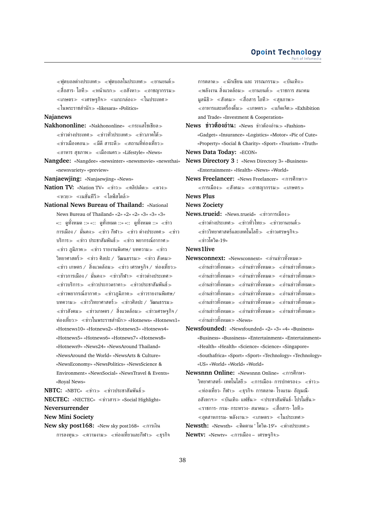$\ll$ ฟตบอลต่างประเทศ $\gg\ll$ ฟตบอลในประเทศ $\gg\ll$ ยานยนต์ $\gg$  $\ll$ สื่อสาร- ไอที $\gg$   $\ll$ หน้าแรก $\gg$   $\ll$ อสังหา $\gg$   $\ll$ อาชญากรรม $\gg$  $\ll$ เกษตร $\gg \ll$ เศรษฐกิจ $\gg \ll$ แกะกล่อง $\gg \ll$ ในประเทศ $\gg$ ในพระราชสำนัก «likesara» «Politics»

### **Najanews**

- **Nakhononline:** «Nakhononline» «กระแสโซเชียล»  $\ll$ ข่าวต่างประเทศ $\gg \ll$ ข่าวทั่วประเทศ $\gg \ll$ ข่าวภาคใต้ $\gg$  $\ll$ ข่าวเมืองคอน $\gg\ll$ มีดี สาระดี $\gg\ll$ สถานที่ท่องเที่ยว $\gg$  $\ll$ อาหาร สุขภาพ $\gg \ll$ เมืองนคร $\gg$  «Lifestyle» «News»
- **Nangdee:** «Nangdee» «newsinter» «newsmovie» «newsthai» «newsvariety» «preview»

**Nanjaewjing:** «Nanjaewjing» «News»

- **Nation TV:** «Nation TV» ≪ข่าว≫ ≪คลิปเด็ด≫ ≪ดวง≫ หวย เนชั่นทีวี ไลฟ์สไตล์
- **National News Bureau of Thailand:** «National News Bureau of Thailand» «2» «2» «2» «3» «3» «3» «:: ดูทั้งหมด ::» «:: ดูทั้งหมด ::» «:: ดูทั้งหมด ::» ข่าว การเมือง / มั่นคง $\gg$  «ข่าว กีฬา $\gg$  «ข่าว ต่างประเทศ $\gg$  «ข่าว บริการ≫ ≪ข่าว ประชาสัมพันธ์≫ ≪ข่าว พยากรณ์อากาศ≫  $\ll$ ข่าว ภูมิภาค $\gg \ll$ ข่าว รายงานพิเศษ/ บทความ $\gg \ll$ ข่าว วิทยาศาสตร์ $\gg$   $\ll$ ข่าว ศิลปะ / วัฒนธรรม $\gg$   $\ll$ ข่าว สังคม $\gg$  $\ll$ ข่าว เกษตร / สิ่งแวดล้อม $\gg$   $\ll$ ข่าว เศรษฐกิจ / ท่องเที่ยว $\gg$  $\ll$ ข่าวการเมือง / มั่นคง $\gg$   $\ll$ ข่าวกีฬา $\gg$   $\ll$ ข่าวต่างประเทศ $\gg$  $\ll$ ข่าวบริการ $\gg$   $\ll$ ข่าวประกวดราคา $\gg$   $\ll$ ข่าวประชาสัมพันธ์ $\gg$  $\ll$ ข่าวพยากรณ์อากาศ $\gg$   $\ll$ ข่าวภูมิภาค $\gg$   $\ll$ ข่าวรายงานพิเศษ/ บทความ $\gg$   $\ll$ ข่าววิทยาศาสตร์ $\gg$   $\ll$ ข่าวศิลปะ / วัฒนธรรม $\gg$  $\ll$ ข่าวสังคม $\gg$   $\ll$ ข่าวเกษตร / สิ่งแวดล้อม $\gg$   $\ll$ ข่าวเศรษฐกิจ / ท่องเที่ยว $\gg$  «ข่าวในพระราชสำนัก $\gg$  «Hotnews» «Hotnews1» «Hotnews10» «Hotnews2» «Hotnews3» «Hotnews4» «Hotnews5» «Hotnews6» «Hotnews7» «Hotnews8» «Hotnews9» «News24» «NewsAround Thailand» «NewsAround the World» «NewsArts & Culture» «NewsEconomy» «NewsPolitics» «NewsScience & Environment» «NewsSocial» «NewsTravel & Events» «Royal News»
- **NBTC:** «NBTC» «ข่าว» «ข่าวประชาสัมพันธ์»

**NECTEC:** «NECTEC» «ข่าวสาร» «Social Highlight»

**Neversurrender**

**New Mini Society**

**New sky post168:** «New sky post168» «การเงิน การลงทุน $\gg$  «ความงาม $\gg$  «ท่องเที่ยวและกีฬา $\gg$  «ธุรกิจ การตลาด $\gg$  «นักเขียน และ วรรณกรรม $\gg$  «บันเทิง $\gg$ ์ ≪พลังงาน สิ่งแวดล้อม≫ ≪ยานยนต์ ≫ ≪ราชการ สมาคม มลนิธิ $\gg$  «สังคม $\gg$  «สื่อสาร ไอที $\gg$  «สขภาพ $\gg$  $\ll$ อาหารและเครื่องดื่ม $\gg$   $\ll$ เกษตร $\gg$   $\ll$ แก็ดเจ็ต $\gg$  «Exhibition and Trade» «Investment & Cooperation»

**News ข่าวต้องอ่าน:** «News ข่าวต้องอ่าน «Fashion» «Gadget» «Insurance» «Logistics» «Motor» «Pic of Cute»

«Property» «Social & Charity» «Sport» «Tourism» «Truth» **News Data Today:** «ECON»

- **News Directory 3 :** «News Directory 3» «Business» «Entertainment» «Health» «News» «World»
- **News Freelancer:** «News Freelancer» «การศึกษา»  $\ll$ การเมือง $\gg$   $\ll$ สังคม $\gg$   $\ll$ อาชญากรรม $\gg$   $\ll$ เกษตร $\gg$

**News Plus**

**News Zociety**

**News.trueid:** «News.trueid» ข่าวการเมือง

 $\ll$ ข่าวต่างประเทศ $\gg$   $\ll$ ข่าวทั่วไทย $\gg$   $\ll$ ข่าวยานยนต์ $\gg$  $\ll$ ข่าววิทยาศาสตร์และเทคโนโลยี $\gg\ll$ ข่าวเศรษฐกิจ $\gg$ ข่าวโควิด-19»

### **News1live**

- **Newsconnext:** «Newsconnext» อ่านข่าวทั้งหมด  $\ll$ อ่านข่าวทั้งหมด $\gg \ll$ อ่านข่าวทั้งหมด $\gg \ll$ อ่านข่าวทั้งหมด $\gg$  $\ll$ อ่านข่าวทั้งหมด $\gg \ll$ อ่านข่าวทั้งหมด $\gg \ll$ อ่านข่าวทั้งหมด $\gg$  $\ll$ อ่านข่าวทั้งหมด $\gg \ll$ อ่านข่าวทั้งหมด $\gg \ll$ อ่านข่าวทั้งหมด $\gg$  $\ll$ อ่านข่าวทั้งหมด $\gg \ll$ อ่านข่าวทั้งหมด $\gg \ll$ อ่านข่าวทั้งหมด $\gg$  $\ll$ อ่านข่าวทั้งหมด $\gg \ll$ อ่านข่าวทั้งหมด $\gg \ll$ อ่านข่าวทั้งหมด $\gg$  $\ll$ อ่านข่าวทั้งหมด $\gg \ll$ อ่านข่าวทั้งหมด $\gg \ll$ อ่านข่าวทั้งหมด $\gg$ อ่านข่าวทั้งหมด «News»
- **Newsfounded:** «Newsfounded» «2» «3» «4» «Business» «Business» «Bussiness» «Entertainment» «Entertainment» «Health» «Health» «Science» «Science» «Singapore» «Southafrica» «Sport» «Sport» «Technology» «Technology» «US» «World» «World» «World»
- **Newsnnn Online: «Newsnnn Online» «การศึกษา-**วิทยาศาสตร์- เทคโนโลยี $\gg$   $\ll$ การเมือง- การปกครอง $\gg$   $\ll$ ข่าว $\gg$  $\ll$ ท่องเที่ยว- กีฬา $\gg \ll$ ธรกิจ- การตลาด- โรงแรม- อัญมณี-อสังหาฯ $\gg$  «บันเทิง- แฟชั่น $\gg$  «ประชาสัมพันธ์- โปรโมชั่น $\gg$  $\ll$ ราชการ- กรม- กระทรวง- สมาคม $\gg \ll$ สื่อสาร- ไอที $\gg$  $\ll$ อตสาหกรรม- พลังงาน $\gg$   $\ll$ เกษตร $\gg$   $\ll$ ในประเทศ $\gg$
- **Newsth:** «Newsth» ติดตาม ' โควิด-19'» ต่างประเทศ **Newtv:** «Newtv» ≪การเมือง – เศรษฐกิจ≫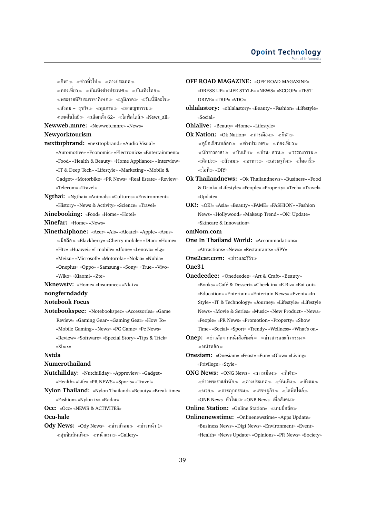$\ll$ กีฬา $\gg$   $\ll$ ข่าวทั่วไป $\gg$   $\ll$ ต่างประเทศ $\gg$  $\ll$ ท่องเที่ยว $\gg~\ll$ บันเทิงต่างประเทศ $\gg~\ll$ บันเทิงไทย $\gg$  $\ll$ พระราชพิธีบรมราชาภิเษก $\gg \ll$ ภูมิภาค $\gg \ll$ วันนี้มีอะไร $\gg$  $\ll$ สังคม – ธุรกิจ $\gg$   $\ll$ สุขภาพ $\gg$   $\ll$ อาชญากรรม $\gg$  $\ll$ เทคโนโลยี $\gg\ll$ เลือกตั้ง 62»  $\ll$ ไลฟ์สไตล์ $\gg$  «News\_all»

**Newweb.mnre:** «Newweb.mnre» «News»

## **Newyorktourism**

- **nexttopbrand:** «nexttopbrand» «Audio Visual» «Automotive» «Economic» «Electronics» «Entertainment» «Food» «Health & Beauty» «Home Appliance» «Interview» «IT & Deep Tech» «Lifestyle» «Marketing» «Mobile & Gadget» «Motorbike» «PR News» «Real Estate» «Review» «Telecom» «Travel»
- **Ngthai:** «Ngthai» «Animals» «Cultures» «Environment» «History» «News & Activity» «Science» «Travel»
- **Ninebooking:** «Food» «Home» «Hotel»
- **Ninefar:** «Home» «News»
- **Ninethaiphone:** «Acer» «Ais» «Alcatel» «Apple» «Asus» มือถือ «Blackberry» «Cherry mobile» «Dtac» «Home» «Htc» «Huawei» «I-mobile» «Jfone» «Lenovo» «Lg» «Meizu» «Microsoft» «Motorola» «Nokia» «Nubia» «Oneplus» «Oppo» «Samsung» «Sony» «True» «Vivo» «Wiko» «Xiaomi» «Zte»
- **Nknewstv:** «Home» «Insurance» «Nk-tv»

#### **nongferndaddy**

**Notebook Focus**

**Notebookspec:** «Notebookspec» «Accessories» «Game Review» «Gaming Gear» «Gaming Gear» «How To» «Mobile Gaming» «News» «PC Game» «Pc News» «Review» «Software» «Special Story» «Tips & Trick» «Xbox»

#### **Nstda**

#### **Numerothailand**

**Nutchillday:** «Nutchillday» «Appreview» «Gadget» «Health» «Life» «PR NEWS» «Sports» «Travel»

- **Nylon Thailand:** «Nylon Thailand» «Beauty» «Break time» «Fashion» «Nylon tv» «Radar»
- **Occ:** «Occ» «NEWS & ACTIVITES»

### **Ocu-hale**

**Ody News:** «Ody News» «ข่าวสังคม» «ข่าวหน้า 1»  $\ll$ ซุบซิบบันเทิง $\gg$   $\ll$ หน้าแรก $\gg$  «Gallery»

- **OFF ROAD MAGAZINE:** «OFF ROAD MAGAZINE» «DRESS UP» «LIFE STYLE» «NEWS» «SCOOP» «TEST DRIVE» «TRIP» «VDO»
- **ohlalastory:** «ohlalastory» «Beauty» «Fashion» «Lifestyle» «Social»
- **Ohlalive:** «Beauty» «Home» «Lifestyle»
- **Ok Nation:** «Ok Nation» «การเมือง» «กีฬา»  $\ll$ ค่มือเขียนบล็อก $\gg \ll$ ต่างประเทศ $\gg \ll$ ท่องเที่ยว $\gg$  $\ll$ นักข่าวอาสา $\gg$   $\ll$ บันเทิง $\gg$   $\ll$ บ้าน- สวน $\gg$   $\ll$ วรรณกรรม $\gg$  $\ll$ ศิลปะ $\gg$   $\ll$ สังคม $\gg$   $\ll$ อาหาร $\gg$   $\ll$ ไศ $\approx$   $\ll$ ไดอารี่ $\gg$ ไอที «DIY»
- **Ok Thailandnews:** «Ok Thailandnews» «Business» «Food & Drink» «Lifestyle» «People» «Property» «Tech» «Travel» «Update»
- **OK!:** «OK!» «Asia» «Beauty» «FAME» «FASHION» «Fashion News» «Hollywood» «Makeup Trend» «OK! Update» «Skincare & Innovation»
- **omNom.com**
- **One In Thailand World:** «Accommodations» «Attractions» «News» «Restaurants» «SPY»

**One2car.com: «ท่าวและรีวิว»** 

#### **One31**

- **Onedeedee:** «Onedeedee» «Art & Craft» «Beauty» «Books» «Café & Dessert» «Check in» «E-Biz» «Eat out» «Education» «Entertain» «Entertain News» «Event» «In Style» «IT & Technology» «Journey» «Lifestyle» «Lifestyle News» «Movie & Series» «Music» «New Product» «News» «People» «PR News» «Promotion» «Property» «Show Time» «Social» «Sport» «Trendy» «Wellness» «What's on»
- **Onep:** «ข่าวตัดจากหนังสือพิมพ์» «ข่าวสารและกิจกรรม» หน้าหลัก

**Onesiam:** «Onesiam» «Feast» «Fun» «Glow» «Living» «Privilege» «Style»

**ONG News: «ONG News» «การเมือง» «กีฬา»**  $\ll$ ข่าวพระราชสำนัก $\gg$   $\ll$ ต่างประเทศ $\gg$   $\ll$ บันเทิง $\gg$   $\ll$ สังคม $\gg$  $\ll$ หวย $\gg$   $\ll$ อาชญากรรม $\gg$   $\ll$ เศรษฐกิจ $\gg$   $\ll$ ไลฟ์สไตล์ $\gg$ «ONB News ทั่วไทย≫ «ONB News เพื่อสังคม≫

- **Online Station:** «Online Station» เกมมือถือ
- **Onlinenewstime:** «Onlinenewstime» «Apps Update» «Business News» «Digi News» «Environment» «Event» «Health» «News Update» «Opinions» «PR News» «Society»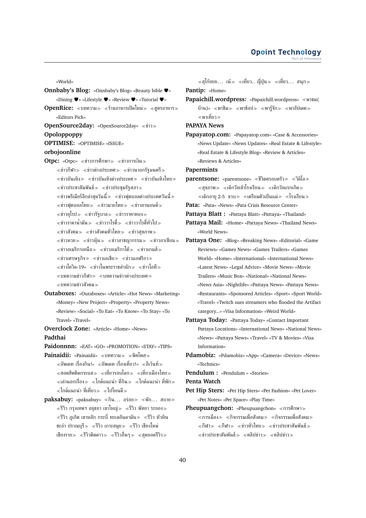- «World» **Onnbaby's Blog:** «Onnbaby's Blog» «Beauty bible ♥» «Dining ♥» «Lifestyle ♥» «Review ♥» «Tutorial ♥» **OpenRice:** «บทความ» «ร้านอาหารเปิดใหม่» «สูตรอาหาร» «Editors Pick» **OpenSource2day:** «OpenSource2day» «ข่าว» **Opoloppoppy OPTIMISE:** «OPTIMISE» «ISSUE» **orbojoonline Otpc:** «Otpc» «ข่าวการศึกษา» «ข่าวการเงิน»  $\ll$ ข่าวกีฬา $\gg \ll$ ข่าวต่างประเทศ $\gg \ll$ ข่าวนายกรัฐมนตรี $\gg$  $\ll$ ข่าวบันเทิง $\gg\ll$ ข่าวบันเทิงต่างประเทศ $\gg\ll$ ข่าวบันเทิงไทย $\gg$  $\ll$ ข่าวประชาสัมพันธ์ $\gg\ll$ ข่าวประชุมรัฐสภา $\gg$  $\ll$ ข่าวพรีเมียร์ลีกล่าสุดวันนี้ $\gg$   $\ll$ ข่าวฟุตบอลต่างประเทศวันนี้ $\gg$  $\ll$ ข่าวฟุตบอลไทย $\gg$   $\ll$ ข่าวมวยไทย $\gg$   $\ll$ ข่าวยานยนต์ $\gg$  $\ll$ ข่าวยุโรป $\gg$   $\ll$ ข่าวรัฐบาล $\gg$   $\ll$ ข่าวราคาทอง $\gg$  $\ll$ ข่าวราคาน้ำมัน $\gg \ll$ ข่าววาไรตี้ $\gg \ll$ ข่าววาไรตี้ทั่วไป $\gg$  $\ll$ ข่าวสังคม $\gg$   $\ll$ ข่าวสังคมทั่วไทย $\gg$   $\ll$ ข่าวสุขภาพ $\gg$  $\ll$ ข่าวหวย $\gg$   $\ll$ ข่าวหุ้น $\gg$   $\ll$ ข่าวอาชญากรรม $\gg$   $\ll$ ข่าวอาเซียน $\gg$  $\ll$ ข่าวอเมริกาเหนือ $\gg \ll$ ข่าวอเมริกาใต้ $\gg \ll$ ข่าวเกมส์ $\gg$  $\ll$ ข่าวเศรษฐกิจ $\gg$   $\ll$ ข่าวเอเชีย $\gg$   $\ll$ ข่าวแอฟริกา $\gg$  $\ll$ ข่าวโควิด-19»  $\ll$ ข่าวในพระราชสำนัก $\gg \ll$ ข่าวไอที $\gg$  $\ll$ บทความข่าวกีฬา $\gg$   $\ll$ บทความข่าวต่างประเทศ $\gg$ บทความข่าวสังคม **Outaboxes:** «Outaboxes» «Article» «Hot News» «Marketing» «Money» «New Project» «Property» «Property News» «Review» «Social» «To Eat» «To Know» «To Stay» «To Travel» «Travel» **Overclock Zone:** «Article» «Home» «News» **Padthai Paidonnnn:** «EAT» «GO» «PROMOTION» «STAY» «TIPS» **Painaidii:** «Painaidii» «บทความ» «พิคโพส»  $\alpha\ll$ อัพเดท เรื่องกิน!»  $\ll$ อัพเดท เรื่องเที่ยว!»  $\ll$ อีเว้นท์ $\gg$  $\ll$ ฮอตฮิตติดกระแส $\gg\ll$ เที่ยวรอบโลก $\gg\ll$ เที่ยวเมืองไทย $\gg$  $\alpha \ll$ เล่านอกเรื่อง $\gg \alpha \ll 1$ กด์แนะนำ ที่กิน $\gg \alpha \ll 1$ กด์แนะนำ ที่พัก $\gg 1$ ์ ≼ไกด์แนะนำ ที่เที่ยว≫ ≼ไปไหนดี≫
- **paksabuy:** «paksabuy» «กิน... อร่อย» «พัก... สบาย»  $\ll$ รีวิว กรงเทพฯ อยุธยา เขาใหญ่ $\gg\ll$ รีวิว พัทยา ระยอง $\gg$  $\ll$ รีวิว ภูเก็ต เขาหลัก กระบี่ ทะเลอันดามัน $\gg\ll$ รีวิว หัวหิน ชะอำ ปราณบุรี $\gg$   $\ll$ รีวิว เกาะสมุย $\gg$   $\ll$ รีวิว เชียงใหม่ เชียงราย $\gg\;$   $\!imes$ รีวิวติดดาว $\gg\;$   $\!imes$ รีวิวอื่นๆ $\gg\;$   $\!imes$ สุดยอดรีวิว $\gg$

 $\alpha \ll \epsilon$ สุโก้ยยย... เน้ $\gg \alpha \ll \epsilon$ เที่ยว...  $\sin \alpha \ll \epsilon$ เที่ยว... สนุก $\gg \epsilon$ 

**Pantip:** «Home»

**Papaichill.wordpress:** «Papaichill.wordpress» พาชม( บ้าน)» «พาชิม» «พาช้อป» «พารู้จัก» «พาอัปเดต» พาเที่ยว

**PAPAYA News**

**Papayatop.com:** «Papayatop.com» «Case & Accessories» «News Update» «News Updates» «Real Estate & Lifestyle» «Real Estate & Lifestyle Blog» «Review & Articles» «Reviews & Articles»

**Papermints**

- **parentsone:** «parentsone» «ชีวิตครอบครัว» «วิดิโอ»  $\ll$ สุขภาพ $\gg \ll$ เด็กวัยเข้าโรงเรียน $\gg \ll$ เด็กวัยแรกเกิด $\gg$  $\ll$ เด็กอาย 2-5 ขวบ $\gg\ll$ เตรียมตัวเป็นแม่ $\gg\ll$ โรงเรียน $\gg$
- **Pata:** «Pata» «News» «Pata Crisis Resource Center»
- **Pattaya Blatt :** «Pattaya Blatt» «Pattaya» «Thailand»
- **Pattaya Mail:** «Home» «Pattaya News» «Thailand News» «World News»
- **Pattaya One:** «Blog» «Breaking News» «Editorial» «Game Reviews» «Games News» «Games Trailers» «Games World» «Home» «International» «International News» «Latest News» «Legal Advice» «Movie News» «Movie Trailers» «Music Box» «National» «National News» «News Asia» «Nightlife» «Pattaya News» «Pattaya News» «Restaurants» «Sponsored Articles» «Sport» «Sport World» «Travel» «Twitch sues streamers who flooded the Artifact category...» «Visa Information» «Weird World»
- **Pattaya Today:** «Pattaya Today» «Contact Important Pattaya Locations» «International News» «National News» «News» «Pattaya News» «Travel» «TV & Movies» «Visa Information»
- **Pdamobiz:** «Pdamobiz» «App» «Camera» «Device» «News» «Technics»

**Pendulum :** «Pendulum » «Stories»

**Penta Watch**

- **Pet Hip Sters:** «Pet Hip Sters» «Pet Fashion» «Pet Lover» «Pet Notes» «Pet Space» «Play Time»
- **Pheupuangchon:** «Pheupuangchon» «การศึกษา»  $\ll$ การเมือง $\gg \ll$ กิจกรรมเพื่อสังคม $\gg \ll$ กิจกรรมเพื่อสังคม $\gg$  $\ll$ กีฬา $\gg$   $\ll$ กีฬา $\gg$   $\ll$ ข่าวทั่วไทย $\gg$   $\ll$ ข่าวประชาสัมพันธ์ $\gg$  $\ll$ ข่าวประชาสัมพันธ์ $\gg$   $\ll$ คลิปข่าว $\gg$   $\ll$ คลิปข่าว $\gg$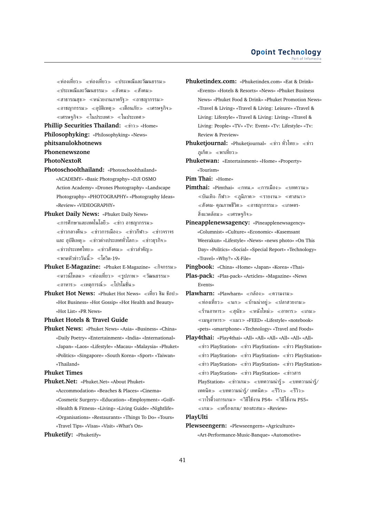$\ll$ ท่องเที่ยว $\gg$   $\ll$ ท่องเที่ยว $\gg$   $\ll$ ประเพณีและวัฒนธรรม $\gg$ ≪ประเพณีและวัฒนธรรม≫ ≪สังคม≫ ≪สังคม≫  $\ll$ สาธารณสุข $\gg$   $\ll$ หน่วยงานภาครัฐ $\gg$   $\ll$ อาชญากรรม $\gg$  $\ll$ อาชญากรรม $\gg \ll$ อุบัติเหตุ $\gg \ll$ เตือนภัย $\gg \ll$ เศรษฐกิจ $\gg$  $\ll$ เศรษฐกิจ $\gg \ll$ ในประเทศ $\gg \ll$ ในประเทศ $\gg$ 

**Phillip Securities Thailand:** «ข่าว» «Home» **Philosophyking:** «Philosophyking» «News» **phitsanulokhotnews Phonenewszone**

# **PhotoNextoR**

- 
- **Photoschoolthailand:** «Photoschoolthailand» «ACADEMY» «Basic Photography» «DJI OSMO Action Academy» «Drones Photography» «Landscape Photography» «PHOTOGRAPHY» «Photography Ideas» «Review» «VIDEOGRAPHY»
- **Phuket Daily News:** «Phuket Daily News»  $\ll$ การศึกษาและเทคโนโลยี $\gg\ll$ ข่าว อาชญากรรม $\gg$  $\ll$ ข่าวกลางคืน $\gg$   $\ll$ ข่าวการเมือง $\gg$   $\ll$ ข่าว $\frac{1}{2}$ ทับ $\gg$   $\ll$ ข่าวจราจร และ อุบัติเหตุ $\gg$   $\ll$ ข่าวต่างประเทศทั่วโลก $\gg$   $\ll$ ข่าวธุรกิจ $\gg$  $\ll$ ข่าวประเทศไทย $\gg \ll$ ข่าวสังคม $\gg \ll$ ข่าวสำคัญ $\gg$  $\ll$ พาดหัวข่าววันนี้ $\gg\;$   $\ll$ โควิด-19»
- **Phuket E-Magazine:** «Phuket E-Magazine» «กิจกรรม»  $\ll$ ดาวน์โหลด $\gg \ll$ ท่องเที่ยว $\gg \ll$ รูปภาพ $\gg \ll$ วัฒนธรรม $\gg$  $\ll$ อาหาร $\gg \ll$ เหตุการณ์ $\gg \ll$ โปรโมชั่น $\gg$
- **Phuket Hot News:** «Phuket Hot News» «เที่ยว ชิม ช๊อป≫ «Hot Business» «Hot Gossip» «Hot Health and Beauty» «Hot List» «PR News»

**Phuket Hotels & Travel Guide**

**Phuket News:** «Phuket News» «Asia» «Business» «China» «Daily Poetry» «Entertainment» «India» «International» «Japan» «Laos» «Lifestyle» «Macau» «Malaysia» «Phuket» «Politics» «Singapore» «South Korea» «Sport» «Taiwan» «Thailand»

### **Phuket Times**

- **Phuket.Net:** «Phuket.Net» «About Phuket» «Accommodation» «Beaches & Places» «Cinema» «Cosmetic Surgery» «Education» «Employment» «Golf» «Health & Fitness» «Living» «Living Guide» «Nightlife» «Organisations» «Restaurants» «Things To Do» «Tours» «Travel Tips» «Visas» «Visit» «What's On»
- **Phuketify:** «Phuketify»

**Phuketindex.com:** «Phuketindex.com» «Eat & Drink» «Events» «Hotels & Resorts» «News» «Phuket Business News» «Phuket Food & Drink» «Phuket Promotion News» «Travel & Living» «Travel & Living: Leisure» «Travel & Living: Lifestyle» «Travel & Living: Living» «Travel & Living: People» «TV» «Tv: Event» «Tv: Lifestyle» «Tv: Review & Preview»

**Phuketjournal:** «Phuketjournal» «ข่าว ทั่วไทย» «ข่าว ภูเก็ต≫ ≪พาเที่ยว≫

**Phuketwan:** «Entertainment» «Home» «Property» «Tourism»

**Pim Thai:** «Home»

- **Pimthai:** «Pimthai» «กทม.» «การเมือง» «บทความ»  $\ll$ บันเทิง- กีฬา $\gg$   $\ll$ ภูมิภาค $\gg$   $\ll$ รายงาน $\gg$   $\ll$ ศาสนา $\gg$  $\ll$ สังคม- คุณภาพชีวิต $\gg$   $\ll$ อาชญากรรม $\gg$   $\ll$ เกษตร-สิ่งแวดล้อม $\gg$  «เศรษฐกิจ $\gg$
- **Pineapplenewsagency:** «Pineapplenewsagency» «Columnist» «Culture» «Economic» «Kasemsant Weerakun» «Lifestyle» «News» «news photo» «On This Day» «Politics» «Social» «Special Report» «Technology» «Travel» «Why?» «X-File»

**Pingbook:** «China» «Home» «Japan» «Korea» «Thai»

- **Plas-pack:** «Plas-pack» «Articles» «Magazine» «News Events»
- **Plawharn:** «Plawharn» «กล้อง» «ความงาม»  $\ll$ ท่องเที่ยว $\gg\ll$ นก $\gg\ll$ บ้านน่าอยู่ $\gg\ll$ ปลาสวยงาม $\gg$  $\ll$ ร้านอาหาร≫ ≪สุนัข≫ ≪หนังใหม่≫ ≪อาหาร≫ ≪เกม≫ เมนูอาหาร แมว «FEED» «Lifestyle» «notebook» «pets» «smartphone» «Technology» «Travel and Foods»
- **Play4thai:** «Play4thai» «All» «All» «All» «All» «All» «All» ข่าว PlayStation» ข่าว PlayStation» ข่าว PlayStation» ข่าว PlayStation» ข่าว PlayStation» ข่าว PlayStation» ข่าว PlayStation» ข่าว PlayStation» ข่าว PlayStation» ข่าว PlayStation» ข่าว PlayStation» ข่าวสาร PlayStation» «ข่าวเกม» «บทความน่ารู้» «บทความน่ารู้/ เทคนิค $\gg$  «บทความน่ารู้/ เทคนิค $\gg$  «รีวิว $\gg$  «รีวิว $\gg$  $\ll$ วาไรตี้วงการเกม $\gg \ll$ วิธีใช้งาน PS4»  $\ll$ วิธีใช้งาน PS5»  $\ll$ เกม $\gg$   $\ll$ เครื่องเกม/ ของสะสม $\gg$  «Review»

#### **PlayUlti**

**Plewseengern:** «Plewseengern» «Agriculture» «Art-Performance-Music-Banque» «Automotive»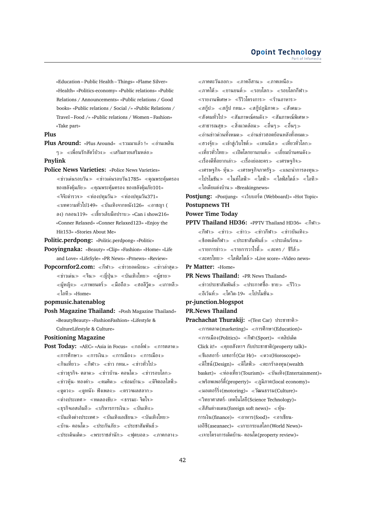«Education – Public Health – Things» «Flame Silver» «Health» «Politics-economy» «Public relations» «Public Relations / Announcements» «Public relations / Good books» «Public relations / Social /» «Public Relations / Travel – Food /» «Public relations / Women – Fashion» «Take part»

### **Plus**

**Plus Around:** «Plus Around» ≪รวมมาแล้ว !» ≪อ่านเพลิน  $\gamma_\gg\ \ll$ เพื่อนรักสัตว์ป่วง $_\gg\ \ll$ เสริมสวยเสริมหล่อ $_\gg$ 

### **Pnylink**

**Police News Varieties:** «Police News Varieties»  $\ll$ ข่าวเด่นรอบวัน $\gg$   $\ll$ ข่าวเด่นรอบวัน1785»  $\ll$ คุณพระคุ้มครอง ของขลังคุ้มภัย $\gg$  «คุณพระคุ้มครอง ของขลังคุ้มภัย101»  $\ll$ จิจ๊ะตำรวจ $\gg$   $\ll$ ท่องปทุมวัน $\gg$   $\ll$ ท่องปทุมวัน371»  $\ll$ บทความทั่วไป149»  $\ll$ บันเทิงจากหนัง126»  $\ll$ อาชญา ( ลง) กลอน119»  $\ll$ เขี้ยวเล็บมือปราบ $\gg$  «Can i show216» «Conner Relaxed» «Conner Relaxed123» «Enjoy the Hit153» «Stories About Me»

**Politic.perdpong:** «Politic.perdpong» «Politic»

**Pooyingnaka:** «Beauty» «Clip» «Fashion» «Home» «Life and Love» «LifeSyle» «PR News» «Prnews» «Review»

**Popcornfor2.com:** «กีฬา» «ข่าวยอดนิยม» «ข่าวล่าสด»  $\ll$ ข่าวเด่น $\gg$   $\ll$ จีน $\gg$   $\ll$ ญี่ปุ่น $\gg$   $\ll$ บันเทิงไทย $\gg$   $\ll$ ผู้ชาย $\gg$  $\ll$ ผู้หญิง $\gg$   $\ll$ ภาพยนตร์ $\gg$   $\ll$ มือถือ $\gg$   $\ll$ ฮอลีวู๊ด $\gg$   $\ll$ เกาหลี $\gg$  $\ll$ ไอที » «Home»

### **popmusic.hatenablog**

**Posh Magazine Thailand:** «Posh Magazine Thailand» «BeautyBeauty» «FashionFashion» «Lifestyle & CultureLifestyle & Culture»

### **Positioning Magazine**

**Post Today:** «AEC» «Asia in Focus» «กอล์ฟ» «การตลาด»  $\ll$ การศึกษา $\gg$   $\ll$ การเงิน $\gg$   $\ll$ การเมือง $\gg$ ่ ≪กินเที่ยว≫ ≪กีฬา≫ ≪ข่าว กทม.» ≪ข่าวทั่วไป≫  $\ll$ ข่าวธุรกิจ- ตลาด $\gg$   $\ll$ ข่าวบ้าน- คอนโด $\gg$   $\ll$ ข่าวรอบโลก $\gg$  $\ll$ ข่าวหุ้น- ทองคำ $\gg$   $\ll$ คมคิด $\gg$   $\ll$ ช่อมบ้าน $\gg$   $\ll$ ดิจิตอลไลฟ์ $\gg$  $\ll$ ดดวง $\gg$   $\ll$ ดหนัง- ฟังเพลง $\gg$   $\ll$ ตรวจผลสลาก $\gg$  $\ll$ ต่างประเทศ $\gg\ll$ ทดลองขับ $\gg\ll$ ธรรมะ- จิตใจ $\gg$  $\ll$ ธรกิจเอสเอ็มอี $\gg\ll$ บริหารการเงิน $\gg\ll$ บันเทิง $\gg$  $\ll$ บันเทิงต่างประเทศ $\gg\ll$ บันเทิงเอเชียน $\gg\ll$ บันเทิงไทย $\gg$  $\ll$ บ้าน- คอนโด $\gg\ll$ ประกันภัย $\gg\ll$ ประชาสัมพันธ์ $\gg$  $\ll$ ประเด็นเด็ด $\gg$   $\ll$ พระราชสำนัก $\gg$   $\ll$ ฟุตบอล $\gg$   $\ll$ ภาคกลาง $\gg$ 

 $\ll$ ภาคตะวันออก $\gg$   $\ll$ ภาคอีสาน $\gg$   $\ll$ ภาคเหนือ $\gg$  $\ll$ ภาคใต้ $\gg\ll$ ยานยนต์ $\gg\ll$ รอบโลก $\gg\ll$ รอบโลกกีฬา $\gg$ รายงานพิเศษ รีวิวโครงการ ร้านอาหาร  $\ll$ สกู๊ป $\gg$   $\ll$ สกู๊ป กทม.»  $\ll$ สกู๊ปภูมิภาค $\gg$   $\ll$ สังคม $\gg$  $\ll$ สังคมทั่วไป $\gg\ll$ สัมภาษณ์คนดัง $\gg\ll$ สัมภาษณ์พิเศษ $\gg$  $\ll$ สาธารณสข $\gg \ll$ สิ่งแวดล้อม $\gg \ll$ อื่นๆ $\gg$  $\ll$ อ่านข่าวด่วนทั้งหมด $\gg\ll$ อ่านข่าวฮอตย้อนหลังทั้งหมด $\gg$  $\ll$ ฮวงจุ้ย $\gg\ll$ เข้าสู่เว็บไซต์ $\gg\ll$ เทนนิส $\gg\ll$ เที่ยวทั่วโลก $\gg$  $\ll$ เที่ยวทั่วไทย $\gg\ll$ เปิดโลกยานยนต์ $\gg\ll$ เยี่ยมบ้านคนดัง $\gg$  $\ll$ เรื่องดีที่อยากเล่า $\gg\ll$ เรื่องย่อละคร $\gg\ll$ เศรษฐกิจ $\gg$  $\ll$ เศรษฐกิจ- หุ้น $\gg\ll$ เศรษฐกิจภาครัฐ $\gg\ll$ แนะนำการลงทุน $\gg$  $\ll$ โปรโมชัน $\gg\ll$ ไนท์ไลฟ์ $\gg\ll$ ไลฟ์ $\gg\ll$ ไลฟ์สไตล์ $\gg\ll$ ไอที $\gg$  $\ll$ ไอเดียแต่งบ้าน $\gg$  «Breakingnews»

**Postjung:** «Postjung» «เว็บบอร์ด (Webboard)» «Hot Topic» **Postupnews TH**

#### **Power Time Today**

**PPTV Thailand HD36: «PPTV Thailand HD36» «กีฬา»**  $\ll$ กีฬา $\gg$   $\ll$ ข่าว $\gg$   $\ll$ ข่าวกีฬา $\gg$   $\ll$ ข่าวบันเทิง $\gg$  $\ll$ ช็อตเด็ดกีฬา $\gg$   $\ll$ ประชาสัมพันธ์ $\gg$   $\ll$ ประเด็นร้อน $\gg$  $\ll$ รายการข่าว $\gg \ll$ รายการวาไรตี้ $\gg \ll$ ละคร / ซีรีส์ $\gg$  $\alpha \ll \alpha$ ะครไทย $\gg \alpha$ ไลฟ์สไตล์ $\gg \alpha$ Live score» «Video news»

**Pr Matter:** «Home»

**PR News Thailand:** «PR News Thailand»  $\ll$ ข่าวประชาสัมพันธ์ $\gg$   $\ll$ ประกาศซื้อ- ขาย $\gg$   $\ll$ รีวิว $\gg$  $\ll$ อีเว้นท์≫ ≪โควิด-19» ≪โปรโมชั่น≫

# **pr-junction.blogspot**

- **PR.News Thailand**
- **Prachachat Thurakij:** «(Test Car) ประชาชาติ  $\ll$ การตลาด(marketing)»  $\ll$ การศึกษา(Education)»  $\ll$ การเมือง(Politics)»  $\ll$ กีฬา(Sport)»  $\ll$ คลิปเด็ด Click it!» คุยอสังหาฯ กับประชาชาติ(property talk)»  $\ll$ ซีเอสอาร์- เอชอาร์(Csr Hr)»  $\ll$ ดวง(Horoscope)»  $\ll$ ดีไซน์(Design)»  $\ll$ ดีไลฟ์ $\gg$   $\ll$ ตะกร้าลงทุน(wealth basket)» ท่องเที่ยว(Tourism)» บันเทิง(Entertainment)»  $\ll$ พร็อพเพอร์ตี้(property)»  $\ll$ ภูมิภาค(local economy)»  $\ll$ มอเตอร์ริ่ง(motoring)»  $\ll$ วัฒนธรรม(Culture)» วิทยาศาสตร์- เทคโนโลยี(Science Technology)»  $\ll$ สีสันต่างแดน(foreign soft news)»  $\ll$ ท้น-การเงิน(finance)» อาหาร(food)» อาเซียน-เออีซี(aseanaec)» เกาะกระแสโลก(World News)»  $\ll$ เจาะโครงการเด็ดบ้าน- คอนโด(property review)»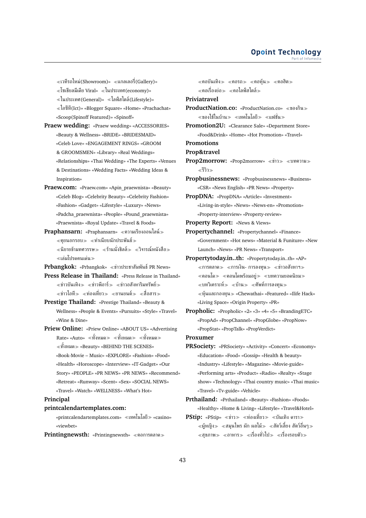$\ll$ เวทีรถใหม่(Showroom)»  $\ll$ แกลเลอรี่(Gallery)»  $\ll$ โซเชียลมีเดีย Viral»  $\ll$ ในประเทศ(economy)» ในประเทศ(General)» ไลฟ์สไตล์(Lifestyle)» ไอซีที(Ict)» «Blogger Square» «Home» «Prachachat» «Scoop(Spinoff Featured)» «Spinoff»

- **Praew wedding:** «Praew wedding» «ACCESSORIES» «Beauty & Wellness» «BRIDE» «BRIDESMAID» «Celeb Love» «ENGAGEMENT RINGS» «GROOM & GROOMSMEN» «Library» «Real Weddings» «Relationships» «Thai Wedding» «The Experts» «Venues & Destinations» «Wedding Facts» «Wedding Ideas & Inspiration»
- **Praew.com:** «Praew.com» «Apin\_praewnista» «Beauty» «Celeb Blog» «Celebrity Beauty» «Celebrity Fashion» «Fashion» «Gadget» «Lifestyle» «Luxury» «News» «Padcha\_praewnista» «People» «Pound\_praewnista» «Praewnista» «Royal Update» «Travel & Foods»
- **Praphansarn:** «Praphansarn» ความเรียงออนไลน์  $\ll$ คยนอกรอบ $\gg$   $\ll$ ทำเนียบนักประพันธ์ $\gg$  $\ll$ นิยายข้ามทศวรรษ $\gg \ll$ ร้านนั่งชิลล์ $\gg \ll$ วิจารณ์หนังสือ $\gg$ เล่มโปรดคนเด่น
- **Prbangkok:** «Prbangkok» «ข่าวประชาสัมพันธ์ PR News»
- **Press Release in Thailand:** «Press Release in Thailand»  $\ll$ ข่าวบันเทิง $\gg$   $\ll$ ข่าวพีอาร์ $\gg$   $\ll$ ข่าวอสังหาริมทรัพย์ $\gg$  $\ll$ ข่าวไอที $\gg$   $\ll$ ท่องเที่ยว $\gg$   $\ll$ ยานยนต์ $\gg$   $\ll$ สื่อสาร $\gg$
- **Prestige Thailand:** «Prestige Thailand» «Beauty & Wellness» «People & Events» «Pursuits» «Style» «Travel» «Wine & Dine»
- **Priew Online:** «Priew Online» «ABOUT US» «Advertising Rate» «Auto» «ทั้งหมด » «ทั้งหมด » «ทั้งหมด » ทั้งหมด «Beauty» «BEHIND THE SCENES» «Book-Movie – Music» «EXPLORE» «Fashion» «Food» «Health» «Horoscope» «Interview» «IT-Gadget» «Our Story» «PEOPLE» «PR NEWS» «PR NEWS» «Recommend» «Retreat» «Runway» «Scent» «Sex» «SOCIAL NEWS» «Travel» «Watch» «WELLNESS» «What's Hot»

#### **Principal**

#### **printcalendartemplates.com:**

«printcalendartemplates.com» เทคโนโลยี «casino» «viewbet»

**Printingnewsth: «Printingnewsth» «คอการตลาด»** 

 $\ll$ คอบันเทิง $\gg$   $\ll$ คอรถ $\gg$   $\ll$ คอหุ้น $\gg$   $\ll$ คอฮิต $\gg$  $\ll$ คอเรื่องย่อ $\gg$   $\ll$ คอไลฟ์สไตล์ $\gg$ 

**Priviatravel**

- **ProductNation.co:** «ProductNation.co» ของกิน  $\ll$ ของใช้ในบ้าน $\gg\ll$ เทคโนโลยี $\gg\ll$ แฟชั่น $\gg$
- **Promotion2U:** «Clearance Sale» «Department Store» «Food&Drink» «Home» «Hot Promotion» «Travel»

**Promotions**

```
Prop&travel
```
- **Prop2morrow:** «Prop2morrow» «ข่าว» «บทความ» รีวิว
- **Propbusinessnews:** «Propbusinessnews» «Business» «CSR» «News English» «PR News» «Property»
- **PropDNA:** «PropDNA» «Article» «Investment» «Living-in-style» «News» «News-en» «Promotion» «Property-interview» «Property-review»
- 
- **Property Report:** «News & Views»
- **Propertychannel:** «Propertychannel» «Finance» «Government» «Hot news» «Material & Funiture» «New Launch» «News» «PR News» «Transport»
- **Propertytoday.in..th:** «Propertytoday.in..th» «AP»  $\ll$ การตลาด $\gg$   $\ll$ การเงิน- การลงทน $\gg$   $\ll$ ข่าวอสังหาฯ $\gg$  $\ll$ คอนโด $\gg$   $\ll$ คอนโดพร้อมอยู่ $\gg$   $\ll$ บทความยอดนิยม $\gg$  $\ll$ บทวิเคราะห์ $\gg\ll$ บ้าน $\gg\ll$ ศัพท์การลงทุน $\gg$ หุ้นและกองทุน «Chewathai» «Featured» «Ilife Hack» «Living Space» «Origin Property» «PR»
- **Propholic:** «Propholic» «2» «3» «4» «5» «BrandingETC» «PropAd» «PropChannel» «PropGlobe» «PropNow» «PropStat» «PropTalk» «PropVerdict»

**Proxumer**

**PRSociety:** «PRSociety» «Activity» «Concert» «Economy» «Education» «Food» «Gossip» «Health & beauty» «Industry» «Lifestyle» «Magazine» «Movie-guide» «Performing arts» «Product» «Radio» «Realty» «Stage show» «Technology» «Thai country music» «Thai music» «Travel» «Tv-guide» «Vehicle»

**Prthailand:** «Prthailand» «Beauty» «Fashion» «Foods» «Healthy» «Home & Living» «Lifestyle» «Travel&Hotel»

**PStip:** «PStip» «ข่าว» «ท่องเที่ยว» «บันเทิง ดารา»  $\ll$ ผู้หญิง $\gg\ll$ สมุนไพร ผัก ผลไม้ $\gg\ll$ สัตว์เลี้ยง สัตว์อื่นๆ $\gg$  $\ll$ สุขภาพ $\gg \ll$ อาหาร $\gg \ll$ เรื่องทั่วไป $\gg \ll$ เรื่องรอบตัว $\gg$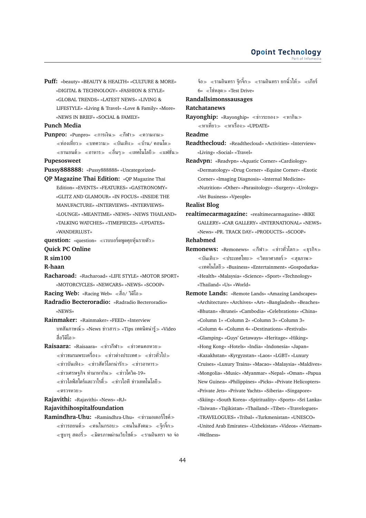**Puff:** «beauty» «BEAUTY & HEALTH» «CULTURE & MORE» «DIGITAL & TECHNOLOGY» «FASHION & STYLE» «GLOBAL TRENDS» «LATEST NEWS» «LIVING & LIFESTYLE» «Living & Travel» «Love & Family» «More» «NEWS IN BRIEF» «SOCIAL & FAMILY»

#### **Punch Media**

- **Punpro:** «Punpro» ≪การเงิน≫ ≪กีฬา≫ ≪ความงาม≫  $\ll$ ท่องเที่ยว≫ ≪บทความ≫ ≪บันเทิง≫ ≪บ้าน/ คอนโด≫  $\ll$ ยานยนต์ $\gg$   $\ll$ อาหาร $\gg$   $\ll$ ชื่นๆ $\gg$   $\ll$ แฟชั่น $\gg$
- **Pupesosweet**
- Pussy888888: «Pussy888888» «Uncategorized»
- **QP Magazine Thai Edition:** «QP Magazine Thai Edition» «EVENTS» «FEATURES» «GASTRONOMY» «GLITZ AND GLAMOUR» «IN FOCUS» «INSIDE THE MANUFACTURE» «INTERVIEWS» «INTERVIEWS» «LOUNGE» «MEANTIME» «NEWS» «NEWS THAILAND» «TALKING WATCHES» «TIMEPIECES» «UPDATES» «WANDERLUST»
- **question:** «question» «เวบบอร์ดพูดคุยหุ้นรายตัว»
- **Quick PC Online**
- **R sim100**
- **R-haan**
- **Racharoad:** «Racharoad» «LIFE STYLE» «MOTOR SPORT» «MOTORCYCLES» «NEWCARS» «NEWS» «SCOOP»
- **Racing Web:** «Racing Web» สื่อ/ วิดีโอ
- **Radradio Becteroradio:** «Radradio Becteroradio» «NEWS»

**Rainmaker:** «Rainmaker» «FEED» «Interview บทสัมภาษณ์≫ «News ข่าวสาร≫ «Tips เทคนิคน่ารู้≫ «Video สื่อวีดีโอ

**Raisaara:** «Raisaara» «ข่าวกีฬา» «ข่าวคนคอหวย»  $\ll$ ข่าวชมรมพระเครื่อง $\gg$   $\ll$ ข่าวต่างประเทศ $\gg$   $\ll$ ข่าวทั่วไป $\gg$  $\ll$ ข่าวบันเทิง $\gg$   $\ll$ ข่าวสัตว์โลกน่ารัก $\gg$   $\ll$ ข่าวอาหาร $\gg$  $\ll$ ข่าวเศรษฐกิจ ทำมาหากิน $\gg$   $\ll$ ข่าวโควิด-19»  $\ll$ ข่าวไลฟ์สไตร์และวาไรตี้ $\gg\ll$ ข่าวไอที ข่าวเทคโนโลยี $\gg$ ตรวจหวย

- **Rajavithi:** «Rajavithi» «News» «RJ»
- **Rajavithihospitalfoundation**
- **Ramindhra-Uhu:** «Ramindhra-Uhu» «ข่าวมอเตอร์ไซค์»  $\ll$ ข่าวรถยนต์ $\gg$   $\ll$ คนในกรอบ $\gg$   $\ll$ คนในสังคม $\gg$   $\ll$ จุ๊กจิ๊ก $\gg$  $\ll$ ซูบารุ สตอรี่ $\gg\ll$ มิตรภาพผ่านเว็บไซต์ $\gg\ll$ รามอินทรา จอ จ่อ

จ้อ $\gg$   $\ll$ รามอินทรา จึกจิ๊ก $\gg$   $\ll$ รามอินทรา ยกนิ้วให้ $\gg$   $\ll$ เกียร์ 6» โซ่หลุด «Test Drive»

### **Randallsimonssausages**

#### **Ratchatanews**

Rayonghip: «Rayonghip» «ข่าวระยอง» «หากิน» หาเที่ยว หาเรื่อง «UPDATE»

#### **Readme**

**Readthecloud:** «Readthecloud» «Activities» «Interview» «Living» «Social» «Travel»

**Readvpn:** «Readvpn» «Aquatic Corner» «Cardiology» «Dermatology» «Drug Corner» «Equine Corner» «Exotic Corner» «Imaging Diagnosis» «Internal Medicine» «Nutrition» «Other» «Parasitology» «Surgery» «Urology» «Vet Business» «Vpeople»

- **Realist Blog**
- **realtimecarmagazine:** «realtimecarmagazine» «BIKE GALLERY» «CAR GALLERY» «INTERNATIONAL» «NEWS» «News» «PR. TRACK DAY» «PRODUCTS» «SCOOP»

**Rehabmed**

- **Remonews:** «Remonews» «กีฬา» «ข่าวทั่วโลก» «ธุรกิจ»  $\ll$ บันเทิง $\gg\ll$ ประเทศไทย $\gg\ll$ วิทยาศาสตร์ $\gg\ll$ สุขภาพ $\gg$ เทคโนโลยี «Business» «Entertainment» «Gospodarka» «Health» «Malaysia» «Science» «Sport» «Technology» «Thailand» «Us» «World»
- **Remote Lands:** «Remote Lands» «Amazing Landscapes» «Architecture» «Archives» «Art» «Bangladesh» «Beaches» «Bhutan» «Brunei» «Cambodia» «Celebrations» «China» «Column 1» «Column 2» «Column 3» «Column 3» «Column 4» «Column 4» «Destinations» «Festivals» «Glamping» «Guys' Getaways» «Heritage» «Hiking» «Hong Kong» «Hotels» «India» «Indonesia» «Japan» «Kazakhstan» «Kyrgyzstan» «Laos» «LGBT» «Luxury Cruises» «Luxury Trains» «Macao» «Malaysia» «Maldives» «Mongolia» «Music» «Myanmar» «Nepal» «Oman» «Papua New Guinea» «Philippines» «Picks» «Private Helicopters» «Private Jets» «Private Yachts» «Siberia» «Singapore» «Skiing» «South Korea» «Spirituality» «Sports» «Sri Lanka» «Taiwan» «Tajikistan» «Thailand» «Tibet» «Travelogues» «TRAVELOGUES» «Tribal» «Turkmenistan» «UNESCO» «United Arab Emirates» «Uzbekistan» «Videos» «Vietnam» «Wellness»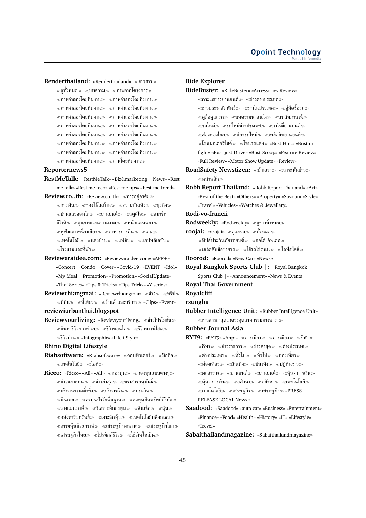**Renderthailand: «Renderthailand» «ข่าวสาร»** 

 $\ll$ ดทั้งหมด $\gg$  ≪บทความ $\gg$  ≪ภาพจากโครงการ $\gg$ ภาพจำลองโดยทีมงาน ภาพจำลองโดยทีมงาน  $\ll$ ภาพจำลองโดยทีมงาน $\gg\ll$ ภาพจำลองโดยทีมงาน $\gg$  $\ll$ ภาพจำลองโดยทีมงาน $\gg \ll$ ภาพจำลองโดยทีมงาน $\gg$  $\ll$ ภาพจำลองโดยทีมงาน $\gg \ll$ ภาพจำลองโดยทีมงาน $\gg$  $\ll$ ภาพจำลองโดยทีมงาน $\gg \ll$ ภาพจำลองโดยทีมงาน $\gg$  $\ll$ ภาพจำลองโดยทีมงาน $\gg\ll$ ภาพจำลองโดยทีมงาน $\gg$  $\ll$ ภาพจำลองโดยทีมงาน $\gg \ll$ ภาพจำลองโดยทีมงาน $\gg$ 

 $\ll$ ภาพจำลองโดยทีมงาน $\gg \ll$ ภาพโดยทีมงาน $\gg$ 

#### **Reporternews5**

**RestMeTalk:** «RestMeTalk» «Biz&marketing» «News» «Rest me talk» «Rest me tech» «Rest me tips» «Rest me trend»

**Review.co..th:** «Review.co..th» «การอยู่อาศัย»

- $\ll$ การเงิน $\gg$   $\ll$ ของใช้ในบ้าน $\gg$   $\ll$ ความบันเทิง $\gg$   $\ll$ ธุรกิจ $\gg$  $\ll$ บ้านและคอนโด $\gg\ll$ ยานยนต์ $\gg\ll$ สตดิโอ $\gg\ll$ สมาร์ท ดีไวซ์ $\gg$  «สขภาพและความงาม $\gg$  «หนังและเพลง $\gg$  $\ll$ หฟังและเครื่องเสียง $\gg$   $\ll$ อาหารการกิน $\gg$   $\ll$ เกม $\gg$  $\ll$ เทคโนโลยี $\gg\ll$ แต่งบ้าน $\gg\ll$ แฟชั่น $\gg\ll$ แอปพลิเคชัน $\gg$ โรงแรมและที่พัก
- **Reviewaraidee.com:** «Reviewaraidee.com» «APP+» «Concert» «Condo» «Cover» «Covid-19» «EVENT» «Idol» «My Meal» «Promotion» «Promotion» «SocialUpdate» «Thai Series» «Tips & Tricks» «Tips Tricks» «Y series»
- **Reviewchiangmai:** «Reviewchiangmai» «ข่าว» «ทริป»  $\ll$ ที่กิน $\gg \ll$ ที่เที่ยว $\gg \ll$ ร้านค้าและบริการ $\gg$  «Clips» «Event»
- **reviewiurbanthai.blogspot**
- **Reviewyourliving:** «Reviewyourliving» ข่าวโปรโมชั่น  $\ll$ ค้นหารีวิวจากทำเล $\gg \ll$ รีวิวคอนโด $\gg \ll$ รีวิวทาวน์โฮม $\gg$ รีวิวบ้าน «Infographic» «Life+Style»
- **Rhino Digital Lifestyle**
- **Riahsoftware:** «Riahsoftware» «คอมพิวเตอร์» «มือถือ»  $\ll$ เทคโนโลยี $\gg \ll$ ไอที $\gg$
- Ricco: «Ricco» «All» «All» «กองทุน» «กองทุนแบบต่างๆ»  $\ll$ ข่าวตลาดทน $\gg$   $\ll$ ข่าวล่าสุด $\gg$   $\ll$ ตราสารอนุพันธ์ $\gg$  $\ll$ บริหารความมั่งคั่ง≫ ≪บริหารเงิน≫ ≪ประกัน≫  $\ll$ ฟินเทค $\gg \ll$ ลงทุนปัจจัยพื้นฐาน $\gg \ll$ ลงทุนสินทรัพย์ดิจิทัล $\gg$  $\ll$ วางแผนภาษี $\gg\ll$ วิเคราะห์กองทน $\gg\ll$ สินเชื่อ $\gg\ll$ ห้น $\gg$  $\ll$ อสังหาริมทรัพย์ $\gg\ll$ เจาะลึกห้น $\gg\ll$ เทคโนโลยีบล็อกเชน $\gg$  $\ll$ เทรดหุ้นด้วยกราฟ $\gg\ll$ เศรษฐกิจมหภาค $\gg\ll$ เศรษฐกิจโลก $\gg$  $\ll$ เศรษฐกิจไทย $\gg \ll$ โปรดักต์รีวิว $\gg \ll$ ใช้เงินให้เป็น $\gg$

#### **Ride Explorer**

**RideBuster:** «RideBuster» «Accessories Review»  $\ll$ กระแสข่าวยานยนต์ $\gg$   $\ll$ ข่าวต่างประเทศ $\gg$  $\ll$ ข่าวประชาสัมพันธ์ $\gg$   $\ll$ ข่าวในประเทศ $\gg$   $\ll$ คู่มือซื้อรถ $\gg$  $\ll$ คู่มือดูแลรถ $\gg\ll$ บทความน่าสนใจ $\gg\ll$ บทสัมภาษณ์ $\gg$  $\ll$ รถใหม่ $\gg$   $\ll$ รถใหม่ต่างประเทศ $\gg$   $\ll$ วาไรตี้ยานยนต์ $\gg$  $\ll$ ส่องท่องโลก $\gg$   $\ll$ ส่องรถใหม่ $\gg$   $\ll$ เคล็ดลับยานยนต์ $\gg$  $\ll$ โซนมอเตอร์ไซค์ $\gg \ll$ โซนรถแต่ง $\gg$  «Bust Hint» «Bust in fight» «Bust just Drive» «Bust Scoop» «Feature Review» «Full Review» «Motor Show Update» «Review»

- RoadSafety Newstizen: «บ้านเรา» «สาระพันข่าว» หน้าหลัก
- **Robb Report Thailand:** «Robb Report Thailand» «Art» «Best of the Best» «Others» «Property» «Savour» «Style» «Travel» «Vehicles» «Watches & Jewellery»

#### **Rodi-vo-francii**

**Rodweekly:** «Rodweekly» «ดข่าวทั้งหมด»

**roojai:** «roojai» ≪ดูแลรถ≫ ≪ทั้งหมด≫

 $\ll$ ทิปส์ประกันภัยรถยนต์ $\gg\;$   $\ll$ ออโต้ อัพเดท $\gg$  $\ll$ เคล็ดลับซื้อขายรถ $\gg \ll$ ใช้รถใช้ถนน $\gg \ll$ ไลฟ์สไตล์ $\gg$ 

- **Roorod:** «Roorod» «New Car» «News»
- **Royal Bangkok Sports Club |:** «Royal Bangkok Sports Club |» «Announcement» «News & Events»
- **Royal Thai Government**

**Royalcliff**

#### **rsungha**

**Rubber Intelligence Unit:** «Rubber Intelligence Unit» ข่าวสารล่าสุดแวดวงอุตสาหกรรมยางพารา

**Rubber Journal Asia**

 $\overline{\text{RYT9}}:$  «RYT9» «Anpi» «การเมือง» «การเมือง» «กีฬา»  $\ll$ กีฬา $\gg$   $\ll$ ข่าวราชการ $\gg$   $\ll$ ข่าวล่าสุด $\gg$   $\ll$ ต่างประเทศ $\gg$  $\ll$ ต่างประเทศ $\gg \ll$ ทั่วไป $\gg \ll$ ทั่วไป $\gg \ll$ ท่องเที่ยว $\gg$  $\ll$ ท่องเที่ยว $\gg\ll$ บันเทิง $\gg\ll$ บันเทิง $\gg\ll$ ปฏิทินข่าว $\gg$  $\ll$ ผลสำรวจ $\gg$   $\ll$ ยานยนต์ $\gg$   $\ll$ ยานยนต์ $\gg$   $\ll$ หุ้น- การเงิน $\gg$  $\ll$ หุ้น- การเงิน $\gg$   $\ll$ อสังหา $\gg$   $\ll$ เทคโนโลยี $\gg$  $\ll$ เทคโนโลยี $\gg\ll$ เศรษฐกิจ $\gg\ll$ เศรษฐกิจ $\gg$  «PRESS RELEASE LOCAL News »

**Sabaithailandmagazine:** «Sabaithailandmagazine»

**Saadood:** «Saadood» «auto car» «Business» «Entertainment» «Finance» «Food» «Health» «History» «IT» «Lifestyle» «Trevel»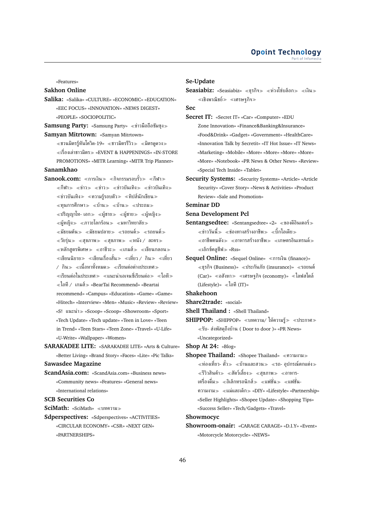«Features»

### **Sakhon Online**

**Salika:** «Salika» «CULTURE» «ECONOMIC» «EDUCATION» «EEC FOCUS» «INNOVATION» «NEWS DIGEST» «PEOPLE» «SOCIOPOLITIC»

Samsung Party: «Samsung Party» «ข่าวมือถือชัมซ<sub>ึ่</sub>ง» **Samyan Mitrtown:** «Samyan Mitrtown»

 $\ll$ ชวนมิตรร้ทันโควิด-19»  $\ll$ ชาวมิตรรีวิว $\gg$   $\ll$ มิตรดดวง $\gg$  $\ll$ เรื่องเล่าชาวมิตร $\gg$  «EVENT & HAPPENINGS» «IN-STORE PROMOTIONS» «MITR Learning» «MITR Trip Planner»

## **Sanamkhao**

- **Sanook.com:** «การเงิน» «กิจกรรมรอบรั้ว» «กีฬา»  $\ll$ กีฬา $\gg$   $\ll$ ข่าว $\gg$   $\ll$ ข่าวบันเทิง $\gg$   $\ll$ ข่าวบันเทิง $\gg$  $\ll$ ข่าวบันเทิง $\gg$   $\ll$ ความรู้รอบตัว $\gg$   $\ll$ ทิปส์นักเขียน $\gg$  $\ll$ ทุนการศึกษา $\gg$   $\ll$ บ้าน $\gg$   $\ll$ ประถม $\gg$  $\ll$ ปริญญาโท- เอก≫ ≪ผ้ชาย≫ ≪ผ้ชาย≫ ≪ผ้หญิง≫  $\ll$ ผ้หญิง $\gg$   $\ll$ ภาวะโลกร้อน $\gg$   $\ll$ มหาวิทยาลัย $\gg$  $\ll$ มัธยมต้น $\gg$   $\ll$ มัธยมปลาย $\gg$   $\ll$ รถยนต์ $\gg$  $\ll$ วัยรุ่น $\gg$   $\ll$ สุขภาพ $\gg$   $\ll$ สุขภาพ $\gg$   $\ll$ หนัง / ละคร $\gg$  $\ll$ หลักสูตรพิเศษ $\gg \ll$ อาชีวะ $\gg \ll$ เกมส์ $\gg \ll$ เขียนกลอน $\gg$  $\ll$ เขียนนิยาย $\gg\ll$ เขียนเรื่องสั้น $\gg\ll$ เที่ยว / กิน $\gg\ll$ เที่ยว  $\ell$  กิน $\gg$  «เนื้อหาทั้งหมด $\gg$  «เรียนต่อต่างประเทศ $\gg$  $\ll$ เรียนต่อในประเทศ $\gg\ll$ แนะนำเอเจนซี่เรียนต่อ $\gg\ll$ ไอที $\gg$ ไอที/ เกมส์ «BearTai Recommend» «Beartai recommend» «Campus» «Education» «Game» «Game» «Hitech» «Interview» «Men» «Music» «Review» «Review» «S! แนะนำ «Scoop» «Scoop» «Showroom» «Sport» «Tech Update» «Tech update» «Teen in Love» «Teen in Trend» «Teen Stars» «Teen Zone» «Travel» «U-Life» «U-Write» «Wallpaper» «Women»
- **SARAKADEE LITE:** «SARAKADEE LITE» «Arts & Culture» «Better Living» «Brand Story» «Faces» «Lite» «Pic Talks» **Sawasdee Magazine**
- **ScandAsia.com:** «ScandAsia.com» «Business news» «Community news» «Features» «General news» «International relations»

**SCB Securities Co**

**SciMath:** «SciMath» บทความ

**Sdperspectives:** «Sdperspectives» «ACTIVITIES» «CIRCULAR ECONOMY» «CSR» «NEXT GEN» «PARTNERSHIPS»

### **Se-Update**

**Sec**

- **Secret IT:** «Secret IT» «Car» «Computer» «EDU Zone Innovation» «Finance&Banking&Insurance» «Food&Drink» «Gadget» «Government» «HealthCare» «Innovation Talk by Secretit» «IT Hot Issue» «IT News» «Marketing» «Mobile» «More» «More» «More» «More» «More» «Notebook» «PR News & Other News» «Review» «Special Tech Inside» «Tablet»
- **Security Systems:** «Security Systems» «Article» «Article Security» «Cover Story» «News & Activities» «Product Review» «Sale and Promotion»

# **Seminar DD**

- **Sena Development Pcl**
- **Sentangsedtee:** «Sentangsedtee» «2» «ของดีอินเตอร์»  $\ll$ ข่าววันนี้ $\gg$   $\ll$ ช่องทางสร้างอาชีพ $\gg$   $\ll$ บิ๊กไอเดีย $\gg$  $\ll$ อาชีพคนดัง $\gg \ll$ อาหารสร้างอาชีพ $\gg \ll$ เกษตรอินเทรนด์ $\gg$  $\ll$ เอ็กซ์คลูซีฟ $\gg$  «Rss»
- **Sequel Online:** «Sequel Online» «การเงิน (finance)»  $\ll$ ธรกิจ (Business)»  $\ll$ ประกันภัย (insurance)»  $\ll$ รถยนต์ (Car)» «อสังหา» «เศรษฐกิจ (economy)» «ไลฟสไตล์ (Lifestyle)»  $\ll$ ไอที (IT)»

**Shakehoon**

- **Share2trade:** «social»
- **Shell Thailand :** «Shell Thailand»
- $SHIPPOP:$  «SHIPPOP» «บทความ/ ให้ความรู้ $\gg$  «ประกาศ $\gg$ รับ- ส่งพัสดุถึงบ้าน ( Door to door )» «PR News» «Uncategorized»

**Shop At 24:** «Blog»

**Shopee Thailand:** «Shopee Thailand» ความงาม  $\ll$ ท่องเที่ยว- ตั๋ว $\gg$   $\ll$ บ้านและสวน $\gg$   $\ll$ รถ- อุปกรณ์ตกแต่ง $\gg$  $\ll$ รีวิวสินค้า $\gg$   $\ll$ สัตว์เลี้ยง $\gg$   $\ll$ สุขภาพ $\gg$   $\ll$ อาหาร-เครื่องดื่ม $\gg$   $\ll$ อิเล็กทรอนิกส์ $\gg$   $\ll$ แฟชั่น- $\ll$ แฟชั่น-ความงาม แม่และเด็ก «DIY» «Lifestyle» «Partnership» «Seller Highlights» «Shopee Update» «Shopping Tips» «Success Seller» «Tech/Gadgets» «Travel»

### **Showmocyc**

**Showroom-onair:** «CARAGE CARAGE» «D.I.Y» «Event» «Motorcycle Motorcycle» «NEWS»

Seasiabiz: «Seasiabiz» «ธุรกิจ» «ห่วงโซ่บล็อก» «เงิน» เชิงพาณิชย์ เศรษฐกิจ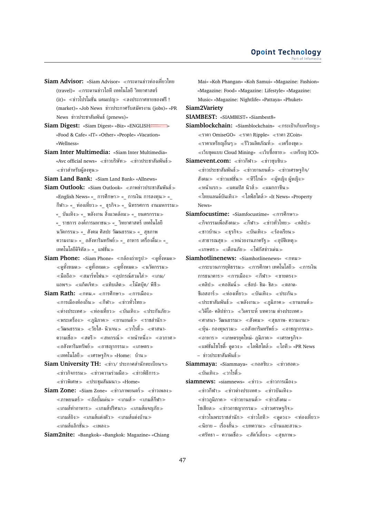- **Siam Advisor:** «Siam Advisor» กระดานข่าวท่องเที่ยวไทย (travel)» กระดานข่าวไอที เทคโนโลยี วิทยาศาสตร์ (it)» «ข่าวโปรโมชั่น แคมเปญ» «ลงประกาศขายของฟรี! (market)» «Job News ข่าวประกาศรับสมัครงาน (jobs)» «PR News ข่าวประชาสัมพันธ์(prnews)»
- Siam Digest: «Siam Digest» «Biz» «ENGLISHEEEEEE» » «Food & Cafe» «IT» «Other» «People» «Vacation» «Wellness»
- **Siam Inter Multimedia:** «Siam Inter Multimedia» «Avc official news» ≪ข่าวบริษัท ≫ ≪ข่าวประชาสัมพันธ์ ≫ ข่าวสำหรับผู้ลงทุน
- **Siam Land Bank:** «Siam Land Bank» «Allnews»
- **Siam Outlook:** «Siam Outlook» ภาพข่าวประชาสัมพันธ์ «English News» «\_ การศึกษา≫ «\_ การเงิน การลงทุน≫ « กีฬา $\gg$  « $\;$  ท่องเที่ยว $\gg$  « $\;$  ธุรกิจ $\gg$  « $\;$  นิทรรศการ งานมหกรรม $\gg$ «\_ บันเทิง≫ «\_ พลังงาน สิ่งแวดล้อม≫ «\_ ยนตรกรรม≫ «\_ ราชการ องค์การมหาชน≫ «\_ วิทยาศาสตร์ เทคโนโลยี นวัตกรรม $\gg$  « $\,$ สังคม ศิลปะ วัฒนธรรม $\gg$  « $\,$  สุขภาพ ความงาม «\_ อสังหาริมทรัพย์ «\_ อาหาร เครื่องดื่ม «\_ เทคโนโลยีดิจิทัล $\gg$  «\_ แฟชั่น $\gg$
- Siam Phone: «Siam Phone» «กล้องถ่ายรูป» «ดูทั้งหมด»  $\ll$ ดทั้งหมด $\gg$   $\ll$ ดทั้งหมด $\gg$   $\ll$ ดทั้งหมด $\gg$   $\ll$ นวัตกรรม $\gg$  $\ll$ มือถือ $\gg$   $\ll$ สมาร์ทโฟน $\gg$   $\ll$ อุปกรณ์สวมใส่ $\gg$   $\ll$ เกม/ แอพฯ $\gg$  ≪แก็ดเจ็ท $\gg$  ≪แท็บเล็ต $\gg$  ≪โน๊ตบุ๊ค/ พีซี $\gg$
- **Siam Rath:** «กทม.» «การศึกษา» «การเมือง»  $\ll$ การเมืองท้องถิ่น $\gg \ll$ กีฬา $\gg \ll$ ข่าวทั่วไทย $\gg$  $\ll$ ต่างประเทศ $\gg$   $\ll$ ท่องเที่ยว $\gg$   $\ll$ บันเทิง $\gg$   $\ll$ ประกันภัย $\gg$  $\ll$ พระเครื่อง $\gg\ll$ ภูมิภาค $\gg\ll$ ยานยนต์ $\gg\ll$ ราชสำนัก $\gg$  $\ll$ วัฒนธรรม $\gg$   $\ll$ วัยใส- นิวเจน $\gg$   $\ll$ วาไรตี๋ $\gg$   $\ll$ ศาสนา-ความเชื่อ $\gg$  «สตรี $\gg$  «สหกรณ์ $\gg$  «หน้าหนึ่ง $\gg$  «อวกาศ $\gg$  $\ll$ อสังหาริมทรัพย์ $\gg \ll$ อาชญากรรม $\gg \ll$ เกษตร $\gg$  $\ll$ เทคโนโลยี $\gg\ll$ เศรษฐกิจ $\gg$  «Home: บ้าน $\gg$
- **Siam University TH:** ข่าว/ ประกาศสำนักทะเบียนฯ  $\ll$ ข่าวกิจกรรม $\gg \ll$ ข่าวความร่วมมือ $\gg \ll$ ข่าวพิธีการ $\gg$  $\ll$ ข่าวพิเศษ $\gg$   $\ll$ ประชุมสัมมนา $\gg$  «Home»
- **Siam Zone:** «Siam Zone» «ข่าวภาพยนตร์» «ข่าวเพลง» ภาพยนตร์ อัลบั้มเด่น เกมส์ เกมส์กีฬา  $\ll$ เกมส์ทำอาหาร $\gg$  ≪เกมส์ปริศนา $\gg$  ≪เกมส์ผจญภัย $\gg$ เกมส์ยิง เกมส์แต่งตัว เกมส์แต่งบ้าน เกมส์แอ็กชั่น เพลง
- **Siam2nite:** «Bangkok» «Bangkok: Magazine» «Chiang

Mai» «Koh Phangan» «Koh Samui» «Magazine: Fashion» «Magazine: Food» «Magazine: Lifestyle» «Magazine: Music» «Magazine: Nightlife» «Pattaya» «Phuket» **Siam2Variety SIAMBEST:** «SIAMBEST» «Siambest8» **Siamblockchain:** «Siamblockchain» «กระเป๋าเก็บเหรียณ» ราคา OmiseGO» ราคา Ripple» ราคา ZCoin»  $\ll$ ราคาเหรียญอื่นๆ $\gg\ll$ รีวิวผลิตภัณฑ์ $\gg\ll$ เครื่องขด $\gg$  $\ll$ เว็บขุดแบบ Cloud Mining»  $\ll$ เว็บซื้อขาย $\gg\ll$ เหรียญ ICO» Siamevent.com: «ข่าวกีฬา» «ข่าวซบซิบ»  $\ll$ ข่าวประชาสัมพันธ์ $\gg\ll$ ข่าวยานยนต์ $\gg\ll$ ข่าวเศรษฐกิจ/ สังคม $\gg$  «ข่าวแฟชั่น $\gg$  «ทีวีไกด์ $\gg$  «ผู้หญิง ผู้หญิง $\gg$  $\ll$ หน้าแรก $\gg$   $\ll$ แคมปัส นิวส์ $\gg$   $\ll$ แมกกาซีน $\gg$  $\ll$ ไทยแลนด์บันเทิง $\gg \ll$ ไลฟ์สไตล์ $\gg$  «It News» «Property News» **Siamfocustime:** «Siamfocustime» การศึกษา  $\ll$ กิจกรรมเพื่อสังคม $\gg \ll$ กีฬา $\gg \ll$ ข่าวทั่วไทย $\gg \ll$ คลิป $\gg$  $\ll$ ชาวบ้าน $\gg\ll$ ธุรกิจ $\gg\ll$ บันเทิง $\gg\ll$ ร้องเรียน $\gg$ 

**Siamhotlinenews: «Siamhotlinenews» «กทม»**  $\ll$ กระบวนการยุติธรรม $\gg \ll$ การศึกษา เทคโนโลยี $\gg \ll$ การเงิน การธนาคาร $\gg$  «การเมือง $\gg$  «กีฬา $\gg$  «ขายตรง $\gg$  $\ll$ คลิป $\gg$   $\ll$ คอลัมน์ $\gg$   $\ll$ ช้อป- ชิม- ชิล $\gg$   $\ll$ ตลาด-ซีเอสอาร์ $\gg$  «ท่องเที่ยว $\gg$  «บันเทิง $\gg$  «ประกัน $\gg$  $\ll$ ประชาสัมพันธ์≫ ≪พลังงาน≫ ≪ภูมิภาค≫ ≪ยานยนต์≫  $\ll$ วิดีโอ- คลิปข่าว $\gg \ll$ วิเคราะห์ บทความ ต่างประเทศ $\gg$  $\ll$ ศาสนา- วัฒนธรรม $\gg$   $\ll$ สังคม $\gg$   $\ll$ สขภาพ- ความงาม $\gg$  $\ll$ ห้น- กองทนรวม $\gg \ll$ อสังหาริมทรัพย์ $\gg \ll$ อาชญากรรม $\gg$  $\ll$ อาหาร $\gg\ll$ เกษตรยุคใหม่- ภูมิภาค $\gg\ll$ เศรษฐกิจ $\gg$  $\ll$ แฟชั่นโซไซตี้- ดูดวง $\gg \ll$ ไลฟ์สไตล์ $\gg \ll$ ไอที $\gg$  «PR News – ข่าวประชาสัมพันธ์

 $\ll$ สาธารณสุข $\gg$   $\ll$ หน่วยงานภาครัฐ $\gg$   $\ll$ อุบัติเหตุ $\gg$  $\ll$ เกษตร $\gg \ll$ เตือนภัย $\gg \ll$ โฟกัสข่าวเด่น $\gg$ 

- **Siammaya: «Siammaya» «กอสซิบ > «ข่าวฮอต >** บันเทิง วาไรตี้
- **siamnews:** «siamnews» «ข่าว» «ข่าวการเมือง»  $\ll$ ข่าวกีฬา $\gg$   $\ll$ ข่าวต่างประเทศ $\gg$   $\ll$ ข่าวบันเทิง $\gg$  $\ll$ ข่าวภูมิภาค $\gg$   $\ll$ ข่าวยานยนต์ $\gg$   $\ll$ ข่าวสังคม – โซเชียล≫ ≪ข่าวอาชญากรรม≫ ≪ข่าวเศรษฐกิจ≫  $\ll$ ข่าวในพระราชสำนัก $\gg$   $\ll$ ข่าวไอที $\gg$   $\ll$ ดดวง $\gg$   $\ll$ ท่องเที่ยว $\gg$ ่ ≪นิยาย – เรื่องสั้น≫ ≪บทความ≫ ≪บ้านและสวน≫  $\ll$ ศรัทธา – ความเชื่อ $\gg\ll$ สัตว์เลี้ยง $\gg\ll$ สุขภาพ $\gg$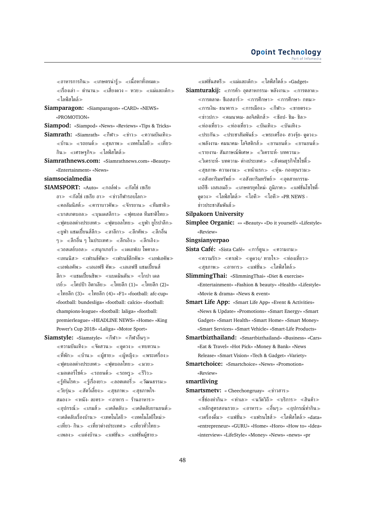$\ll$ อาหารการกิน $\gg\ll$ เกษตรน่ารู้ $\gg\ll$ เนื้อหาทั้งหมด $\gg$ ้≪เรื่องเล่า – ตำนาน≫ ≪เสี่ยงดวง – หวย≫ ≪แม่และเด็ก≫ ไลฟ์สไตล์

**Siamparagon:** «Siamparagon» «CARD» «NEWS» «PROMOTION»

**Siampod:** «Siampod» «News» «Reviews» «Tips & Tricks»

- Siamrath: «Siamrath» «กีฬา» «ข่าว» «ความบันเทิง»  $\ll$ บ้าน $\gg$   $\ll$ รถยนต์ $\gg$   $\ll$ สุขภาพ $\gg$   $\ll$ เทคโนโลยี $\gg$   $\ll$ เที่ยว-กิน $\gg$  «เศรษฐกิจ $\gg$  «ไลฟ์สไตล์ $\gg$
- **Siamrathnews.com:** «Siamrathnews.com» «Beauty» «Entertainment» «News»

### **siamsocialmedia**

- **SIAMSPORT:** «Auto» «กอล์ฟ» «กัลโซ่ เซเรีย อา $\gg$  «กัลโช่ เซเรีย อา $\gg$  «ข่าวกีฬารอบโลก $\gg$  $\ll$ คอลัมนิสต์ $\gg$   $\ll$ คาราบาวคัพ $\gg$   $\ll$ กัรยาน $\gg$   $\ll$ ทีมชาติ $\gg$  $\ll$ บาสเกตบอล $\gg\ll$ บนเดสลีกา $\gg\ll$ ฟตบอล ทีมชาติไทย $\gg$  $\ll$ ฟตบอลต่างประเทศ $\gg \ll$ ฟตบอลไทย $\gg \ll$ ยฟ่า ยโรปาลีก $\gg$  $\ll$ ยฟ่า แชมเปี้ยนส์ลีก $\gg$   $\ll$ ลาลีกา $\gg$   $\ll$ ลีกคัพ $\gg$   $\ll$ ลีกอื่น ๆ ≫ ≪ลีกอื่น ๆ ในประเทศ ≫ ≪ลีกเอิง ≫ ≪ลีกเอิง ≫  $\ll$ วอลเลย์บอล $\gg\ll$ สนุกเกอร์ $\gg\ll$ เดเอฟเบ โพคาล $\gg$  $\ll$ เทนนิส $\gg\ll$ เฟรนช์คัพ $\gg\ll$ เฟรนช์ลีกคัพ $\gg\ll$ เอฟเอคัพ $\gg$ เอฟเอคัพ เอเอฟซี คัพ เอเอฟซี แชมเปี้ยนส์ ลีก≫ «แชมเปี้ยนชิพ≫ «แบดมินตัน≫ «โกปา เดล เรย์ $\gg$  «โคปป้า อิตาเลีย $\gg$  «ไทยลีก (1)» «ไทยลีก (2)» ไทยลีก (3)» ไทยลีก (4)» «F1» «football: afc-cup» «football: bundesliga» «football: calcio» «football: champions-league» «football: laliga» «football: premierleague» «HEADLINE NEWS» «Home» «King Power's Cup 2018» «Laliga» «Motor Sport»
- **Siamstyle:** «Siamstyle» «กีฬา» «กีฬาอื่นๆ»  $\ll$ ความบันเทิง $\gg \ll$ จัดสวน $\gg \ll$ ดูดวง $\gg \ll$ ทบทวน $\gg$  $\ll$ ที่พัก $\gg$   $\ll$ บ้าน $\gg$   $\ll$ ผู้ชาย $\gg$   $\ll$ พระเครื่อง $\gg$  $\ll$ ฟุตบอลต่างประเทศ $\gg$   $\ll$ ฟุตบอลไทย $\gg$   $\ll$ มวย $\gg$  $\ll$ มอเตอร์ไซค์ $\gg$   $\ll$ รถยนต์ $\gg$   $\ll$ รถหรู $\gg$   $\ll$ รีวิว $\gg$  $\ll$ รู้ทันโรค $\gg$   $\ll$ ถ็องยา $\gg$   $\ll$ ลอตเตอรี่ $\gg$   $\ll$ วัฒนธรรม $\gg$  $\ll$ วัยร่น $\gg$   $\ll$ สัตว์เลี้ยง $\gg$   $\ll$ สขภาพใจ-สมอง $\gg$  «หนัง- ละคร $\gg$  «อาหาร – ร้านอาหาร $\gg$  $\ll$ อุปกรณ์ $\gg$   $\ll$ เกมส์ $\gg$   $\ll$ เคล็ดลับ $\approx$   $\ll$ เคล็ดลับยานยนต์ $\gg$ เคล็ดลับเรื่องบ้าน เทคโนโลยี เทคโนโลยีใหม่  $\ll$ เที่ยว- กิน $\gg \ll$ เที่ยวต่างประเทศ $\gg \ll$ เที่ยวทั่วไทย $\gg$  $\ll$ เพลง $\gg\ll$ แต่งบ้าน $\gg\ll$ แฟชั่น $\gg\ll$ แฟชั่นผู้ชาย $\gg$

 $\ll$ แฟชั่นสตรี $\gg\ll$ แม่และเด็ก $\gg\ll$ ไลฟ์สไตล์ $\gg$  «Gadget»

**Siamturakij:** «การค้า- อุตสาหกรรม- พลังงาน» «การตลาด»  $\ll$ การตลาด- ซีเอสอาร์ $\gg \ll$ การศึกษา $\gg \ll$ การศึกษา- กทม $\gg$  $\ll$ การเงิน- ธนาคาร $\gg$   $\ll$ การเมือง $\gg$   $\ll$ กีฬา $\gg$   $\ll$ ขายตรง $\gg$  $\ll$ ข่าวปก $\gg$   $\ll$ คมนาคม- ลอจิสติกส์ $\gg$   $\ll$ ช๊อป- ชิม- ชิล $\gg$ ่ ≪ท่องเที่ยว≫ ≪ท่องเที่ยว≫ ≪บันเทิง≫ ≪บันเทิง≫  $\ll$ ประกัน $\gg\ll$ ประชาสัมพันธ์ $\gg\ll$ พระเครื่อง- ฮวงจุ้ย- ดดวง $\gg$  $\ll$ พลังงาน- คมนาคม- โลจิสติกส์ $\gg \ll$ ยานยนต์ $\gg \ll$ ยานยนต์ $\gg$  $\ll$ รายงาน- สัมภาษณ์พิเศษ $\gg\ll$ วิเคราะห์- บทความ $\gg$  $\ll$ วิเคราะห์- บทความ- ต่างประเทศ $\gg\ll$ สังคมธุรกิจโซไซตี้ $\gg$  $\ll$ สุขภาพ- ความงาม $\gg \ll$ หน้าแรก $\gg \ll$ หุ้น- กองทุนรวม $\gg$  $\ll$ อสังหาริมทรัพย์ $\gg\ll$ อสังหาริมทรัพย์ $\gg\ll$ อุตสาหกรรม-เออีซี- เอสเอมอี $\gg$  «เกษตรยุคใหม่- ภูมิภาค $\gg$  «แฟชั่นโซไซตี้-ดดวง $\gg$  «ไลฟ์สไตล์ $\gg$  «ไอที $\gg$  «lอที $\gg$  «PR NEWS -ข่าวประชาสัมพันธ์

#### **Silpakorn University**

**Simplee Organic:** «» «Beauty» «Do it yourself» «Lifestyle» «Review»

**Singsianyerpao**

**Sista Café:** «Sista Café» «การ์ตูน» «ความงาม»  $\ll$ ความรัก $\gg$   $\ll$ คาเฟ่ $\gg$   $\ll$ ดูดวง/ ทายใจ $\gg$   $\ll$ ท่องเที่ยว $\gg$  $\ll$ สขภาพ $\gg$   $\ll$ อาหาร $\gg$   $\ll$ แฟชั่น $\gg$   $\ll$ ไลฟ์สไตล์ $\gg$ 

**SlimmingThai:** «SlimmingThai» «Diet & exercise» «Entertainment» «Fashion & beauty» «Health» «Lifestyle» «Movie & drama» «News & event»

- **Smart Life App:** «Smart Life App» «Event & Activities» «News & Update» «Promotions» «Smart Energy» «Smart Gadget» «Smart Health» «Smart Home» «Smart Money» «Smart Services» «Smart Vehicle» «Smart-Life Products»
- **Smartbizthailand:** «Smartbizthailand» «Business» «Cars» «Eat & Travel» «Hot Pick» «Money & Bank» «News Release» «Smart Vision» «Tech & Gadget» «Variety»
- **Smartchoice:** «Smartchoice» «News» «Promotion» «Review»

#### **smartliving**

**Smartsmetv:** « Cheechongruay» «ข่าวสาร»

 $\ll$ ชี้ช่องทำกิน $\gg$   $\ll$ ทำเล $\gg$   $\ll$ นวัตวิถี $\gg$   $\ll$ บริการ $\gg$   $\ll$ สินค้า $\gg$  $\ll$ หลักสูตรสอนรวย $\gg$   $\ll$ อาหาร $\gg$   $\ll$ อื่นๆ $\gg$   $\ll$ อปกรณ์ทำกิน $\gg$  $\ll$ เครื่องดื่ม≫ «แฟชั่น≫ «แฟรนไชส์≫ «ไลฟ์สไตล์≫ «data» «entrepreneur» «GURU» «Home» «Horo» «How to» «Idea» «interview» «LifeStyle» «Money» «News» «news» «pr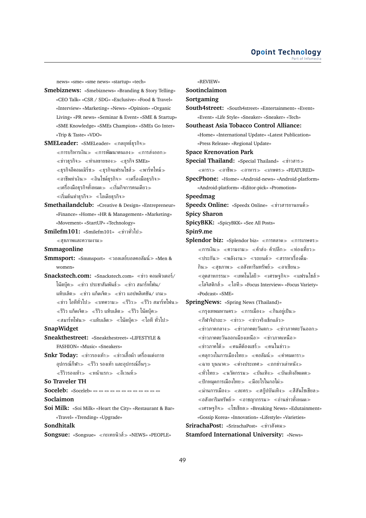news» «sme» «sme news» «startup» «tech»

- **Smebiznews:** «Smebiznews» «Branding & Story Telling» «CEO Talk» «CSR / SDG» «Exclusive» «Food & Travel» «Interview» «Marketing» «News» «Opinion» «Organic Living» «PR news» «Seminar & Event» «SME & Startup» «SME Knowledge» «SMEs Champion» «SMEs Go Inter» «Trip & Taste» «VDO»
- **SMELeader:** «SMELeader» «กลยทธ์ธรกิจ»  $\ll$ การบริหารเงิน $\gg \ll$ การพัฒนาตนเอง $\gg \ll$ การส่งออก $\gg$  $\ll$ ข่าวธุรกิจ $\gg$   $\ll$ ทำเลขายของ $\gg$   $\ll$ ธุรกิจ SMEs»  $\ll$ ธุรกิจอีคอมเมิร์ซ $\gg\ll$ ธุรกิจแฟรนไชส์ $\gg\ll$ พาร์ทไทม์ $\gg$  $\ll$ อาชีพทำเงิน $\gg \ll$ อินไซด์ธุรกิจ $\gg \ll$ เครื่องมือธุรกิจ $\gg$  $\ll$ เครื่องมือธุรกิจทั้งหมด $\gg \ll$ เริ่มกิจการคนเดียว $\gg$  $\ll$ เริ่มต้นทำธุรกิจ $\gg \ll$ ไอเดียธุรกิจ $\gg$
- **Smethailandclub:** «Creative & Design» «Entrepreneur» «Finance» «Home» «HR & Management» «Marketing» «Movement» «StartUP» «Technology»
- **Smilefm101:** «Smilefm101» ข่าวทั่วไป สุขภาพและความงาม

#### **Smmagonline**

- **Smmsport:** «Smmsport» วอลเลย์บอลคอลัมน์ «Men & women»
- **Snackstech.com: «Snackstech.com» «ข่าว คอมพิวเตอร์/** โน๊ตบุ๊ค $\gg$   $\ll$ ข่าว ประชาสัมพันธ์ $\gg$   $\ll$ ข่าว สมาร์ทโฟน/ แท็บเล็ต $\gg$  «ข่าว แก็ดเจ็ต $\gg$  «ข่าว แอปพลิเคชัน/ เกม $\gg$  $\ll$ ข่าว ไอทีทั่วไป≫ ≪บทความ≫ ≪รีวิว≫ ≪รีวิว สมาร์ทโฟน≫  $\ll$ รีวิว แก็ดเจ็ต $\gg \ll$ รีวิว แท็บเล็ต $\gg \ll$ รีวิว โน๊ตบุ๊ค $\gg$  $\alpha \ll$ สมาร์ทโฟน $\gg \alpha \ll$ แท็บเล็ต $\gg \alpha \ll 1$ นึตบุ๊ค $\gg \alpha \ll 1$ อที ทั่วไป $\gg$

### **SnapWidget**

**Sneakthestreet:** «Sneakthestreet» «LIFESTYLE & FASHION» «Music» «Sneakers»

**Snkr Today:** «ข่าวรองเท้า» «ข่าวเสื้อผ้า เครื่องแต่งกาย อุปกรณ์กีฬา $\gg$   $\ll$ รีวิว รองเท้า และอุปกรณ์อื่นๆ $\gg$  $\ll$ รีวิวรองเท้า $\gg$   $\ll$ หน้าแรก $\gg$   $\ll$ อีเวนท์ $\gg$ 

### **So Traveler TH**

**Soceleb:** «Soceleb» «» «» «» «» «» «» «» «» «» «» «» «»

### **Soclaimon**

**Soi Milk:** «Soi Milk» «Heart the City» «Restaurant & Bar» «Travel» «Trending» «Upgrade»

### **Sondhitalk**

**Songsue:** «Songsue» «กะเทยนิวส์» «NEWS» «PEOPLE»

«REVIEW»

### **Sootinclaimon**

### **Sortgaming**

**South4street:** «South4street» «Entertainment» «Event» «Event» «Life Style» «Sneaker» «Sneaker» «Tech»

#### **Southeast Asia Tobacco Control Alliance:**

«Home» «International Update» «Latest Publication» «Press Release» «Regional Update»

**Space Krenovation Park**

**Special Thailand: «Special Thailand» «ข่าวสาร»**  $\ll$ ดารา $\gg$   $\ll$ อาชีพ $\gg$   $\ll$ คาษตร $\gg$  «FEATURED»

**SpecPhone:** «Home» «Android-news» «Android-platform» «Android-platform» «Editor-pick» «Promotion»

#### **Speedmag**

**Speedx Online:** «Speedx Online» «ข่าวสารยานยนต์»

### **Spicy Sharon**

**SpicyBKK:** «SpicyBKK» «See All Posts» **Spin9.me**

- **Splendor biz:** «Splendor biz» «การตลาด» «การเกษตร»  $\ll$ การเงิน $\gg$   $\ll$ ความงาม $\gg$   $\ll$ ค้าส่ง- ค้าปลีก $\gg$   $\ll$ ท่องเที่ยว $\gg$  $\ll$ ประกัน $\gg$   $\ll$ พลังงาน $\gg$   $\ll$ รถยนต์ $\gg$   $\ll$ สรรหาเรื่องดื่ม-กิน $\gg$  «สขภาพ $\gg$  «อสังหาริมทรัพย์ $\gg$  «อาเซียน $\gg$  $\ll$ อุตสาหกรรม $\gg \ll$ เทคโนโลยี $\gg \ll$ เศรษฐกิจ $\gg \ll$ แฟรนไชส์ $\gg$  $\hat{\mathbb{R}}$ โลจิสติกส์ $\hat{\mathbb{R}} \times \hat{\mathbb{R}}$ อที $\hat{\mathbb{R}}$  «Focus Interview» «Focus Variety» «Podcast» «SME»
- **SpringNews:** «Spring News (Thailand)»
	- $\ll$ กรุงเทพมหานคร $\gg \ll$ การเมือง $\gg \ll$ กินอยู่เป็น $\gg$  $\ll$ กีฬาจิปาถะ $\gg \ll$ ข่าว $\gg \ll$ ข่าวจริงเช็กแล้ว $\gg$  $\ll$ ข่าวภาคกลาง $\gg$   $\ll$ ข่าวภาคตะวันตก $\gg$   $\ll$ ข่าวภาคตะวันออก $\gg$  $\ll$ ข่าวภาคตะวันออกเฉียงเหนือ $\gg\ll$ ข่าวภาคเหนือ $\gg$
	- $\ll$ ข่าวภาคใต้ $\gg \ll$ คนดีต้องแชร์ $\gg \ll$ คนในข่าว $\gg$
	- คลุกวงในการเมืองไทย คอลัมน์ คำคมดารา
	- $\ll$ ฉาย บุนนาค $\gg \ll$ ต่างประเทศ $\gg \ll$ ถกข่าวเล่าหนัง $\gg$
	- $\ll$ ทั่วไทย $\gg$   $\ll$ นวัตกรรม $\gg$   $\ll$ บันเทิงอัพเดต $\gg$
	- $\ll$ ปักหมดการเมืองไทย $\gg \ll$ มีอะไรในกอไผ่ $\gg$
	- $\ll$ ม่านการเมือง $\gg \ll$ ละคร $\gg \ll$ สก๊ปบันเทิง $\gg \ll$ สีสันโซเชียล $\gg$
	- $\ll$ อสังหาริมทรัพย์ $\gg \ll$ อาชญากรรม $\gg \ll$ อ่านข่าวทั้งหมด $\gg$
	- $\ll$ เศรษฐกิจ $\gg \ll$ โซเชียล $\gg$  «Breaking News» «Edutainment» «Gossip Korea» «Innovation» «Lifestyle» «Varieties»

# **SrirachaPost:** «SrirachaPost» ข่าวสังคม

#### **Stamford International University:** «News»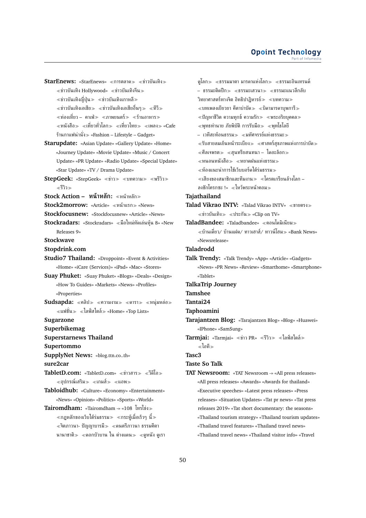**StarEnews: «StarEnews» «การตลาด > «ข่าวบันเทิง >>**  $\ll$ ข่าวบันเทิง Hollywood»  $\ll$ ข่าวบันเทิงจีน $\gg$  $\ll$ ข่าวบันเทิงญี่ปุ่น $\gg\ll$ ข่าวบันเทิงเกาหลี $\gg$  $\ll$ ข่าวบันเทิงเอเชีย $\gg \ll$ ข่าวบันเทิงเอเชียอื่นๆ $\gg \ll$ ทีวี $\gg$  $\ll$ ท่องเที่ยว – คาเฟ่ $\gg\ll$ ภาพยนตร์ $\gg\ll$ ร้านอาหาร $\gg$ ี่ «หนังสือ» «เที่ยวทั่วโลก» «เที่ยวไทย» «เพลง» «Cafe ร้านกาแฟน่านั่ง «Fashion – Lifestyle – Gadget»

- **Starupdate:** «Asian Update» «Gallery Update» «Home» «Journey Update» «Movie Update» «Music / Concert Update» «PR Update» «Radio Update» «Special Update» «Star Update» «TV / Drama Update»
- **StepGeek:** «StepGeek» «ข่าว» «บทความ» «พรีวิว» รีวิว

**Stock Action – หน้าหลัก:** หน้าหลัก

- **Stock2morrow:** «Article» «หน้าแรก» «News»
- **Stockfocusnew:** «Stockfocusnew» «Article» «News»
- **Stockradars:** «Stockradars» «มือใหม่หัดเล่นหัน 8» «New Releases 9»
- **Stockwave**
- **Stopdrink.com**
- **Studio7 Thailand:** «Droppoint» «Event & Activities» «Home» «iCare (Services)» «iPad» «Mac» «Stores» **Suay Phuket:** «Suay Phuket» «Blogs» «Deals» «Design»
- «How To Guides» «Markets» «News» «Profiles» «Properties»
- Sudsapda: «คลิป» «ความงาม» «ดารา» «หนุ่มหล่อ»  $\ll$ แฟชั่น $\gg \ll$ ไลฟ์สไตล์ $\gg$  «Home» «Top Lists»

**Sugarzone**

- **Superbikemag**
- **Superstarnews Thailand**

**Supertommo**

**SupplyNet News:** «blog.ttn.co..th» **sure2car**

- **TabletD.com:** «TabletD.com» «ข่าวสาร» «วีดีโอ»  $\ll$ อปกรณ์เสริม≫ ≪เกมส์ $\gg$  ≪แอพ≫
- **Tabloidhub:** «Culture» «Economy» «Entertainment» «News» «Opinion» «Politics» «Sports» «World»
- **Tairomdham:** «Tairomdham -» «108 โทรโข่ง  $\ll$ กฏหลักของเว็บใต้ร่มธรรม $\gg \ll$ กระทู้เมื่อเร็วๆ นี้ $\gg$ ≪จิตภาวนา- ปัญญาบารมี≫ ≪ดนตรีภาวนา ธรรมคีตา นานาชาติ≫ ≪ดอกบัวบาน ใน ต่างแดน≫ ≪ดูหนัง ดูเรา

ดโลก $\gg$   $\ll$ ธรรมมาตา มารดาแห่งโลก $\gg$   $\ll$ ธรรมะอินเทรนด์ – ธรรมะติดปีก≫ ≪ธรรมะเสวนา≫ ≪ธรรมะแนวลึกลับ วิทยาศาสตร์ทางจิต อิทธิปาฏิหารย์ $\gg <$ บทความ $\gg$  $\ll$ บทเพลงเยียวยา คีตาบำบัด $\gg\ll$ บิดามารดาบุพการี $\gg$  $\ll$ ปัญหาชีวิต ความทุกข์ ความรัก $\gg$   $\ll$ พระอริยบุคคล $\gg$  $\ll$ พุทธทำนาย ภัยพิบัติ การรับมือ $\gg \ll$ พุทโธโลยี – เวทีสะท้อนธรรม $\gg$  «มหัศจรรย์แห่งธรรมะ $\gg$  $\ll$ รับสายลมเย็นหน้าระเบียง $\gg \ll$ ศาสตร์สขภาพแห่งการบำบัด $\gg$  $\ll$ ศีลเจพรต $\gg \ll$ สุนทรียสนทนา – ไดอะล็อก $\gg$  $\ll$ หนอนหนังสือ $\gg$   $\ll$ หยาดฝนแห่งธรรม $\gg$ ห้องแนะนำการใช้เว็บบอร์ดใต้ร่มธรรม  $\ll$ เสียงของสมาชิกและทีมงาน $\gg\ll$ โครตเกรียนล้างโลก – ลงชักโครกซะ !» ไหว้พระหน้าคอม **Tajathailand Talad Vikrao INTV: «Talad Vikrao INTV» «ขายตรง»**  $\ll$ ข่าวบันเทิง $\gg$   $\ll$ ประกัน $\gg$  «Clip on TV» **TaladBandee:** «Taladbandee» คอนโดมิเนียม บ้านเดี่ยว/ บ้านแฝด/ ทาวเฮาส์/ ทาวน์โฮม «Bank News» «Newsrelease» **Taladrodd Talk Trendy:** «Talk Trendy» «App» «Article» «Gadgets» «News» «PR News» «Review» «Smarthome» «Smartphone» «Tablet» **TalkaTrip Journey Tamshee Tantai24 Taphoamini Tarajantzen Blog:** «Tarajantzen Blog» «Blog» «Huawei» «IPhone» «SamSung» **Tarmjai:** «Tarmjai» ≪ข่าว PR» ≪รีวิว≫ ≪ไลฟ์สไตล์≫ ไอที **Tasc3 Taste So Talk TAT Newsroom:** «TAT Newsroom -» «All press releases» «All press releases» «Awards» «Awards for thailand» «Executive speeches» «Latest press releases» «Press

releases 2019» «Tat short documentary: the seasons» «Thailand tourism strategy» «Thailand tourism updates»

releases» «Situation Updates» «Tat pr news» «Tat press

- «Thailand travel features» «Thailand travel news»
- «Thailand travel news» «Thailand visitor info» «Travel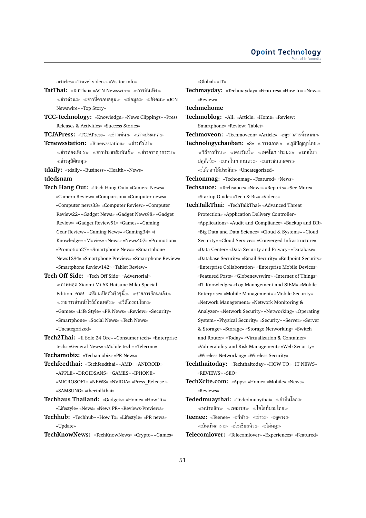articles» «Travel videos» «Visitor info»

**TatThai:** «TatThai» «ACN Newswire» «การบันเทิง»  $\ll$ ข่าวด่วน $\gg$   $\ll$ ข่าวที่ครอบคลุม $\gg$   $\ll$ ข้อมูล $\gg$   $\ll$ สังคม $\gg$  «JCN Newswire» «Top Story»

- **TCC-Technology:** «Knowledge» «News Clippings» «Press Releases & Activities» «Success Stories»
- **TCJAPress:** «TCJAPress» «ข่าวเด่น» «ต่างประเทศ»

**Tcnewsstation:** «Tcnewsstation» «ข่าวทั่วไป≫

 $\ll$ ข่าวท่องเที่ยว $\gg \ll$ ข่าวประชาสัมพันธ์ $\gg \ll$ ข่าวอาชญากรรม $\gg$ ข่าวอุบัติเหตุ

**tdaily:** «tdaily» «Business» «Health» «News»

### **tdedsnam**

- **Tech Hang Out:** «Tech Hang Out» «Camera News» «Camera Review» «Comparison» «Computer news» «Computer news33» «Computer Review» «Computer Review22» «Gadget News» «Gadget News98» «Gadget Review» «Gadget Review51» «Games» «Gaming Gear Review» «Gaming News» «Gaming34» «i Knowledge» «Movies» «News» «News407» «Promotion» «Promotion27» «Smartphone News» «Smartphone News1294» «Smartphone Preview» «Smartphone Review» «Smartphone Review142» «Tablet Review»
- **Tech Off Side:** «Tech Off Side» «Advertorial» ภาพหลุด Xiaomi Mi 6X Hatsune Miku Special  $_{\rm Edition}$  คาด! เตรียมเปิดตัวเร็วๆนี้ $_{\rm \gg}$   $_{\rm \ll}$ รายการย้อนหลัง $_{\rm \gg}$  $\ll$ รายการล้ำหน้าโชว์ย้อนหลัง $\gg\ll$ วีดีโอรอบโลก $\gg$ «Games» «Life Style» «PR News» «Review» «Security» «Smartphone» «Social News» «Tech News» «Uncategorized»
- **Tech2Thai:** «Il Sole 24 Ore» «Consumer tech» «Enterprise tech» «General News» «Mobile tech» «Telecom»

**Techamobiz:** «Techamobiz» «PR News»

- **Techfeedthai:** «Techfeedthai» «AMD» «ANDROID» «APPLE» «DROIDSANS» «GAMES» «IPHONE» «MICROSOFT» «NEWS» «NVIDIA» «Press\_Release » «SAMSUNG» «thectalkthai»
- **Techhaus Thailand:** «Gadgets» «Home» «How To» «Lifestyle» «News» «News PR» «Reviews-Previews»
- **Techhub:** «Techhub» «How To» «Lifestyle» «PR news» «Update»

**TechKnowNews:** «TechKnowNews» «Crypto» «Games»

«Global» «IT»

**Techmayday:** «Techmayday» «Features» «How to» «News» «Review»

**Techmehome**

- **Techmoblog:** «All» «Article» «Home» «Review: Smartphone» «Review: Tablet»
- **Techmoveon:** «Techmoveon» «Article» ดูข่าวสารทั้งหมด
- **Technologychaoban: «3» «การตลาด» «ภูมิปัญญาไทย»**  $\ll$ วิถีชาวบ้าน≫ ≪เด่นวันนี้≫ ≪เทคโนฯ ประมง≫ ≪เทคโนฯ ปศุสัตว์≫ «เทคโนฯ เกษตร≫ «เยาวชนเกษตร≫  $\ll$ ไม้ดอกไม้ประดับ $\gg$  «Uncategorized»

**Techonmag:** «Techonmag» «Featured» «News»

- **Techsauce:** «Techsauce» «News» «Reports» «See More» «Startup Guide» «Tech & Biz» «Videos»
- **TechTalkThai:** «TechTalkThai» «Advanced Threat Protection» «Application Delivery Controller» «Applications» «Audit and Compliance» «Backup and DR» «Big Data and Data Science» «Cloud & Systems» «Cloud Security» «Cloud Services» «Converged Infrastructure» «Data Center» «Data Security and Privacy» «Database» «Database Security» «Email Security» «Endpoint Security» «Enterprise Collaboration» «Enterprise Mobile Devices» «Featured Posts» «Globenewswire» «Internet of Things» «IT Knowledge» «Log Management and SIEM» «Mobile Enterprise» «Mobile Management» «Mobile Security» «Network Management» «Network Monitoring & Analyzer» «Network Security» «Networking» «Operating System» «Physical Security» «Security» «Server» «Server & Storage» «Storage» «Storage Networking» «Switch and Router» «Today» «Virtualization & Container» «Vulnerability and Risk Management» «Web Security» «Wireless Networking» «Wireless Security»
- **Techthaitoday:** «Techthaitoday» «HOW TO» «IT NEWS» «REVIEWS» «SEO»
- **TechXcite.com:** «Apps» «Home» «Mobile» «News» «Reviews»
- **Tededmuaythai:** «Tededmuaythai» «กำปั้นโลก»  $\ll$ หน้าหลัก $\gg$   $\ll$ เรตมวย $\gg$   $\ll$ ไฮไลท์มวยไทย $\gg$
- **Teenee:** «Teenee» «กีฬา » «ข่าว » «ดูดวง »  $\ll$ บันเทิงดารา $\gg\ll$ โซเชียลนิว $\gg\ll$ ไม่หมู $\gg$
- **Telecomlover:** «Telecomlover» «Experiences» «Featured»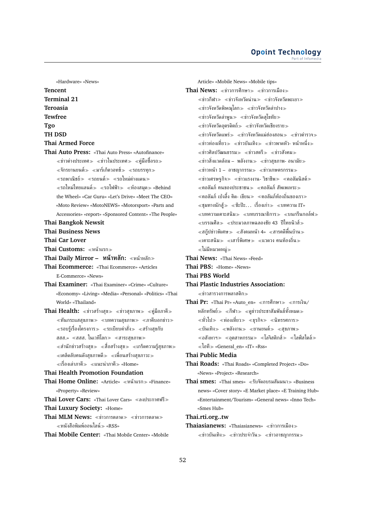«Hardware» «News» **Tencent Terminal 21 Teroasia Tewfree Tgo TH DSD Thai Armed Force Thai Auto Press:** «Thai Auto Press» «Autofinance»  $\ll$ ข่าวต่างประเทศ $\gg \ll$ ข่าวในประเทศ $\gg \ll$ ค่มือซื้อรถ $\gg$  $\ll$ จักรยานยนต์ $\gg$   $\ll$ มาร์เก็ตวอทช์ $\gg$   $\ll$ รถบรรทุก $\gg$  $\ll$ รถพาณิชย์ $\gg$   $\ll$ รถยนต์ $\gg$   $\ll$ รถใหม่ต่างแดน $\gg$  $\ll$ รถใหม่ไทยแลนด์ $\gg \ll$ รถไฟฟ้า $\gg \ll$ ห้องสมุด $\gg$  «Behind the Wheel» «Car Guru» «Let's Drive» «Meet The CEO» «Moto Review» «MotoNEWS» «Motorsport» «Parts and Accessories» «report» «Sponsored Content» «The People» **Thai Bangkok Newsit Thai Business News Thai Car Lover Thai Customs:** หน้าแรก **Thai Daily Mirror – หน้าหลัก:** หน้าหลัก **Thai Ecommerce:** «Thai Ecommerce» «Articles E-Commerce» «News» **Thai Examiner:** «Thai Examiner» «Crime» «Culture» «Economy» «Living» «Media» «Personal» «Politics» «Thai World» «Thailand» **Thai Health:** «ข่าวสร้างสุข» «ข่าวสุขภาพ» «คู่มือภาคี»  $\ll$ ทันกระแสสุขภาพ $\gg\ll$ บทความสุขภาพ $\gg\ll$ ภาคีบอกข่าว $\gg$  $\ll$ รอบร้เรื่องโครงการ $\gg\ll$ ระเบียบคำสั่ง $\gg\ll$ สร้างสขกับ สสส.» «สสส. ในเวทีโลก» «สาระสุขภาพ»  $\ll$ สำนักข่าวสร้างสุข $\gg \ll$ สื่อสร้างสุข $\gg \ll$ เกร็ดความรู้สุขภาพ $\gg$ เคล็ดลับคนดังสุขภาพดี เพื่อนสร้างสุขภาวะ ≪เรื่องเล่าภาคี≫ ≪แนะนำภาคี≫ «Home» **Thai Health Promotion Foundation Thai Home Online:** «Article» «หน้าแรก» «Finance» «Property» «Review» **Thai Lover Cars:** «Thai Lover Cars» ลงประกาศฟรี **Thai Luxury Society:** «Home» **Thai MLM News:**  $\ll$ **ข่าวการตลาด**  $\gg$  $\ll$ **ข่าวการตลาด**  $\gg$ หนังสือพิมพ์ออนไลน์ «RSS» **Thai Mobile Center:** «Thai Mobile Center» «Mobile

Article» «Mobile News» «Mobile tips» Thai News: «ข่าวการศึกษา» «ข่าวการเมือง»  $\ll$ ข่าวกีฬา $\gg$   $\ll$ ข่าวจังหวัดน่าน $\gg$   $\ll$ ข่าวจังหวัดพะเยา $\gg$  $\ll$ ข่าวจังหวัดพิษณุโลก $\gg$   $\ll$ ข่าวจังหวัดลำปาง $\gg$  $\ll$ ข่าวจังหวัดลำพูน $\gg$   $\ll$ ข่าวจังหวัดสุโขทัย $\gg$  $\ll$ ข่าวจังหวัดอุตรดิตถ์ $\gg$   $\ll$ ข่าวจังหวัดเชียงราย $\gg$  $\ll$ ข่าวจังหวัดแพร่ $\gg$   $\ll$ ข่าวจังหวัดแม่ฮ่องสอน $\gg$   $\ll$ ข่าวตำรวจ $\gg$  $\ll$ ข่าวท่องเที่ยว $\gg$   $\ll$ ข่าวบันเทิง $\gg$   $\ll$ ข่าวพาดหัว- หน้าหนึ่ง $\gg$  $\ll$ ข่าวศิลปวัฒนธรรม $\gg$   $\ll$ ข่าวสตรี $\gg$   $\ll$ ข่าวสังคม $\gg$ ่ ≪ข่าวสิ่งแวดล้อม – พลังงาน≫ ≪ข่าวสุขภาพ- อนามัย≫  $\ll$ ข่าวหน้า 1 – อาชญากรรม $\gg$   $\ll$ ข่าวเกษตรกรรม $\gg$  $\ll$ ข่าวเศรษฐกิจ $\gg$   $\ll$ ข่าวแรงงาน- วิชาชีพ $\gg$   $\ll$ คอลัมนิสต์ $\gg$  $\ll$ คอลัมภ์ ฅนของประชาชน $\gg$   $\ll$ คอลัมภ์ สัพเพเหระ $\gg$  $\ll$ คอลัมภ์ เป่งลึ้ง คิด- เขียน $\gg \ll$ คอลัมภ์ท้องถิ่นของเรา $\gg$  $\ll$ ชุมทางนักสู้ $\gg$   $\ll$ ซ๊ะป๊ะ $\ldots$  เรื่องเก่า $\gg$   $\ll$ บทความ IT»  $\ll$ บทความเคาะสนิม $\gg \ll$ บทบรรณาธิการ $\gg \ll$ บนกรีนกอล์ฟ $\gg$  $\ll$ บรรณศีล $\gg$   $\ll$ ประมวลภาพฉลองชัย 43 ปีไทยนิวส์ $\gg$  $\ll$ สก๊ปข่าวพิเศษ $\gg \ll$ สังคมหน้า 4»  $\ll$ สารคดีพื้นบ้าน $\gg$  $\ll$ เคาะสนิม≫ ≪เสาร์พิเศษ≫ ≪แวดวง คนท้องถิ่น≫ ไม่มีหมวดหมู่ **Thai News:** «Thai News» «Feed» **Thai PBS:** «Home» «News» **Thai PBS World Thai Plastic Industries Association:**  $\ll$ ข่าวสารวงการพลาสติก $\gg$ Thai Pr: «Thai Pr» «Auto en» «การศึกษา≫ «การเงิน/ หลักทรัพย์ กีฬา ดูข่าวประชาสัมพันธ์ทั้งหมด  $\ll$ ทั่วไป $\gg$   $\ll$ ท่องเที่ยว $\gg$   $\ll$ ธุรกิจ $\gg$   $\ll$ นิทรรศการ $\gg$  $\ll$ บันเทิง $\gg$   $\ll$ พลังงาน $\gg$   $\ll$ ยานยนต์ $\gg$   $\ll$ สขภาพ $\gg$  $\ll$ อสังหาฯ $\gg$   $\ll$ อุตสาหกรรม $\gg$   $\ll$ โลจิสติกส์ $\gg$   $\ll$ ไลฟ์สไตล์ $\gg$ ไอที «General\_en» «IT» «Rss» **Thai Public Media Thai Roads:** «Thai Roads» «Completed Project» «Do» «News» «Project» «Research» **Thai smes:** «Thai smes» ≪รับจัดอบรมสัมมนา≫ «Business news» «Cover story» «E Market place» «E Training Hub» «Entertainment/Tourism» «General news» «Inno Tech» «Smes Hub» **Thai.rti.org..tw**

**Thaiasianews:** «Thaiasianews» ข่าวการเมือง  $\ll$ ข่าวบันเทิง $\gg$   $\ll$ ข่าวประจำวัน $\gg$   $\ll$ ข่าวอาชญากรรม $\gg$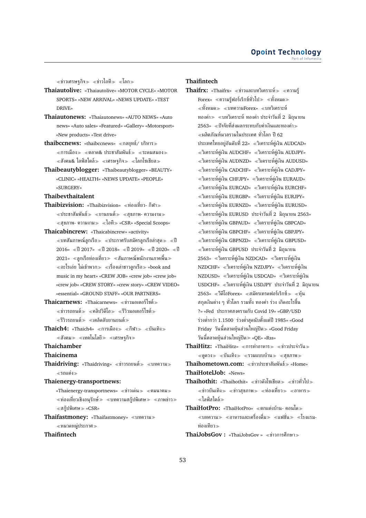$\ll$ ข่าวเศรษฐกิจ $\gg$   $\ll$ ข่าวไอที $\gg$   $\ll$ โลก $\gg$ 

- **Thaiautolive:** «Thaiautolive» «MOTOR CYCLE» «MOTOR SPORTS» «NEW ARRIVAL» «NEWS UPDATE» «TEST DRIVE»
- **Thaiautonews:** «Thaiautonews» «AUTO NEWS» «Auto news» «Auto sales» «Featured» «Gallery» «Motorsport» «New products» «Test drive»
- **thaibccnews:** «thaibccnews» «กลยทธ์/ บริหาร»  $<$ การเมือง $> <$ ตลาด& ประชาสัมพันธ์ $> <$ ระดมสมอง $>$  $\ll$ สังคม& ไลฟ์สไตล์ $\gg$   $\ll$ เศรษฐกิจ $\gg$   $\ll$ โลกโซเชียล $\gg$
- **Thaibeautyblogger:** «Thaibeautyblogger» «BEAUTY» «CLINIC» «HEALTH» «NEWS UPDATE» «PEOPLE» «SURGERY»

**Thaibevthaitalent**

- **Thaibizvision:** «Thaibizvision» ≪ท่องเที่ยว- กีฬา≫ ่ «ประชาสัมพันธ์» «ยานยนต์» «สขภาพ- ความงาม»  $\ll$ สุขภาพ- ความงาม $\gg \ll$ ไอที $\gg$  «CSR» «Special Scoops»
- **Thaicabincrew:** «Thaicabincrew» «activity»  $\ll$ บทสัมภาษณ์ลูกเรือ $\gg \ll$ ประกาศรับสมัครลูกเรือล่าสุด $\gg \ll$ ปี  $2016$ » «ปี 2017» «ปี 2018» «ปี 2019» «ปี 2020» «ปี 2021» «ลูกเรือท่องเที่ยว» «สัมภาษณ์พนักงานภาคพื้น»  $\ll$ อะไรเอ่ย ไม่เข้าพวก $\gg\ll$ เรื่องเล่าชาวลูกเรือ $\gg$  «book and music in my heart» «CREW JOB» «crew job» «crew job» «crew job» «CREW STORY» «crew story» «CREW VIDEO» «essential» «GROUND STAFF» «OUR PARTNERS»
- **Thaicarnews:** «Thaicarnews» ข่าวมอเตอร์ไซต์  $\ll$ ข่าวรถยนต์ $\gg$   $\ll$ คลิปวิดีโอ $\gg$   $\ll$ รีวิวมอเตอร์ไซต์ $\gg$ รีวิวรถยนต์ เคล็ดลับยานยนต์
- **Thaich4:** «Thaich4» «การเมือง» «กีฬา» «บันเทิง»  $\ll$ สังคม $\gg\ll$ เทคโนโลยี $\gg\ll$ เศรษฐกิจ $\gg$
- **Thaichamber**

### **Thaicinema**

Thaidriving: «Thaidriving» «ข่าวรถยนต์» «บทความ» รถแต่ง

### **Thaienergy-transportnews:**

- «Thaienergy-transportnews» «ข่าวเด่น» «คมนาคม»  $\ll$ ท่องเที่ยวเชิงอนุรักษ์ $\gg\ll$ บทความสกู๊ปพิเศษ $\gg\ll$ ภาพข่าว $\gg$  $\ll$ สก็ปพิเศษ $\gg$  «CSR»
- **Thaifastmoney:** «Thaifastmoney» บทความ หมวดหมู่ประกาศ

### **Thaifintech**

### **Thaifintech**

- **Thaifrx:** «Thaifrx» «ข่าวและบทวิเคราะห์» «ความรู้  $\text{Forex}\text{--}\ll$ ความรัฟอร์เร็กซ์ทั่วไป $\text{--}\ll$ ทั้งหมด $\text{--}\ll$  $\ll$ ทั้งหมด $\gg$   $\ll$ บทความForex»  $\ll$ บทวิเคราะห์ ทองคำ บทวิเคราะห์ ทองคำ ประจำวันที่ 2 มิถุนายน 2563» ปัจจัยที่ส่งผลกระทบกับค่าเงินและทองคำ  $\ll$ ผลิตภัณฑ์มวลรวมในประเทศ ทั่วโลก ปี 62 ประเทศไทยอย่อันดับที่ 22» «วิเคราะห์ค่เงิน AUDCAD»  $\ll$ วิเคราะห์คู่เงิน AUDCHF»  $\ll$ วิเคราะห์คู่เงิน AUDJPY»  $\ll$ วิเคราะห์คู่เงิน AUDNZD»  $\ll$ วิเคราะห์คู่เงิน AUDUSD»  $\ll$ วิเคราะห์คู่เงิน CADCHF»  $\ll$ วิเคราะห์คู่เงิน CADJPY»  $\ll$ วิเคราะห์คู่เงิน CHFJPY»  $\ll$ วิเคราะห์คู่เงิน EURAUD»  $\ll$ วิเคราะห์คู่เงิน EURCAD»  $\ll$ วิเคราะห์คู่เงิน EURCHF»  $\ll$ วิเคราะห์คู่เงิน EURGBP»  $\ll$ วิเคราะห์คู่เงิน EURJPY»  $\ll$ วิเคราะห์คู่เงิน EURNZD»  $\ll$ วิเคราะห์คู่เงิน EURUSD»  $\ll$ วิเคราะห์ค่เงิน EURUSD ประจำวันที่ 2 มิถนายน 2563»  $\ll$ วิเคราะห์คู่เงิน GBPAUD»  $\ll$ วิเคราะห์คู่เงิน GBPCAD»  $\ll$ วิเคราะห์คู่เงิน GBPCHF»  $\ll$ วิเคราะห์คู่เงิน GBPJPY»  $\ll$ วิเคราะห์คู่เงิน GBPNZD»  $\ll$ วิเคราะห์คู่เงิน GBPUSD» วิเคราะห์คู่เงิน GBPUSD ประจำวันที่ 2 มิถุนายน 2563» วิเคราะห์คู่เงิน NZDCAD» วิเคราะห์คู่เงิน  $NZDCHF$ »  $\ll$ วิเคราะห์ค่เงิน  $NZDJPY$ »  $\ll$ วิเคราะห์ค่เงิน NZDUSD» วิเคราะห์คู่เงิน USDCAD» วิเคราะห์คู่เงิน USDCHF» วิเคราะห์คู่เงิน USDJPY ประจำวันที่ 2 มิถุนายน  $2563$ »  $\ll$ วีดีโอForex»  $\ll$ สมัครเทรดฟอร์เร็กซ์ $\gg \ll$ ท้น สกุลเงินต่าง ๆ ทั่วโลก รวมทั้ง ทองคำ ร่วง เกิดอะไรขึ้น ?» «Fed ประกาศสงครามกับ Covid 19» «GBP/USD ร่วงต่ำกว่า 1.1500 ร่วงต่ำสุดนับตั้งแต่ปี 1985» «Good  $Friday$  วันนี้ตลาดหุ้นส่วนใหญ่ปิด $\gg$  «Good Friday วันนี้ตลาดหุ้นส่วนใหญ่ปิด «QE» «Rss»
- ThaiHitz: «ThaiHitz» «การทำอาหาร» «ข่าวประจำวัน»  $\ll$ ดดวง $\gg$   $\ll$ บันเทิง $\gg$   $\ll$ รวมแบบบ้าน $\gg$   $\ll$ สุขภาพ $\gg$
- **Thaihometown.com:** ข่าวประชาสัมพันธ์ «Home» **ThaiHotelJob:** «News»
- Thaihothit: «Thaihothit» «ข่าวดังโซเชียล» «ข่าวทั่วไป»  $\ll$ ข่าวบันเทิง $\gg$   $\ll$ ข่าวสุขภาพ $\gg$   $\ll$ ท่องเที่ยว $\gg$   $\ll$ อาหาร $\gg$ ไลฟ์สไตล์
- **ThaiHotPro:** «ThaiHotPro» ตกแต่งบ้าน- คอนโด ี้ ≪บทความ≫ ≪อาหารและเครื่องดื่ม≫ «แฟชั่น ≫ «โรงแรม-ท่องเทียว
- **ThaiJobsGov :** «ThaiJobsGov » ข่าวการศึกษา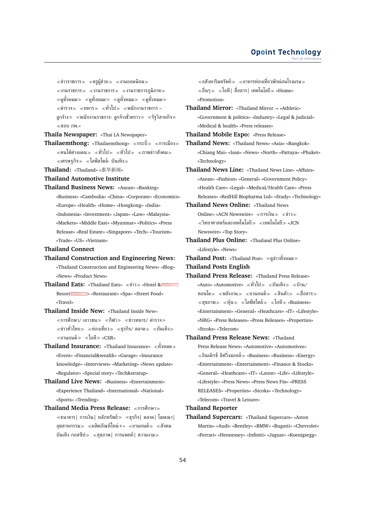$\ll$ ข่าวราชการ $\gg$   $\ll$ ครูผู้ช่วย $\gg$   $\ll$ งานยอดนิยม $\gg$  $\ll$ งานราชการ $\gg$   $\ll$ งานราชการ $\gg$   $\ll$ งานราชการภูมิภาค $\gg$  $\ll$ ดทั้งหมด $\gg \ll$ ดทั้งหมด $\gg \ll$ ดทั้งหมด $\gg$ ≪ตำรวจ≫ ≪ทหาร≫ ≪ทั่วไป≫ ≪พนักงานราชการ – ลูกจ้าง พนักงานราชการ- ลูกจ้างชั่วคราว รัฐวิสาหกิจ สอบ กพ.»

**Thaila Newspaper:** «Thai LA Newspaper»

- Thailaemthong: «Thailaemthong» «กระบี่» «การเมือง»  $\ll$ คนใต้ต่างแดน $\gg \ll$ ทั่วไป $\gg \ll$ กำไป $\gg \ll$ ภาพข่าวสังคม $\gg$  $\ll$ เศรษฐกิจ $\gg \ll$ ไลฟ์สไตล์- บันเทิง $\gg$
- **Thailand:** «Thailand» «泰华新闻»

#### **Thailand Automotive Institute**

**Thailand Business News:** «Asean» «Banking» «Business» «Cambodia» «China» «Corporate» «Economics» «Europe» «Health» «Home» «Hongkong» «India» «Indonesia» «Investment» «Japan» «Law» «Malaysia» «Markets» «Middle East» «Myanmar» «Politics» «Press Release» «Real Estate» «Singapore» «Tech» «Tourism» «Trade» «US» «Vietnam»

#### **Thailand Connect**

- **Thailand Construction and Engineering News:** «Thailand Construction and Engineering News» «Blog» «News» «Product News»
- **Thailand Eats:** «Thailand Eats» « $\psi$ 17» «Hotel & Resort > «Restaurant» «Spa» «Street Food» «Travel»
- **Thailand Inside New:** «Thailand Inside New»  $\ll$ การศึกษา/ เยาวชน $\gg \ll$ กีฬา $\gg \ll$ ข่าวทหาร/ ตำรวจ $\gg$  $\ll$ ข่าวทั่วไทย $\gg$   $\ll$ ท่องเที่ยว $\gg$   $\ll$ ธุรกิจ/ ตลาด $\gg$   $\ll$ บันเทิง $\gg$ ยานยนต์ ไอที «CSR»
- **Thailand Insurance:** «Thailand Insurance» ทั้งหมด «Event» «Financial&wealth» «Garage» «Insurance knowledge» «Interviews» «Marketing» «News update» «Regulator» «Special story» «Tech&stratup»
- **Thailand Live News:** «Business» «Entertainment» «Experience Thailand» «International» «National» «Sports» «Trending»
- **Thailand Media Press Release:** การศึกษา  $\ll$ ธนาคาร| การเงิน| หลักทรัพย์ $\gg\ll$ ธฺรกิจ| ตลาด| โฆษณา| อุตสาหกรรม $\gg$  «ผลิตภัณฑ์ใหม่+» «ยานยนต์ $\gg$  «สังคม บันเทิง กอสซิป $\gg$  «สุขภาพ| การแพทย์| ความงาม $\gg$

 $\ll$ อสังหาริมทรัพย์ $\gg\ll$ อาหารท่องเที่ยวพักผ่อนโรงแรม $\gg$  $\ll$ อื่นๆ $\gg\ll$ ไอที| สื่อสาร| เทคโนโลยี $\gg$  «Home» «Promotion»

- **Thailand Mirror:** «Thailand Mirror -» «Athletic» «Government & politics» «Industry» «Legal & judicial» «Medical & health» «Press releases»
- **Thailand Mobile Expo:** «Press Release»
- **Thailand News:** «Thailand News» «Asia» «Bangkok» «Chiang Mai» «Isan» «News» «North» «Pattaya» «Phuket» «Technology»
- **Thailand News Line:** «Thailand News Line» «Affairs» «Asean» «Fashion» «General» «Government Policy» «Health Care» «Legal» «Medical/Health Care» «Press Releases» «RedHill Biopharma Ltd» «Study» «Technology»
- **Thailand News Online:** «Thailand News Online» «ACN Newswire»  $\ll$ การเงิน $\gg$   $\ll$ ข่าว $\gg$  $\ll$ วิทยาศาสตร์และเทคโนโลยี $\gg\ll$ เทคโนโลยี $\gg$  «JCN Newswire» «Top Story»
- **Thailand Plus Online:** «Thailand Plus Online» «Lifestyle» «News»
- **Thailand Post:** «Thailand Post» ≪ดูข่าวทั้งหมด≫

**Thailand Posts English**

- **Thailand Press Release:** «Thailand Press Release» «Auto» «Automotive»  $\ll$ ทั่วไป $\gg$   $\ll$ บันเทิง $\gg$   $\ll$ บ้าน/ คอนโด≫ «พลังงาน≫ «ยานยนต์» «สินค้า» «สื่อสาร»  $\ll$ สุขภาพ $\gg \ll$ ทุ้น $\gg \ll$ ไลฟ์สไตล์ $\gg \ll$ ไอที $\gg$  «Business» «Entertainment» «General» «Heathcare» «IT» «Lifestyle» «NRG» «Press Releases» «Press Releases» «Properties» «Stcoks» «Telecom»
- **Thailand Press Release News:** «Thailand Press Release News» «Automotive» «Automotives»  $\ll$ อินเด็กซ์ ลิฟวิ่งมอลล์ $\gg$  «Business» «Business» «Energy» «Entertainment» «Entertainment» «Finance & Stocks» «General» «Heathcare» «IT» «Latest» «Life» «Lifestyle» «Lifestyle» «Press News» «Press News Fin» «PRESS RELEASES» «Properties» «Stcoks» «Technology» «Telecom» «Travel & Leisure»

### **Thailand Reporter**

**Thailand Supercars:** «Thailand Supercars» «Aston Martin» «Audi» «Bentley» «BMW» «Bugatti» «Chevrolet» «Ferrari» «Hennessey» «Infiniti» «Jaguar» «Koenigsegg»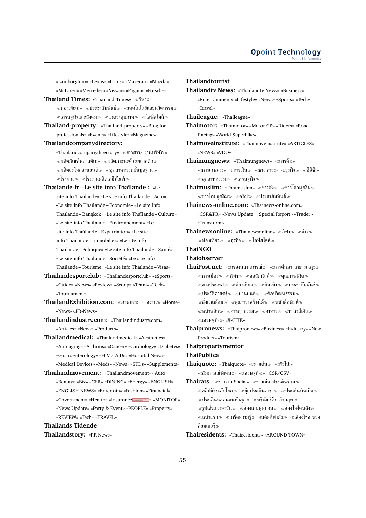«Lamborghini» «Lexus» «Lotus» «Maserati» «Mazda» «McLaren» «Mercedes» «Nissan» «Pagani» «Porsche»

- **Thailand Times:** «Thailand Times» «กีฬา»  $\ll$ ท่องเที่ยว $\gg\ll$ ประชาสัมพันธ์ $\gg\ll$ เทคโนโลยีและนวัตกรรม $\gg$  $\ll$ เศรษฐกิจและสังคม $\gg$   $\ll$ แวดวงสุขภาพ $\gg$   $\ll$ ไลฟ์สไตล์ $\gg$
- **Thailand-property:** «Thailand-property» «Blog for professionals» «Events» «Lifestyle» «Magazine»
- **Thailandcompanydirectory:**
	- «Thailandcompanydirectory» ข่าวสาร/ งานบริษัท  $\ll$ ผลิตภัณฑ์พลาสติก $\gg$   $\ll$ ผลิตภาชนะด้วยพลาสติก $\gg$ ผลิตอะไหล่ยานยนต์ อุตสาหกรรมขั้นมูลฐาน  $\ll$ โรงงาน $\gg \ll$ โรงงานผลิตเคมีภัณฑ์ $\gg$
- **Thailande-fr Le site info Thaïlande :** «Le site info Thaïlande» «Le site info Thaïlande – Actu» «Le site info Thaïlande – Économie» «Le site info Thaïlande – Bangkok» «Le site info Thaïlande – Culture» «Le site info Thaïlande – Environnement» «Le site info Thaïlande – Expatriation» «Le site info Thaïlande – Immobilier» «Le site info Thaïlande – Politique» «Le site info Thaïlande – Santé» «Le site info Thaïlande – Société» «Le site info Thaïlande – Tourisme» «Le site info Thaïlande – Visas»
- **Thailandesportclub:** «Thailandesportclub» «eSports» «Guide» «News» «Review» «Scoop» «Team» «Tech» «Tournament»
- **ThailandExhibition.com:** ภาพบรรยากาศงาน «Home» «News» «PR-News»

**Thailandindustry.com:** «Thailandindustry.com» «Articles» «News» «Products»

- **Thailandmedical:** «Thailandmedical» «Aesthetics» «Anti-aging» «Arthritis» «Cancer» «Cardiology» «Diabetes» «Gastroenterology» «HIV / AIDs» «Hospital News» «Medical Devices» «Meds» «News» «STDs» «Supplements»
- **Thailandmovement:** «Thailandmovement» «Auto» «Beauty» «Biz» «CSR» «DINING» «Energy» «ENGLISH» «ENGLISH NEWS» «Entertain» «Fashion» «Financial» «Government» «Health» «Insurance Maximus » «MONITOR» «News Update» «Party & Event» «PEOPLE» «Property» «REVIEW» «Tech» «TRAVEL»

**Thailands Tidende**

**Thailandstory:** «PR News»

### **Thailandtourist**

**Thailandtv News:** «Thailandtv News» «Business» «Entertainment» «Lifestyle» «News» «Sports» «Tech» «Travel»

**Thaileague:** «Thaileague»

**Thaimotor:** «Thaimotor» «Motor GP» «Riders» «Road Racing» «World Superbike»

**Thaimoveinstitute:** «Thaimoveinstitute» «ARTICLES» «NEWS» «VDO»

**Thaimungnews: «Thaimungnews» «การค้า»**  $\ll$ การเกษตร $\gg\ll$ การเงิน $\gg\ll$ ธนาคาร $\gg\ll$ ธุรกิจ $\gg\ll$ อีอีซี $\gg$  $\ll$ อุตสาหกรรม $\gg$   $\ll$ เศรษฐกิจ $\gg$ 

**Thaimuslim:** «Thaimuslim» «ข่าวดัง» «ข่าวโลกมุสลิม»  $\ll$ ข่าวไทยมุสลิม $\gg$   $\ll$ คลิป $\gg$   $\ll$ ประชาสัมพันธ์ $\gg$ 

- **Thainews-online.com:** «Thainews-online.com» «CSR&PR» «News Update» «Special Report» «Trader» «Transform»
- **Thainewsonline:** «Thainewsonline» «กีฬา≫ «ข่าว≫  $\ll$ ท่องเที่ยว $\gg$   $\ll$ ธรกิจ $\gg$   $\ll$ ไลฟ์สไตล์ $\gg$
- **ThaiNGO**
- **Thaiobserver**
- ThaiPost.net: «กรองสถานการณ์» «การศึกษา สาธารณสข»  $\ll$ การเมือง $\gg \ll$ กีฬา $\gg \ll$ คอลัมนิสต์ $\gg \ll$ คุณภาพชีวิต $\gg$  $\ll$ ต่างประเทศ $\gg \ll$ ท่องเที่ยว $\gg \ll$ บันเทิง $\gg \ll$ ประชาสัมพันธ์ $\gg$  $\ll$ ประวัติศาสตร์ $\gg$   $\ll$ ยานยนต์ $\gg$   $\ll$ ศิลปวัฒนธรรม $\gg$  $\alpha \ll$ สิ่งแวดล้อม $\gg \alpha \ll 1$ ขภาวะสร้างได้ $\gg \alpha \ll 1$ นังสือพิมพ์ $\gg$  $\ll$ หน้าหลัก $\gg$   $\ll$ อาชญากรรม $\gg$   $\ll$ อาหาร $\gg$   $\ll$ เปลวสีเงิน $\gg$  $\ll$ เศรษฐกิจ $\gg$  «X-CITE»
- **Thaipronews:** «Thaipronews» «Business» «Industry» «New Product» «Tourism»

## **Thaipropertymentor**

### **ThaiPublica**

- **Thaiquote:** «Thaiquote» ≪ข่าวเด่น > ≪ทั่วไป >  $\ll$ สัมภาษณ์พิเศษ $\gg\ll$ เศรษฐกิจ $\gg$  «CSR/CSV»
- **Thairats:** ข่าวจาก Social» ข่าวเด่น ประเด็นร้อน  $\ll$ คลิปดังระดับโลก $\gg \ll$ ค้ยประเด็นดารา $\gg \ll$ ประเด็นบันเทิง $\gg$  $\ll$ ประเด็นหลอนขนหัวลุก $\gg$   $\ll$ พรีเมียร์ลีก อังกฤษ $\gg$  $\ll$ รูปเด่นประจำวัน $\gg\ll$ ส่องเกมฟุตบอล $\gg\ll$ ส่องไอจีคนดัง $\gg$  $\ll$ หน้าแรก $\gg\ll$ เกร็ดความรู้ $\gg\ll$ เด็ดกีฬาดัง $\gg\ll$ เสี่ยงโชค หวย ล็อตเตอรี่
- **Thairesidents:** «Thairesidents» «AROUND TOWN»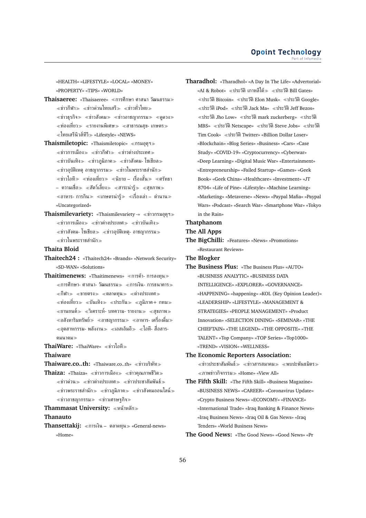«HEALTH» «LIFESTYLE» «LOCAL» «MONEY» «PROPERTY» «TIPS» «WORLD»

- **Thaisaeree:** «Thaisaeree» «การศึกษา ศาสนา วัฒนธรรม»  $\ll$ ข่าวกีฬา $\gg$   $\ll$ ข่าวด่วนไทยเสรี $\gg$   $\ll$ ข่าวทั่วไทย $\gg$  $\ll$ ข่าวธุรกิจ $\gg$   $\ll$ ข่าวสังคม $\gg$   $\ll$ ข่าวอาชญากรรม $\gg$   $\ll$ ดูดวง $\gg$  $\ll$ ท่องเที่ยว $\gg\ll$ รายงานพิเศษ $\gg\ll$ สาธารณสข- เกษตร $\gg$  $\ll$ ไทยเสรีนิวส์ทีวี $\gg$  «Lifestyle» «NEWS»
- **Thaismiletopic:** «Thaismiletopic» กรมอุตุฯ  $\ll$ ข่าวการเมือง $\gg \ll$ ข่าวกีฬา $\gg \ll$ ข่าวต่างประเทศ $\gg$  $\ll$ ข่าวบันเทิง $\gg$   $\ll$ ข่าวภูมิภาค $\gg$   $\ll$ ข่าวสังคม- โซเชียล $\gg$  $\ll$ ข่าวอุบัติเหตุ อาชญากรรม $\gg \ll$ ข่าวในพระราชสำนัก $\gg$  $\ll$ ข่าวไอที $\gg$   $\ll$ ท่องเที่ยว $\gg$   $\ll$ นิยาย – เรื่องสั้น $\gg$   $\ll$ ศรัทธา – ความเชื่อ≫ ≪สัตว์เลี้ยง≫ ≪สาระน่ารู้≫ ≪สฺขภาพ≫  $\ll$ อาหาร- การกิน $\gg\ll$ เกษตรน่ารู้ $\gg\ll$ เรื่องเล่า – ตำนาน $\gg$ «Uncategorized»
- **Thaismilevariety:** «Thaismilevariety -» ข่าวกรมอุตุฯ  $\ll$ ข่าวการเมือง $\gg \ll$ ข่าวต่างประเทศ $\gg \ll$ ข่าวบันเทิง $\gg$  $\ll$ ข่าวสังคม- โซเชียล $\gg \ll$ ข่าวอุบัติเหตุ- อาชญากรรม $\gg$ ข่าวในพระราชสำนัก

### **Thaita Bloid**

**Thaitech24 :** «Thaitech24» «Brands» «Network Security» «SD-WAN» «Solutions»

**Thaitimenews:** «Thaitimenews» ≪การค้า- การลงทุน≫  $<$ การศึกษา- ศาสนา- วัฒนธรรม $> <$ การเงิน- การธนาคาร $>$ กีฬา ขายตรง ตลาดทุน ต่างประเทศ  $\ll$ ท่องเที่ยว $\gg$   $\ll$ บันเทิง $\gg$   $\ll$ ประกัน $\gg$   $\ll$ ภูมิภาค+ กทม $\gg$  $\ll$ ยานยนต์ $\gg\ll$ วิเคราะห์- บทความ- รายงาน $\gg\ll$ สุขภาพ $\gg$  $\ll$ อสังหาริมทรัพย์ $\gg \ll$ อาชญากรรม $\gg \ll$ อาหาร- เครื่องดื่ม $\gg$  $\alpha \ll$ อุตสาหกรรม- พลังงาน $\gg \alpha \ll$ เอสเอ็มอี $\gg \alpha \ll 1$ อที- สื่อสาร-คมนาคม

**ThaiWare:** «ThaiWare» ข่าวไอที

**Thaiware**

**Thaiware.co..th:** «Thaiware.co..th» ข่าวบริษัท

**Thaiza:** «Thaiza» «ข่าวการเมือง» «ข่าวคุณภาพชีวิต»  $\ll$ ข่าวด่วน $\gg$   $\ll$ ข่าวต่างประเทศ $\gg$   $\ll$ ข่าวประชาสัมพันธ์ $\gg$  $\ll$ ข่าวพระราชสำนัก $\gg\ll$ ข่าวภูมิภาค $\gg\ll$ ข่าวสังคมออนไลน์ $\gg$  $\ll$ ข่าวอาชญากรรม $\gg \ll$ ข่าวเศรษฐกิจ $\gg$ 

**Thammasat University:** หน้าหลัก

### **Thanauto**

**Thansettakij:** การเงิน – ตลาดทุน «General-news» «Home»

**Tharadhol:** «Tharadhol» «A Day In The Life» «Advertorial» «AI & Robot» «ประวัติ เกาหลีใต้ $\gg$  «ประวัติ Bill Gates»  $\ll$ ประวัติ Bitcoin»  $\ll$ ประวัติ Elon Musk»  $\ll$ ประวัติ Google»  $\ll$ ประวัติ iPod»  $\ll$ ประวัติ Jack Ma»  $\ll$ ประวัติ Jeff Bezos»  $\ll$ ประวัติ Jho Low»  $\ll$ ประวัติ mark zuckerberg»  $\ll$ ประวัติ MBS» ประวัติNetscape» ประวัติSteve Jobs» ประวัติ Tim Cook» ประวัติTwitter» «Billion Dollar Loser» «Blockchain» «Blog Series» «Business» «Cars» «Case Study» «COVID-19» «Cryptocurrency» «Cyberwar» «Deep Learning» «Digital Music War» «Entertainment» «Entrepreneurship» «Failed Startup» «Games» «Geek Book» «Geek China» «Healthcare» «Investment» «JT 8704» «Life of Pine» «Lifestyle» «Machine Learning» «Marketing» «Metaverse» «News» «Paypal Mafia» «Paypal Wars» «Podcast» «Search War» «Smartphone War» «Tokyo in the Rain»

### **Thatphanom**

### **The All Apps**

**The BigChilli:** «Features» «News» «Promotions» «Restaurant Reviews»

### **The Blogker**

- **The Business Plus:** «The Business Plus» «AUTO» «BUSINESS ANALYTIC» «BUSINESS DATA INTELLIGENCE» «EXPLORER» «GOVERNANCE» «HAPPENING» «happening» «KOL (Key Opinion Leader)» «LEADERSHIP» «LIFESTYLE» «MANAGEMENT & STRATEGIES» «PEOPLE MANAGEMENT» «Product Innovation» «SELECTION DINING» «SEMINAR» «THE CHIEFTAIN» «THE LEGEND» «THE OPPOSITE» «THE TALENT» «Top Company» «TOP Series» «Top1000» «TREND» «VISION» «WELLNESS»
- **The Economic Reporters Association:**  $\ll$ ข่าวประชาสัมพันธ์ $\gg$   $\ll$ ข่าวสารสมาคม $\gg$   $\ll$ พบปะพันธมิตร $\gg$  $\ll$ ภาพข่าวกิจกรรม $\gg$  «Home» «View All»
- **The Fifth Skill:** «The Fifth Skill» «Business Magazine» «BUSINESS NEWS» «CAREER» «Coronavirus Update» «Crypto Business News» «ECONOMY» «FINANCE» «International Trade» «Iraq Banking & Finance News» «Iraq Business News» «Iraq Oil & Gas News» «Iraq Tenders» «World Business News»

**The Good News:** «The Good News» «Good News» «Pr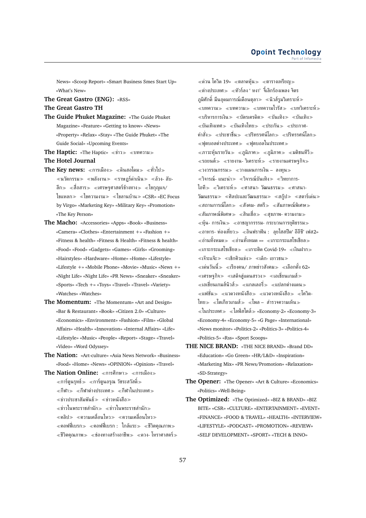News» «Scoop Report» «Smart Business Smes Start Up» «What's New»

**The Great Gastro (ENG):** «RSS»

**The Great Gastro TH**

- **The Guide Phuket Magazine:** «The Guide Phuket Magazine» «Feature» «Getting to know» «News» «Property» «Relax» «Stay» «The Guide Phuket» «The Guide Social» «Upcoming Events»
- **The Haptic:** «The Haptic» «ข่าว» «บทความ»
- **The Hotel Journal**
- **The Key news:** «การเมือง» «ดินสอโดม» «ทั่วไป»  $\ll$ นวัตกรรม $\gg \ll$ พลังงาน $\gg \ll$ ราษฏร์ดำเนิน $\gg \ll$ ล้วง- ลับ-ลึก $\gg$   $\ll$ สื่อสาร $\gg$   $\ll$ เศรษฐศาสตร์ข้างทาง $\gg$   $\ll$ ไขกุญแจ/ ไขแหลก» «ไขความงาม» «ใขลานบ้าน» «CSR» «EC Focus by Virgo» «Marketing Key» «Military Key» «Promotion» «The Key Person»
- **The Macho:** «Accessories» «Apps» «Book» «Business» «Camera» «Clothes» «Entertainment +» «Fashion +» «Fitness & health» «Fitness & Health» «Fitness & health» «Food» «Food» «Gadgets» «Games» «Girls» «Grooming» «Hairstyles» «Hardware» «Home» «Home» «Lifestyle» «Lifestyle +» «Mobile Phone» «Movie» «Music» «News +» «Night Life» «Night Life» «PR News» «Sneaker» «Sneaker» «Sports» «Tech +» «Toys» «Travel» «Travel» «Variety» «Watches» «Watches»
- **The Momentum:** «The Momentum» «Art and Design» «Bar & Restaurant» «Book» «Citizen 2.0» «Culture» «Economics» «Environment» «Fashion» «Film» «Global Affairs» «Health» «Innovation» «Internal Affairs» «Life» «Lifestyle» «Music» «People» «Report» «Stage» «Travel» «Video» «Word Odyssey»
- **The Nation:** «Art-culture» «Asia News Network» «Business» «Food» «Home» «News» «OPINION» «Opinion» «Travel»

The Nation Online: «การศึกษา» «การเมือง»  $\ll$ การ์ตูนรุทธ์ $\gg$   $\ll$ การ์ตูนอรุณ วัชระสวัสดิ์ $\gg$  $\ll$ กีฬา $\gg$   $\ll$ กีฬาต่างประเทศ $\gg$   $\ll$ กีฬาในประเทศ $\gg$  $\ll$ ข่าวประชาสัมพันธ์ $\gg$   $\ll$ ข่าวหนังสือ $\gg$  $\ll$ ข่าวในพระราชสำนัก $\gg \ll$ ข่าวในพระราชสำนัก $\gg$ คลิป ความเคลื่อนไหว ความเคลื่อนไหว  $\ll$ คอฟฟี่เบรก $\gg \ll$ คอฟฟี่เบรก : ใกล้แระ $\gg \ll$ ชีวิตคุณภาพ $\gg$  $\ll$ ชีวิตคุณภาพ $\gg$   $\ll$ ช่องทางสร้างอาชีพ $\gg$   $\ll$ ดวง- โหราศาสตร์ $\gg$   $\ll$ ด่วน โควิด 19»  $\ll$ ตลาดห้น $\gg$   $\ll$ ตารางเหรียญ $\gg$  $\ll$ ต่างประเทศ $\gg\ll$ ทัวร์ลง ' หงา' จี้เลิกร้องเพลง จิตร ภูมิศักดิ์ มึนอุดมการณ์เดือนตุลา $\gg$  «นิวส์รูมวิเคราะห์ $\gg$  $\ll$ บทความ $\gg\ll$ บทความ $\gg\ll$ บทความไวรัส $\gg\ll$ บทวิเคราะห์ $\gg$  $\ll$ บริหารการเงิน $\gg \ll$ บัตรเครดิต $\gg \ll$ บันเทิง $\gg \ll$ บันเทิง $\gg$ ่ «บันเทิงเทศ» «บันเทิงไทย» «ประกัน» «ประกาศ-คำสั่ง $\gg$  «ประชาชื่น $\gg$  «ปริทรรศน์โลก $\gg$  «ปริทรรศน์โลก $\gg$  $\ll$ ฟตบอลต่างประเทศ $\gg\ll$ ฟตบอลในประเทศ $\gg$  $\ll$ ภาวะหุ้นรายวัน $\gg \ll$ ภูมิภาค $\gg \ll$ ภูมิภาค $\gg \ll$ มติชนทีวี $\gg$  $\ll$ รถยนต์ $\gg$   $\ll$ รายงาน- วิเคราะห์ $\gg$   $\ll$ รายงานเศรษฐกิจ $\gg$  $\ll$ วงวรรณกรรม $\gg \ll$ วางแผนการเงิน – ลงทุน $\gg$  $\ll$ วิจารณ์- แนะนำ $\gg \ll$ วิจารณ์บันเทิง $\gg \ll$ วิทยาการ-ไอที $\gg$   $\ll$ วิเคราะห์ $\gg$   $\ll$ ศาสนา- วัฒนธรรม $\gg$   $\ll$ ศาสนา-วัฒนธรรม $\gg$  «ศิลปะและวัฒนธรรม $\gg$  «สกู๊ป $\gg$  «สตาร์เด่น $\gg$  $\ll$ สถานการณ์โลก $\gg\ll$ สังคม- สตรี $\gg\ll$ สัมภาษณ์พิเศษ $\gg$  $\ll$ สัมภาษณ์พิเศษ $\gg \ll$ สินเชื่อ $\gg \ll$ สขภาพ- ความงาม $\gg$  $\ll$ ห้น- การเงิน $\gg$   $\ll$ อาชญากรรรม- กระบวนการยุติธรรม $\gg$  $\ll$ อาหาร- ท่องเที่ยว $\gg \ll$ อินฟราฟัน :  $\;$ ลยไฮสปีด' อีอีซี' เฟส $2\%$ อ่านทั้งหมด อ่านทั้งหมด »» เกาะกระแสโซเชียล  $\ll$ เกาะกระแสโซเชียล $\gg \ll$ เกาะติด Covid-19»  $\ll$ เงินฝาก $\gg$ ่ ≪เจ๊าะแจ๊ะ≫ ≪เช็กคิวแข่ง≫ ≪เด็ก- เยาวชน≫  $\ll$ เด่นวันนี้ $\gg\ll$ เรียงคน/ ภาพข่าวสังคม $\gg\ll$ เลือกตั้ง 62»  $\ll$ เศรษฐกิจ $\gg\ll$ เสด็จสู่แดนสรวง $\gg\ll$ เอเชี่ยนเกมส์ $\gg$  $\ll$ เอเชี่ยนเกมส์นิวส์ $\gg\ll$ แกลเลอรี่ $\gg\ll$ แปลกต่างแดน $\gg$ ่ «แฟชั่น≫ «แวดวงหนังสือ≫ «แวดวงหนังสือ≫ «โควิด-ไทย $\gg$  «โตเกียวเกมส์ $\gg$  «โพล – สำรวจความเห็น $\gg$  $\ll$ ในประเทศ $\gg \ll$ ไลฟ์สไตล์ $\gg$  «Economy-2» «Economy-3» «Economy-4» «Economy-5» «G Page» «International» «News monitor» «Politics-2» «Politics-3» «Politics-4» «Politics-5» «Rss» «Sport Scoops»

- **THE NICE BRAND:** «THE NICE BRAND» «Brand DD» «Education» «Go Green» «HR/L&D» «Inspiration» «Marketing Mix» «PR News/Promotion» «Relaxation» «SD-Strategy»
- **The Opener:** «The Opener» «Art & Culture» «Economics» «Politics» «Well-Being»
- **The Optimized:** «The Optimized» «BIZ & BRAND» «BIZ BITE» «CSR» «CULTURE» «ENTERTAINMENT» «EVENT» «FINANCE» «FOOD & TRAVEL» «HEALTH» «INTERVIEW» «LIFESTYLE» «PODCAST» «PROMOTION» «REVIEW» «SELF DEVELOPMENT» «SPORT» «TECH & INNO»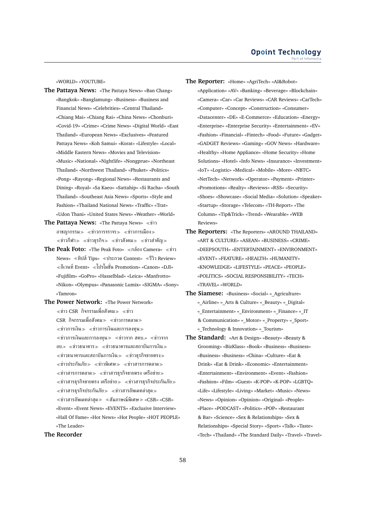«WORLD» «YOUTUBE»

- **The Pattaya News:** «The Pattaya News» «Ban Chang» «Bangkok» «Banglamung» «Business» «Business and Financial News» «Celebrities» «Central Thailand» «Chiang Mai» «Chiang Rai» «China News» «Chonburi» «Covid-19» «Crime» «Crime News» «Digital World» «East Thailand» «European News» «Exclusives» «Featured Pattaya News» «Koh Samui» «Korat» «Lifestyle» «Local» «Middle Eastern News» «Movies and Television» «Music» «National» «Nightlife» «Nongprue» «Northeast Thailand» «Northwest Thailand» «Phuket» «Politics» «Pong» «Rayong» «Regional News» «Restaurants and Dining» «Royal» «Sa Kaeo» «Sattahip» «Si Racha» «South Thailand» «Southeast Asia News» «Sports» «Style and Fashion» «Thailand National News» «Traffic» «Trat» «Udon Thani» «United States News» «Weather» «World»
- **The Pattaya News:** «The Pattaya News» «ข่าว อาชญากรรม $\gg$   $\ll$ ข่าวการจราจร $\gg$   $\ll$ ข่าวการเมือง $\gg$  $\ll$ ข่าวกีฬา $\gg$   $\ll$ ข่าวธุรกิจ $\gg$   $\ll$ ข่าวสังคม $\gg$   $\ll$ ข่าวสำคัญ $\gg$
- **The Peak Foto:** «The Peak Foto» «กล้อง Camera» «ข่าว News» ทิปส์Tips» ประกวด Contest» รีวิว Review» อีเวนท์Event» โปรโมชั่น Promotion» «Canon» «DJI» «Fujifilm» «GoPro» «Hasselblad» «Leica» «Manfrotto» «Nikon» «Olympus» «Panasonic Lumix» «SIGMA» «Sony» «Tamron»
- **The Power Network:** «The Power Network»  $\ll$ ข่าว CSR กิจกรรมเพื่อสังคม $\gg \ll$ ข่าว  $\text{CSR }\widehat{\mathsf{R}}$ กิจกรรมเพื่อสังคม $\gg\,\,\ll$ ข่าวการตลาด $\gg$  $\ll$ ข่าวการเงิน $\gg$   $\ll$ ข่าวการเงินและการลงทน $\gg$  $\ll$ ข่าวการเงินและการลงทุน $\gg$   $\ll$ ข่าวจาก สคบ.»  $\ll$ ข่าวจาก อย.»  $\ll$ ข่าวธนาคาร $\gg$   $\ll$ ข่าวธนาคารและสถาบันการเงิน $\gg$  $\ll$ ข่าวธนาคารและสถาบันการเงิน $\gg$   $\ll$ ข่าวธุรกิจขายตรง $\gg$  $\ll$ ข่าวประกันภัย $\gg$   $\ll$ ข่าวพิเศษ $\gg$   $\ll$ ข่าวสารการตลาด $\gg$  $\ll$ ข่าวสารการตลาด $\gg$   $\ll$ ข่าวสารธุรกิจขายตรง เครือข่าย $\gg$  $\ll$ ข่าวสารธุรกิจขายตรง เครือข่าย $\gg$   $\ll$ ข่าวสารธุรกิจประกันภัย $\gg$  $\ll$ ข่าวสารธุรกิจประกันภัย $\gg \ll$ ข่าวสารอัพเดทล่าสุด $\gg$  $\ll$ ข่าวสารอัพเดทล่าสุด $\gg\ll$ สัมภาษณ์พิเศษ $\gg$  «CSR» «CSR» «Event» «Event News» «EVENTS» «Exclusive Interview» «Hall Of Fame» «Hot News» «Hot People» «HOT PEOPLE» «The Leader»

### **The Recorder**

- **The Reporter:** «Home» «AgriTech» «AI&Robot»
	- «Application» «AV» «Banking» «Beverage» «Blockchain» «Camera» «Car» «Car Reviews» «CAR Reviews» «CarTech» «Computer» «Concept» «Construction» «Consumer» «Datacenter» «DE» «E-Commerce» «Education» «Energy» «Enterprise» «Enterprise Security» «Entertainment» «EV» «Fashion» «Financial» «Fintech» «Food» «Future» «Gadget» «GADGET Reviews» «Gaming» «GOV News» «Hardware» «Healthy» «Home Appliance» «Home Security» «Home Solutions» «Hotel» «Info News» «Insurance» «Investment» «IoT» «Logistic» «Medical» «Mobile» «More» «NBTC» «NetTech» «Network» «Operator» «Payment» «Printer» «Promotions» «Realty» «Reviews» «RSS» «Security» «Shoes» «Showcase» «Social Media» «Solution» «Speaker» «Startup» «Storage» «Telecom» «TH-Report» «The Column» «Tip&Trick» «Trend» «Wearable» «WEB Reviews»
- **The Reporters:** «The Reporters» «AROUND THAILAND» «ART & CULTURE» «ASEAN» «BUSINESS» «CRIME» «DEEPSOUTH» «ENTERTAINMENT» «ENVIRONMENT» «EVENT» «FEATURE» «HEALTH» «HUMANITY» «KNOWLEDGE» «LIFESTYLE» «PEACE» «PEOPLE» «POLITICS» «SOCIAL RESPONSIBILITY» «TECH» «TRAVEL» «WORLD»
- The Siamese: «Business» «Social» « Agriculture» «\_Airline» «\_Arts & Culture» «\_Beauty» «\_Digital» «\_Entertainment» «\_Environment» «\_Finance» «\_IT & Communication» «\_Motor» «\_Property» «\_Sport» « Technology & Innovation» « Tourism»
- **The Standard:** «Art & Design» «Beauty» «Beauty & Grooming» «BizKlass» «Book» «Business» «Business» «Business» «Business» «China» «Culture» «Eat & Drink» «Eat & Drink» «Economic» «Entertainment» «Entertainment» «Environment» «Event» «Fashion» «Fashion» «Film» «Guest» «K-POP» «K-POP» «LGBTQ» «Life» «Lifestyle» «Living» «Market» «Music» «News» «News» «Opinion» «Opinion» «Original» «People» «Place» «PODCAST» «Politics» «POP» «Restaurant & Bar» «Science» «Sex & Relationships» «Sex & Relationships» «Special Story» «Sport» «Talk» «Taste» «Tech» «Thailand» «The Standard Daily» «Travel» «Travel»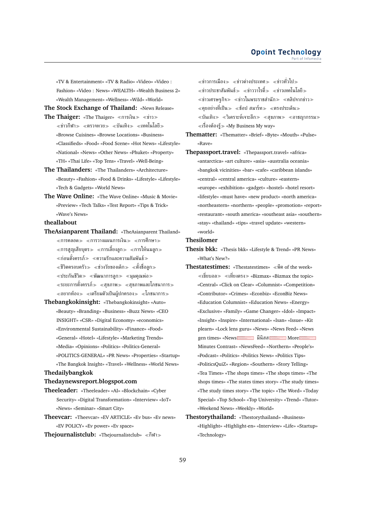«TV & Entertainment» «TV & Radio» «Video» «Video : Fashion» «Video : News» «WEALTH» «Wealth Business 2» «Wealth Management» «Wellness» «Wild» «World»

**The Stock Exchange of Thailand:** «News Release»

- **The Thaiger:** «The Thaiger» «การเงิน» «ข่าว»  $\ll$ ข่าวกีฬา $\gg$   $\ll$ ตรวจหวย $\gg$   $\ll$ บันเทิง $\gg$   $\ll$ เทคโนโลยี $\gg$ «Browse Cuisines» «Browse Locations» «Business» «Classifieds» «Food» «Food Scene» «Hot News» «Lifestyle» «National» «News» «Other News» «Phuket» «Property» «TH» «Thai Life» «Top Tens» «Travel» «Well-Being»
- **The Thailanders:** «The Thailanders» «Architecture» «Beauty» «Fashion» «Food & Drinks» «Lifestyle» «Lifestyle» «Tech & Gadgets» «World News»
- **The Wave Online:** «The Wave Online» «Music & Movie» «Preview» «Tech Talks» «Test Report» «Tips & Trick» «Wave's News»

#### **theallabout**

- **TheAsianparent Thailand:** «TheAsianparent Thailand»  $\ll$ การคลอด $\gg$   $\ll$ การวางแผนการเงิน $\gg$   $\ll$ การศึกษา $\gg$  $\ll$ การสูญเสียบุตร $\gg \ll$ การเลี้ยงลูก $\gg \ll$ การให้นมลูก $\gg$  $\ll$ ก่อนตั้งครรภ์ $\gg \ll$ ความรักและความสัมพันธ์ $\gg$  $\ll$ ชีวิตครอบครัว $\gg$   $\ll$ ช่วงวัยของเด็ก $\gg$   $\ll$ ตั้งชื่อลก $\gg$  $\ll$ ประกันชีวิต $\gg \ll$ พัฒนาการลูก $\gg \ll$ มุมคุณพ่อ $\gg$  $\ll$ ระยะการตั้งครรภ์ $\gg\ll$ สุขภาพ $\gg\ll$ สุขภาพและโภชนาการ $\gg$  $\ll$ อยากท้อง $\gg$   $\ll$ เตรียมตัวเป็นผู้ปกครอง $\gg$   $\ll$ โภชนาการ $\gg$
- **Thebangkokinsight:** «Thebangkokinsight» «Auto» «Beauty» «Branding» «Business» «Buzz News» «CEO INSIGHT» «CSR» «Digital Economy» «economics» «Environmental Sustainability» «Finance» «Food» «General» «Hotel» «Lifestyle» «Marketing Trends» «Media» «Opinions» «Politics» «Politics-General» «POLITICS-GENERAL» «PR News» «Properties» «Startup» «The Bangkok Insight» «Travel» «Wellness» «World News»

### **Thedailybangkok**

### **Thedaynewsreport.blogspot.com**

- **Theeleader:** «Theeleader» «AI» «Blockchain» «Cyber Security» «Digital Transformation» «Interview» «IoT» «News» «Seminar» «Smart City»
- **Theevcar:** «Theevcar» «EV ARTICLE» «Ev bus» «Ev news» «EV POLICY» «Ev power» «Ev space»
- **Thejournalistclub:** «Thejournalistclub» «กีฬา»

 $\ll$ ข่าวการเมือง $\gg \ll$ ข่าวต่างประเทศ $\gg \ll$ ข่าวทั่วไป $\gg$  $\ll$ ข่าวประชาสัมพันธ์ $\gg$   $\ll$ ข่าววาไรตี้ $\gg$   $\ll$ ข่าวเทคโนโลยี $\gg$  $\ll$ ข่าวเศรษฐกิจ $\gg$   $\ll$ ข่าวในพระราชสำนัก $\gg$   $\ll$ คลิปจากข่าว $\gg$  $\ll$ คุยอย่างที่เป็น $\gg\ll$ ช้อป สมาร์ท $\gg\ll$ ตรงประเด็น $\gg$  $\ll$ บันเทิง $\gg\ll$ วิเคราะห์เจาะลึก $\gg\ll$ สุขภาพ $\gg\ll$ อาชญากรรม $\gg$  $\ll$ เรื่องต้องร้ $\gg$  «My Business My way»

- **Thematter:** «Thematter» «Brief» «Byte» «Mouth» «Pulse» «Rave»
- **Thepassport.travel:** «Thepassport.travel» «africa» «antarctica» «art culture» «asia» «australia oceania» «bangkok vicinities» «bar» «cafe» «caribbean islands» «central» «central america» «culture» «eastern» «europe» «exhibition» «gadget» «hostel» «hotel resort» «lifestyle» «must have» «new product» «north america» «northeastern» «northern» «people» «promotion» «report» «restaurant» «south america» «southeast asia» «southern» «stay» «thailand» «tips» «travel update» «western» «world»

### **Thesilomer**

- **Thesis bkk:** «Thesis bkk» «Lifestyle & Trend» «PR News» «What's New?»
- **Thestatestimes:** «Thestatestimes» พีค of the week»  $\ll$ เขี่ยบอล $\gg \ll$ เที่ยงตรง $\gg$  «Bizmax» «Bizmax the topic» «Central» «Click on Clear» «Columnist» «Competition» «Contributor» «Crimes» «Econbiz» «EconBiz News» «Education Columnist» «Education News» «Energy» «Exclusive» «Family» «Game Changer» «Idol» «Impact» «Insight» «Inspire» «International» «Isan» «Issue» «Kit plearn» «Lock lens guru» «News» «News Feed» «News gen times» «News and will be a series and when the More Minutes Contrast» «NewsFeed» «Northern» «People's» «Podcast» «Politics» «Politics News» «Politics Tips» «PoliticsQuiZ» «Region» «Southern» «Story Telling» «Tea Times» «The shops times» «The shops times» «The shops times» «The states times story» «The study times» «The study times story» «The topic» «The Word» «Today Special» «Top School» «Top University» «Trend» «Tutor» «Weekend News» «Weekly» «World»
- **Thestorythailand:** «Thestorythailand» «Business» «Highlight» «Highlight-en» «Interview» «Life» «Startup» «Technology»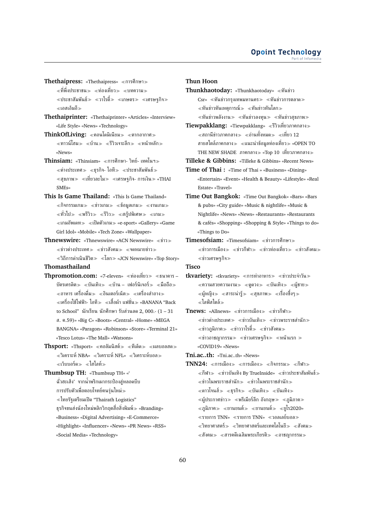- **Thethaipress:** «Thethaipress» «การศึกษา»  $\ll$ ที่พึ่งประชาชน $\gg \ll$ ท่องเที่ยว $\gg \ll$ บทความ $\gg$  $\ll$ ประชาสัมพันธ์ $\gg$   $\ll$ วาไรตี้ $\gg$   $\ll$ เกษตร $\gg$   $\ll$ เศรษฐกิจ $\gg$ เอสเอ็มอี
- **Thethaiprinter:** «Thethaiprinter» «Articles» «Interview» «Life Style» «News» «Technology»
- ThinkOfLiving: «คอนโดมิเนียม» «ตากอากาศ»  $\ll$ ทาวน์โฮม $\gg$  ≪บ้าน $\gg$  ≪รีวิวเจาะลึก $\gg$  ≪หน้าหลัก $\gg$ «News»
- **Thinsiam:** «Thinsiam» «การศึกษา- วิทย์- เทคโนฯ»  $\ll$ ต่างประเทศ $\gg \ll$ ธุรกิจ- ไอที $\gg \ll$ ประชาสัมพันธ์ $\gg$  $\ll$ สุขภาพ $\gg\ll$ เที่ยวละไม $\gg\ll$ เศรษฐกิจ- การเงิน $\gg$  «THAI SMEs»
- **This Is Game Thailand:** «This Is Game Thailand»  $\ll$ กิจกรรมเกม $\gg \ll$ ข่าวเกม $\gg \ll$ ข้อมูลเกม $\gg \ll$ งานเกม $\gg$  $\ll$ ทั่วไป $\gg$   $\ll$ พรีวิว $\gg$   $\ll$ รีวิว $\gg$   $\ll$ สก์ปพิเศษ $\gg$   $\ll$ เกม $\gg$  $\ll$ เกมอัพเดท $\gg \ll$ เปิดตัวเกม $\gg$  «e-sport» «Gallery» «Game Girl Idol» «Mobile» «Tech Zone» «Wallpaper»
- **Thnewswire:** «Thnewswire» «ACN Newswire» ข่าว  $\ll$ ข่าวต่างประเทศ $\gg \ll$ ข่าวสังคม $\gg \ll$ จดหมายข่าว $\gg$  $\ll$ วิถีการดำเนินชีวิต $\gg \ll$ โลก $\gg$  «JCN Newswire» «Top Story»

## **Thomasthailand**

- **Thpromotion.com:** «7-eleven» «ท่องเที่ยว» «ธนาคาร บัตรเครดิต $\gg\;$  «บันเทิง $\gg\;$  «บ้าน – เฟอร์นิเจอร์ $\gg\;$  «มือถือ $\gg$  $\ll$ อาหาร เครื่องดื่ม $\gg \ll$ อินเตอร์เน็ต $\gg \ll$ เครื่องสำอาง $\gg$ เครื่องใช้ไฟฟ้า- ไอที เสื้อผ้า แฟชั่น «BANANA "Back to School" นักเรียน นักศึกษา รับส่วนลด 2, 000.- (1 – 31 ส. ค.59)» «Big C» «Boots» «Central» «Home» «MEGA BANGNA» «Paragon» «Robinson» «Store» «Terminal 21» «Tesco Lotus» «The Mall» «Watsons»
- **Thsport:** «Thsport» «คอลัมนิสต์» «ทีเด็ด» «ผลบอลสด»  $\ll$ วิเคราะห์ NBA»  $\ll$ วิเคราะห์ NFL»  $\ll$ วิเคราะห์บอล $\gg$  $\ll$ เว็บบอร์ด $\gg \ll$ ไฮไลท์ $\gg$

**Thumbsup TH:** «Thumbsup TH» «' ฉั่วฮะเส็ง' จากน้ำพริกเผากระป๋องสู่หลอดบีบ การปรับตัวเพื่อตอบโจทย์คนรุ่นใหม่  $\ll$ ไทยรัฐเตรียมเปิด "Thairath Logistics" ธุรกิจขนส่งน้องใหม่พลิกวิกฤตสื่อสิ่งพิมพ์ «Branding» «Business» «Digital Advertising» «E-Commerce» «Highlight» «Influencer» «News» «PR News» «RSS»

«Social Media» «Technology»

### **Thun Hoon**

**Thunkhaotoday:** «Thunkhaotoday» ทันข่าว Csr» «ทันข่าวกรุงเทพมหานคร» «ทันข่าวการตลาด»  $\ll$ ทันข่าวทันเหตุการณ์ $\gg\ll$ ทันข่าวทันโลก $\gg$  $\ll$ ทันข่าวพลังงาน $\gg\ll$ ทันข่าวลงทุน $\gg\ll$ ทันข่าวสุขภาพ $\gg$ 

**Tiewpakklang:** «Tiewpakklang» รีวิวเที่ยวภาคกลาง  $\ll$ สถานีข่าวภาคกลาง $\gg \ll$ อ่านทั้งหมด $\gg \ll$ เที่ยว 12 สายสไตล์ภาคกลาง» «แนะนำข้อมูลท่องเที่ยว» «OPEN TO <code>THE</code> NEW SHADE ภาคกลาง $\gg$  «Top 10 เที่ยวภาคกลาง $\gg$ 

**Tilleke & Gibbins:** «Tilleke & Gibbins» «Recent News» **Time of Thai :** «Time of Thai » «Business» «Dining»

«Entertain» «Event» «Health & Beauty» «Lifestyle» «Real Estate» «Travel»

- **Time Out Bangkok:** «Time Out Bangkok» «Bars» «Bars & pubs» «City guide» «Music & nightlife» «Music & Nightlife» «News» «News» «Restaurants» «Restaurants & cafés» «Shopping» «Shopping & Style» «Things to do» «Things to Do»
- **Timesofsiam:** «Timesofsiam» ข่าวการศึกษา  $\ll$ ข่าวการเมือง $\gg$   $\ll$ ข่าวกีฬา $\gg$   $\ll$ ข่าวท่องเที่ยว $\gg$   $\ll$ ข่าวสังคม $\gg$  $\ll$ ข่าวเศรษฐกิจ $\gg$

### **Tisco**

tkvariety: «tkvariety» «การทำอาหาร» «ข่าวประจำวัน»  $\ll$ ความสวยความงาม $\gg$   $\ll$ ดูดวง $\gg$   $\ll$ บันเทิง $\gg$   $\ll$ ผู้ชาย $\gg$  $\ll$ ผู้หญิง $\gg$   $\ll$ สาระน่ารั $\gg$   $\ll$ สขภาพ $\gg$   $\ll$ เรื่องซึ้งๆ $\gg$ ไลฟ์สไตล์

**Tnews:** «Allnews» «ข่าวการเมือง» «ข่าวกีฬา»  $\ll$ ข่าวต่างประเทศ $\gg$   $\ll$ ข่าวบันเทิง $\gg$   $\ll$ ข่าวพระราชสำนัก $\gg$  $\ll$ ข่าวภูมิภาค $\gg$   $\ll$ ข่าววาไรตี้ $\gg$   $\ll$ ข่าวสังคม $\gg$  $\ll$ ข่าวอาชญากรรม $\gg \ll$ ข่าวเศรษฐกิจ $\gg \ll$ หน้าแรก  $\gg$ «COVID19» «News»

**Tni.ac..th:** «Tni.ac..th» «News»

 $\textbf{TNN24:}$  «การเมือง» «การเมือง» «กิจกรรม» «กีฬา»  $\ll$ กีฬา $\gg$   $\ll$ ข่าวบันเทิง By TrueInside»  $\ll$ ข่าวประชาสัมพันธ์ $\gg$  $\ll$ ข่าวในพระราชสำนัก $\gg \ll$ ข่าวในพระราชสำนัก $\gg$  $\ll$ ดาวโจนส์ $\gg\ll$ ธรกิจ $\gg\ll$ บันเทิง $\gg\ll$ บันเทิง $\gg$  $\ll$ ผู้ประกาศข่าว $\gg\ll$ พรีเมียร์ลีก อังกฤษ $\gg\ll$ ภูมิภาค $\gg$  $\ll$ ภมิภาค $\gg$   $\ll$ ยานยนต์ $\gg$   $\ll$ ยานยนต์ $\gg$   $\ll$ ยโร2020»  $\ll$ รายการ TNN»  $\ll$ รายการ TNN»  $\ll$ วอลเลย์บอล $\gg$  $\ll$ วิทยาศาสตร์ $\gg \ll$ วิทยาศาสตร์และเทคโลโนยี $\gg \ll$ สังคม $\gg$  $\ll$ สังคม $\gg$   $\ll$ สารคดีเฉลิมพระเกียรติ $\gg$   $\ll$ อาชญากรรม $\gg$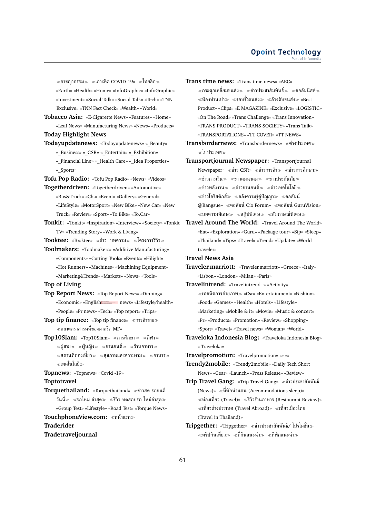$\alpha \ll 1$ าชฌากรรม $\gg \alpha \ll 1$ กาะติด COVID-19»  $\alpha \ll 1$ ทยลีก $\gg 1$ «Earth» «Health» «Home» «InfoGraphic» «InfoGraphic» «Investment» «Social Talk» «Social Talk» «Tech» «TNN Exclusive» «TNN Fact Check» «Wealth» «World»

- **Tobacco Asia:** «E-Cigarette News» «Features» «Home» «Leaf News» «Manufacturing News» «News» «Products»
- **Today Highlight News**
- **Todayupdatenews:** «Todayupdatenews» «\_Beauty» « Business» « CSR» « Entertain» « Exhibition» « Financial Line» « Health Care» « Idea Properties» «\_Sports»
- **Tofu Pop Radio:** «Tofu Pop Radio» «News» «Videos»
- **Togetherdriven:** «Togetherdriven» «Automotive» «Bus&Truck» «Ch.» «Event» «Gallery» «General» «LifeStyle» «MotorSport» «New Bike» «New Car» «New Truck» «Review» «Sport» «To.Bike» «To.Car»
- **Tonkit:** «Tonkit» «Inspiration» «Interview» «Society» «Tonkit TV» «Trending Story» «Work & Living»
- Tooktee: «Tooktee» «ข่าว- บทความ» «โครงการรีวิว»
- **Toolmakers:** «Toolmakers» «Additive Manufacturing» «Components» «Cutting Tools» «Events» «Hilight» «Hot Runners» «Machines» «Machining Equipment» «Marketing&Trends» «Markets» «News» «Tools»
- **Top of Living**
- **Top Report News:** «Top Report News» «Dinning» «Economic» «English is a news» «Lifestyle/health» «People» «Pr news» «Tech» «Top report» «Trips»

**Top tip finance:** «Top tip finance» «การค้าขาย≫ ตลาดตราสารหนี้ของมาดริด MF»

- **Top10Siam:** «Top10Siam» «การศึกษา≫ «กีฬา≫  $\ll$ ผู้ชาย $\gg$   $\ll$ ผู้หญิง $\gg$   $\ll$ ยานยนต์ $\gg$   $\ll$ ร้านอาหาร $\gg$  $\alpha \ll$ สถานที่ท่องเที่ยว $\gg \alpha \ll \alpha$ ขภาพและความงาม $\gg \alpha \ll \alpha$ าหาร $\gg \alpha$ เทคโนโลยี
- **Topnews:** «Topnews» «Covid -19»

**Toptotravel**

- **Torquethailand:** «Torquethailand» «ข่าวสด รถยนต์ วันนี้ $\gg$   $\ll$ รถใหม่ ล่าสุด $\gg$   $\ll$ รีวิว ทดสอบรถ ใหม่ล่าสุด $\gg$ «Group Test» «Lifestyle» «Road Test» «Torque News»
- **TouchphoneView.com:** หน้าแรก

**Traderider**

**Tradetraveljournal**

**Trans time news:** «Trans time news» «AEC»  $\ll$ กระตุกเหลี่ยมขนส่ง $\gg \ll$ ข่าวประชาสัมพันธ์ $\gg \ll$ คอลัมนิสต์ $\gg$ ์ ≪ฟ้องท่านเปา≫ ≪รอบรั้วขนส่ง≫ ≪ล้วงตับขนส่ง≫ «Best Product» «Clips» «E MAGAZINE» «Exclusive» «LOGISTIC» «On The Road» «Trans Challenge» «Trans Innovation» «TRANS PRODUCT» «TRANS SOCIETY» «Trans Talk» «TRANSPORTATIONS» «TT COVER» «TT NEWS»

- **Transbordernews:** «Transbordernews» ต่างประเทศ  $\ll$ ในประเทศ $\gg$
- **Transportjournal Newspaper:** «Transportjournal Newspaper» «ข่าว CSR» «ข่าวการค้า» «ข่าวการศึกษา»  $\ll$ ข่าวการเงิน $\gg$   $\ll$ ข่าวคมนาคม $\gg$   $\ll$ ข่าวประกันภัย $\gg$  $\ll$ ข่าวพลังงาน $\gg \ll$ ข่าวยานยนต์ $\gg \ll$ ข่าวเทคโนโลยี $\gg$  $\ll$ ข่าวโลจิสติกส์ $\gg$   $\ll$ คลังความรู้คู่ปัญญา $\gg$   $\ll$ คอลัมน์ @Bangsue» «คอลัมน์ Cio Forum» «คอลัมน์ GuruVision»  $\ll$ บทความพิเศษ $\gg\ll$ สก็ปพิเศษ $\gg\ll$ สัมภาษณ์พิเศษ $\gg$
- **Travel Around The World:** «Travel Around The World» «Eat» «Exploration» «Guru» «Package tour» «Sip» «Sleep» «Thailand» «Tips» «Travel» «Trend» «Update» «World traveler»
- **Travel News Asia**
- **Traveler.marriott:** «Traveler.marriott» «Greece» «Italy» «Lisbon» «London» «Milan» «Paris»
- **Travelintrend:** «Travelintrend -» «Activity» เทคนิคการถ่ายภาพ «Csr» «Entertainment» «Fashion» «Food» «Games» «Health» «Hotels» «Lifestyle» «Marketing» «Mobile & it» «Movie» «Music & concert» «Pr» «Products» «Promotion» «Review» «Shopping» «Sport» «Travel» «Travel news» «Woman» «World»
- **Traveloka Indonesia Blog:** «Traveloka Indonesia Blog» « Traveloka»

**Travelpromotion:** «Travelpromotion» «» «»

**Trendy2mobile:** «Trendy2mobile» «Daily Tech Short News» «Gear» «Launch» «Press Release» «Review»

- Trip Travel Gang: «Trip Travel Gang» «ข่าวประชาสัมพันธ์ (News)» ที่พักน่านอน (Accommodations sleep)» ท่องเที่ยว (Travel)» รีวิวร้านอาหาร (Restaurant Review)»  $\ll$ เที่ยวต่างประเทศ (Travel Abroad)»  $\ll$ เที่ยวเมืองไทย (Travel in Thailand)»
- **Tripgether:** «Tripgether» ข่าวประชาสัมพันธ์/ โปรโมชั่น  $\ll$ ทริปกินเที่ยว $\gg \ll$ ที่กินแนะนำ $\gg \ll$ ที่พักแนะนำ $\gg$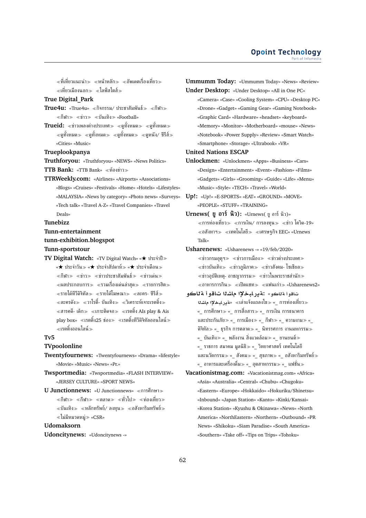$\ll$ ที่เที่ยวแนะนำ $\gg$   $\ll$ หน้าหลัก $\gg$   $\ll$ อัพเดตเรื่องเที่ยว $\gg$  $\ll$ เที่ยวเมืองนอก $\gg \ll$ ไลฟ์สไตส์ $\gg$ 

### **True Digital\_Park**

- $True4u:$  «True4u» «กิจกรรม/ ประชาสัมพันธ์» «กีฬา»  $\ll$ กีฬา $\gg$   $\ll$ ข่าว $\gg$   $\ll$ บันเทิง $\gg$  «Football»
- **Trueid:** «ข่าวเพลงต่างประเทศ» «ดูทั้งหมด» «ดูทั้งหมด»  $\ll$ ดูทั้งหมด $\gg \ll$ ดูทั้งหมด $\gg \ll$ ดูทั้งหมด $\gg \ll$ ดูหนัง/ ซีรีส์ $\gg$ «Cities» «Music»

**Trueplookpanya**

**Truthforyou:** «Truthforyou» «NEWS» «News Politics»

**TTB Bank:** «TTB Bank» ห้องข่าว

**TTRWeekly.com:** «Airlines» «Airports» «Associations» «Blogs» «Cruises» «Festivals» «Home» «Hotels» «Lifestyles» «MALAYSIA» «News by category» «Photo news» «Surveys» «Tech talk» «Travel A-Z» «Travel Companies» «Travel Deals»

#### **Tunebizz**

**Tunn-entertainment**

#### **tunn-exhibition.blogspot**

**Tunn-sportstour**

**TV Digital Watch:** «TV Digital Watch» «★ ประจำปี «★ ประจำวัน «★ ประจำสัปดาห์ «★ ประจำเดือน  $\ll$ กีฬา $\gg$   $\ll$ ข่าว $\gg$   $\ll$ ข่าวประชาสัมพันธ์ $\gg$   $\ll$ ข่าวเด่น $\gg$  $\ll$ ผลประกอบการ $\gg \ll$ รวมเรื่องเด่นล่าสุด $\gg \ll$ รายการฮิต $\gg$  $\ll$ รายได้ทีวีดิจิทัล $\gg \ll$ รายได้โฆษณา $\gg \ll$ ละคร- ซีรีส์ $\gg$  $\ll$ ละครดัง $\gg \ll$ วาไรตี้- บันเทิง $\gg \ll$ วิเคราะห์เจาะเรตติ้ง $\gg$  $\ll$ สารคดึ- เด็ก $\gg \ll$ เกาะติดจอ $\gg \ll$ เรตติ้ง AIs play & Ais play box» «เรตติ้ง25 ช่อง» «เรตติ้งทีวีดิจิทัลออนไลน์» เรตติ้งออนไลน์

### **Tv5**

#### **TVpoolonline**

- **Twentyfournews:** «Twentyfournews» «Drama» «lifestyle» «Movie» «Music» «News» «Pr.»
- **Twsportmedia:** «Twsportmedia» «FLASH INTERVIEW» «JERSEY CULTURE» «SPORT NEWS»
- **U Junctionnews: «U Junctionnews» «การศึกษา»**  $\ll$ กีฬา $\gg$   $\ll$ ทิสาด $\gg$   $\ll$ ทั่วไป $\gg$   $\ll$ ท่องเที่ยว $\gg$  $\ll$ บันเทิง $\gg \ll$ หลักทรัพย์/ ลงทน $\gg \ll$ อสังหาริมทรัพย์ $\gg$  $\ll$ ไม่มีหมวดหมู่ $\gg$  «CSR»

#### **Udomaksorn**

**Udoncitynews:** «Udoncitynews -»

**Ummumm Today:** «Ummumm Today» «News» «Review» **Under Desktop:** «Under Desktop» «All in One PC» «Camera» «Case» «Cooling System» «CPU» «Desktop PC» «Drone» «Gadget» «Gaming Gear» «Gaming Notebook» «Graphic Card» «Hardware» «headset» «keyboard» «Memory» «Monitor» «Motherboard» «mouse» «News» «Notebook» «Power Supply» «Review» «Smart Watch» «Smartphone» «Storage» «Ultrabook» «VR»

### **United Nations ESCAP**

**Unlockmen:** «Unlockmen» «Apps» «Business» «Cars» «Design» «Entertainment» «Event» «Fashion» «Films» «Gadgets» «Girls» «Grooming» «Guide» «Life» «Menu» «Music» «Style» «TECH» «Travel» «World»

**Up!:** «Up!» «E-SPORTS» «EAT» «GROUND» «MOVE» «PEOPLE» «STUFF» «TRAINING»

**Urnews( ยู อาร์ นิว):** «Urnews( ยู อาร์ นิว)»  $\ll$ การท่องเที่ยว $\gg$   $\ll$ การเงิน/ การลงทน $\gg$   $\ll$ ข่าว โควิด-19»  $\ll$ อสังหาฯ $\gg$   $\ll$ เทคโนโลยี $\gg$   $\ll$ เศรษฐกิจ $\text{EEC}$ » «Urnews Talk»

**Usharenews:** «Usharenews -» «19/feb/2020»  $\ll$ ข่าวกรมอุตุฯ $\gg$   $\ll$ ข่าวการเมือง $\gg$   $\ll$ ข่าวต่างประเทศ $\gg$  $\ll$ ข่าวบันเทิง $\gg$   $\ll$ ข่าวภูมิภาค $\gg$   $\ll$ ข่าวสังคม- โซเชียล $\gg$  $\ll$ ข่าวอุบัติเหตุ- อาชญากรรม $\gg \ll$ ข่าวในพระราชสำนัก $\gg$  $\ll$ อาหารการกิน $\gg \ll$ เปิดแชท $\gg \ll$ แฟนเก่า $\gg$  «Usharenews2»

- تاقوأ **قتاكو» :ةدر ليخلاا ماشنا تاقوأ قتاك**و **KA ³bAC§T**» เล่าแจ้งแถลงไข «\_ การท่องเที่ยว «\_ การศึกษา «\_ การสื่อสาร «\_ การเงิน การธนาคาร และประกันภัย≫ «\_ การเมือง≫ «\_ กีฬา≫ «\_ ความงาม≫ « ดิจิทัล $\gg$  «  $\:$  ธุรกิจ การตลาด $\gg$  «  $\:$ นิทรรศการ งานมหกรรม $\gg$ «\_ บันเทิง≫ «\_ พลังงาน สิ่งแวดล้อม≫ «\_ ยานยนต์≫ «\_ ราชการ สมาคม มูลนิธิ «\_ วิทยาศาสตร์ เทคโนโลยี และนวัตกรรม $\gg$  « $\,$ สังคม $\gg$  « $\,$  สุขภาพ $\gg$  « $\,$  อสังหาริมทรัพย์ $\gg$ « อาหารและเครื่องดื่ม≫ « อุตสาหกรรม≫ « แฟชั่น≫
- **Vacationistmag.com:** «Vacationistmag.com» «Africa» «Asia» «Australia» «Central» «Chubu» «Chugoku» «Eastern» «Europe» «Hokkaido» «Hokuriku/Shinetsu» «Inbound» «Japan Station» «Kanto» «Kinki/Kansai» «Korea Station» «Kyushu & Okinawa» «News» «North America» «NorthEastern» «Northern» «Outbound» «PR News» «Shikoku» «Siam Paradise» «South America» «Southern» «Take off» «Tips on Trips» «Tohoku»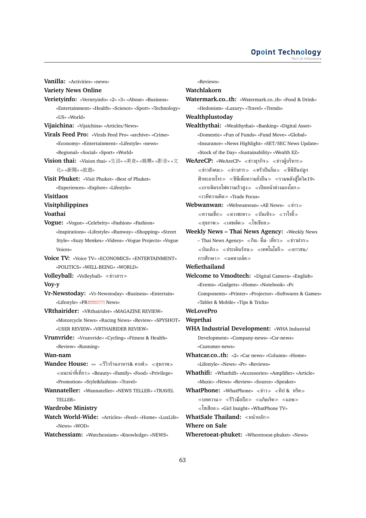#### **Opoint Technology** Part of Infome

**Variety News Online Verietyinfo:** «Verietyinfo» «2» «3» «About» «Business» «Entertainment» «Health» «Science» «Sport» «Technology» «US» «World» **Vijaichina:** «Vijaichina» «Articles/News» **Virals Feed Pro:** «Virals Feed Pro» «archive» «Crime» «Economy» «Entertainment» «Lifestyle» «news» «Regional» «Social» «Sport» «World» **Vision thai:** «Vision thai» «生活» «美食» «娛樂» «影音» «<sup>文</sup> 化» «新聞» «旅遊» **Visit Phuket:** «Visit Phuket» «Best of Phuket» «Experiences» «Explore» «Lifestyle» **Visitlaos Visitphilippines Voathai Vogue:** «Vogue» «Celebrity» «Fashion» «Fashion» «Inspirations» «Lifestyle» «Runway» «Shopping» «Street Style» «Suzy Menkes» «Videos» «Vogue Projects» «Vogue Voices» **Voice TV:** «Voice TV» «ECONOMICS» «ENTERTAINMENT» «POLITICS» «WELL-BEING» «WORLD» **Volleyball:** «Volleyball» ข่าวสาร **Voy-y Vr-Newstoday:** «Vr-Newstoday» «Business» «Entertain» «Lifestyle» «PR**ESSEE** News» **VRthairider:** «VRthairider» «MAGAZINE REVIEW» «Motorcycle News» «Racing News» «Review» «SPYSHOT» «USER REVIEW» «VRTHAIRIDER REVIEW» **Vrunvride:** «Vrunvride» «Cycling» «Fitness & Health» «Review» «Running» **Wan-nam Wandee House: «» «รีวิวร้านอาหาร& คาเฟ่ > «สุขภาพ >** แนะนำที่เที่ยว «Beauty» «Family» «Food» «Privilege» «Promotion» «Style&fashion» «Travel» **Wannateller:** «Wannateller» «NEWS TELLER» «TRAVEL TELLER» **Wardrobe Ministry Watch World-Wide:** «Articles» «Feed» «Home» «LuxLife» «News» «WOD» **Watchessiam:** «Watchessiam» «Knowledge» «NEWS»

**Vanilla:** «Activities» «news»

«Reviews»

**Watchlakorn**

**Watermark.co..th:** «Watermark.co..th» «Food & Drink» «Hedonism» «Luxury» «Travel» «Trends» **Wealthplustoday Wealthythai:** «Wealthythai» «Banking» «Digital Asset» «Domestic» «Fun of Funds» «Fund Move» «Global» «Insurance» «News Highlight» «SET/SEC News Update» «Stock of the Day» «Sustainability» «Wealth EZ» **WeAreCP:** «WeAreCP» «ข่าวธรกิจ» «ข่าวผู้บริหาร»  $\ll$ ข่าวสังคม $\gg$   $\ll$ ข่าวสาร $\gg$   $\ll$ ครัวปันอิ่ม $\gg$   $\ll$ ชีพีปันปลก ฟ้าทะลายโจร $\gg\;$  «ซีพีเพื่อความยั่งยืน $\gg\;$  «รวมพลังสู้โควิด19»  $\ll$ เกาะติดรถไฟความเร็วสูง $\gg\ll$ เปิดหน้าต่างมองโลก $\gg$  $\ll$ เวทีความคิด $\gg$  «Trade Focus» **Webwanwan:** «Webwanwan» «All News» «ข่าว» ความเชื่อ ดวงชะตา บันเทิง วาไรตี้  $\ll$ สขภาพ $\gg$   $\ll$ เลขเด็ด $\gg$   $\ll$ โซเซียล $\gg$ **Weekly News – Thai News Agency:** «Weekly News – Thai News Agency» ≪กิน- ดื่ม- เที่ยว≫ ≪ข่าวฝาก≫ บันเทิง ประเด็นร้อน เทคโนโลยี เยาวชน/ การศึกษา≫ ≪แคทวอล์ค≫ **Wefiethailand Welcome to Vmodtech:** «Digital Camera» «English» «Events» «Gadgets» «Home» «Notebook» «Pc Components» «Printer» «Projector» «Softwares & Games» «Tablet & Mobile» «Tips & Tricks» **WeLovePro Weprthai WHA Industrial Development:** «WHA Industrial Development» «Company-news» «Csr-news» «Customer-news» **Whatcar.co..th:** «2» «Car news» «Column» «Home» «Lifestyle» «News» «Pr» «Reviews» **Whathifi:** «Whathifi» «Accessories» «Amplifier» «Article» «Music» «News» «Review» «Source» «Speaker» **WhatPhone:** «WhatPhone» ≪ข่าว≫ ≪ทิป & ทริค≫  $\ll$ บทความ $\gg$   $\ll$ รีวิวมือถือ $\gg$   $\ll$ แก็ดเจ็ท $\gg$   $\ll$ แอพ $\gg$ โซเชียล «Girl Insight» «WhatPhone TV» **WhatSale Thailand:** หน้าหลัก **Where on Sale**

**Wheretoeat-phuket:** «Wheretoeat-phuket» «News»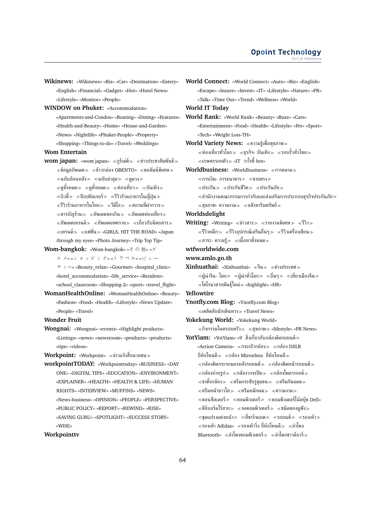**Wikinews:** «Wikinews» «Biz» «Car» «Destination» «Eatery» «English» «Financial» «Gadget» «Hot» «Hotel News» «Lifestyle» «Monitor» «People»

**WINDOW on Phuket:** «Accommodation» «Apartments-and-Condos» «Boating» «Dining» «Features» «Health-and-Beauty» «Home» «House-and-Garden» «News» «Nightlife» «Phuket-People» «Property» «Shopping» «Things-to-do» «Travel» «Weddings»

### **Wom Entertain**

**wom japan:** «wom japan» ≪กร์เม่ต์ ≫ ≪ข่าวประชาสัมพันธ์ ≫  $\ll$ ข้อมูลอัพเดต $\gg \ll$ ข้าวกล่อง OBENTO»  $\ll$ คอลัมน์พิเศษ $\gg$  $\ll$ ฉบับย้อนหลัง $\gg$   $\ll$ ฉบับล่าสุด $\gg$   $\ll$ ดูดวง $\gg$  $\ll$ ดูทั้งหมด $\gg \ll$ ดูทั้งหมด $\gg \ll$ ท่องเที่ยว $\gg \ll$ บันเทิง $\gg$  $\ll$ บิวตี้ $\gg \ll$ ป๊อปคัลเจอร์ $\gg \ll$ รีวิวร้านอาหารในญี่ป่น $\gg$  $\ll$ รีวิวร้านอาหารในไทย $\gg \ll$ วีดีโอ $\gg \ll$ สถานที่ฝากวาง $\gg$  $\ll$ สารบัญร้าน $\gg \ll$ อัพเดตของกิน $\gg \ll$ อัพเดตท่องเที่ยว $\gg$  $\ll$ อัพเดตเทรนด์ $\gg\ll$ อัพเดตเทศกาล $\gg\ll$ เกี่ยวกับนิตยสาร $\gg$ เทรนด์ แฟชั่น «GIRLS, HIT THE ROAD» «Japan through my eyes» «Photo Journey» «Trip Top Tip»

- **Wom-bangkok:** «Wom-bangkok» «そ の 他» «グ ル メ» «シ ョ ッ ピ ン グ» «ト ラ ベ ル» «ビ ュ ー ティー» «Beauty\_relax» «Gourmet» «hospital\_clinic» «hotel\_accommodation» «life\_service» «Resident» «school classroom» «Shopping-2» «sport» «travel flight»
- **WomanHealthOnline:** «WomanHealthOnline» «Beauty» «Fashion» «Food» «Health» «Lifestyle» «News Update» «People» «Travel»

#### **Wonder Fruit**

**Wongnai:** «Wongnai» «events» «Highlight products» «Listings» «news» «newsroom» «products» «products» «tips» «videos»

**Workpoint:** «Workpoint» ข่าวแจ้งสื่อมวลชน

**workpointTODAY:** «Workpointtoday» «BUSINESS» «DAY ONE» «DIGITAL TIPS» «EDUCATION» «ENVIRONMENT» «EXPLAINER» «HEALTH» «HEALTH & LIFE» «HUMAN RIGHTS» «INTERVIEW» «MUFFINS» «NEWS» «News-business» «OPINION» «PEOPLE» «PERSPECTIVE» «PUBLIC POLICY» «REPORT» «REWIND» «RISE» «SAVING GURU» «SPOTLIGHT» «SUCCESS STORY» «WISE»

### **Workpointtv**

**World Connect:** «World Connect» «Auto» «Biz» «English» «Escape» «Insure» «Invest» «IT» «Lifestyle» «Nature» «PR» «Talk» «Time Out» «Trend» «Wellness» «World» **World IT Today World Rank:** «World Rank» «Beauty» «Buzz» «Cars» «Entertainment» «Food» «Health» «Lifestyle» «Pet» «Sport» «Tech» «Weight Loss-TH» **World Variety News:** ความรู้เพื่อสุขภาพ  $\ll$ ท่องเที่ยวทั่วโลก $\gg\ll$ ธุรกิจ- บันเทิง $\gg\ll$ รอบรั้วทั่วไทย $\gg$ เกษตรรอบตัว «IT วาไรตี้hot» **Worldbusiness: «Worldbusiness» «การตลาด»**  $\ll$ การเงิน- การธนาคาร $\gg$   $\ll$ ขายตรง $\gg$  $\ll$ ประกัน $\gg$   $\ll$ ประกันชีวิต $\gg$   $\ll$ ประกันภัย $\gg$  $\alpha$ สำนักงานคณะกรรมการกำกับและส่งเสริมการประกอบธุรกิจประกันภัย $\gg$  $\ll$ สุขภาพ- ความงาม $\gg \ll$ อสังหาริมทรัพย์ $\gg$ **Worldsdelight Writing:** «Writing» «ข่าวสาร» «รายงานพิเศษ» «รีวิว»  $\ll$ รีวิวหมึก $\gg \ll$ รีวิวอุปกรณ์เสริมอื่นๆ $\gg \ll$ รีวิวเครื่องเขียน $\gg$  $\ll$ สาระ- ความร้ $\gg\ll$ เนื้อหาทั้งหมด $\gg$ **wtfworldwide.com www.amlo.go.th Xinhuathai:** «Xinhuathai» «จีน» «ต่างประเทศ»  $\ll$ ผู้นำจีน- ไทย $\gg\ll$ ผู้นำทั่วโลก $\gg\ll$ อื่นๆ $\gg\ll$ เที่ยวเมืองจีน $\gg$  $\ll$ โคโรนาสายพันธุ์ใหม่ $\gg$  «highlight» «HR» **Yellowtire Ynotfly.com Blog:** «Ynotfly.com Blog»  $\ll$ เคล็ดลับนักเดินทาง $\gg$  «Travel News» **Yokekung World:** «Yokekung World»  $\ll$ กิจกรรมในครอบครัว $\gg \ll$ สขภาพ $\gg$  «lifestyle» «PR News» **YotYiam:** «YotYiam» «9 สิ่งเกี่ยวกับกล้องติดรถยนต์ «Action Camera» กระเป๋ากล้อง กล้อง DSLR ยี่ห้อไหนดี $\gg$  «กล้อง Mirrorless ยี่ห้อไหนดี $\gg$  $\ll$ กล้องติดกระจกมองหลังรถยนต์ $\gg$   $\ll$ กล้องติดหน้ารถยนต์ $\gg$  $\ll$ กล้องถ่ายรูป $\gg \ll$ กล้องวงจรปิด $\gg \ll$ กล้องโพลารอยด์ $\gg$  $\ll$ ขาตั้งกล้อง $\gg \ll$ ครีมกระชับรขมขน $\gg \ll$ ครีมกันแดด $\gg$  $\ll$ ครีมหน้าขาวใส $\gg \ll$ ครีมหมักผม $\gg \ll$ ความงาม $\gg$  $\ll$ คอนซีลเลอร์ $\gg \ll$ คอมพิวเตอร์ $\gg \ll$ คอมพิวเตอร์โน๊ตบ๊ค Dell»  $\ll$ คีย์บอร์ดไร้สาย $\gg$   $\ll$ จอคอมพิวเตอร์ $\gg$   $\ll$ ชนิดของหูฟัง $\gg$  $\ll$ ชดแปรงแต่งหน้า $\gg \ll$ ที่ชาร์จแบต $\gg \ll$ รถยนต์ $\gg \ll$ รองเท้า $\gg$ 

 $\ll$ รองเท้า Adidas»  $\ll$ รองเท้าวิ่ง ยี่ห้อไหนดี $\gg \ll$ ลำโพง Bluetooth» ≪ลำโพงคอมพิวเตอร์≫ ≪ลำโพงซาวด์บาร์≫